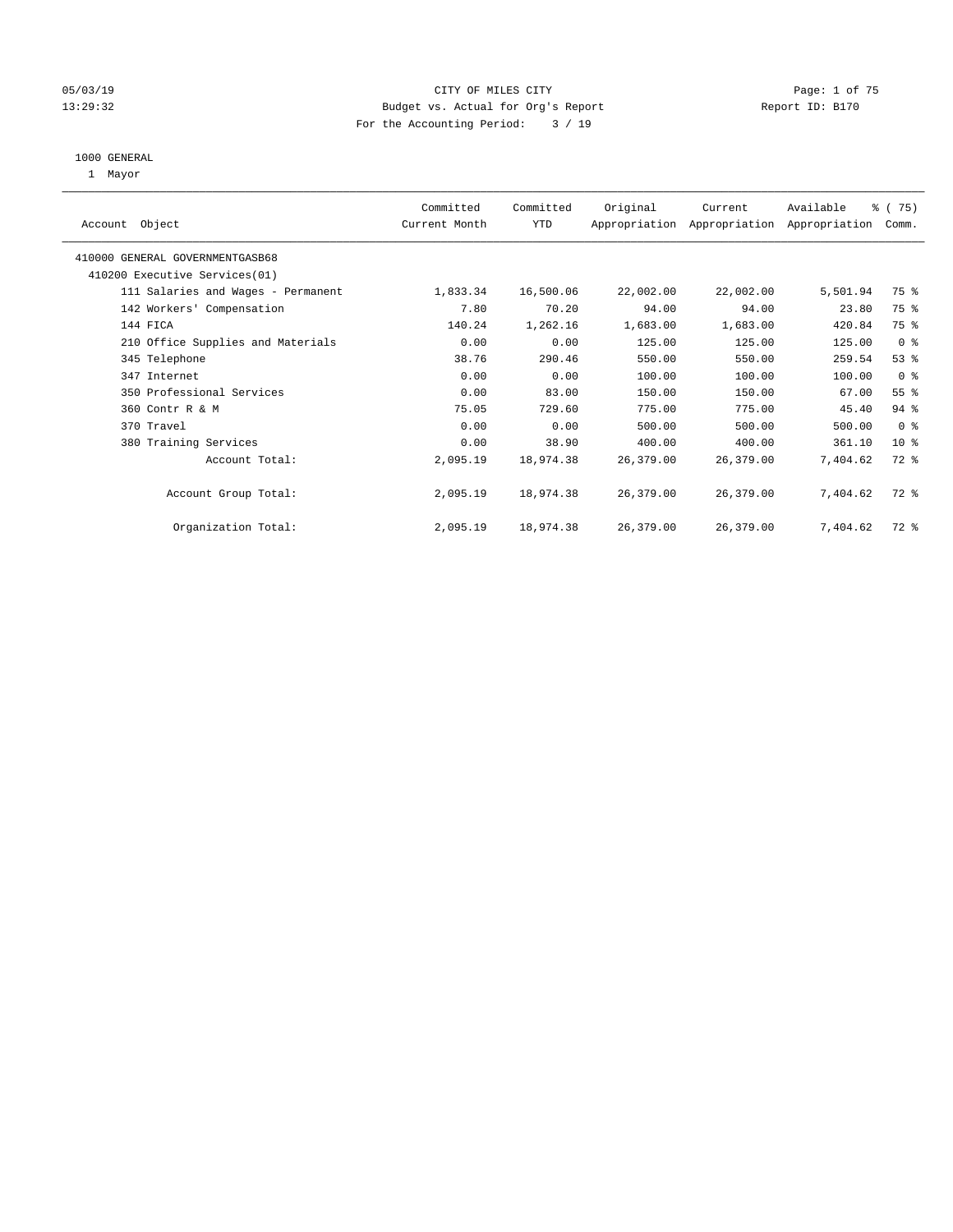#### 05/03/19 Page: 1 of 75 13:29:32 Budget vs. Actual for Org's Report Report ID: B170 For the Accounting Period: 3 / 19

#### 1000 GENERAL

1 Mayor

|                                    | Committed     | Committed  | Original  | Current   | Available                                 | 8 (75)          |
|------------------------------------|---------------|------------|-----------|-----------|-------------------------------------------|-----------------|
| Account Object                     | Current Month | <b>YTD</b> |           |           | Appropriation Appropriation Appropriation | Comm.           |
| 410000 GENERAL GOVERNMENTGASB68    |               |            |           |           |                                           |                 |
| 410200 Executive Services (01)     |               |            |           |           |                                           |                 |
| 111 Salaries and Wages - Permanent | 1,833.34      | 16,500.06  | 22,002.00 | 22,002.00 | 5,501.94                                  | 75 %            |
| 142 Workers' Compensation          | 7.80          | 70.20      | 94.00     | 94.00     | 23.80                                     | 75 %            |
| 144 FICA                           | 140.24        | 1,262.16   | 1,683.00  | 1,683.00  | 420.84                                    | 75 %            |
| 210 Office Supplies and Materials  | 0.00          | 0.00       | 125.00    | 125.00    | 125.00                                    | 0 <sup>8</sup>  |
| 345 Telephone                      | 38.76         | 290.46     | 550.00    | 550.00    | 259.54                                    | 53%             |
| 347 Internet                       | 0.00          | 0.00       | 100.00    | 100.00    | 100.00                                    | 0 <sup>8</sup>  |
| 350 Professional Services          | 0.00          | 83.00      | 150.00    | 150.00    | 67.00                                     | 55 <sup>8</sup> |
| 360 Contr R & M                    | 75.05         | 729.60     | 775.00    | 775.00    | 45.40                                     | $94$ %          |
| 370 Travel                         | 0.00          | 0.00       | 500.00    | 500.00    | 500.00                                    | 0 <sup>8</sup>  |
| 380 Training Services              | 0.00          | 38.90      | 400.00    | 400.00    | 361.10                                    | 10 <sup>8</sup> |
| Account Total:                     | 2,095.19      | 18,974.38  | 26,379.00 | 26,379.00 | 7,404.62                                  | $72$ $%$        |
| Account Group Total:               | 2,095.19      | 18,974.38  | 26,379.00 | 26,379.00 | 7,404.62                                  | 72 %            |
| Organization Total:                | 2,095.19      | 18,974.38  | 26,379.00 | 26,379.00 | 7.404.62                                  | $72$ $%$        |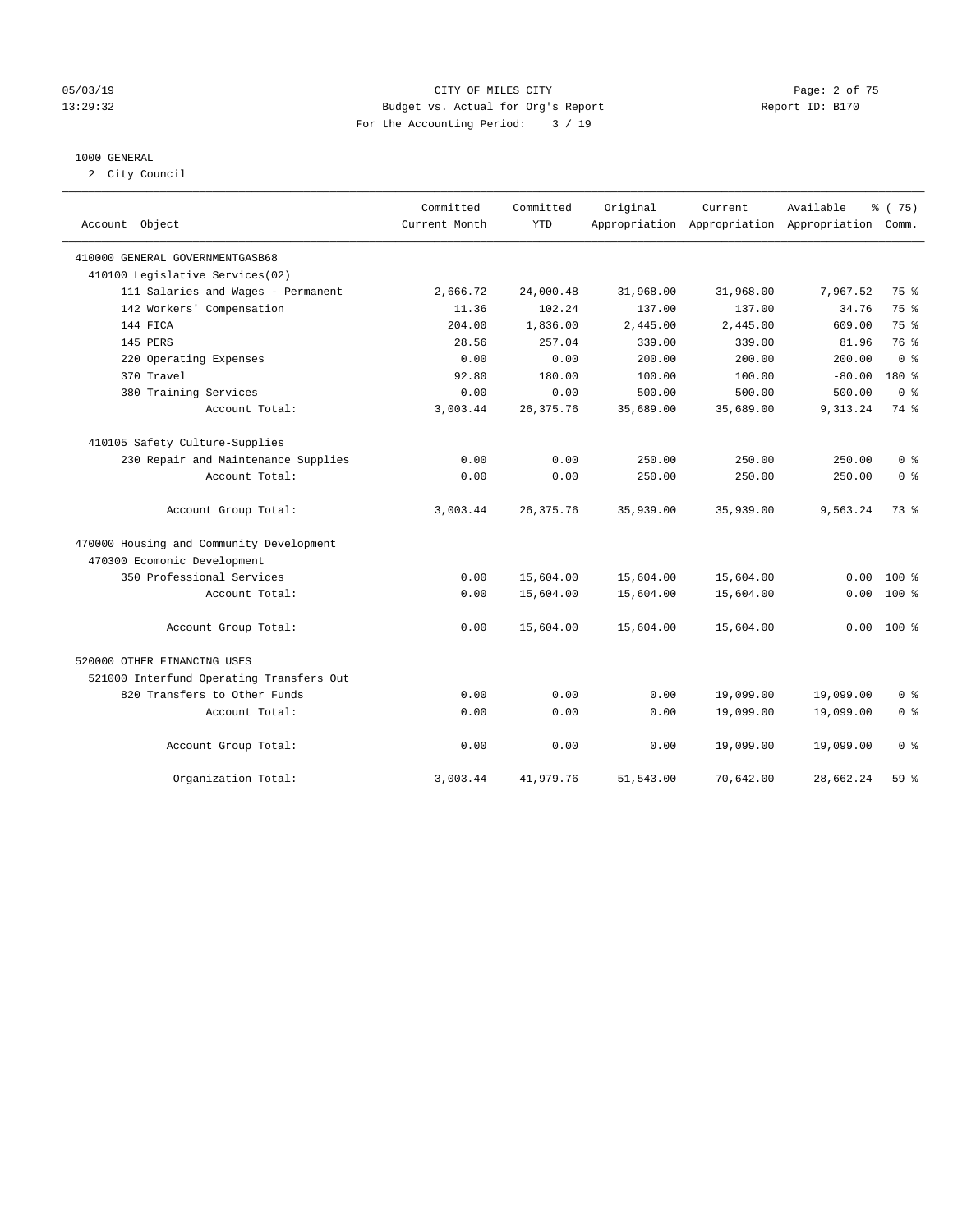#### 05/03/19 Page: 2 of 75 13:29:32 Budget vs. Actual for Org's Report Report ID: B170 For the Accounting Period: 3 / 19

#### 1000 GENERAL

2 City Council

| Account Object                           | Committed<br>Current Month | Committed<br><b>YTD</b> | Original  | Current<br>Appropriation Appropriation Appropriation Comm. | Available | % (75)          |
|------------------------------------------|----------------------------|-------------------------|-----------|------------------------------------------------------------|-----------|-----------------|
| 410000 GENERAL GOVERNMENTGASB68          |                            |                         |           |                                                            |           |                 |
| 410100 Legislative Services(02)          |                            |                         |           |                                                            |           |                 |
| 111 Salaries and Wages - Permanent       | 2,666.72                   | 24,000.48               | 31,968.00 | 31,968.00                                                  | 7,967.52  | 75 %            |
| 142 Workers' Compensation                | 11.36                      | 102.24                  | 137.00    | 137.00                                                     | 34.76     | 75 %            |
| 144 FICA                                 | 204.00                     | 1,836.00                | 2,445.00  | 2,445.00                                                   | 609.00    | 75 %            |
| 145 PERS                                 | 28.56                      | 257.04                  | 339.00    | 339.00                                                     | 81.96     | 76 %            |
| 220 Operating Expenses                   | 0.00                       | 0.00                    | 200.00    | 200.00                                                     | 200.00    | 0 <sup>8</sup>  |
| 370 Travel                               | 92.80                      | 180.00                  | 100.00    | 100.00                                                     | $-80.00$  | 180 %           |
| 380 Training Services                    | 0.00                       | 0.00                    | 500.00    | 500.00                                                     | 500.00    | 0 <sup>8</sup>  |
| Account Total:                           | 3,003.44                   | 26, 375.76              | 35,689.00 | 35,689.00                                                  | 9,313.24  | 74 %            |
| 410105 Safety Culture-Supplies           |                            |                         |           |                                                            |           |                 |
| 230 Repair and Maintenance Supplies      | 0.00                       | 0.00                    | 250.00    | 250.00                                                     | 250.00    | 0 <sup>8</sup>  |
| Account Total:                           | 0.00                       | 0.00                    | 250.00    | 250.00                                                     | 250.00    | 0 <sup>8</sup>  |
| Account Group Total:                     | 3,003.44                   | 26, 375.76              | 35,939.00 | 35,939.00                                                  | 9,563.24  | 73 %            |
| 470000 Housing and Community Development |                            |                         |           |                                                            |           |                 |
| 470300 Ecomonic Development              |                            |                         |           |                                                            |           |                 |
| 350 Professional Services                | 0.00                       | 15,604.00               | 15,604.00 | 15,604.00                                                  | 0.00      | $100*$          |
| Account Total:                           | 0.00                       | 15,604.00               | 15,604.00 | 15,604.00                                                  | 0.00      | $100*$          |
| Account Group Total:                     | 0.00                       | 15,604.00               | 15,604.00 | 15,604.00                                                  | 0.00      | $100*$          |
| 520000 OTHER FINANCING USES              |                            |                         |           |                                                            |           |                 |
| 521000 Interfund Operating Transfers Out |                            |                         |           |                                                            |           |                 |
| 820 Transfers to Other Funds             | 0.00                       | 0.00                    | 0.00      | 19,099.00                                                  | 19,099.00 | 0 <sup>8</sup>  |
| Account Total:                           | 0.00                       | 0.00                    | 0.00      | 19,099.00                                                  | 19,099.00 | 0 <sup>8</sup>  |
| Account Group Total:                     | 0.00                       | 0.00                    | 0.00      | 19,099.00                                                  | 19,099.00 | 0 <sup>8</sup>  |
| Organization Total:                      | 3,003.44                   | 41,979.76               | 51,543.00 | 70,642.00                                                  | 28,662.24 | 59 <sub>8</sub> |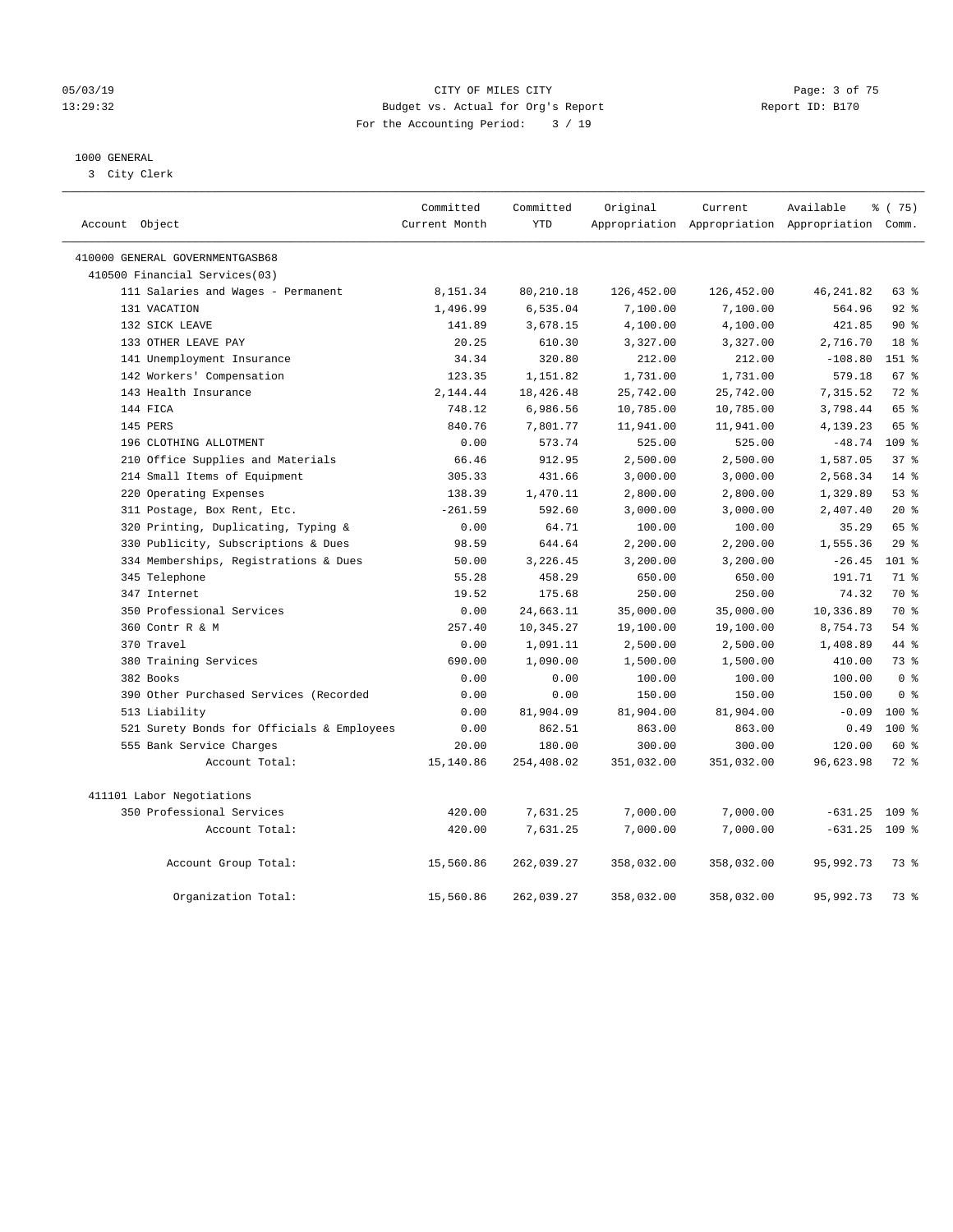#### 05/03/19 CITY OF MILES CITY Page: 3 of 75 13:29:32 Budget vs. Actual for Org's Report Report ID: B170 For the Accounting Period: 3 / 19

### 1000 GENERAL

3 City Clerk

| Account Object                             | Committed<br>Current Month | Committed<br><b>YTD</b> | Original   | Current    | Available<br>Appropriation Appropriation Appropriation Comm. | % (75)           |
|--------------------------------------------|----------------------------|-------------------------|------------|------------|--------------------------------------------------------------|------------------|
| 410000 GENERAL GOVERNMENTGASB68            |                            |                         |            |            |                                                              |                  |
| 410500 Financial Services(03)              |                            |                         |            |            |                                                              |                  |
| 111 Salaries and Wages - Permanent         | 8,151.34                   | 80,210.18               | 126,452.00 | 126,452.00 | 46, 241.82                                                   | 63 %             |
| 131 VACATION                               | 1,496.99                   | 6,535.04                | 7,100.00   | 7,100.00   | 564.96                                                       | 92%              |
| 132 SICK LEAVE                             | 141.89                     | 3,678.15                | 4,100.00   | 4,100.00   | 421.85                                                       | $90*$            |
| 133 OTHER LEAVE PAY                        | 20.25                      | 610.30                  | 3,327.00   | 3,327.00   | 2,716.70                                                     | 18 <sup>8</sup>  |
| 141 Unemployment Insurance                 | 34.34                      | 320.80                  | 212.00     | 212.00     | $-108.80$                                                    | 151 %            |
| 142 Workers' Compensation                  | 123.35                     | 1,151.82                | 1,731.00   | 1,731.00   | 579.18                                                       | 67 <sup>°</sup>  |
| 143 Health Insurance                       | 2,144.44                   | 18,426.48               | 25,742.00  | 25,742.00  | 7,315.52                                                     | $72$ $%$         |
| 144 FICA                                   | 748.12                     | 6,986.56                | 10,785.00  | 10,785.00  | 3,798.44                                                     | 65 %             |
| 145 PERS                                   | 840.76                     | 7,801.77                | 11,941.00  | 11,941.00  | 4,139.23                                                     | 65 %             |
| 196 CLOTHING ALLOTMENT                     | 0.00                       | 573.74                  | 525.00     | 525.00     | $-48.74$                                                     | 109 <sub>8</sub> |
| 210 Office Supplies and Materials          | 66.46                      | 912.95                  | 2,500.00   | 2,500.00   | 1,587.05                                                     | 37 <sup>8</sup>  |
| 214 Small Items of Equipment               | 305.33                     | 431.66                  | 3,000.00   | 3,000.00   | 2,568.34                                                     | $14*$            |
| 220 Operating Expenses                     | 138.39                     | 1,470.11                | 2,800.00   | 2,800.00   | 1,329.89                                                     | 53%              |
| 311 Postage, Box Rent, Etc.                | $-261.59$                  | 592.60                  | 3,000.00   | 3,000.00   | 2,407.40                                                     | $20*$            |
| 320 Printing, Duplicating, Typing &        | 0.00                       | 64.71                   | 100.00     | 100.00     | 35.29                                                        | 65 %             |
| 330 Publicity, Subscriptions & Dues        | 98.59                      | 644.64                  | 2,200.00   | 2,200.00   | 1,555.36                                                     | 29%              |
| 334 Memberships, Registrations & Dues      | 50.00                      | 3,226.45                | 3,200.00   | 3,200.00   | $-26.45$                                                     | $101$ %          |
| 345 Telephone                              | 55.28                      | 458.29                  | 650.00     | 650.00     | 191.71                                                       | 71 %             |
| 347 Internet                               | 19.52                      | 175.68                  | 250.00     | 250.00     | 74.32                                                        | 70 %             |
| 350 Professional Services                  | 0.00                       | 24,663.11               | 35,000.00  | 35,000.00  | 10,336.89                                                    | 70 %             |
| 360 Contr R & M                            | 257.40                     | 10,345.27               | 19,100.00  | 19,100.00  | 8,754.73                                                     | 54 %             |
| 370 Travel                                 | 0.00                       | 1,091.11                | 2,500.00   | 2,500.00   | 1,408.89                                                     | 44 %             |
| 380 Training Services                      | 690.00                     | 1,090.00                | 1,500.00   | 1,500.00   | 410.00                                                       | 73%              |
| 382 Books                                  | 0.00                       | 0.00                    | 100.00     | 100.00     | 100.00                                                       | 0 <sup>8</sup>   |
| 390 Other Purchased Services (Recorded     | 0.00                       | 0.00                    | 150.00     | 150.00     | 150.00                                                       | 0 <sup>8</sup>   |
| 513 Liability                              | 0.00                       | 81,904.09               | 81,904.00  | 81,904.00  | $-0.09$                                                      | $100*$           |
| 521 Surety Bonds for Officials & Employees | 0.00                       | 862.51                  | 863.00     | 863.00     | 0.49                                                         | $100*$           |
| 555 Bank Service Charges                   | 20.00                      | 180.00                  | 300.00     | 300.00     | 120.00                                                       | 60 %             |
| Account Total:                             | 15,140.86                  | 254,408.02              | 351,032.00 | 351,032.00 | 96,623.98                                                    | 72 %             |
| 411101 Labor Negotiations                  |                            |                         |            |            |                                                              |                  |
| 350 Professional Services                  | 420.00                     | 7,631.25                | 7,000.00   | 7,000.00   | $-631.25$                                                    | $109$ %          |
| Account Total:                             | 420.00                     | 7,631.25                | 7,000.00   | 7,000.00   | $-631.25$ 109 %                                              |                  |
| Account Group Total:                       | 15,560.86                  | 262,039.27              | 358,032.00 | 358,032.00 | 95,992.73                                                    | 73 %             |
| Organization Total:                        | 15,560.86                  | 262,039.27              | 358,032.00 | 358,032.00 | 95,992.73                                                    | 73.8             |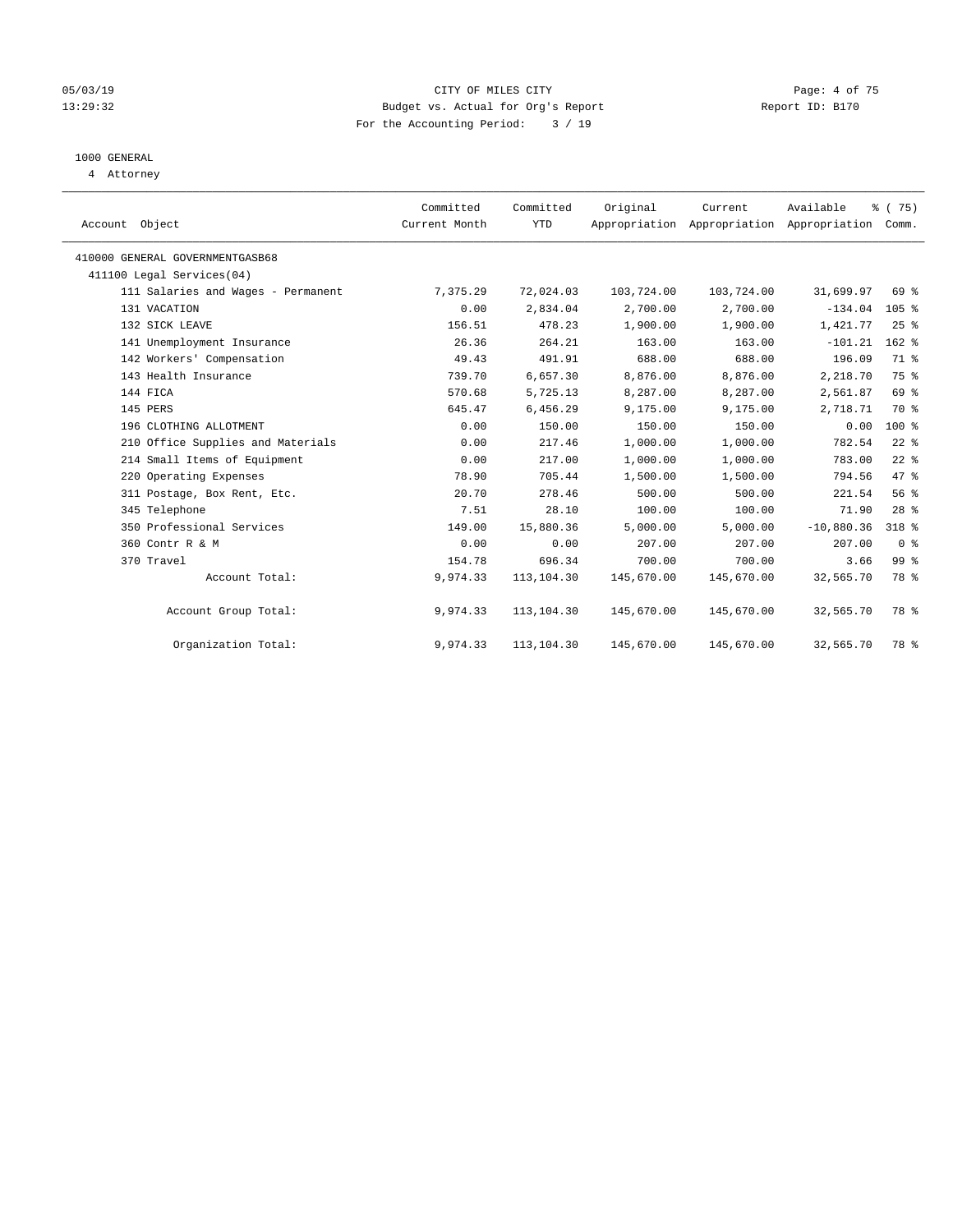#### 05/03/19 CITY OF MILES CITY Page: 4 of 75 13:29:32 Budget vs. Actual for Org's Report Report ID: B170 For the Accounting Period: 3 / 19

## 1000 GENERAL

4 Attorney

| Account Object                     | Committed<br>Current Month | Committed<br>YTD | Original   | Current<br>Appropriation Appropriation Appropriation | Available    | % (75)<br>Comm. |  |
|------------------------------------|----------------------------|------------------|------------|------------------------------------------------------|--------------|-----------------|--|
| 410000 GENERAL GOVERNMENTGASB68    |                            |                  |            |                                                      |              |                 |  |
| 411100 Legal Services(04)          |                            |                  |            |                                                      |              |                 |  |
| 111 Salaries and Wages - Permanent | 7,375.29                   | 72,024.03        | 103,724.00 | 103,724.00                                           | 31,699.97    | 69 %            |  |
| 131 VACATION                       | 0.00                       | 2,834.04         | 2,700.00   | 2,700.00                                             | $-134.04$    | 105%            |  |
| 132 SICK LEAVE                     | 156.51                     | 478.23           | 1,900.00   | 1,900.00                                             | 1,421.77     | 25%             |  |
| 141 Unemployment Insurance         | 26.36                      | 264.21           | 163.00     | 163.00                                               | $-101.21$    | $162$ %         |  |
| 142 Workers' Compensation          | 49.43                      | 491.91           | 688.00     | 688.00                                               | 196.09       | 71.8            |  |
| 143 Health Insurance               | 739.70                     | 6,657.30         | 8,876.00   | 8,876.00                                             | 2,218.70     | 75 %            |  |
| 144 FICA                           | 570.68                     | 5,725.13         | 8,287.00   | 8,287.00                                             | 2,561.87     | 69 %            |  |
| 145 PERS                           | 645.47                     | 6,456.29         | 9,175.00   | 9,175.00                                             | 2,718.71     | 70 %            |  |
| 196 CLOTHING ALLOTMENT             | 0.00                       | 150.00           | 150.00     | 150.00                                               | 0.00         | 100 %           |  |
| 210 Office Supplies and Materials  | 0.00                       | 217.46           | 1,000.00   | 1,000.00                                             | 782.54       | $22$ %          |  |
| 214 Small Items of Equipment       | 0.00                       | 217.00           | 1,000.00   | 1,000.00                                             | 783.00       | $22$ $%$        |  |
| 220 Operating Expenses             | 78.90                      | 705.44           | 1,500.00   | 1,500.00                                             | 794.56       | 47 %            |  |
| 311 Postage, Box Rent, Etc.        | 20.70                      | 278.46           | 500.00     | 500.00                                               | 221.54       | 56%             |  |
| 345 Telephone                      | 7.51                       | 28.10            | 100.00     | 100.00                                               | 71.90        | $28$ $%$        |  |
| 350 Professional Services          | 149.00                     | 15,880.36        | 5,000.00   | 5,000.00                                             | $-10,880.36$ | 318 %           |  |
| 360 Contr R & M                    | 0.00                       | 0.00             | 207.00     | 207.00                                               | 207.00       | 0 <sup>8</sup>  |  |
| 370 Travel                         | 154.78                     | 696.34           | 700.00     | 700.00                                               | 3.66         | 99 <sub>8</sub> |  |
| Account Total:                     | 9,974.33                   | 113,104.30       | 145,670.00 | 145,670.00                                           | 32,565.70    | 78 %            |  |
| Account Group Total:               | 9,974.33                   | 113,104.30       | 145,670.00 | 145,670.00                                           | 32,565.70    | 78 %            |  |
| Organization Total:                | 9,974.33                   | 113,104.30       | 145,670.00 | 145,670.00                                           | 32,565.70    | 78 %            |  |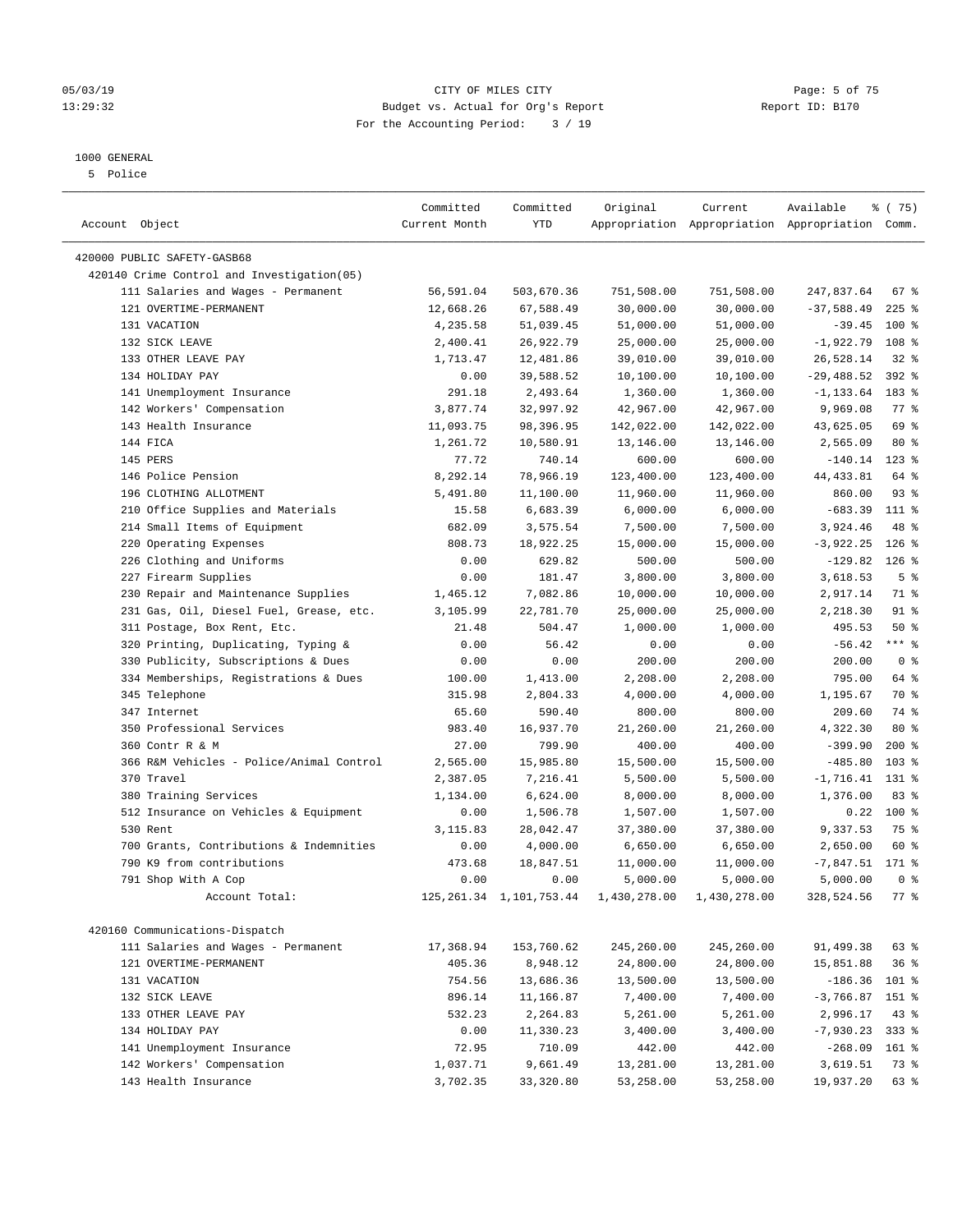#### 1000 GENERAL

5 Police

| Account Object                                               | Committed<br>Current Month | Committed<br>YTD           | Original                | Current                 | Available<br>Appropriation Appropriation Appropriation Comm. | % (75)             |
|--------------------------------------------------------------|----------------------------|----------------------------|-------------------------|-------------------------|--------------------------------------------------------------|--------------------|
| 420000 PUBLIC SAFETY-GASB68                                  |                            |                            |                         |                         |                                                              |                    |
| 420140 Crime Control and Investigation (05)                  |                            |                            |                         |                         |                                                              |                    |
|                                                              |                            | 503,670.36                 |                         |                         | 247,837.64                                                   | $67$ %             |
| 111 Salaries and Wages - Permanent<br>121 OVERTIME-PERMANENT | 56,591.04                  |                            | 751,508.00<br>30,000.00 | 751,508.00<br>30,000.00 | $-37,588.49$                                                 | $225$ $%$          |
| 131 VACATION                                                 | 12,668.26<br>4,235.58      | 67,588.49<br>51,039.45     | 51,000.00               | 51,000.00               | $-39.45$                                                     | $100$ %            |
| 132 SICK LEAVE                                               | 2,400.41                   | 26,922.79                  | 25,000.00               | 25,000.00               | $-1,922.79$                                                  | 108 %              |
| 133 OTHER LEAVE PAY                                          | 1,713.47                   | 12,481.86                  | 39,010.00               | 39,010.00               | 26,528.14                                                    | $32$ $%$           |
| 134 HOLIDAY PAY                                              |                            | 39,588.52                  | 10,100.00               |                         | $-29,488.52$                                                 | $392$ %            |
| 141 Unemployment Insurance                                   | 0.00<br>291.18             | 2,493.64                   | 1,360.00                | 10,100.00<br>1,360.00   | $-1, 133.64$                                                 | 183 %              |
| 142 Workers' Compensation                                    | 3,877.74                   | 32,997.92                  | 42,967.00               | 42,967.00               | 9,969.08                                                     | $77$ $\frac{6}{9}$ |
| 143 Health Insurance                                         | 11,093.75                  | 98,396.95                  | 142,022.00              | 142,022.00              | 43,625.05                                                    | 69 %               |
| 144 FICA                                                     | 1,261.72                   | 10,580.91                  | 13,146.00               | 13,146.00               | 2,565.09                                                     | $80*$              |
| 145 PERS                                                     | 77.72                      | 740.14                     | 600.00                  | 600.00                  | $-140.14$                                                    | $123$ %            |
| 146 Police Pension                                           | 8,292.14                   | 78,966.19                  | 123,400.00              | 123,400.00              | 44, 433.81                                                   | 64 %               |
| 196 CLOTHING ALLOTMENT                                       | 5,491.80                   | 11,100.00                  | 11,960.00               | 11,960.00               | 860.00                                                       | $93$ $%$           |
| 210 Office Supplies and Materials                            | 15.58                      | 6,683.39                   | 6,000.00                | 6,000.00                | $-683.39$                                                    | 111 %              |
| 214 Small Items of Equipment                                 | 682.09                     | 3,575.54                   | 7,500.00                | 7,500.00                | 3,924.46                                                     | 48 %               |
| 220 Operating Expenses                                       | 808.73                     | 18,922.25                  | 15,000.00               | 15,000.00               | $-3,922.25$                                                  | $126$ %            |
| 226 Clothing and Uniforms                                    | 0.00                       | 629.82                     | 500.00                  | 500.00                  | $-129.82$                                                    | $126$ %            |
| 227 Firearm Supplies                                         | 0.00                       | 181.47                     | 3,800.00                | 3,800.00                | 3,618.53                                                     | 5 <sup>°</sup>     |
| 230 Repair and Maintenance Supplies                          | 1,465.12                   | 7,082.86                   | 10,000.00               | 10,000.00               | 2,917.14                                                     | 71 %               |
| 231 Gas, Oil, Diesel Fuel, Grease, etc.                      | 3,105.99                   | 22,781.70                  | 25,000.00               | 25,000.00               | 2,218.30                                                     | 91 %               |
| 311 Postage, Box Rent, Etc.                                  | 21.48                      | 504.47                     | 1,000.00                | 1,000.00                | 495.53                                                       | 50%                |
| 320 Printing, Duplicating, Typing &                          | 0.00                       | 56.42                      | 0.00                    | 0.00                    | $-56.42$                                                     | $***$ $%$          |
| 330 Publicity, Subscriptions & Dues                          | 0.00                       | 0.00                       | 200.00                  | 200.00                  | 200.00                                                       | 0 <sup>8</sup>     |
| 334 Memberships, Registrations & Dues                        | 100.00                     | 1,413.00                   | 2,208.00                | 2,208.00                | 795.00                                                       | 64 %               |
| 345 Telephone                                                | 315.98                     | 2,804.33                   | 4,000.00                | 4,000.00                | 1,195.67                                                     | 70 %               |
| 347 Internet                                                 | 65.60                      | 590.40                     |                         | 800.00                  | 209.60                                                       | 74 %               |
| 350 Professional Services                                    | 983.40                     | 16,937.70                  | 800.00<br>21,260.00     | 21,260.00               | 4,322.30                                                     | $80*$              |
| 360 Contr R & M                                              | 27.00                      | 799.90                     | 400.00                  | 400.00                  | $-399.90$                                                    | $200$ %            |
| 366 R&M Vehicles - Police/Animal Control                     | 2,565.00                   | 15,985.80                  | 15,500.00               | 15,500.00               | $-485.80$                                                    | $103$ %            |
| 370 Travel                                                   | 2,387.05                   | 7,216.41                   | 5,500.00                | 5,500.00                | $-1, 716.41$ 131 %                                           |                    |
| 380 Training Services                                        | 1,134.00                   | 6,624.00                   | 8,000.00                | 8,000.00                | 1,376.00                                                     | 83%                |
| 512 Insurance on Vehicles & Equipment                        | 0.00                       | 1,506.78                   | 1,507.00                | 1,507.00                | 0.22                                                         | 100 %              |
| 530 Rent                                                     | 3,115.83                   | 28,042.47                  | 37,380.00               | 37,380.00               | 9,337.53                                                     | 75 %               |
| 700 Grants, Contributions & Indemnities                      | 0.00                       | 4,000.00                   | 6,650.00                | 6,650.00                | 2,650.00                                                     | 60 %               |
| 790 K9 from contributions                                    | 473.68                     | 18,847.51                  | 11,000.00               | 11,000.00               | $-7,847.51$ 171 %                                            |                    |
| 791 Shop With A Cop                                          | 0.00                       | 0.00                       | 5,000.00                | 5,000.00                | 5,000.00                                                     | 0 <sup>8</sup>     |
| Account Total:                                               |                            | 125, 261.34 1, 101, 753.44 | 1,430,278.00            | 1,430,278.00            | 328,524.56                                                   | $77$ $\frac{6}{5}$ |
|                                                              |                            |                            |                         |                         |                                                              |                    |
| 420160 Communications-Dispatch                               |                            |                            |                         |                         |                                                              |                    |
| 111 Salaries and Wages - Permanent                           | 17,368.94                  | 153,760.62                 | 245,260.00              | 245,260.00              | 91,499.38                                                    | 63%                |
| 121 OVERTIME-PERMANENT                                       | 405.36                     | 8,948.12                   | 24,800.00               | 24,800.00               | 15,851.88                                                    | 36%                |
| 131 VACATION                                                 | 754.56                     | 13,686.36                  | 13,500.00               | 13,500.00               | $-186.36$                                                    | 101 %              |
| 132 SICK LEAVE                                               | 896.14                     | 11,166.87                  | 7,400.00                | 7,400.00                | $-3,766.87$ 151 %                                            |                    |
| 133 OTHER LEAVE PAY                                          | 532.23                     | 2,264.83                   | 5,261.00                | 5,261.00                | 2,996.17                                                     | 43 %               |
| 134 HOLIDAY PAY                                              | 0.00                       | 11,330.23                  | 3,400.00                | 3,400.00                | $-7,930.23$                                                  | 333 %              |
| 141 Unemployment Insurance                                   | 72.95                      | 710.09                     | 442.00                  | 442.00                  | $-268.09$                                                    | 161 %              |
| 142 Workers' Compensation                                    | 1,037.71                   | 9,661.49                   | 13,281.00               | 13,281.00               | 3,619.51                                                     | 73 %               |
| 143 Health Insurance                                         | 3,702.35                   | 33,320.80                  | 53,258.00               | 53,258.00               | 19,937.20                                                    | 63 %               |

#### 05/03/19 Page: 5 of 75 13:29:32 Budget vs. Actual for Org's Report Report ID: B170 For the Accounting Period: 3 / 19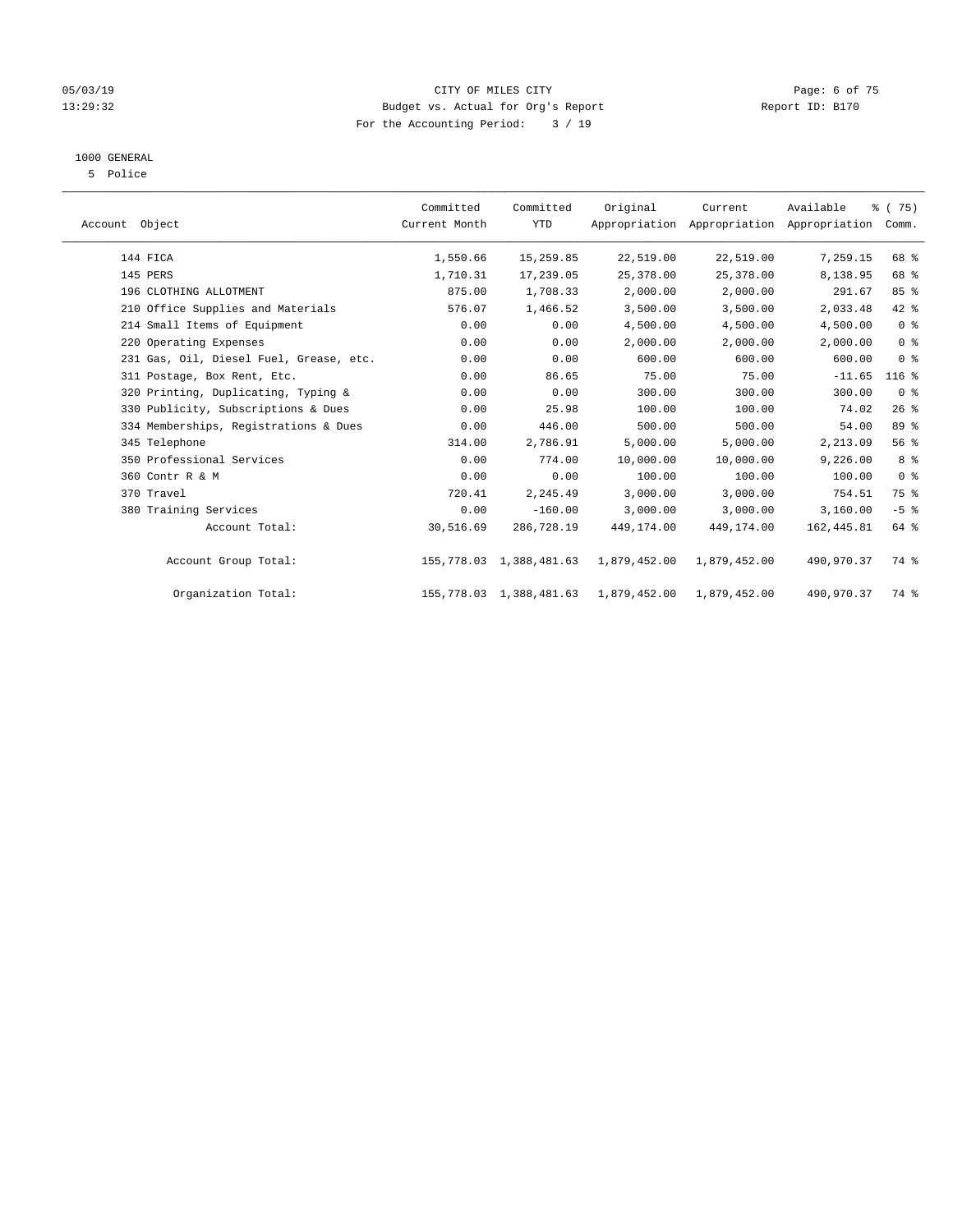#### 05/03/19 Page: 6 of 75 13:29:32 Budget vs. Actual for Org's Report Report ID: B170 For the Accounting Period: 3 / 19

### 1000 GENERAL

5 Police

| Account Object |                                         | Committed<br>Current Month | Committed<br><b>YTD</b>    | Original     | Current<br>Appropriation Appropriation Appropriation | Available   | % (75)<br>Comm. |  |
|----------------|-----------------------------------------|----------------------------|----------------------------|--------------|------------------------------------------------------|-------------|-----------------|--|
|                | 144 FICA                                | 1,550.66                   | 15,259.85                  | 22,519.00    | 22,519.00                                            | 7,259.15    | 68 %            |  |
|                | 145 PERS                                | 1,710.31                   | 17,239.05                  | 25,378.00    | 25,378.00                                            | 8,138.95    | 68 %            |  |
|                | 196 CLOTHING ALLOTMENT                  | 875.00                     | 1,708.33                   | 2,000.00     | 2,000.00                                             | 291.67      | 85 %            |  |
|                | 210 Office Supplies and Materials       | 576.07                     | 1,466.52                   | 3,500.00     | 3,500.00                                             | 2,033.48    | 42 %            |  |
|                | 214 Small Items of Equipment            | 0.00                       | 0.00                       | 4,500.00     | 4,500.00                                             | 4,500.00    | 0 <sup>8</sup>  |  |
|                | 220 Operating Expenses                  | 0.00                       | 0.00                       | 2,000.00     | 2,000.00                                             | 2,000.00    | 0 <sup>8</sup>  |  |
|                | 231 Gas, Oil, Diesel Fuel, Grease, etc. | 0.00                       | 0.00                       | 600.00       | 600.00                                               | 600.00      | 0 <sup>8</sup>  |  |
|                | 311 Postage, Box Rent, Etc.             | 0.00                       | 86.65                      | 75.00        | 75.00                                                | $-11.65$    | $116$ %         |  |
|                | 320 Printing, Duplicating, Typing &     | 0.00                       | 0.00                       | 300.00       | 300.00                                               | 300.00      | 0 <sup>8</sup>  |  |
|                | 330 Publicity, Subscriptions & Dues     | 0.00                       | 25.98                      | 100.00       | 100.00                                               | 74.02       | 26%             |  |
|                | 334 Memberships, Registrations & Dues   | 0.00                       | 446.00                     | 500.00       | 500.00                                               | 54.00       | 89 %            |  |
|                | 345 Telephone                           | 314.00                     | 2,786.91                   | 5,000.00     | 5,000.00                                             | 2,213.09    | 56%             |  |
|                | 350 Professional Services               | 0.00                       | 774.00                     | 10,000.00    | 10,000.00                                            | 9,226.00    | 8%              |  |
|                | 360 Contr R & M                         | 0.00                       | 0.00                       | 100.00       | 100.00                                               | 100.00      | 0 <sup>8</sup>  |  |
|                | 370 Travel                              | 720.41                     | 2,245.49                   | 3,000.00     | 3,000.00                                             | 754.51      | 75 %            |  |
|                | 380 Training Services                   | 0.00                       | $-160.00$                  | 3,000.00     | 3,000.00                                             | 3,160.00    | $-5$ %          |  |
|                | Account Total:                          | 30,516.69                  | 286,728.19                 | 449,174.00   | 449,174.00                                           | 162, 445.81 | 64 %            |  |
|                | Account Group Total:                    |                            | 155,778.03 1,388,481.63    | 1,879,452.00 | 1,879,452.00                                         | 490,970.37  | 74 %            |  |
|                | Organization Total:                     |                            | 155, 778.03 1, 388, 481.63 | 1,879,452.00 | 1,879,452.00                                         | 490,970.37  | 74 %            |  |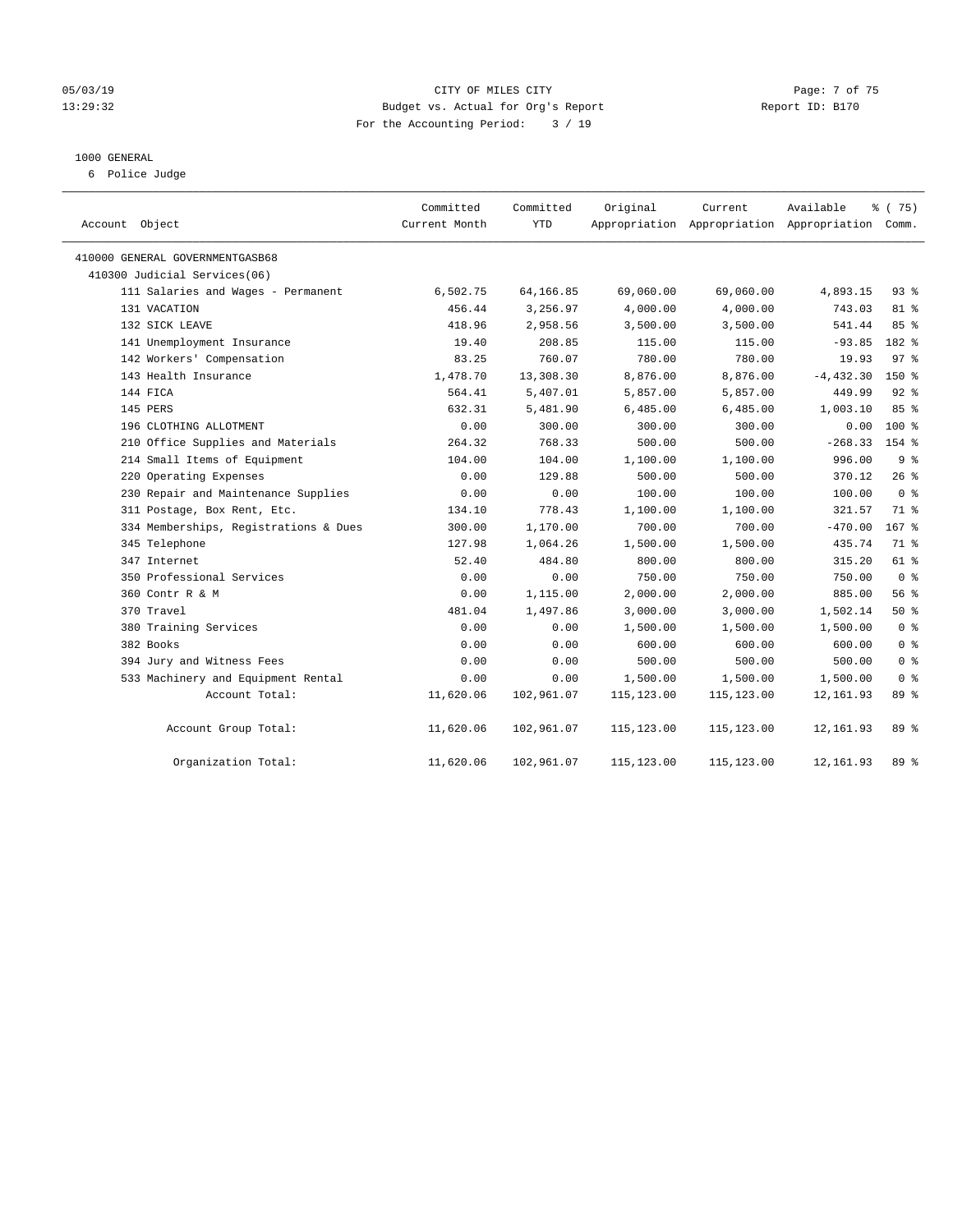#### 05/03/19 CITY OF MILES CITY Page: 7 of 75 13:29:32 Budget vs. Actual for Org's Report Report ID: B170 For the Accounting Period: 3 / 19

#### 1000 GENERAL

6 Police Judge

| Account Object                        | Committed<br>Current Month | Committed<br>YTD | Original    | Current     | Available<br>Appropriation Appropriation Appropriation Comm. | % (75)          |
|---------------------------------------|----------------------------|------------------|-------------|-------------|--------------------------------------------------------------|-----------------|
| 410000 GENERAL GOVERNMENTGASB68       |                            |                  |             |             |                                                              |                 |
| 410300 Judicial Services(06)          |                            |                  |             |             |                                                              |                 |
| 111 Salaries and Wages - Permanent    | 6,502.75                   | 64,166.85        | 69,060.00   | 69,060.00   | 4,893.15                                                     | $93$ $%$        |
| 131 VACATION                          | 456.44                     | 3,256.97         | 4,000.00    | 4,000.00    | 743.03                                                       | 81 %            |
| 132 SICK LEAVE                        | 418.96                     | 2,958.56         | 3,500.00    | 3,500.00    | 541.44                                                       | 85%             |
| 141 Unemployment Insurance            | 19.40                      | 208.85           | 115.00      | 115.00      | $-93.85$                                                     | 182 %           |
| 142 Workers' Compensation             | 83.25                      | 760.07           | 780.00      | 780.00      | 19.93                                                        | 97 <sub>8</sub> |
| 143 Health Insurance                  | 1,478.70                   | 13,308.30        | 8,876.00    | 8,876.00    | $-4, 432.30$                                                 | $150*$          |
| 144 FICA                              | 564.41                     | 5,407.01         | 5,857.00    | 5,857.00    | 449.99                                                       | $92$ $%$        |
| 145 PERS                              | 632.31                     | 5,481.90         | 6,485.00    | 6,485.00    | 1,003.10                                                     | 85%             |
| 196 CLOTHING ALLOTMENT                | 0.00                       | 300.00           | 300.00      | 300.00      | 0.00                                                         | $100*$          |
| 210 Office Supplies and Materials     | 264.32                     | 768.33           | 500.00      | 500.00      | $-268.33$                                                    | 154 %           |
| 214 Small Items of Equipment          | 104.00                     | 104.00           | 1,100.00    | 1,100.00    | 996.00                                                       | 9%              |
| 220 Operating Expenses                | 0.00                       | 129.88           | 500.00      | 500.00      | 370.12                                                       | 26%             |
| 230 Repair and Maintenance Supplies   | 0.00                       | 0.00             | 100.00      | 100.00      | 100.00                                                       | 0 <sup>8</sup>  |
| 311 Postage, Box Rent, Etc.           | 134.10                     | 778.43           | 1,100.00    | 1,100.00    | 321.57                                                       | 71 %            |
| 334 Memberships, Registrations & Dues | 300.00                     | 1,170.00         | 700.00      | 700.00      | $-470.00$                                                    | 167 %           |
| 345 Telephone                         | 127.98                     | 1,064.26         | 1,500.00    | 1,500.00    | 435.74                                                       | 71 %            |
| 347 Internet                          | 52.40                      | 484.80           | 800.00      | 800.00      | 315.20                                                       | 61 %            |
| 350 Professional Services             | 0.00                       | 0.00             | 750.00      | 750.00      | 750.00                                                       | 0 <sup>8</sup>  |
| 360 Contr R & M                       | 0.00                       | 1,115.00         | 2,000.00    | 2,000.00    | 885.00                                                       | 56%             |
| 370 Travel                            | 481.04                     | 1,497.86         | 3,000.00    | 3,000.00    | 1,502.14                                                     | 50%             |
| 380 Training Services                 | 0.00                       | 0.00             | 1,500.00    | 1,500.00    | 1,500.00                                                     | 0 <sup>8</sup>  |
| 382 Books                             | 0.00                       | 0.00             | 600.00      | 600.00      | 600.00                                                       | 0 <sup>8</sup>  |
| 394 Jury and Witness Fees             | 0.00                       | 0.00             | 500.00      | 500.00      | 500.00                                                       | 0 <sup>8</sup>  |
| 533 Machinery and Equipment Rental    | 0.00                       | 0.00             | 1,500.00    | 1,500.00    | 1,500.00                                                     | 0 <sup>8</sup>  |
| Account Total:                        | 11,620.06                  | 102,961.07       | 115, 123.00 | 115,123.00  | 12, 161.93                                                   | 89 %            |
| Account Group Total:                  | 11,620.06                  | 102,961.07       | 115,123.00  | 115,123.00  | 12,161.93                                                    | 89 %            |
| Organization Total:                   | 11,620.06                  | 102,961.07       | 115,123.00  | 115, 123.00 | 12,161.93                                                    | 89 %            |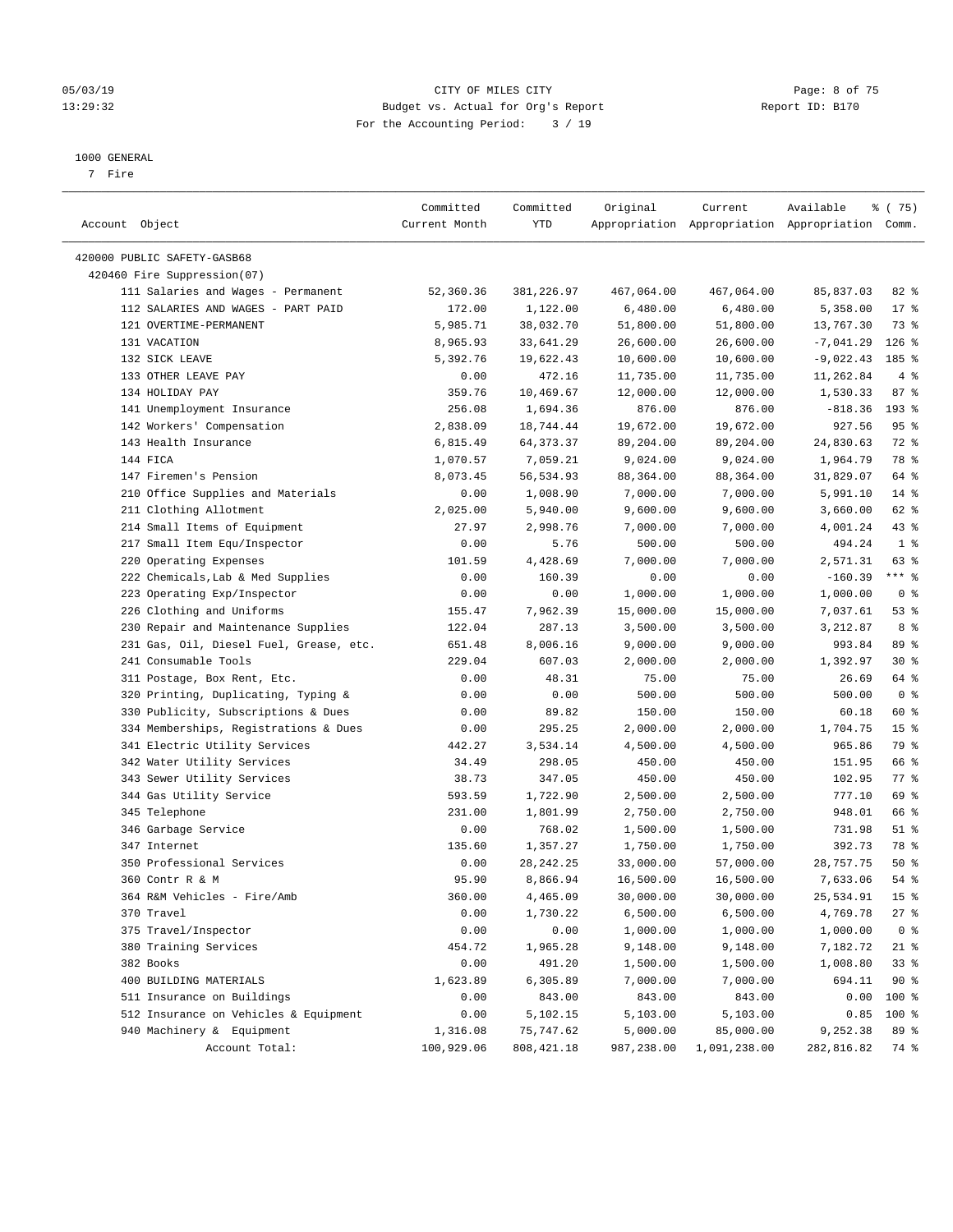#### 05/03/19 CITY OF MILES CITY Page: 8 of 75 13:29:32 Budget vs. Actual for Org's Report Report ID: B170 For the Accounting Period: 3 / 19

————————————————————————————————————————————————————————————————————————————————————————————————————————————————————————————————————

#### 1000 GENERAL

7 Fire

| Account Object                          | Committed<br>Current Month | Committed<br>YTD | Original   | Current      | Available<br>Appropriation Appropriation Appropriation Comm. | ៖ (75)             |
|-----------------------------------------|----------------------------|------------------|------------|--------------|--------------------------------------------------------------|--------------------|
|                                         |                            |                  |            |              |                                                              |                    |
| 420000 PUBLIC SAFETY-GASB68             |                            |                  |            |              |                                                              |                    |
| 420460 Fire Suppression(07)             |                            |                  |            |              |                                                              |                    |
| 111 Salaries and Wages - Permanent      | 52,360.36                  | 381,226.97       | 467,064.00 | 467,064.00   | 85,837.03                                                    | $82$ $%$           |
| 112 SALARIES AND WAGES - PART PAID      | 172.00                     | 1,122.00         | 6,480.00   | 6,480.00     | 5,358.00                                                     | $17*$              |
| 121 OVERTIME-PERMANENT                  | 5,985.71                   | 38,032.70        | 51,800.00  | 51,800.00    | 13,767.30                                                    | 73 %               |
| 131 VACATION                            | 8,965.93                   | 33,641.29        | 26,600.00  | 26,600.00    | -7,041.29                                                    | $126$ %            |
| 132 SICK LEAVE                          | 5,392.76                   | 19,622.43        | 10,600.00  | 10,600.00    | $-9,022.43$                                                  | 185 %              |
| 133 OTHER LEAVE PAY                     | 0.00                       | 472.16           | 11,735.00  | 11,735.00    | 11,262.84                                                    | 4%                 |
| 134 HOLIDAY PAY                         | 359.76                     | 10,469.67        | 12,000.00  | 12,000.00    | 1,530.33                                                     | 87%                |
| 141 Unemployment Insurance              | 256.08                     | 1,694.36         | 876.00     | 876.00       | $-818.36$                                                    | 193 %              |
| 142 Workers' Compensation               | 2,838.09                   | 18,744.44        | 19,672.00  | 19,672.00    | 927.56                                                       | 95%                |
| 143 Health Insurance                    | 6,815.49                   | 64, 373. 37      | 89,204.00  | 89,204.00    | 24,830.63                                                    | 72 %               |
| 144 FICA                                | 1,070.57                   | 7,059.21         | 9,024.00   | 9,024.00     | 1,964.79                                                     | 78 %               |
| 147 Firemen's Pension                   | 8,073.45                   | 56,534.93        | 88,364.00  | 88,364.00    | 31,829.07                                                    | 64 %               |
| 210 Office Supplies and Materials       | 0.00                       | 1,008.90         | 7,000.00   | 7,000.00     | 5,991.10                                                     | $14*$              |
| 211 Clothing Allotment                  | 2,025.00                   | 5,940.00         | 9,600.00   | 9,600.00     | 3,660.00                                                     | 62 %               |
| 214 Small Items of Equipment            | 27.97                      | 2,998.76         | 7,000.00   | 7,000.00     | 4,001.24                                                     | $43$ %             |
| 217 Small Item Equ/Inspector            | 0.00                       | 5.76             | 500.00     | 500.00       | 494.24                                                       | 1 <sup>°</sup>     |
| 220 Operating Expenses                  | 101.59                     | 4,428.69         | 7,000.00   | 7,000.00     | 2,571.31                                                     | 63 %               |
| 222 Chemicals, Lab & Med Supplies       | 0.00                       | 160.39           | 0.00       | 0.00         | $-160.39$                                                    | *** %              |
| 223 Operating Exp/Inspector             | 0.00                       | 0.00             | 1,000.00   | 1,000.00     | 1,000.00                                                     | 0 <sup>8</sup>     |
| 226 Clothing and Uniforms               | 155.47                     | 7,962.39         | 15,000.00  | 15,000.00    | 7,037.61                                                     | 53%                |
| 230 Repair and Maintenance Supplies     | 122.04                     | 287.13           | 3,500.00   | 3,500.00     | 3,212.87                                                     | 8 %                |
| 231 Gas, Oil, Diesel Fuel, Grease, etc. | 651.48                     | 8,006.16         | 9,000.00   | 9,000.00     | 993.84                                                       | 89 %               |
| 241 Consumable Tools                    | 229.04                     | 607.03           | 2,000.00   | 2,000.00     | 1,392.97                                                     | $30*$              |
| 311 Postage, Box Rent, Etc.             | 0.00                       | 48.31            | 75.00      | 75.00        | 26.69                                                        | 64 %               |
| 320 Printing, Duplicating, Typing &     | 0.00                       | 0.00             | 500.00     | 500.00       | 500.00                                                       | 0 <sup>8</sup>     |
| 330 Publicity, Subscriptions & Dues     | 0.00                       | 89.82            | 150.00     | 150.00       | 60.18                                                        | 60 %               |
| 334 Memberships, Registrations & Dues   | 0.00                       | 295.25           | 2,000.00   | 2,000.00     | 1,704.75                                                     | 15 <sup>°</sup>    |
| 341 Electric Utility Services           | 442.27                     | 3,534.14         | 4,500.00   | 4,500.00     | 965.86                                                       | 79 %               |
| 342 Water Utility Services              | 34.49                      | 298.05           | 450.00     | 450.00       | 151.95                                                       | 66 %               |
| 343 Sewer Utility Services              | 38.73                      | 347.05           | 450.00     | 450.00       | 102.95                                                       | $77$ $\frac{6}{9}$ |
| 344 Gas Utility Service                 | 593.59                     | 1,722.90         | 2,500.00   | 2,500.00     | 777.10                                                       | 69 %               |
| 345 Telephone                           | 231.00                     | 1,801.99         | 2,750.00   | 2,750.00     | 948.01                                                       | 66 %               |
| 346 Garbage Service                     | 0.00                       | 768.02           | 1,500.00   | 1,500.00     | 731.98                                                       | $51$ %             |
| 347 Internet                            | 135.60                     | 1,357.27         | 1,750.00   | 1,750.00     | 392.73                                                       | 78 %               |
| 350 Professional Services               | 0.00                       | 28, 242. 25      | 33,000.00  | 57,000.00    | 28,757.75                                                    | 50%                |
| 360 Contr R & M                         | 95.90                      | 8,866.94         | 16,500.00  | 16,500.00    | 7,633.06                                                     | $54$ %             |
| 364 R&M Vehicles - Fire/Amb             | 360.00                     | 4,465.09         | 30,000.00  | 30,000.00    | 25,534.91                                                    | 15 <sup>°</sup>    |
| 370 Travel                              | 0.00                       | 1,730.22         | 6,500.00   | 6,500.00     | 4,769.78                                                     | 27 %               |
| 375 Travel/Inspector                    | 0.00                       | 0.00             | 1,000.00   | 1,000.00     | 1,000.00                                                     | 0 <sup>8</sup>     |
| 380 Training Services                   | 454.72                     | 1,965.28         | 9,148.00   | 9,148.00     | 7,182.72                                                     | $21$ %             |
| 382 Books                               | 0.00                       | 491.20           | 1,500.00   | 1,500.00     | 1,008.80                                                     | 33%                |
| 400 BUILDING MATERIALS                  | 1,623.89                   | 6,305.89         | 7,000.00   | 7,000.00     | 694.11                                                       | $90*$              |
| 511 Insurance on Buildings              | 0.00                       | 843.00           | 843.00     | 843.00       | 0.00                                                         | 100 %              |
| 512 Insurance on Vehicles & Equipment   | 0.00                       | 5,102.15         | 5,103.00   | 5,103.00     | 0.85                                                         | $100$ %            |
| 940 Machinery & Equipment               | 1,316.08                   | 75,747.62        | 5,000.00   | 85,000.00    | 9,252.38                                                     | 89 %               |
| Account Total:                          | 100,929.06                 | 808, 421.18      | 987,238.00 | 1,091,238.00 | 282,816.82                                                   | 74 %               |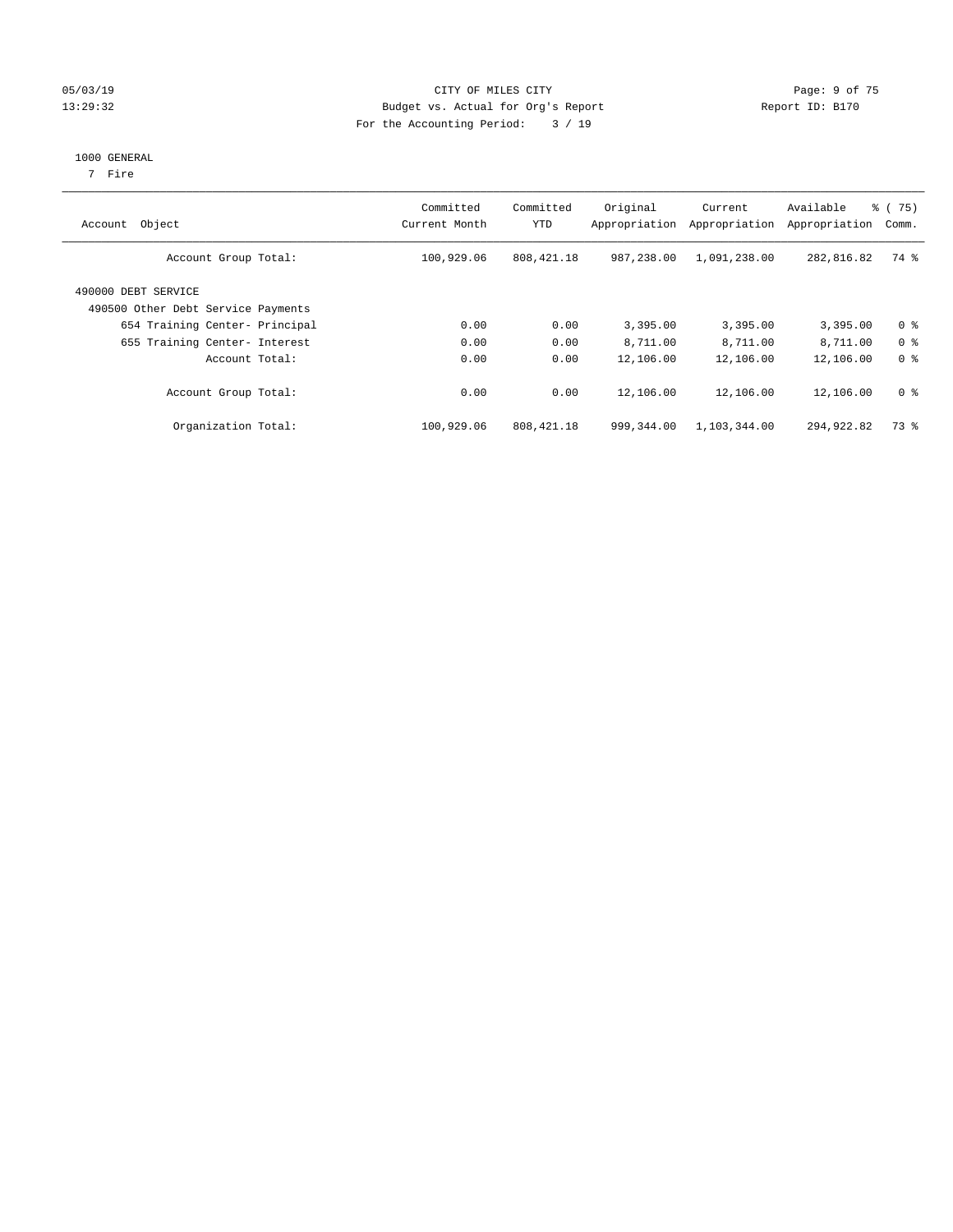#### 05/03/19 Page: 9 of 75 13:29:32 Budget vs. Actual for Org's Report Report ID: B170 For the Accounting Period: 3 / 19

#### 1000 GENERAL

7 Fire

| Object<br>Account                                         | Committed<br>Current Month | Committed<br><b>YTD</b> | Original<br>Appropriation | Current<br>Appropriation | Available<br>Appropriation | % (75)<br>Comm. |
|-----------------------------------------------------------|----------------------------|-------------------------|---------------------------|--------------------------|----------------------------|-----------------|
| Account Group Total:                                      | 100,929.06                 | 808,421.18              | 987,238.00                | 1,091,238.00             | 282,816.82                 | 74 %            |
| 490000 DEBT SERVICE<br>490500 Other Debt Service Payments |                            |                         |                           |                          |                            |                 |
| 654 Training Center- Principal                            | 0.00                       | 0.00                    | 3,395.00                  | 3,395.00                 | 3,395.00                   | 0 <sup>8</sup>  |
| 655 Training Center- Interest                             | 0.00                       | 0.00                    | 8,711.00                  | 8,711.00                 | 8,711.00                   | 0 <sup>8</sup>  |
| Account Total:                                            | 0.00                       | 0.00                    | 12,106.00                 | 12,106.00                | 12,106.00                  | 0 <sup>8</sup>  |
| Account Group Total:                                      | 0.00                       | 0.00                    | 12,106.00                 | 12,106.00                | 12,106.00                  | 0 <sup>8</sup>  |
| Organization Total:                                       | 100,929.06                 | 808, 421.18             | 999,344.00                | 1,103,344.00             | 294,922.82                 | 73 %            |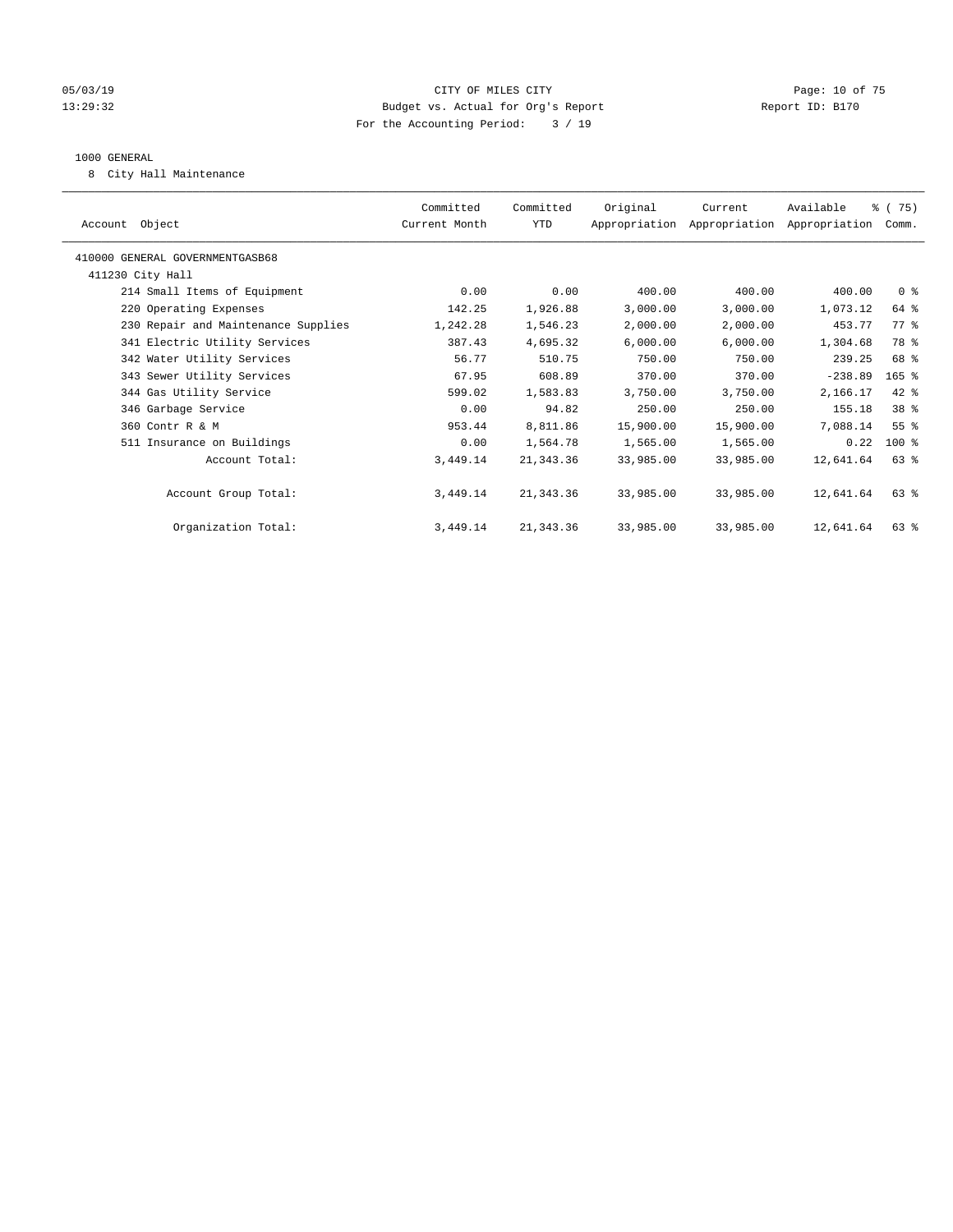#### 05/03/19 Page: 10 of 75 13:29:32 Budget vs. Actual for Org's Report Report ID: B170 For the Accounting Period: 3 / 19

#### 1000 GENERAL

8 City Hall Maintenance

| Account Object                      | Committed<br>Current Month | Committed<br>YTD | Original  | Current<br>Appropriation Appropriation Appropriation | Available | % (75)<br>Comm. |  |
|-------------------------------------|----------------------------|------------------|-----------|------------------------------------------------------|-----------|-----------------|--|
| 410000 GENERAL GOVERNMENTGASB68     |                            |                  |           |                                                      |           |                 |  |
| 411230 City Hall                    |                            |                  |           |                                                      |           |                 |  |
| 214 Small Items of Equipment        | 0.00                       | 0.00             | 400.00    | 400.00                                               | 400.00    | 0 <sup>8</sup>  |  |
| 220 Operating Expenses              | 142.25                     | 1,926.88         | 3,000.00  | 3,000.00                                             | 1,073.12  | 64 %            |  |
| 230 Repair and Maintenance Supplies | 1,242.28                   | 1,546.23         | 2,000.00  | 2,000.00                                             | 453.77    | 77.8            |  |
| 341 Electric Utility Services       | 387.43                     | 4,695.32         | 6,000.00  | 6,000.00                                             | 1,304.68  | 78 %            |  |
| 342 Water Utility Services          | 56.77                      | 510.75           | 750.00    | 750.00                                               | 239.25    | 68 %            |  |
| 343 Sewer Utility Services          | 67.95                      | 608.89           | 370.00    | 370.00                                               | $-238.89$ | $165$ %         |  |
| 344 Gas Utility Service             | 599.02                     | 1,583.83         | 3,750.00  | 3,750.00                                             | 2,166.17  | 42 %            |  |
| 346 Garbage Service                 | 0.00                       | 94.82            | 250.00    | 250.00                                               | 155.18    | 38 <sup>8</sup> |  |
| 360 Contr R & M                     | 953.44                     | 8,811.86         | 15,900.00 | 15,900.00                                            | 7,088.14  | 55 <sup>8</sup> |  |
| 511 Insurance on Buildings          | 0.00                       | 1,564.78         | 1,565.00  | 1,565.00                                             | 0.22      | $100$ %         |  |
| Account Total:                      | 3,449.14                   | 21, 343.36       | 33,985.00 | 33,985.00                                            | 12,641.64 | $63$ $%$        |  |
|                                     |                            |                  |           |                                                      |           |                 |  |
| Account Group Total:                | 3,449.14                   | 21, 343.36       | 33,985.00 | 33,985.00                                            | 12,641.64 | 63 %            |  |
|                                     |                            |                  |           |                                                      |           |                 |  |
| Organization Total:                 | 3,449.14                   | 21, 343.36       | 33,985.00 | 33,985.00                                            | 12,641.64 | $63$ $%$        |  |
|                                     |                            |                  |           |                                                      |           |                 |  |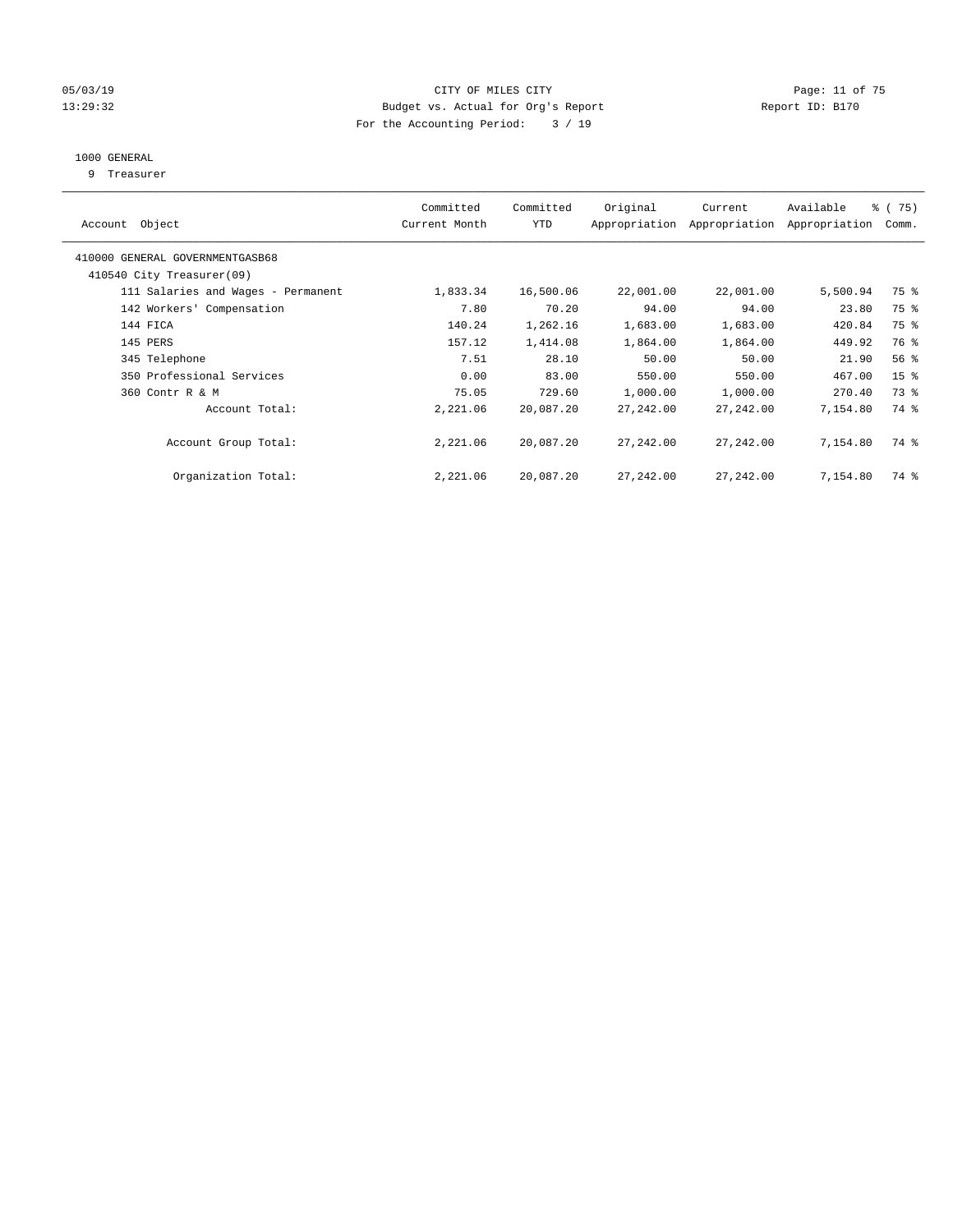#### 05/03/19 Page: 11 of 75 13:29:32 Budget vs. Actual for Org's Report Report ID: B170 For the Accounting Period: 3 / 19

## 1000 GENERAL

9 Treasurer

| Account Object                                               | Committed<br>Current Month | Committed<br><b>YTD</b> | Original   | Current<br>Appropriation Appropriation | Available<br>Appropriation | 8 (75)<br>Comm. |
|--------------------------------------------------------------|----------------------------|-------------------------|------------|----------------------------------------|----------------------------|-----------------|
| 410000 GENERAL GOVERNMENTGASB68<br>410540 City Treasurer(09) |                            |                         |            |                                        |                            |                 |
|                                                              |                            |                         |            |                                        |                            |                 |
| 111 Salaries and Wages - Permanent                           | 1,833.34                   | 16,500.06               | 22,001.00  | 22,001.00                              | 5,500.94                   | 75 %            |
| 142 Workers' Compensation                                    | 7.80                       | 70.20                   | 94.00      | 94.00                                  | 23.80                      | 75 %            |
| 144 FICA                                                     | 140.24                     | 1,262.16                | 1,683.00   | 1,683.00                               | 420.84                     | 75 %            |
| 145 PERS                                                     | 157.12                     | 1,414.08                | 1,864.00   | 1,864.00                               | 449.92                     | 76 %            |
| 345 Telephone                                                | 7.51                       | 28.10                   | 50.00      | 50.00                                  | 21.90                      | 56%             |
| 350 Professional Services                                    | 0.00                       | 83.00                   | 550.00     | 550.00                                 | 467.00                     | 15 <sup>°</sup> |
| 360 Contr R & M                                              | 75.05                      | 729.60                  | 1,000.00   | 1,000.00                               | 270.40                     | 73 %            |
| Account Total:                                               | 2,221.06                   | 20,087.20               | 27, 242.00 | 27,242.00                              | 7,154.80                   | 74 %            |
| Account Group Total:                                         | 2,221.06                   | 20,087.20               | 27,242.00  | 27,242.00                              | 7,154.80                   | 74 %            |
| Organization Total:                                          | 2,221.06                   | 20,087.20               | 27,242.00  | 27,242.00                              | 7,154.80                   | 74 %            |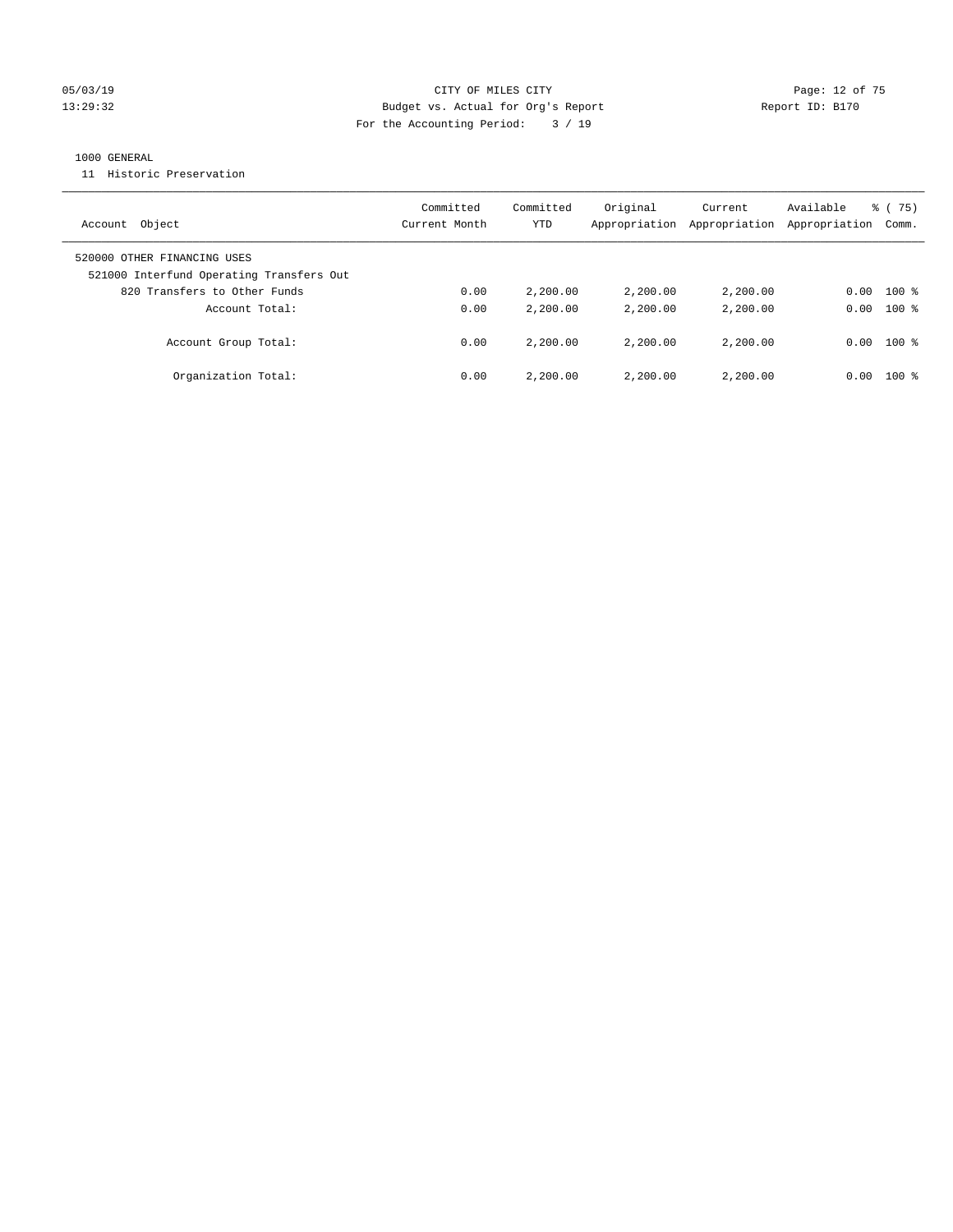#### 05/03/19 Page: 12 of 75 13:29:32 Budget vs. Actual for Org's Report Report ID: B170 For the Accounting Period: 3 / 19

#### 1000 GENERAL

11 Historic Preservation

| Account Object                                                          | Committed<br>Current Month | Committed<br>YTD | Original<br>Appropriation | Current<br>Appropriation | Available<br>Appropriation | 8 (75)<br>Comm. |
|-------------------------------------------------------------------------|----------------------------|------------------|---------------------------|--------------------------|----------------------------|-----------------|
| 520000 OTHER FINANCING USES<br>521000 Interfund Operating Transfers Out |                            |                  |                           |                          |                            |                 |
| 820 Transfers to Other Funds                                            | 0.00                       | 2,200.00         | 2,200.00                  | 2,200.00                 | 0.00                       | $100$ %         |
| Account Total:                                                          | 0.00                       | 2,200.00         | 2,200.00                  | 2,200.00                 | 0.00                       | $100*$          |
| Account Group Total:                                                    | 0.00                       | 2,200.00         | 2,200.00                  | 2,200.00                 | 0.00                       | $100*$          |
| Organization Total:                                                     | 0.00                       | 2,200.00         | 2,200.00                  | 2,200.00                 | 0.00                       | $100*$          |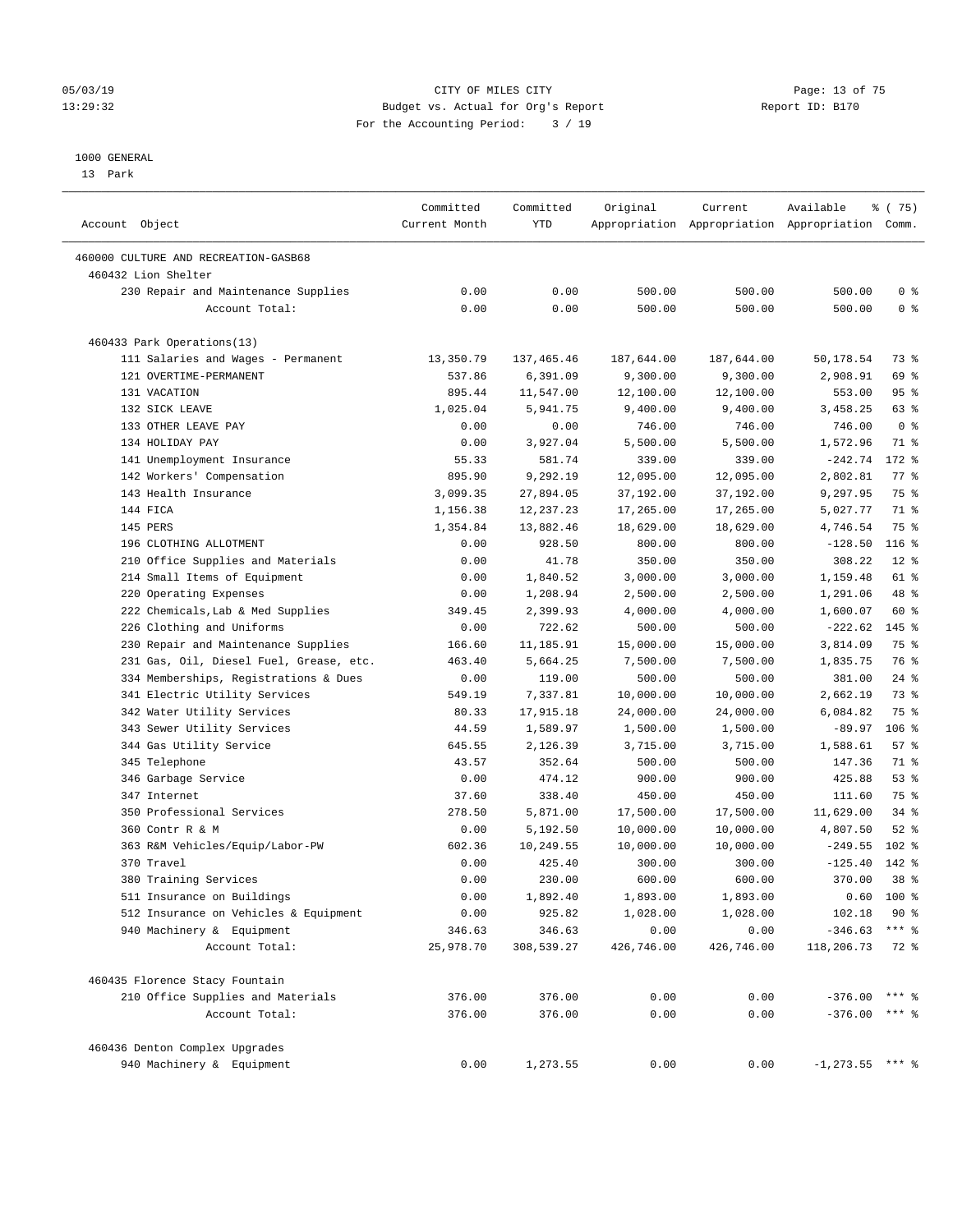#### 05/03/19 Page: 13 of 75 13:29:32 Budget vs. Actual for Org's Report Report ID: B170 For the Accounting Period: 3 / 19

————————————————————————————————————————————————————————————————————————————————————————————————————————————————————————————————————

#### 1000 GENERAL

13 Park

|                                         | Committed     | Committed  | Original   | Current    | Available                                       | % (75)             |
|-----------------------------------------|---------------|------------|------------|------------|-------------------------------------------------|--------------------|
| Account Object                          | Current Month | YTD        |            |            | Appropriation Appropriation Appropriation Comm. |                    |
| 460000 CULTURE AND RECREATION-GASB68    |               |            |            |            |                                                 |                    |
| 460432 Lion Shelter                     |               |            |            |            |                                                 |                    |
| 230 Repair and Maintenance Supplies     | 0.00          | 0.00       | 500.00     | 500.00     | 500.00                                          | 0 <sup>8</sup>     |
| Account Total:                          | 0.00          | 0.00       | 500.00     | 500.00     | 500.00                                          | 0 <sup>8</sup>     |
| 460433 Park Operations(13)              |               |            |            |            |                                                 |                    |
| 111 Salaries and Wages - Permanent      | 13,350.79     | 137,465.46 | 187,644.00 | 187,644.00 | 50,178.54                                       | 73 %               |
| 121 OVERTIME-PERMANENT                  | 537.86        | 6,391.09   | 9,300.00   | 9,300.00   | 2,908.91                                        | 69 %               |
| 131 VACATION                            | 895.44        | 11,547.00  | 12,100.00  | 12,100.00  | 553.00                                          | 95%                |
| 132 SICK LEAVE                          | 1,025.04      | 5,941.75   | 9,400.00   | 9,400.00   | 3,458.25                                        | 63 %               |
| 133 OTHER LEAVE PAY                     | 0.00          | 0.00       | 746.00     | 746.00     | 746.00                                          | 0 <sup>8</sup>     |
| 134 HOLIDAY PAY                         | 0.00          | 3,927.04   | 5,500.00   | 5,500.00   | 1,572.96                                        | 71 %               |
| 141 Unemployment Insurance              | 55.33         | 581.74     | 339.00     | 339.00     | $-242.74$                                       | 172 %              |
| 142 Workers' Compensation               | 895.90        | 9,292.19   | 12,095.00  | 12,095.00  | 2,802.81                                        | $77$ $\frac{6}{9}$ |
| 143 Health Insurance                    | 3,099.35      | 27,894.05  | 37,192.00  | 37,192.00  | 9,297.95                                        | 75 %               |
| 144 FICA                                | 1,156.38      | 12,237.23  | 17,265.00  | 17,265.00  | 5,027.77                                        | 71 %               |
| 145 PERS                                | 1,354.84      | 13,882.46  | 18,629.00  | 18,629.00  | 4,746.54                                        | 75 %               |
| 196 CLOTHING ALLOTMENT                  | 0.00          | 928.50     | 800.00     | 800.00     | $-128.50$                                       | 116 <sup>8</sup>   |
| 210 Office Supplies and Materials       | 0.00          | 41.78      | 350.00     | 350.00     | 308.22                                          | $12$ %             |
| 214 Small Items of Equipment            | 0.00          | 1,840.52   | 3,000.00   | 3,000.00   | 1,159.48                                        | 61 %               |
| 220 Operating Expenses                  | 0.00          | 1,208.94   | 2,500.00   | 2,500.00   | 1,291.06                                        | 48 %               |
| 222 Chemicals, Lab & Med Supplies       | 349.45        | 2,399.93   | 4,000.00   | 4,000.00   | 1,600.07                                        | 60 %               |
| 226 Clothing and Uniforms               | 0.00          | 722.62     | 500.00     | 500.00     | $-222.62$                                       | 145 %              |
| 230 Repair and Maintenance Supplies     | 166.60        | 11,185.91  | 15,000.00  | 15,000.00  | 3,814.09                                        | 75 %               |
| 231 Gas, Oil, Diesel Fuel, Grease, etc. | 463.40        | 5,664.25   | 7,500.00   | 7,500.00   | 1,835.75                                        | 76 %               |
| 334 Memberships, Registrations & Dues   | 0.00          | 119.00     | 500.00     | 500.00     | 381.00                                          | $24$ %             |
| 341 Electric Utility Services           | 549.19        | 7,337.81   | 10,000.00  | 10,000.00  | 2,662.19                                        | 73 %               |
| 342 Water Utility Services              | 80.33         | 17,915.18  | 24,000.00  | 24,000.00  | 6,084.82                                        | 75 %               |
| 343 Sewer Utility Services              | 44.59         | 1,589.97   | 1,500.00   | 1,500.00   | $-89.97$                                        | $106$ %            |
| 344 Gas Utility Service                 | 645.55        | 2,126.39   | 3,715.00   | 3,715.00   | 1,588.61                                        | 57%                |
| 345 Telephone                           | 43.57         | 352.64     | 500.00     | 500.00     | 147.36                                          | 71 %               |
| 346 Garbage Service                     | 0.00          | 474.12     | 900.00     | 900.00     | 425.88                                          | 53%                |
| 347 Internet                            | 37.60         | 338.40     | 450.00     | 450.00     | 111.60                                          | 75 %               |
| 350 Professional Services               | 278.50        | 5,871.00   | 17,500.00  | 17,500.00  | 11,629.00                                       | $34$ $%$           |
| 360 Contr R & M                         | 0.00          | 5,192.50   | 10,000.00  | 10,000.00  | 4,807.50                                        | $52$ $%$           |
| 363 R&M Vehicles/Equip/Labor-PW         | 602.36        | 10,249.55  | 10,000.00  | 10,000.00  | $-249.55$                                       | $102$ %            |
| 370 Travel                              | 0.00          | 425.40     | 300.00     | 300.00     | $-125.40$                                       | 142 %              |
| 380 Training Services                   | 0.00          | 230.00     | 600.00     | 600.00     | 370.00                                          | 38 <sup>8</sup>    |
| 511 Insurance on Buildings              | 0.00          | 1,892.40   | 1,893.00   | 1,893.00   |                                                 | $0.60$ 100 %       |
| 512 Insurance on Vehicles & Equipment   | 0.00          | 925.82     | 1,028.00   | 1,028.00   | 102.18                                          | $90*$              |
| 940 Machinery & Equipment               | 346.63        | 346.63     | 0.00       | 0.00       | $-346.63$ *** \$                                |                    |
| Account Total:                          | 25,978.70     | 308,539.27 | 426,746.00 | 426,746.00 | 118,206.73                                      | 72 %               |
| 460435 Florence Stacy Fountain          |               |            |            |            |                                                 |                    |
| 210 Office Supplies and Materials       | 376.00        | 376.00     | 0.00       | 0.00       | $-376.00$ *** §                                 |                    |
| Account Total:                          | 376.00        | 376.00     | 0.00       | 0.00       | $-376.00$ *** \$                                |                    |
| 460436 Denton Complex Upgrades          |               |            |            |            |                                                 |                    |
| 940 Machinery & Equipment               | 0.00          | 1,273.55   | 0.00       | 0.00       | $-1, 273.55$ *** %                              |                    |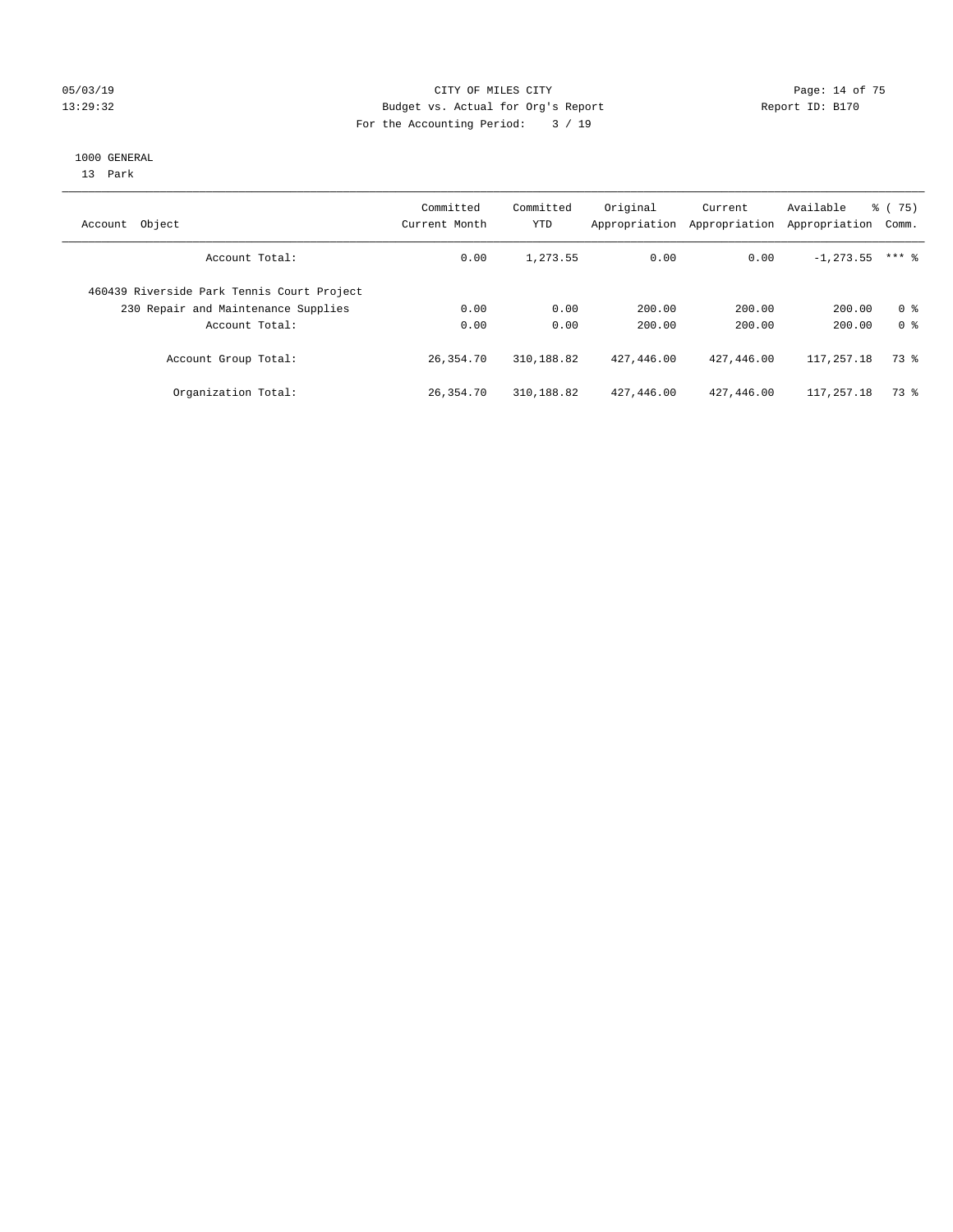#### 05/03/19 Page: 14 of 75 13:29:32 Budget vs. Actual for Org's Report Report ID: B170 For the Accounting Period: 3 / 19

#### 1000 GENERAL

13 Park

| Account Object                             | Committed<br>Current Month | Committed<br>YTD | Original<br>Appropriation | Current<br>Appropriation | Available<br>Appropriation | % (75)<br>Comm. |
|--------------------------------------------|----------------------------|------------------|---------------------------|--------------------------|----------------------------|-----------------|
| Account Total:                             | 0.00                       | 1,273.55         | 0.00                      | 0.00                     | $-1, 273.55$               | $***$ 2         |
| 460439 Riverside Park Tennis Court Project |                            |                  |                           |                          |                            |                 |
| 230 Repair and Maintenance Supplies        | 0.00                       | 0.00             | 200.00                    | 200.00                   | 200.00                     | 0 <sup>8</sup>  |
| Account Total:                             | 0.00                       | 0.00             | 200.00                    | 200.00                   | 200.00                     | 0 <sup>8</sup>  |
| Account Group Total:                       | 26,354.70                  | 310,188.82       | 427,446.00                | 427,446.00               | 117,257.18                 | 73 %            |
| Organization Total:                        | 26,354.70                  | 310,188.82       | 427,446.00                | 427,446.00               | 117,257.18                 | 73 %            |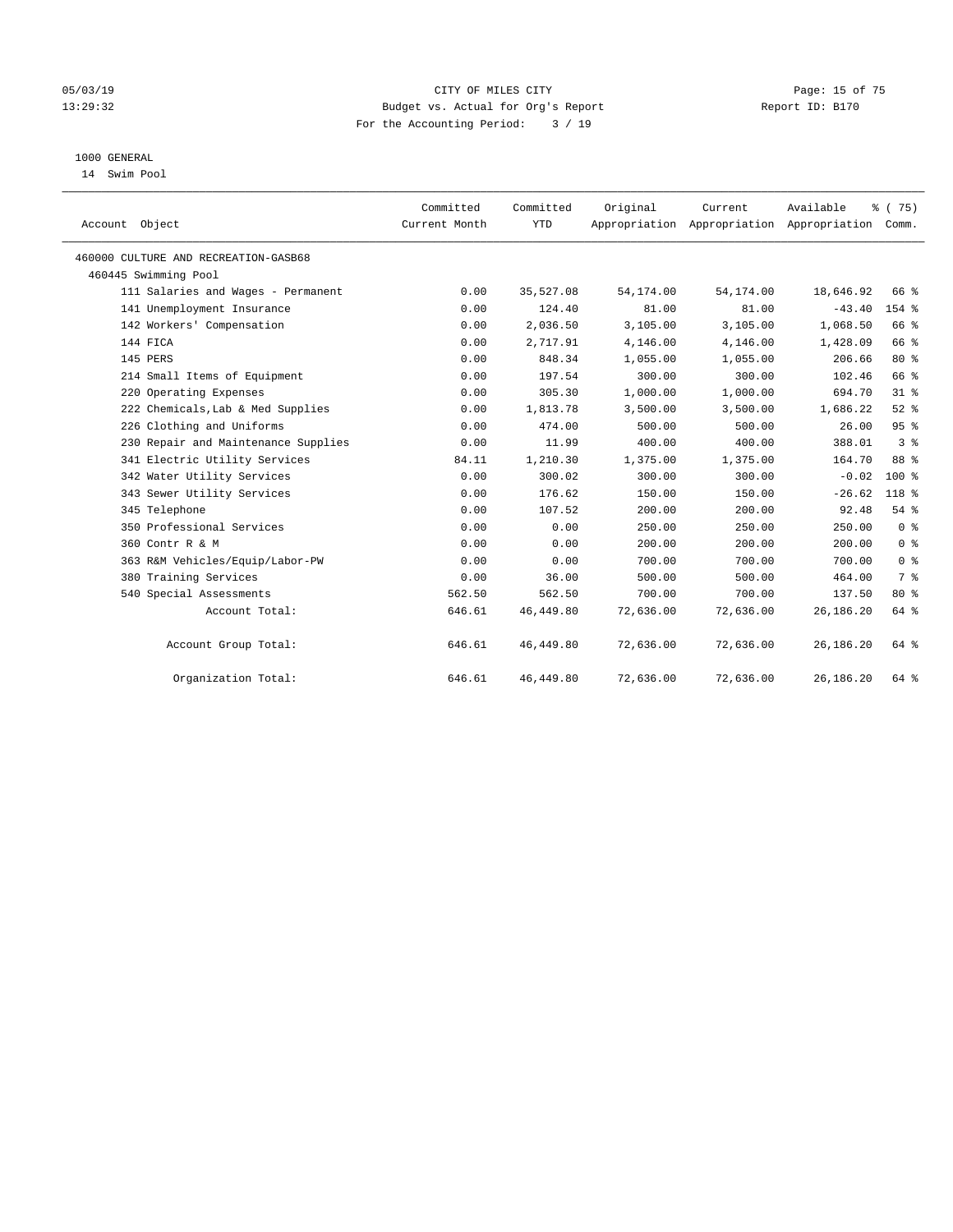#### 05/03/19 Page: 15 of 75 13:29:32 Budget vs. Actual for Org's Report Report ID: B170 For the Accounting Period: 3 / 19

## 1000 GENERAL

14 Swim Pool

| Account Object                       | Committed<br>Current Month | Committed<br><b>YTD</b> | Original   | Current<br>Appropriation Appropriation Appropriation Comm. | Available   | % (75)         |
|--------------------------------------|----------------------------|-------------------------|------------|------------------------------------------------------------|-------------|----------------|
| 460000 CULTURE AND RECREATION-GASB68 |                            |                         |            |                                                            |             |                |
| 460445 Swimming Pool                 |                            |                         |            |                                                            |             |                |
| 111 Salaries and Wages - Permanent   | 0.00                       | 35,527.08               | 54, 174.00 | 54,174.00                                                  | 18,646.92   | 66 %           |
| 141 Unemployment Insurance           | 0.00                       | 124.40                  | 81.00      | 81.00                                                      | $-43.40$    | $154$ $%$      |
| 142 Workers' Compensation            | 0.00                       | 2,036.50                | 3,105.00   | 3,105.00                                                   | 1,068.50    | 66 %           |
| 144 FICA                             | 0.00                       | 2,717.91                | 4,146.00   | 4,146.00                                                   | 1,428.09    | 66 %           |
| 145 PERS                             | 0.00                       | 848.34                  | 1,055.00   | 1,055.00                                                   | 206.66      | $80*$          |
| 214 Small Items of Equipment         | 0.00                       | 197.54                  | 300.00     | 300.00                                                     | 102.46      | 66 %           |
| 220 Operating Expenses               | 0.00                       | 305.30                  | 1,000.00   | 1,000.00                                                   | 694.70      | 31.8           |
| 222 Chemicals, Lab & Med Supplies    | 0.00                       | 1,813.78                | 3,500.00   | 3,500.00                                                   | 1,686.22    | $52$ $%$       |
| 226 Clothing and Uniforms            | 0.00                       | 474.00                  | 500.00     | 500.00                                                     | 26.00       | 95%            |
| 230 Repair and Maintenance Supplies  | 0.00                       | 11.99                   | 400.00     | 400.00                                                     | 388.01      | 3 <sup>8</sup> |
| 341 Electric Utility Services        | 84.11                      | 1,210.30                | 1,375.00   | 1,375.00                                                   | 164.70      | 88 %           |
| 342 Water Utility Services           | 0.00                       | 300.02                  | 300.00     | 300.00                                                     | $-0.02$     | $100*$         |
| 343 Sewer Utility Services           | 0.00                       | 176.62                  | 150.00     | 150.00                                                     | $-26.62$    | 118 %          |
| 345 Telephone                        | 0.00                       | 107.52                  | 200.00     | 200.00                                                     | 92.48       | 54%            |
| 350 Professional Services            | 0.00                       | 0.00                    | 250.00     | 250.00                                                     | 250.00      | 0 <sup>8</sup> |
| 360 Contr R & M                      | 0.00                       | 0.00                    | 200.00     | 200.00                                                     | 200.00      | 0 <sup>8</sup> |
| 363 R&M Vehicles/Equip/Labor-PW      | 0.00                       | 0.00                    | 700.00     | 700.00                                                     | 700.00      | 0 <sup>8</sup> |
| 380 Training Services                | 0.00                       | 36.00                   | 500.00     | 500.00                                                     | 464.00      | 7 <sup>°</sup> |
| 540 Special Assessments              | 562.50                     | 562.50                  | 700.00     | 700.00                                                     | 137.50      | $80*$          |
| Account Total:                       | 646.61                     | 46,449.80               | 72,636.00  | 72,636.00                                                  | 26, 186. 20 | 64 %           |
| Account Group Total:                 | 646.61                     | 46, 449.80              | 72,636.00  | 72,636.00                                                  | 26, 186. 20 | 64 %           |
| Organization Total:                  | 646.61                     | 46, 449.80              | 72,636.00  | 72,636.00                                                  | 26, 186. 20 | 64 %           |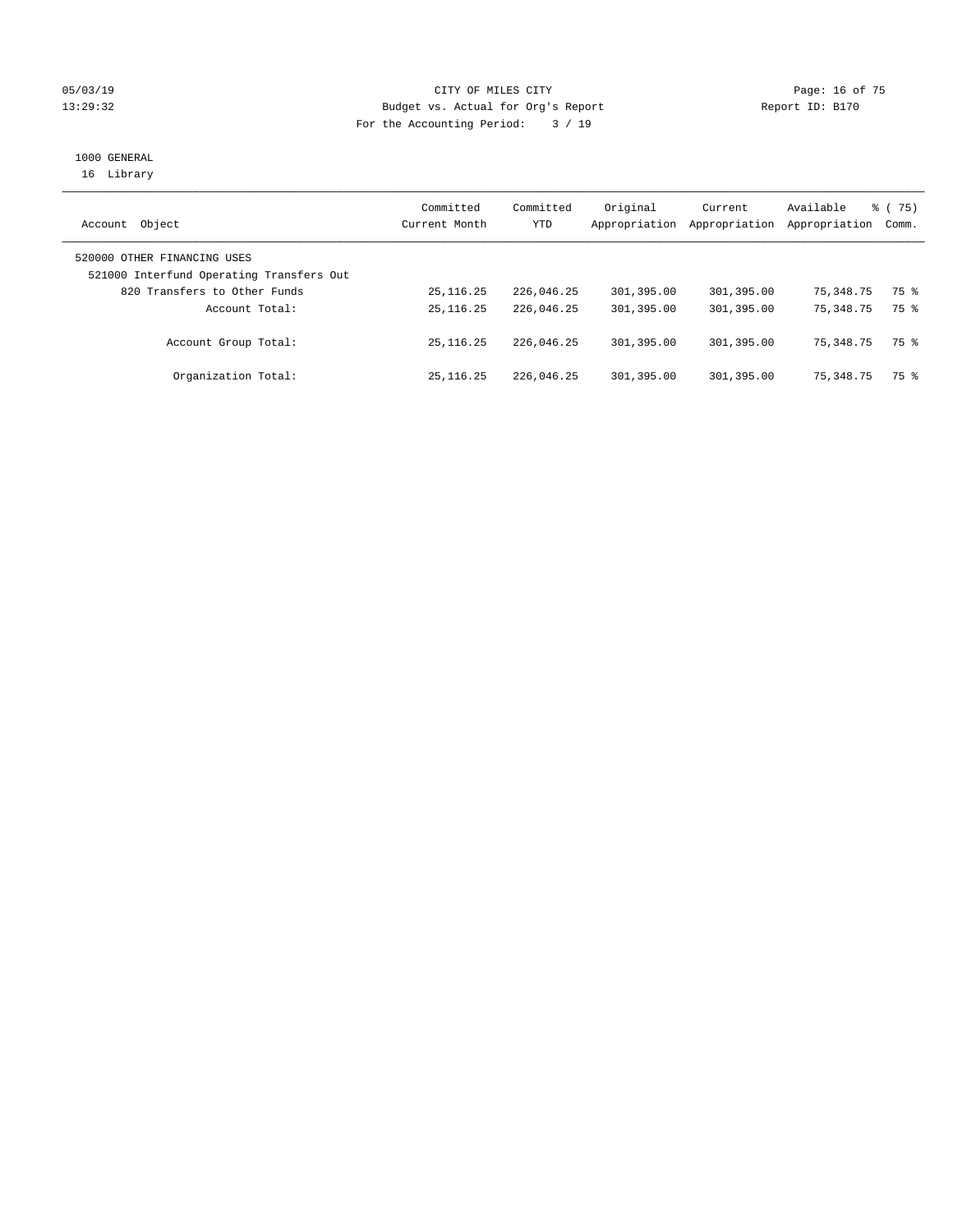#### 05/03/19 Page: 16 of 75 13:29:32 Budget vs. Actual for Org's Report Report ID: B170 For the Accounting Period: 3 / 19

# 1000 GENERAL

16 Library

| Object<br>Account                        | Committed<br>Current Month | Committed<br>YTD | Original<br>Appropriation | Current<br>Appropriation | Available<br>Appropriation | $\frac{1}{6}$ (75)<br>Comm. |
|------------------------------------------|----------------------------|------------------|---------------------------|--------------------------|----------------------------|-----------------------------|
| 520000 OTHER FINANCING USES              |                            |                  |                           |                          |                            |                             |
| 521000 Interfund Operating Transfers Out |                            |                  |                           |                          |                            |                             |
| 820 Transfers to Other Funds             | 25, 116. 25                | 226,046.25       | 301,395.00                | 301,395.00               | 75,348.75                  | 75 %                        |
| Account Total:                           | 25, 116, 25                | 226,046.25       | 301,395.00                | 301,395.00               | 75, 348, 75                | 75 %                        |
| Account Group Total:                     | 25, 116, 25                | 226,046.25       | 301,395.00                | 301,395.00               | 75, 348, 75                | 75 %                        |
| Organization Total:                      | 25, 116, 25                | 226,046.25       | 301,395.00                | 301,395.00               | 75, 348, 75                | 75 %                        |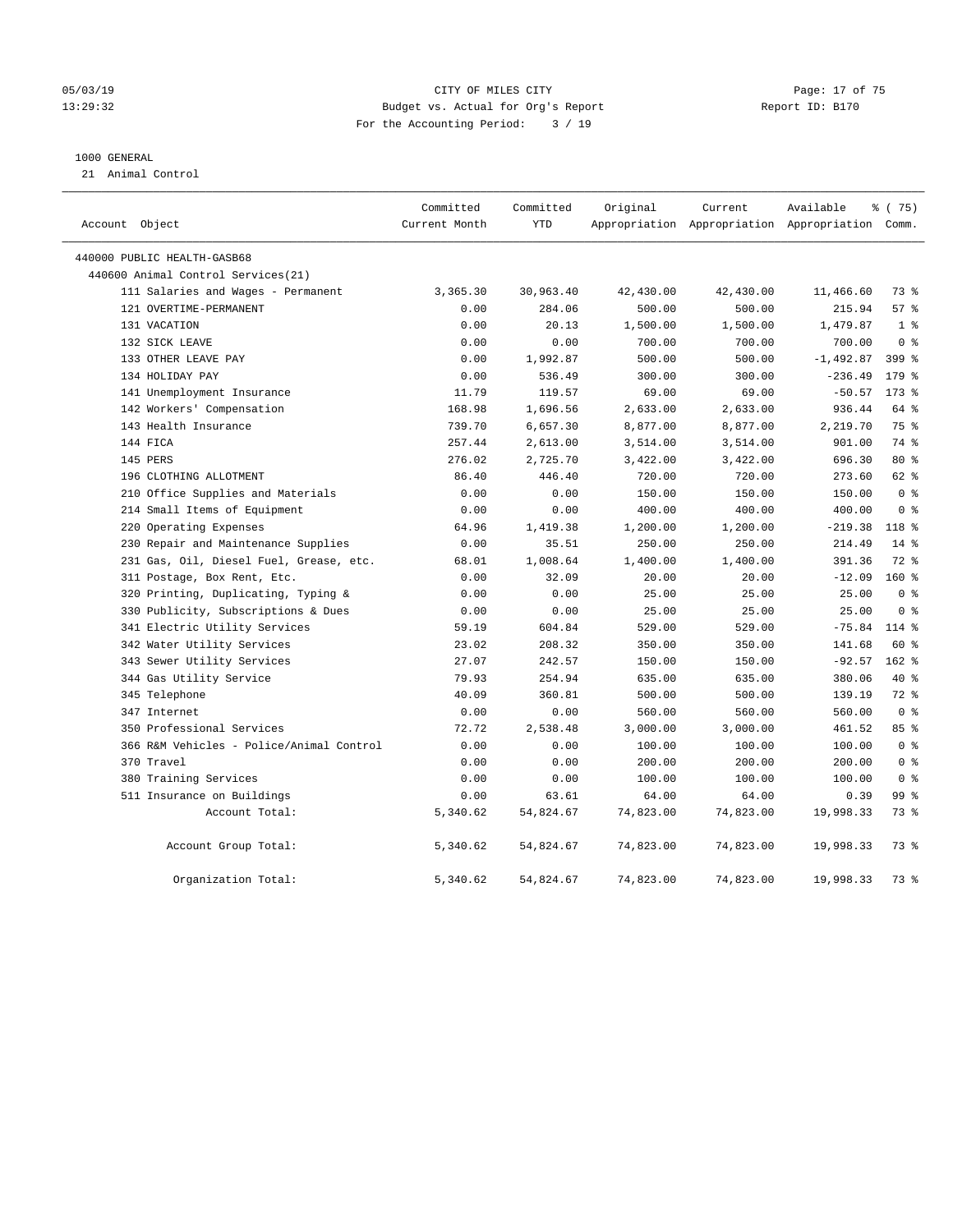#### 05/03/19 Page: 17 of 75 13:29:32 Budget vs. Actual for Org's Report Report ID: B170 For the Accounting Period: 3 / 19

#### 1000 GENERAL

21 Animal Control

| Account Object                           | Committed<br>Current Month | Committed<br>YTD | Original  | Current   | Available<br>Appropriation Appropriation Appropriation Comm. | ៖ (75)         |
|------------------------------------------|----------------------------|------------------|-----------|-----------|--------------------------------------------------------------|----------------|
| 440000 PUBLIC HEALTH-GASB68              |                            |                  |           |           |                                                              |                |
| 440600 Animal Control Services(21)       |                            |                  |           |           |                                                              |                |
| 111 Salaries and Wages - Permanent       | 3,365.30                   | 30,963.40        | 42,430.00 | 42,430.00 | 11,466.60                                                    | 73 %           |
| 121 OVERTIME-PERMANENT                   | 0.00                       | 284.06           | 500.00    | 500.00    | 215.94                                                       | 57%            |
| 131 VACATION                             | 0.00                       | 20.13            | 1,500.00  | 1,500.00  | 1,479.87                                                     | 1 <sup>8</sup> |
| 132 SICK LEAVE                           | 0.00                       | 0.00             | 700.00    | 700.00    | 700.00                                                       | 0 <sup>8</sup> |
| 133 OTHER LEAVE PAY                      | 0.00                       | 1,992.87         | 500.00    | 500.00    | $-1,492.87$                                                  | $399$ $%$      |
| 134 HOLIDAY PAY                          | 0.00                       | 536.49           | 300.00    | 300.00    | $-236.49$                                                    | 179 %          |
| 141 Unemployment Insurance               | 11.79                      | 119.57           | 69.00     | 69.00     | $-50.57$                                                     | $173$ $%$      |
| 142 Workers' Compensation                | 168.98                     | 1,696.56         | 2,633.00  | 2,633.00  | 936.44                                                       | 64 %           |
| 143 Health Insurance                     | 739.70                     | 6,657.30         | 8,877.00  | 8,877.00  | 2,219.70                                                     | 75 %           |
| 144 FICA                                 | 257.44                     | 2,613.00         | 3,514.00  | 3,514.00  | 901.00                                                       | 74 %           |
| 145 PERS                                 | 276.02                     | 2,725.70         | 3,422.00  | 3,422.00  | 696.30                                                       | $80*$          |
| 196 CLOTHING ALLOTMENT                   | 86.40                      | 446.40           | 720.00    | 720.00    | 273.60                                                       | $62$ %         |
| 210 Office Supplies and Materials        | 0.00                       | 0.00             | 150.00    | 150.00    | 150.00                                                       | 0 <sup>8</sup> |
| 214 Small Items of Equipment             | 0.00                       | 0.00             | 400.00    | 400.00    | 400.00                                                       | 0 <sup>8</sup> |
| 220 Operating Expenses                   | 64.96                      | 1,419.38         | 1,200.00  | 1,200.00  | $-219.38$                                                    | $118*$         |
| 230 Repair and Maintenance Supplies      | 0.00                       | 35.51            | 250.00    | 250.00    | 214.49                                                       | $14*$          |
| 231 Gas, Oil, Diesel Fuel, Grease, etc.  | 68.01                      | 1,008.64         | 1,400.00  | 1,400.00  | 391.36                                                       | 72 %           |
| 311 Postage, Box Rent, Etc.              | 0.00                       | 32.09            | 20.00     | 20.00     | $-12.09$                                                     | $160*$         |
| 320 Printing, Duplicating, Typing &      | 0.00                       | 0.00             | 25.00     | 25.00     | 25.00                                                        | 0 <sup>8</sup> |
| 330 Publicity, Subscriptions & Dues      | 0.00                       | 0.00             | 25.00     | 25.00     | 25.00                                                        | 0 <sup>8</sup> |
| 341 Electric Utility Services            | 59.19                      | 604.84           | 529.00    | 529.00    | $-75.84$                                                     | 114 %          |
| 342 Water Utility Services               | 23.02                      | 208.32           | 350.00    | 350.00    | 141.68                                                       | 60 %           |
| 343 Sewer Utility Services               | 27.07                      | 242.57           | 150.00    | 150.00    | $-92.57$                                                     | $162$ %        |
| 344 Gas Utility Service                  | 79.93                      | 254.94           | 635.00    | 635.00    | 380.06                                                       | 40 %           |
| 345 Telephone                            | 40.09                      | 360.81           | 500.00    | 500.00    | 139.19                                                       | 72 %           |
| 347 Internet                             | 0.00                       | 0.00             | 560.00    | 560.00    | 560.00                                                       | 0 <sup>8</sup> |
| 350 Professional Services                | 72.72                      | 2,538.48         | 3,000.00  | 3,000.00  | 461.52                                                       | 85%            |
| 366 R&M Vehicles - Police/Animal Control | 0.00                       | 0.00             | 100.00    | 100.00    | 100.00                                                       | 0 <sup>8</sup> |
| 370 Travel                               | 0.00                       | 0.00             | 200.00    | 200.00    | 200.00                                                       | 0 <sup>8</sup> |
| 380 Training Services                    | 0.00                       | 0.00             | 100.00    | 100.00    | 100.00                                                       | 0 <sup>8</sup> |
| 511 Insurance on Buildings               | 0.00                       | 63.61            | 64.00     | 64.00     | 0.39                                                         | 99 %           |
| Account Total:                           | 5,340.62                   | 54,824.67        | 74,823.00 | 74,823.00 | 19,998.33                                                    | 73 %           |
| Account Group Total:                     | 5,340.62                   | 54,824.67        | 74,823.00 | 74,823.00 | 19,998.33                                                    | 73 %           |
| Organization Total:                      | 5,340.62                   | 54,824.67        | 74,823.00 | 74,823.00 | 19,998.33                                                    | 73 %           |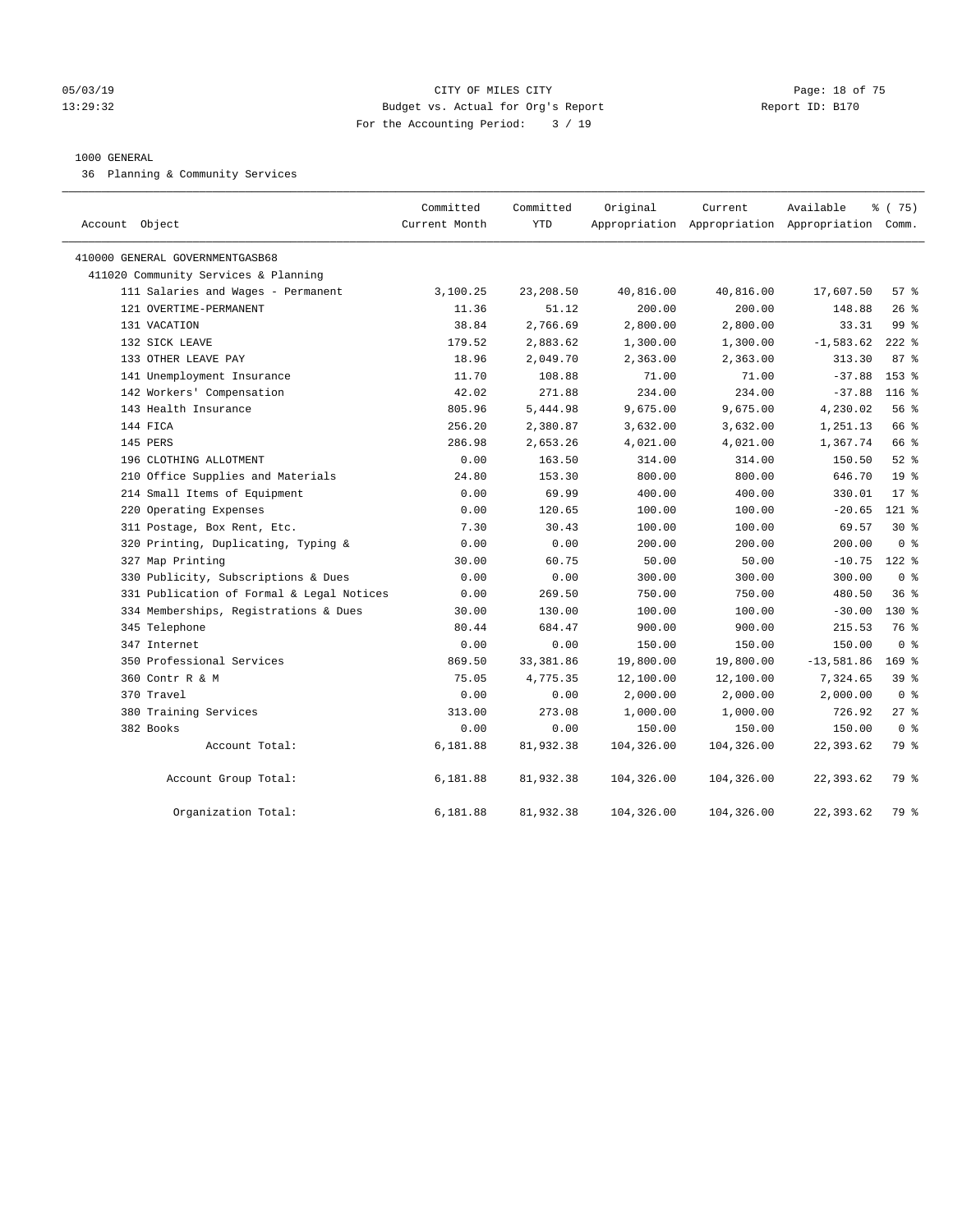#### 05/03/19 Page: 18 of 75 13:29:32 Budget vs. Actual for Org's Report Report ID: B170 For the Accounting Period: 3 / 19

#### 1000 GENERAL

36 Planning & Community Services

| Account Object                            | Committed<br>Current Month | Committed<br><b>YTD</b> | Original   | Current    | Available<br>Appropriation Appropriation Appropriation Comm. | % (75)          |
|-------------------------------------------|----------------------------|-------------------------|------------|------------|--------------------------------------------------------------|-----------------|
| 410000 GENERAL GOVERNMENTGASB68           |                            |                         |            |            |                                                              |                 |
| 411020 Community Services & Planning      |                            |                         |            |            |                                                              |                 |
| 111 Salaries and Wages - Permanent        | 3,100.25                   | 23,208.50               | 40,816.00  | 40,816.00  | 17,607.50                                                    | 57%             |
| 121 OVERTIME-PERMANENT                    | 11.36                      | 51.12                   | 200.00     | 200.00     | 148.88                                                       | 26%             |
| 131 VACATION                              | 38.84                      | 2,766.69                | 2,800.00   | 2,800.00   | 33.31                                                        | 99%             |
| 132 SICK LEAVE                            | 179.52                     | 2,883.62                | 1,300.00   | 1,300.00   | $-1,583.62$                                                  | $222$ %         |
| 133 OTHER LEAVE PAY                       | 18.96                      | 2,049.70                | 2,363.00   | 2,363.00   | 313.30                                                       | 87%             |
| 141 Unemployment Insurance                | 11.70                      | 108.88                  | 71.00      | 71.00      | $-37.88$                                                     | 153 %           |
| 142 Workers' Compensation                 | 42.02                      | 271.88                  | 234.00     | 234.00     | $-37.88$                                                     | $116$ %         |
| 143 Health Insurance                      | 805.96                     | 5,444.98                | 9,675.00   | 9,675.00   | 4,230.02                                                     | 56%             |
| 144 FICA                                  | 256.20                     | 2,380.87                | 3,632.00   | 3,632.00   | 1,251.13                                                     | 66 %            |
| 145 PERS                                  | 286.98                     | 2,653.26                | 4,021.00   | 4,021.00   | 1,367.74                                                     | 66 %            |
| 196 CLOTHING ALLOTMENT                    | 0.00                       | 163.50                  | 314.00     | 314.00     | 150.50                                                       | $52$ $%$        |
| 210 Office Supplies and Materials         | 24.80                      | 153.30                  | 800.00     | 800.00     | 646.70                                                       | 19 <sup>°</sup> |
| 214 Small Items of Equipment              | 0.00                       | 69.99                   | 400.00     | 400.00     | 330.01                                                       | $17*$           |
| 220 Operating Expenses                    | 0.00                       | 120.65                  | 100.00     | 100.00     | $-20.65$                                                     | $121$ %         |
| 311 Postage, Box Rent, Etc.               | 7.30                       | 30.43                   | 100.00     | 100.00     | 69.57                                                        | $30*$           |
| 320 Printing, Duplicating, Typing &       | 0.00                       | 0.00                    | 200.00     | 200.00     | 200.00                                                       | 0 <sup>8</sup>  |
| 327 Map Printing                          | 30.00                      | 60.75                   | 50.00      | 50.00      | $-10.75$                                                     | $122$ %         |
| 330 Publicity, Subscriptions & Dues       | 0.00                       | 0.00                    | 300.00     | 300.00     | 300.00                                                       | 0 <sup>8</sup>  |
| 331 Publication of Formal & Legal Notices | 0.00                       | 269.50                  | 750.00     | 750.00     | 480.50                                                       | 36%             |
| 334 Memberships, Registrations & Dues     | 30.00                      | 130.00                  | 100.00     | 100.00     | $-30.00$                                                     | $130*$          |
| 345 Telephone                             | 80.44                      | 684.47                  | 900.00     | 900.00     | 215.53                                                       | 76 %            |
| 347 Internet                              | 0.00                       | 0.00                    | 150.00     | 150.00     | 150.00                                                       | 0 <sup>8</sup>  |
| 350 Professional Services                 | 869.50                     | 33,381.86               | 19,800.00  | 19,800.00  | $-13,581.86$                                                 | $169$ %         |
| 360 Contr R & M                           | 75.05                      | 4,775.35                | 12,100.00  | 12,100.00  | 7,324.65                                                     | 39%             |
| 370 Travel                                | 0.00                       | 0.00                    | 2,000.00   | 2,000.00   | 2,000.00                                                     | 0 <sup>8</sup>  |
| 380 Training Services                     | 313.00                     | 273.08                  | 1,000.00   | 1,000.00   | 726.92                                                       | $27$ %          |
| 382 Books                                 | 0.00                       | 0.00                    | 150.00     | 150.00     | 150.00                                                       | 0 <sup>8</sup>  |
| Account Total:                            | 6,181.88                   | 81,932.38               | 104,326.00 | 104,326.00 | 22,393.62                                                    | 79 %            |
| Account Group Total:                      | 6,181.88                   | 81,932.38               | 104,326.00 | 104,326.00 | 22,393.62                                                    | 79 %            |
| Organization Total:                       | 6,181.88                   | 81,932.38               | 104,326.00 | 104,326.00 | 22,393.62                                                    | 79 %            |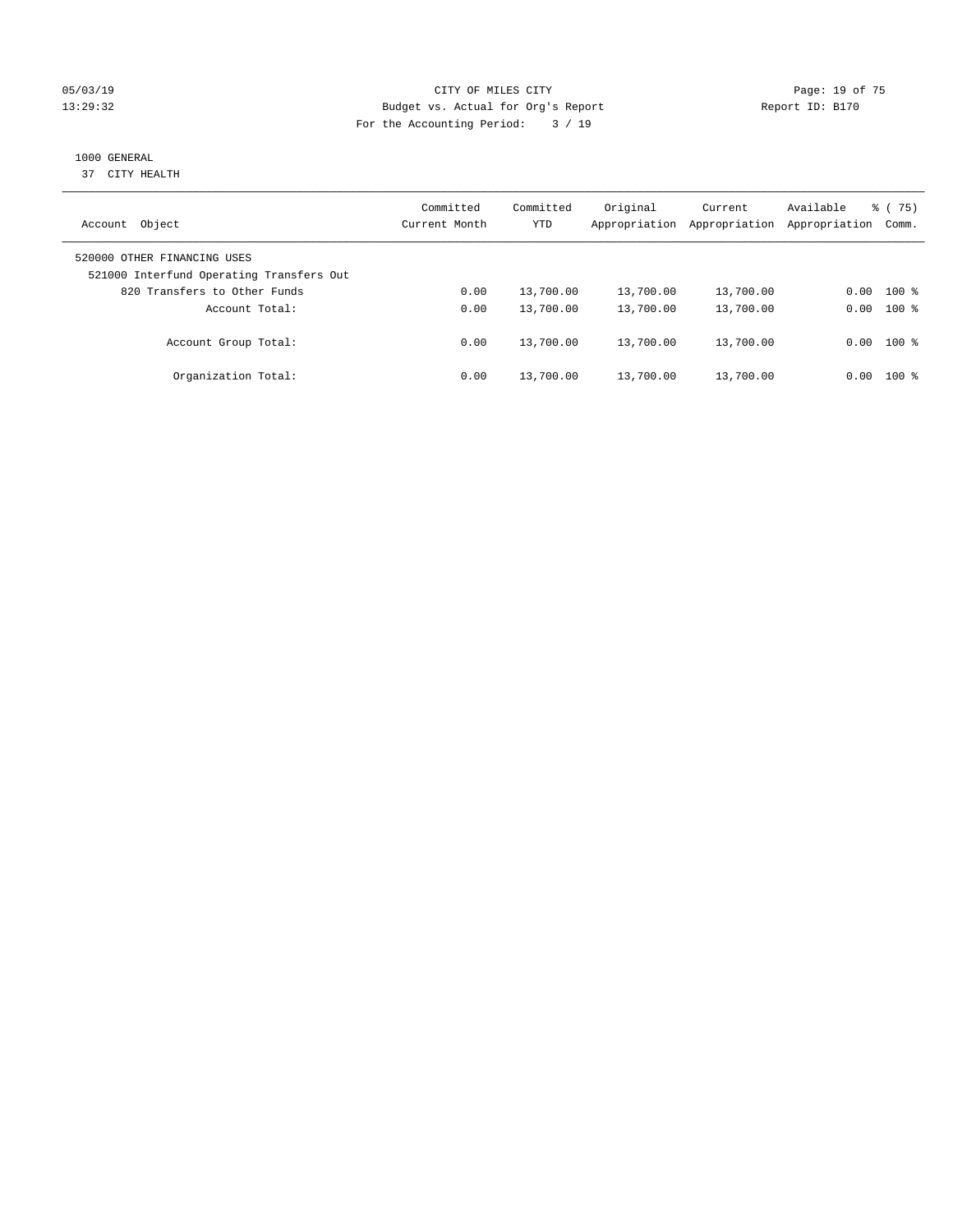#### 05/03/19 Page: 19 of 75 13:29:32 Budget vs. Actual for Org's Report Report ID: B170 For the Accounting Period: 3 / 19

## 1000 GENERAL

37 CITY HEALTH

| Object<br>Account                                                       | Committed<br>Current Month | Committed<br><b>YTD</b> | Original<br>Appropriation | Current<br>Appropriation | Available<br>Appropriation | $\frac{1}{6}$ (75)<br>Comm. |
|-------------------------------------------------------------------------|----------------------------|-------------------------|---------------------------|--------------------------|----------------------------|-----------------------------|
| 520000 OTHER FINANCING USES<br>521000 Interfund Operating Transfers Out |                            |                         |                           |                          |                            |                             |
| 820 Transfers to Other Funds                                            | 0.00                       | 13,700.00               | 13,700.00                 | 13,700.00                | 0.00                       | $100*$                      |
| Account Total:                                                          | 0.00                       | 13,700.00               | 13,700.00                 | 13,700.00                | 0.00                       | $100*$                      |
| Account Group Total:                                                    | 0.00                       | 13,700.00               | 13,700.00                 | 13,700.00                |                            | $0.00$ 100 %                |
| Organization Total:                                                     | 0.00                       | 13,700.00               | 13,700.00                 | 13,700.00                | 0.00                       | $100*$                      |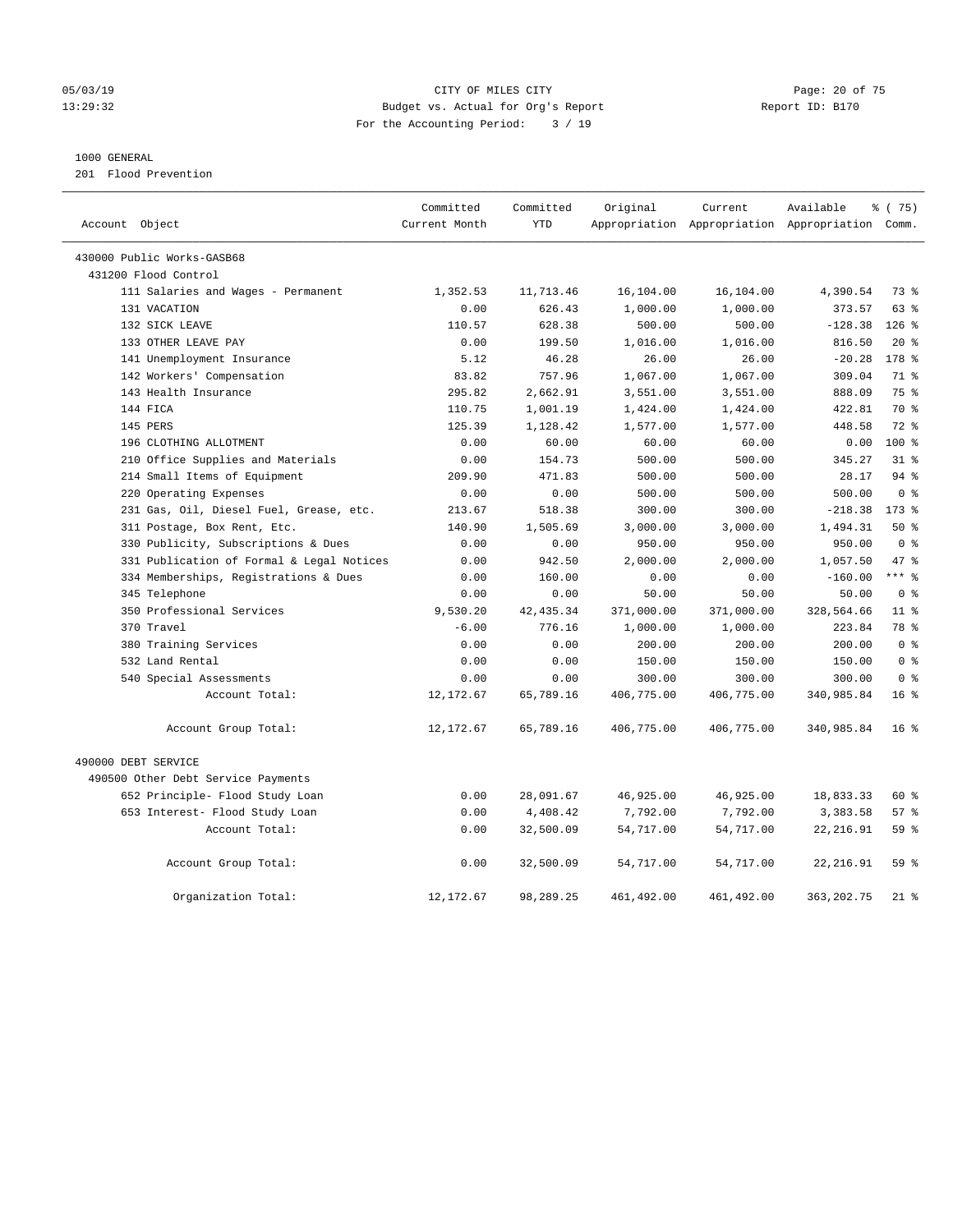#### 05/03/19 Page: 20 of 75 13:29:32 Budget vs. Actual for Org's Report Report ID: B170 For the Accounting Period: 3 / 19

#### 1000 GENERAL

201 Flood Prevention

| Account Object                            | Committed<br>Current Month | Committed<br><b>YTD</b> | Original   | Current     | Available<br>Appropriation Appropriation Appropriation Comm. | % (75)          |
|-------------------------------------------|----------------------------|-------------------------|------------|-------------|--------------------------------------------------------------|-----------------|
|                                           |                            |                         |            |             |                                                              |                 |
| 430000 Public Works-GASB68                |                            |                         |            |             |                                                              |                 |
| 431200 Flood Control                      |                            |                         |            |             |                                                              |                 |
| 111 Salaries and Wages - Permanent        | 1,352.53                   | 11,713.46               | 16,104.00  | 16,104.00   | 4,390.54                                                     | 73 %            |
| 131 VACATION                              | 0.00                       | 626.43                  | 1,000.00   | 1,000.00    | 373.57                                                       | $63$ $%$        |
| 132 SICK LEAVE                            | 110.57                     | 628.38                  | 500.00     | 500.00      | $-128.38$                                                    | $126$ %         |
| 133 OTHER LEAVE PAY                       | 0.00                       | 199.50                  | 1,016.00   | 1,016.00    | 816.50                                                       | $20*$           |
| 141 Unemployment Insurance                | 5.12                       | 46.28                   | 26.00      | 26.00       | $-20.28$                                                     | 178 %           |
| 142 Workers' Compensation                 | 83.82                      | 757.96                  | 1,067.00   | 1,067.00    | 309.04                                                       | 71 %            |
| 143 Health Insurance                      | 295.82                     | 2,662.91                | 3,551.00   | 3,551.00    | 888.09                                                       | 75%             |
| 144 FICA                                  | 110.75                     | 1,001.19                | 1,424.00   | 1,424.00    | 422.81                                                       | 70 %            |
| 145 PERS                                  | 125.39                     | 1,128.42                | 1,577.00   | 1,577.00    | 448.58                                                       | $72$ $%$        |
| 196 CLOTHING ALLOTMENT                    | 0.00                       | 60.00                   | 60.00      | 60.00       | 0.00                                                         | $100*$          |
| 210 Office Supplies and Materials         | 0.00                       | 154.73                  | 500.00     | 500.00      | 345.27                                                       | 31.8            |
| 214 Small Items of Equipment              | 209.90                     | 471.83                  | 500.00     | 500.00      | 28.17                                                        | 94%             |
| 220 Operating Expenses                    | 0.00                       | 0.00                    | 500.00     | 500.00      | 500.00                                                       | 0 <sup>8</sup>  |
| 231 Gas, Oil, Diesel Fuel, Grease, etc.   | 213.67                     | 518.38                  | 300.00     | 300.00      | $-218.38$                                                    | $173$ $%$       |
| 311 Postage, Box Rent, Etc.               | 140.90                     | 1,505.69                | 3,000.00   | 3,000.00    | 1,494.31                                                     | 50%             |
| 330 Publicity, Subscriptions & Dues       | 0.00                       | 0.00                    | 950.00     | 950.00      | 950.00                                                       | 0 <sup>8</sup>  |
| 331 Publication of Formal & Legal Notices | 0.00                       | 942.50                  | 2,000.00   | 2,000.00    | 1,057.50                                                     | 47.8            |
| 334 Memberships, Registrations & Dues     | 0.00                       | 160.00                  | 0.00       | 0.00        | $-160.00$                                                    | $***$ $%$       |
| 345 Telephone                             | 0.00                       | 0.00                    | 50.00      | 50.00       | 50.00                                                        | 0 <sup>8</sup>  |
| 350 Professional Services                 | 9,530.20                   | 42, 435.34              | 371,000.00 | 371,000.00  | 328,564.66                                                   | 11 <sup>8</sup> |
| 370 Travel                                | $-6.00$                    | 776.16                  | 1,000.00   | 1,000.00    | 223.84                                                       | 78 %            |
| 380 Training Services                     | 0.00                       | 0.00                    | 200.00     | 200.00      | 200.00                                                       | 0 <sup>8</sup>  |
| 532 Land Rental                           | 0.00                       | 0.00                    | 150.00     | 150.00      | 150.00                                                       | 0 <sup>8</sup>  |
| 540 Special Assessments                   | 0.00                       | 0.00                    | 300.00     | 300.00      | 300.00                                                       | 0 <sup>8</sup>  |
| Account Total:                            | 12, 172.67                 | 65,789.16               | 406,775.00 | 406,775.00  | 340,985.84                                                   | 16 <sup>8</sup> |
| Account Group Total:                      | 12,172.67                  | 65,789.16               | 406,775.00 | 406,775.00  | 340,985.84                                                   | 16 <sup>8</sup> |
| 490000 DEBT SERVICE                       |                            |                         |            |             |                                                              |                 |
| 490500 Other Debt Service Payments        |                            |                         |            |             |                                                              |                 |
| 652 Principle- Flood Study Loan           | 0.00                       | 28,091.67               | 46,925.00  | 46,925.00   | 18,833.33                                                    | 60 %            |
| 653 Interest- Flood Study Loan            | 0.00                       | 4,408.42                | 7,792.00   | 7,792.00    | 3,383.58                                                     | 57%             |
| Account Total:                            | 0.00                       | 32,500.09               | 54,717.00  | 54,717.00   | 22, 216.91                                                   | 59%             |
| Account Group Total:                      | 0.00                       | 32,500.09               | 54,717.00  | 54,717.00   | 22, 216.91                                                   | 59 %            |
| Organization Total:                       | 12, 172.67                 | 98,289.25               | 461,492.00 | 461, 492.00 | 363, 202.75                                                  | $21$ %          |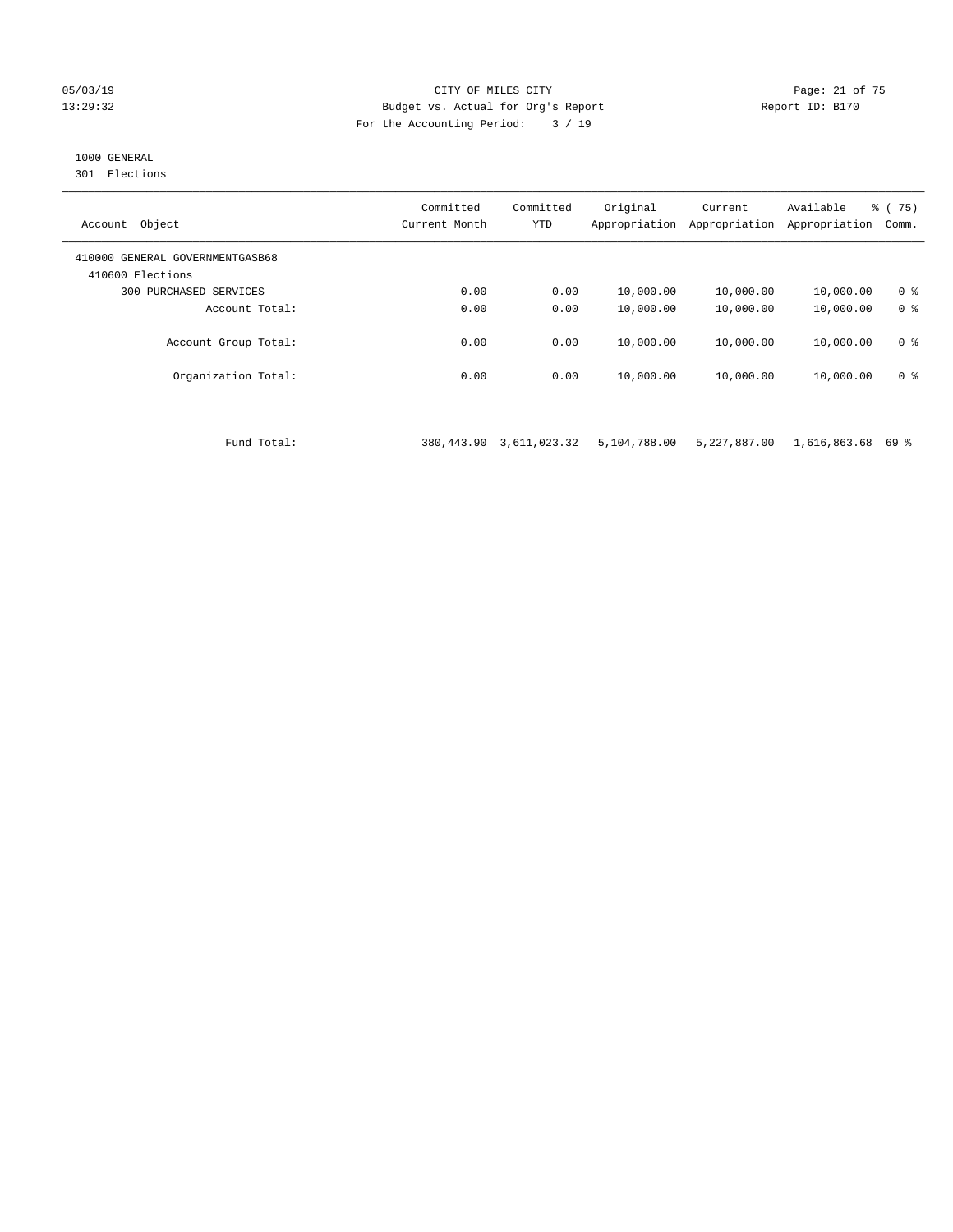#### 05/03/19 Page: 21 of 75 13:29:32 Budget vs. Actual for Org's Report Report ID: B170 For the Accounting Period: 3 / 19

## 1000 GENERAL

301 Elections

| Object<br>Account                                   | Committed<br>Current Month | Committed<br><b>YTD</b> | Original<br>Appropriation | Current<br>Appropriation | Available<br>Appropriation | % (75)<br>Comm. |
|-----------------------------------------------------|----------------------------|-------------------------|---------------------------|--------------------------|----------------------------|-----------------|
| 410000 GENERAL GOVERNMENTGASB68<br>410600 Elections |                            |                         |                           |                          |                            |                 |
| 300 PURCHASED SERVICES                              | 0.00                       | 0.00                    | 10,000.00                 | 10,000.00                | 10,000.00                  | 0 <sup>8</sup>  |
| Account Total:                                      | 0.00                       | 0.00                    | 10,000.00                 | 10,000.00                | 10,000.00                  | 0 <sup>8</sup>  |
| Account Group Total:                                | 0.00                       | 0.00                    | 10,000.00                 | 10,000.00                | 10,000.00                  | 0 <sup>8</sup>  |
| Organization Total:                                 | 0.00                       | 0.00                    | 10,000.00                 | 10,000.00                | 10,000.00                  | 0 <sup>8</sup>  |

Fund Total: 380,443.90 3,611,023.32 5,104,788.00 5,227,887.00 1,616,863.68 69 %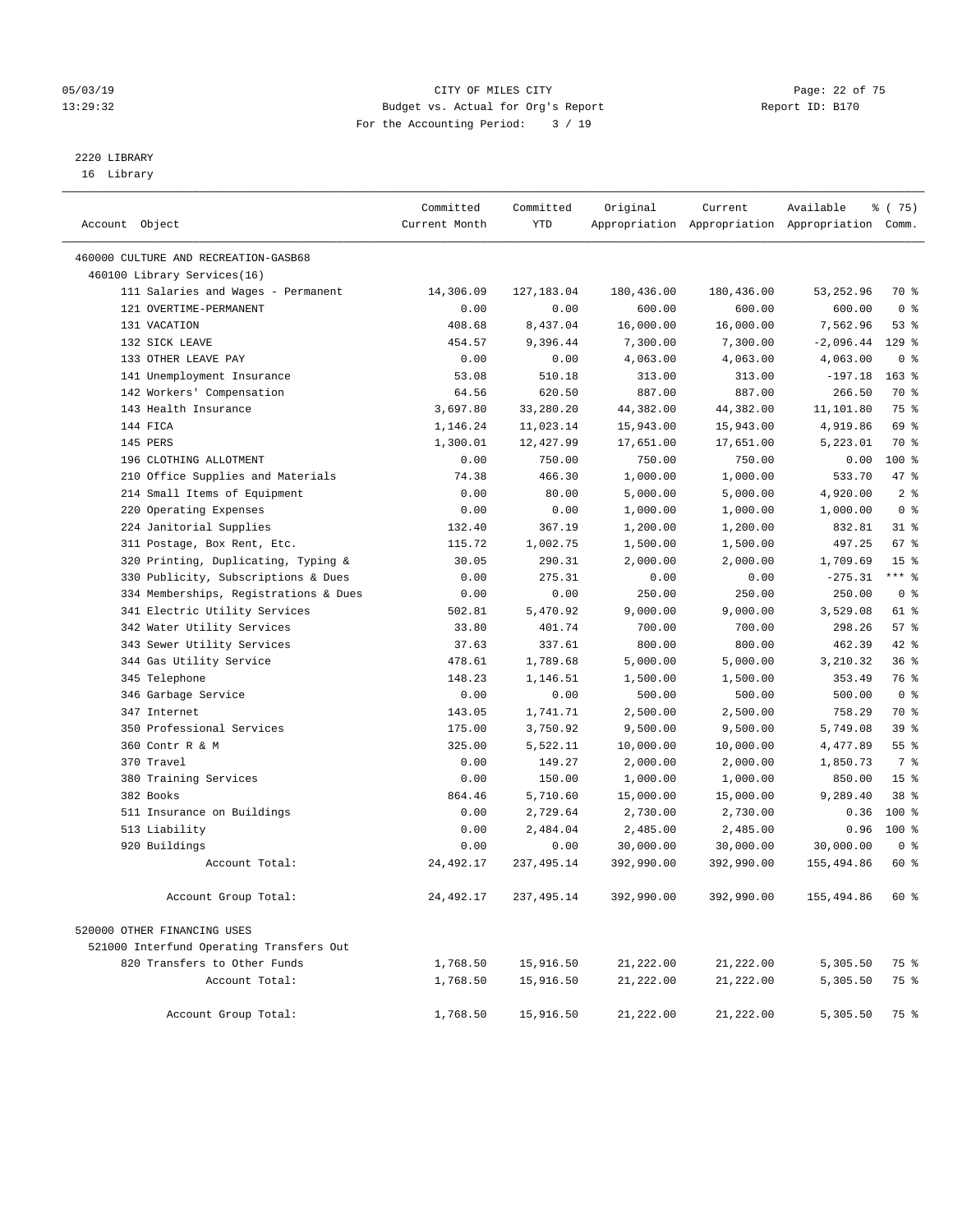#### 05/03/19 Page: 22 of 75 13:29:32 Budget vs. Actual for Org's Report Report ID: B170 For the Accounting Period: 3 / 19

————————————————————————————————————————————————————————————————————————————————————————————————————————————————————————————————————

# 2220 LIBRARY

16 Library

| Account Object |                                                                        | Committed<br>Current Month | Committed<br>YTD     | Original              | Current               | Available<br>Appropriation Appropriation Appropriation Comm. | % (75)                  |  |
|----------------|------------------------------------------------------------------------|----------------------------|----------------------|-----------------------|-----------------------|--------------------------------------------------------------|-------------------------|--|
|                |                                                                        |                            |                      |                       |                       |                                                              |                         |  |
|                | 460000 CULTURE AND RECREATION-GASB68                                   |                            |                      |                       |                       |                                                              |                         |  |
|                | 460100 Library Services(16)                                            |                            |                      |                       |                       |                                                              |                         |  |
|                | 111 Salaries and Wages - Permanent                                     | 14,306.09                  | 127,183.04           | 180,436.00            | 180,436.00            | 53,252.96                                                    | 70 %                    |  |
|                | 121 OVERTIME-PERMANENT                                                 | 0.00                       | 0.00                 | 600.00                | 600.00                | 600.00                                                       | 0 <sup>8</sup>          |  |
|                | 131 VACATION                                                           | 408.68                     | 8,437.04             | 16,000.00             | 16,000.00             | 7,562.96                                                     | 53%                     |  |
|                | 132 SICK LEAVE                                                         | 454.57                     | 9,396.44             | 7,300.00              | 7,300.00              | $-2,096.44$                                                  | $129$ %                 |  |
|                | 133 OTHER LEAVE PAY                                                    | 0.00                       | 0.00                 | 4,063.00              | 4,063.00              | 4,063.00                                                     | 0 <sup>8</sup>          |  |
|                | 141 Unemployment Insurance                                             | 53.08                      | 510.18               | 313.00                | 313.00                | $-197.18$                                                    | $163$ %                 |  |
|                | 142 Workers' Compensation                                              | 64.56                      | 620.50               | 887.00                | 887.00                | 266.50                                                       | 70 %                    |  |
|                | 143 Health Insurance                                                   | 3,697.80                   | 33,280.20            | 44,382.00             | 44,382.00             | 11,101.80                                                    | 75 %                    |  |
|                | 144 FICA                                                               | 1,146.24                   | 11,023.14            | 15,943.00             | 15,943.00             | 4,919.86                                                     | 69 %                    |  |
|                | 145 PERS                                                               | 1,300.01                   | 12,427.99            | 17,651.00             | 17,651.00             | 5,223.01                                                     | 70 %                    |  |
|                | 196 CLOTHING ALLOTMENT                                                 | 0.00                       | 750.00               | 750.00                | 750.00                | 0.00                                                         | 100 %                   |  |
|                | 210 Office Supplies and Materials                                      | 74.38                      | 466.30               | 1,000.00              | 1,000.00              | 533.70                                                       | 47 %                    |  |
|                | 214 Small Items of Equipment                                           | 0.00                       | 80.00                | 5,000.00              | 5,000.00              | 4,920.00                                                     | 2 <sup>°</sup>          |  |
|                | 220 Operating Expenses                                                 | 0.00                       | 0.00                 | 1,000.00              | 1,000.00              | 1,000.00                                                     | 0 <sup>8</sup>          |  |
|                | 224 Janitorial Supplies                                                | 132.40                     | 367.19               | 1,200.00              | 1,200.00              | 832.81                                                       | $31$ %                  |  |
|                | 311 Postage, Box Rent, Etc.                                            | 115.72                     | 1,002.75             | 1,500.00              | 1,500.00              | 497.25                                                       | 67 %<br>15 <sup>8</sup> |  |
|                | 320 Printing, Duplicating, Typing &                                    | 30.05                      | 290.31               | 2,000.00              | 2,000.00              | 1,709.69                                                     | *** %                   |  |
|                | 330 Publicity, Subscriptions & Dues                                    | 0.00                       | 275.31               | 0.00                  | 0.00                  | $-275.31$                                                    | 0 <sup>8</sup>          |  |
|                | 334 Memberships, Registrations & Dues<br>341 Electric Utility Services | 0.00                       | 0.00                 | 250.00                | 250.00                | 250.00                                                       |                         |  |
|                |                                                                        | 502.81                     | 5,470.92             | 9,000.00              | 9,000.00              | 3,529.08                                                     | 61 %<br>57%             |  |
|                | 342 Water Utility Services                                             | 33.80<br>37.63             | 401.74               | 700.00                | 700.00                | 298.26<br>462.39                                             | $42$ %                  |  |
|                | 343 Sewer Utility Services                                             |                            | 337.61               | 800.00                | 800.00                |                                                              | 36%                     |  |
|                | 344 Gas Utility Service                                                | 478.61                     | 1,789.68             | 5,000.00              | 5,000.00              | 3,210.32                                                     | 76 %                    |  |
|                | 345 Telephone                                                          | 148.23                     | 1,146.51             | 1,500.00              | 1,500.00              | 353.49                                                       | 0 <sup>8</sup>          |  |
|                | 346 Garbage Service<br>347 Internet                                    | 0.00                       | 0.00                 | 500.00                | 500.00                | 500.00                                                       | 70 %                    |  |
|                | 350 Professional Services                                              | 143.05<br>175.00           | 1,741.71<br>3,750.92 | 2,500.00              | 2,500.00              | 758.29                                                       | 39%                     |  |
|                | 360 Contr R & M                                                        | 325.00                     |                      | 9,500.00              | 9,500.00              | 5,749.08<br>4,477.89                                         | $55$ $%$                |  |
|                | 370 Travel                                                             |                            | 5,522.11<br>149.27   | 10,000.00             | 10,000.00             |                                                              | 7 %                     |  |
|                |                                                                        | 0.00<br>0.00               | 150.00               | 2,000.00              | 2,000.00              | 1,850.73                                                     | 15 <sup>°</sup>         |  |
|                | 380 Training Services<br>382 Books                                     | 864.46                     | 5,710.60             | 1,000.00<br>15,000.00 | 1,000.00<br>15,000.00 | 850.00<br>9,289.40                                           | 38 %                    |  |
|                |                                                                        | 0.00                       | 2,729.64             |                       | 2,730.00              | 0.36                                                         | $100$ %                 |  |
|                | 511 Insurance on Buildings<br>513 Liability                            | 0.00                       | 2,484.04             | 2,730.00              |                       | 0.96                                                         | 100%                    |  |
|                | 920 Buildings                                                          |                            |                      | 2,485.00              | 2,485.00              |                                                              | 0 <sup>8</sup>          |  |
|                | Account Total:                                                         | 0.00<br>24, 492.17         | 0.00                 | 30,000.00             | 30,000.00             | 30,000.00                                                    | 60 %                    |  |
|                |                                                                        |                            | 237,495.14           | 392,990.00            | 392,990.00            | 155,494.86                                                   |                         |  |
|                | Account Group Total:                                                   | 24,492.17                  | 237,495.14           | 392,990.00            | 392,990.00            | 155,494.86                                                   | 60 %                    |  |
|                | 520000 OTHER FINANCING USES                                            |                            |                      |                       |                       |                                                              |                         |  |
|                | 521000 Interfund Operating Transfers Out                               |                            |                      |                       |                       |                                                              |                         |  |
|                | 820 Transfers to Other Funds                                           | 1,768.50                   | 15,916.50            | 21,222.00             | 21,222.00             | 5,305.50                                                     | 75 %                    |  |
|                | Account Total:                                                         | 1,768.50                   | 15,916.50            | 21,222.00             | 21,222.00             | 5,305.50                                                     | 75 %                    |  |
|                | Account Group Total:                                                   | 1,768.50                   | 15,916.50            | 21,222.00             | 21,222.00             | 5,305.50                                                     | 75 %                    |  |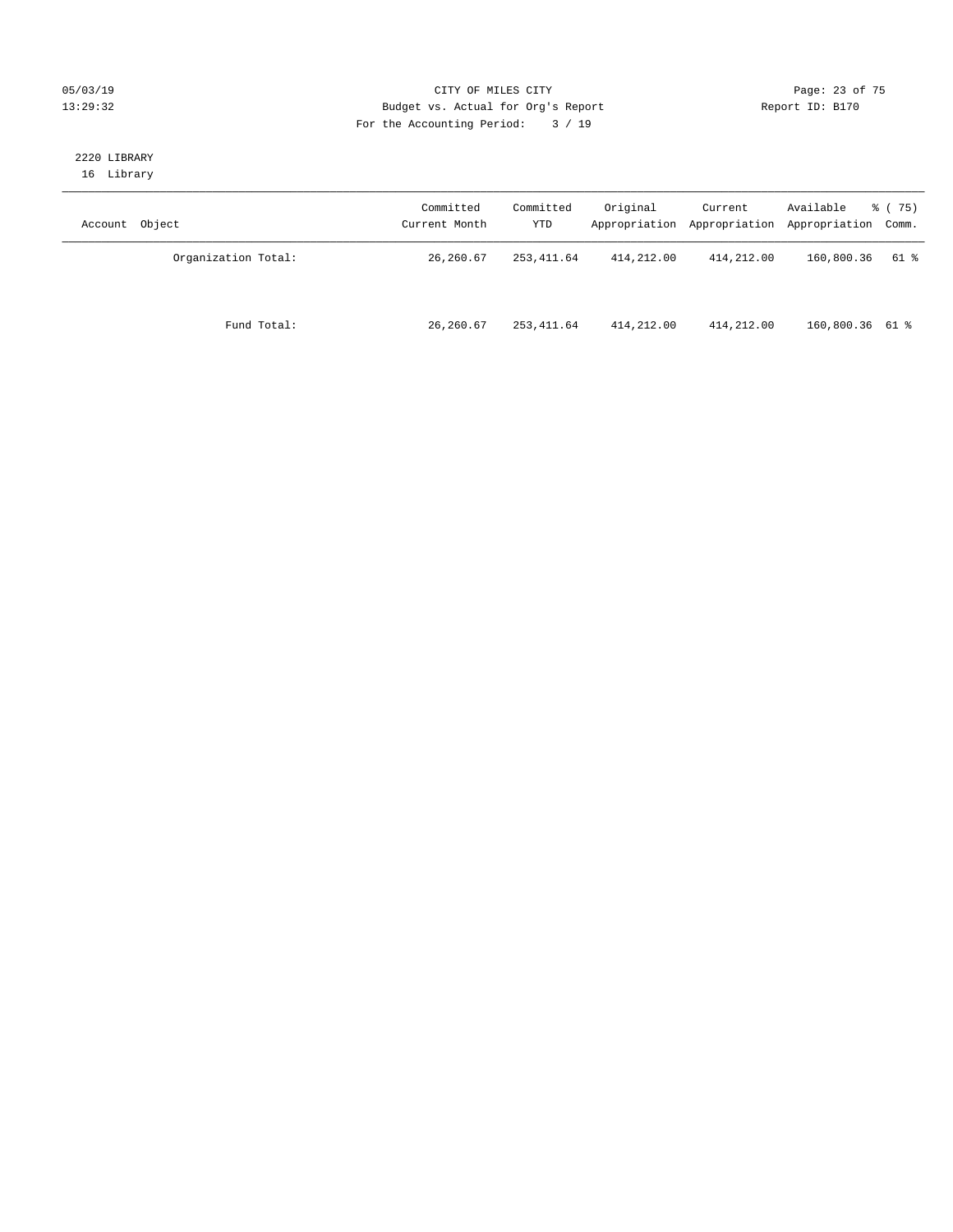#### 05/03/19 Page: 23 of 75 13:29:32 Budget vs. Actual for Org's Report Report ID: B170 For the Accounting Period: 3 / 19

#### 2220 LIBRARY 16 Library

| Account Object      | Committed<br>Current Month | Committed<br>YTD | Original   | Current    | Available<br>Appropriation Appropriation Appropriation Comm. | 8 (75) |
|---------------------|----------------------------|------------------|------------|------------|--------------------------------------------------------------|--------|
| Organization Total: | 26,260.67                  | 253,411.64       | 414,212.00 | 414,212.00 | 160,800.36                                                   | 61 %   |
| Fund Total:         | 26,260.67                  | 253,411.64       | 414,212.00 | 414,212.00 | 160,800.36 61 %                                              |        |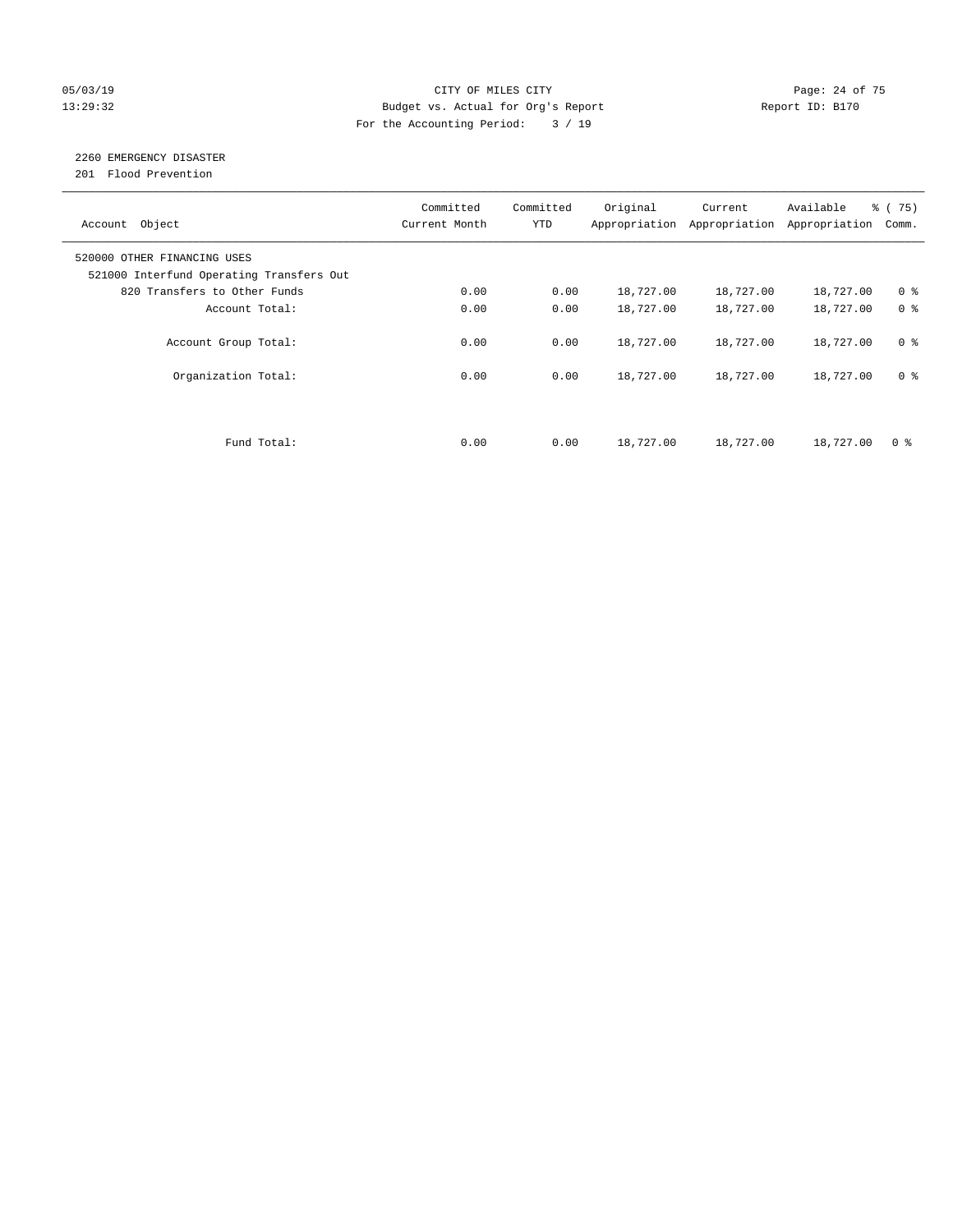#### 05/03/19 Page: 24 of 75 13:29:32 Budget vs. Actual for Org's Report Report ID: B170 For the Accounting Period: 3 / 19

## 2260 EMERGENCY DISASTER

201 Flood Prevention

| Account Object                                                          | Committed<br>Current Month | Committed<br><b>YTD</b> | Original  | Current<br>Appropriation Appropriation | Available<br>Appropriation | 8 (75)<br>Comm. |
|-------------------------------------------------------------------------|----------------------------|-------------------------|-----------|----------------------------------------|----------------------------|-----------------|
| 520000 OTHER FINANCING USES<br>521000 Interfund Operating Transfers Out |                            |                         |           |                                        |                            |                 |
| 820 Transfers to Other Funds                                            | 0.00                       | 0.00                    | 18,727.00 | 18,727.00                              | 18,727.00                  | 0 <sup>8</sup>  |
| Account Total:                                                          | 0.00                       | 0.00                    | 18,727.00 | 18,727.00                              | 18,727.00                  | 0 <sup>8</sup>  |
| Account Group Total:                                                    | 0.00                       | 0.00                    | 18,727.00 | 18,727.00                              | 18,727.00                  | 0 <sup>8</sup>  |
| Organization Total:                                                     | 0.00                       | 0.00                    | 18,727.00 | 18,727.00                              | 18,727.00                  | 0 <sup>8</sup>  |
|                                                                         |                            |                         |           |                                        |                            |                 |
| Fund Total:                                                             | 0.00                       | 0.00                    | 18,727.00 | 18,727.00                              | 18,727.00                  | 0 %             |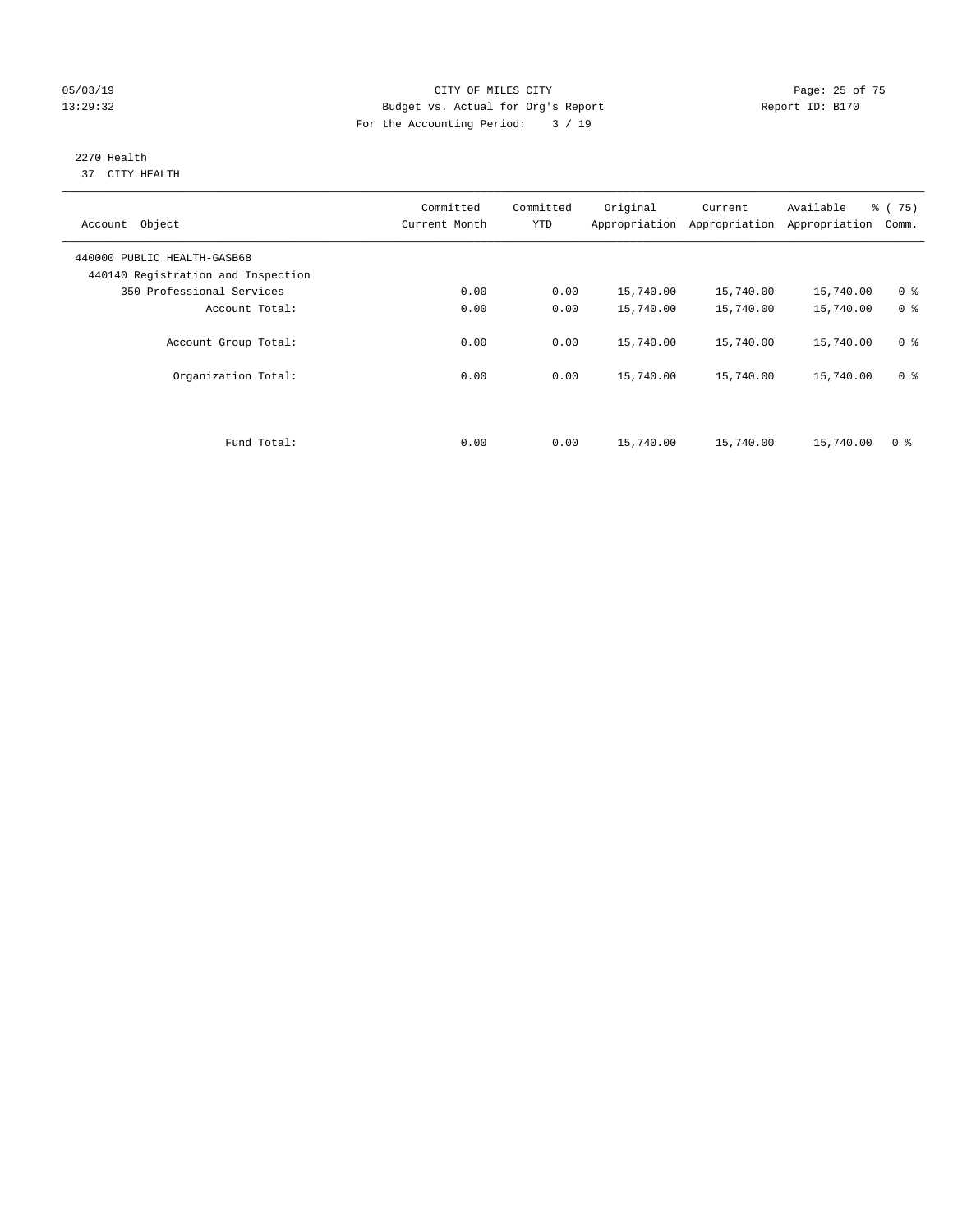#### 05/03/19 Page: 25 of 75 13:29:32 Budget vs. Actual for Org's Report Report ID: B170 For the Accounting Period: 3 / 19

#### 2270 Health 37 CITY HEALTH

| Account Object                                                    | Committed<br>Current Month | Committed<br><b>YTD</b> | Original  | Current<br>Appropriation Appropriation | Available<br>Appropriation | 8 (75)<br>Comm. |
|-------------------------------------------------------------------|----------------------------|-------------------------|-----------|----------------------------------------|----------------------------|-----------------|
| 440000 PUBLIC HEALTH-GASB68<br>440140 Registration and Inspection |                            |                         |           |                                        |                            |                 |
| 350 Professional Services                                         | 0.00                       | 0.00                    | 15,740.00 | 15,740.00                              | 15,740.00                  | 0 <sup>8</sup>  |
| Account Total:                                                    | 0.00                       | 0.00                    | 15,740.00 | 15,740.00                              | 15,740.00                  | 0 <sup>8</sup>  |
| Account Group Total:                                              | 0.00                       | 0.00                    | 15,740.00 | 15,740.00                              | 15,740.00                  | 0 <sup>8</sup>  |
| Organization Total:                                               | 0.00                       | 0.00                    | 15,740.00 | 15,740.00                              | 15,740.00                  | 0 <sup>8</sup>  |
|                                                                   |                            |                         |           |                                        |                            |                 |
| Fund Total:                                                       | 0.00                       | 0.00                    | 15,740.00 | 15,740.00                              | 15,740.00                  | 0 <sup>8</sup>  |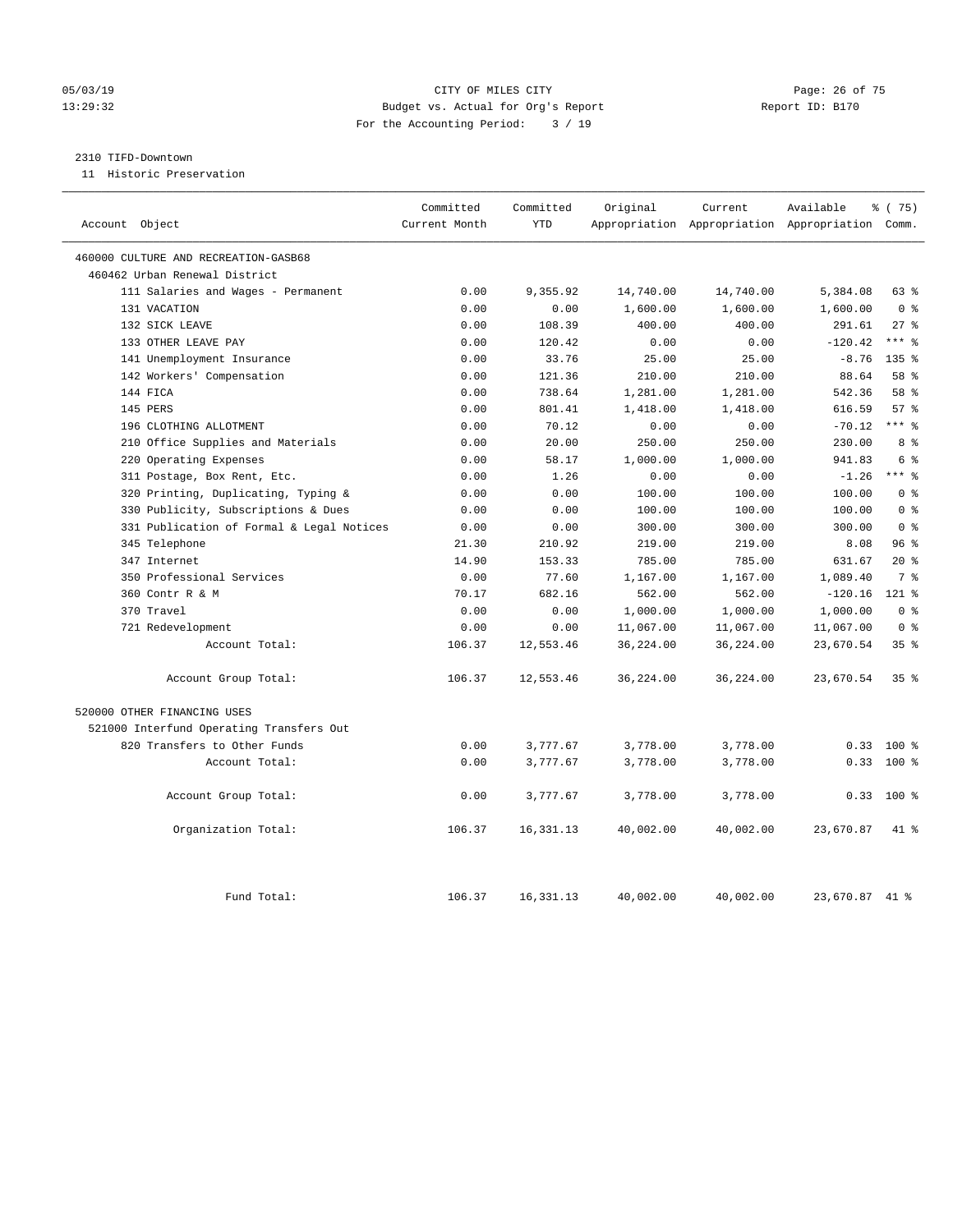#### 05/03/19 Page: 26 of 75 13:29:32 Budget vs. Actual for Org's Report Report ID: B170 For the Accounting Period: 3 / 19

#### 2310 TIFD-Downtown

11 Historic Preservation

| Account Object                            | Committed<br>Current Month | Committed<br><b>YTD</b> | Original  | Current   | Available<br>Appropriation Appropriation Appropriation Comm. | % (75)           |
|-------------------------------------------|----------------------------|-------------------------|-----------|-----------|--------------------------------------------------------------|------------------|
| 460000 CULTURE AND RECREATION-GASB68      |                            |                         |           |           |                                                              |                  |
| 460462 Urban Renewal District             |                            |                         |           |           |                                                              |                  |
| 111 Salaries and Wages - Permanent        | 0.00                       | 9,355.92                | 14,740.00 | 14,740.00 | 5,384.08                                                     | 63%              |
| 131 VACATION                              | 0.00                       | 0.00                    | 1,600.00  | 1,600.00  | 1,600.00                                                     | 0 <sup>8</sup>   |
| 132 SICK LEAVE                            | 0.00                       | 108.39                  | 400.00    | 400.00    | 291.61                                                       | $27$ %           |
| 133 OTHER LEAVE PAY                       | 0.00                       | 120.42                  | 0.00      | 0.00      | $-120.42$                                                    | $***$ $%$        |
| 141 Unemployment Insurance                | 0.00                       | 33.76                   | 25.00     | 25.00     | $-8.76$                                                      | 135 <sub>8</sub> |
| 142 Workers' Compensation                 | 0.00                       | 121.36                  | 210.00    | 210.00    | 88.64                                                        | 58 %             |
| 144 FICA                                  | 0.00                       | 738.64                  | 1,281.00  | 1,281.00  | 542.36                                                       | 58 %             |
| 145 PERS                                  | 0.00                       | 801.41                  | 1,418.00  | 1,418.00  | 616.59                                                       | 57%              |
| 196 CLOTHING ALLOTMENT                    | 0.00                       | 70.12                   | 0.00      | 0.00      | $-70.12$                                                     | $***$ %          |
| 210 Office Supplies and Materials         | 0.00                       | 20.00                   | 250.00    | 250.00    | 230.00                                                       | 8 %              |
| 220 Operating Expenses                    | 0.00                       | 58.17                   | 1,000.00  | 1,000.00  | 941.83                                                       | 6 %              |
| 311 Postage, Box Rent, Etc.               | 0.00                       | 1.26                    | 0.00      | 0.00      | $-1.26$                                                      | $***$ $%$        |
| 320 Printing, Duplicating, Typing &       | 0.00                       | 0.00                    | 100.00    | 100.00    | 100.00                                                       | 0 <sup>8</sup>   |
| 330 Publicity, Subscriptions & Dues       | 0.00                       | 0.00                    | 100.00    | 100.00    | 100.00                                                       | 0 <sup>8</sup>   |
| 331 Publication of Formal & Legal Notices | 0.00                       | 0.00                    | 300.00    | 300.00    | 300.00                                                       | 0 <sup>8</sup>   |
| 345 Telephone                             | 21.30                      | 210.92                  | 219.00    | 219.00    | 8.08                                                         | 96%              |
| 347 Internet                              | 14.90                      | 153.33                  | 785.00    | 785.00    | 631.67                                                       | $20*$            |
| 350 Professional Services                 | 0.00                       | 77.60                   | 1,167.00  | 1,167.00  | 1,089.40                                                     | 7 <sup>°</sup>   |
| 360 Contr R & M                           | 70.17                      | 682.16                  | 562.00    | 562.00    | $-120.16$                                                    | 121 %            |
| 370 Travel                                | 0.00                       | 0.00                    | 1,000.00  | 1,000.00  | 1,000.00                                                     | 0 <sup>8</sup>   |
| 721 Redevelopment                         | 0.00                       | 0.00                    | 11,067.00 | 11,067.00 | 11,067.00                                                    | 0 <sup>8</sup>   |
| Account Total:                            | 106.37                     | 12,553.46               | 36,224.00 | 36,224.00 | 23,670.54                                                    | 35%              |
| Account Group Total:                      | 106.37                     | 12,553.46               | 36,224.00 | 36,224.00 | 23,670.54                                                    | 35%              |
| 520000 OTHER FINANCING USES               |                            |                         |           |           |                                                              |                  |
| 521000 Interfund Operating Transfers Out  |                            |                         |           |           |                                                              |                  |
| 820 Transfers to Other Funds              | 0.00                       | 3,777.67                | 3,778.00  | 3,778.00  | 0.33                                                         | 100 %            |
| Account Total:                            | 0.00                       | 3,777.67                | 3,778.00  | 3,778.00  | 0.33                                                         | $100*$           |
| Account Group Total:                      | 0.00                       | 3,777.67                | 3,778.00  | 3,778.00  |                                                              | $0.33$ 100 %     |
| Organization Total:                       | 106.37                     | 16, 331. 13             | 40,002.00 | 40,002.00 | 23,670.87                                                    | $41*$            |
| Fund Total:                               | 106.37                     | 16, 331. 13             | 40,002.00 | 40,002.00 | 23,670.87 41 %                                               |                  |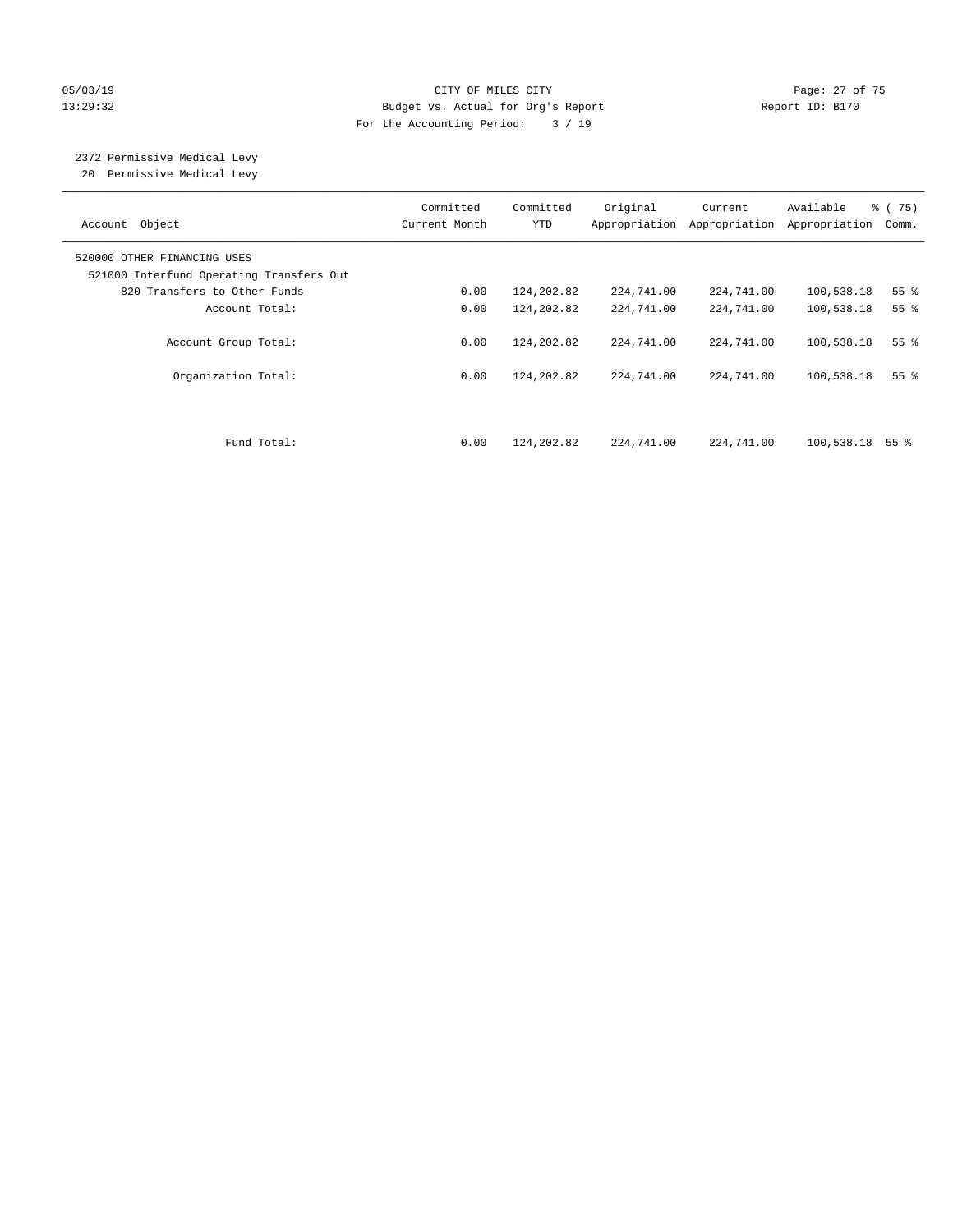#### 05/03/19 Page: 27 of 75 13:29:32 Budget vs. Actual for Org's Report Report ID: B170 For the Accounting Period: 3 / 19

# 2372 Permissive Medical Levy

20 Permissive Medical Levy

| Account Object                                                          | Committed<br>Current Month | Committed<br><b>YTD</b> | Original<br>Appropriation | Current<br>Appropriation | Available<br>Appropriation | % (75)<br>Comm. |
|-------------------------------------------------------------------------|----------------------------|-------------------------|---------------------------|--------------------------|----------------------------|-----------------|
| 520000 OTHER FINANCING USES<br>521000 Interfund Operating Transfers Out |                            |                         |                           |                          |                            |                 |
| 820 Transfers to Other Funds                                            | 0.00                       | 124,202.82              | 224,741.00                | 224,741.00               | 100,538.18                 | 55 <sup>8</sup> |
| Account Total:                                                          | 0.00                       | 124,202.82              | 224,741.00                | 224,741.00               | 100,538.18                 | 55 <sup>8</sup> |
| Account Group Total:                                                    | 0.00                       | 124,202.82              | 224,741.00                | 224,741.00               | 100,538.18                 | 55 <sup>8</sup> |
| Organization Total:                                                     | 0.00                       | 124,202.82              | 224,741.00                | 224,741.00               | 100,538.18                 | 55 <sup>8</sup> |
| Fund Total:                                                             | 0.00                       | 124,202.82              | 224,741.00                | 224,741.00               | 100,538.18                 | 55 %            |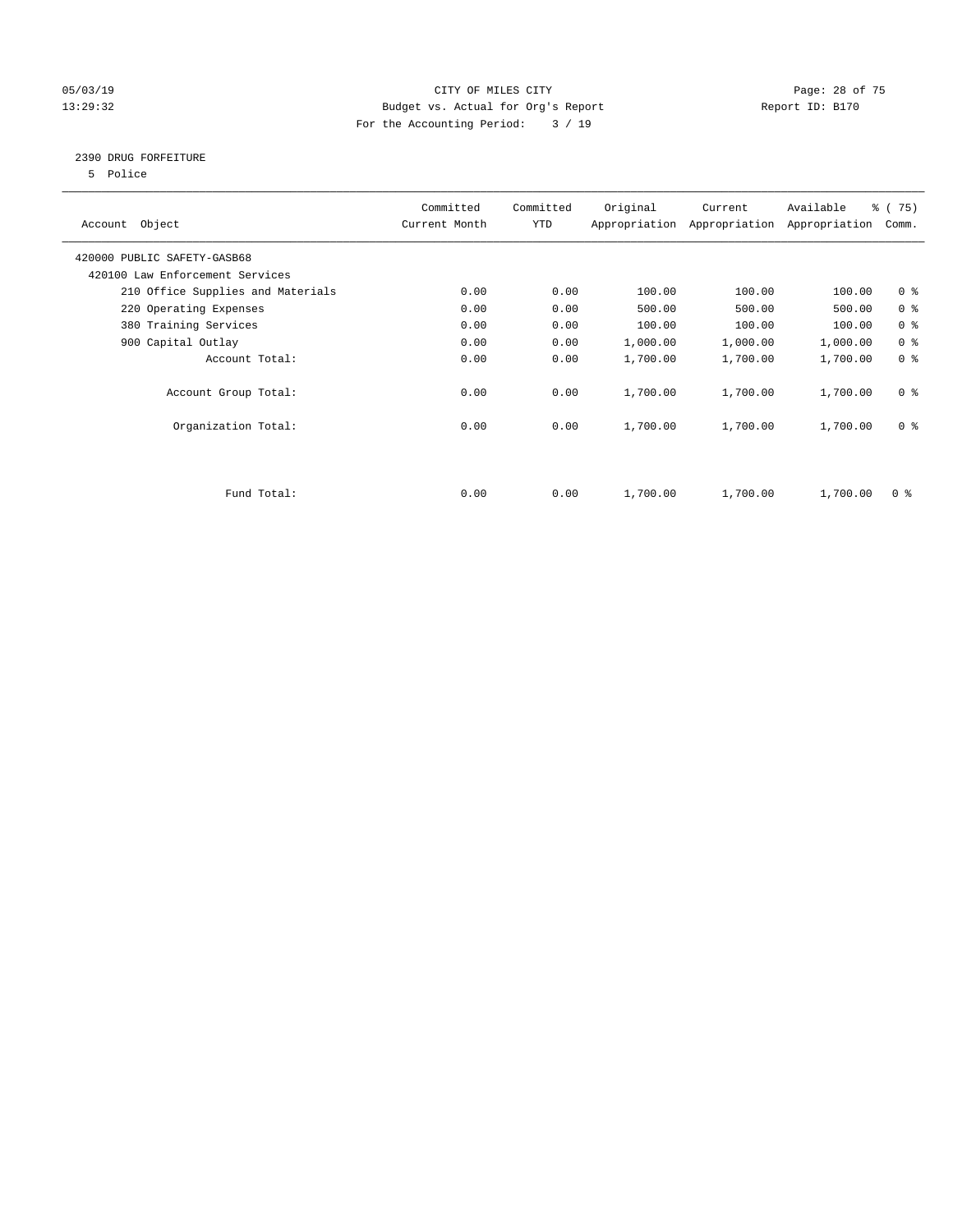#### 05/03/19 Page: 28 of 75 13:29:32 Budget vs. Actual for Org's Report Report ID: B170 For the Accounting Period: 3 / 19

#### 2390 DRUG FORFEITURE

5 Police

| Account Object                    | Committed<br>Current Month | Committed<br><b>YTD</b> | Original | Current<br>Appropriation Appropriation | Available<br>Appropriation | % (75)<br>Comm. |
|-----------------------------------|----------------------------|-------------------------|----------|----------------------------------------|----------------------------|-----------------|
| 420000 PUBLIC SAFETY-GASB68       |                            |                         |          |                                        |                            |                 |
| 420100 Law Enforcement Services   |                            |                         |          |                                        |                            |                 |
| 210 Office Supplies and Materials | 0.00                       | 0.00                    | 100.00   | 100.00                                 | 100.00                     | 0 <sup>8</sup>  |
| 220 Operating Expenses            | 0.00                       | 0.00                    | 500.00   | 500.00                                 | 500.00                     | 0 <sup>8</sup>  |
| 380 Training Services             | 0.00                       | 0.00                    | 100.00   | 100.00                                 | 100.00                     | 0 <sup>8</sup>  |
| 900 Capital Outlay                | 0.00                       | 0.00                    | 1,000.00 | 1,000.00                               | 1,000.00                   | 0 <sup>8</sup>  |
| Account Total:                    | 0.00                       | 0.00                    | 1,700.00 | 1,700.00                               | 1,700.00                   | 0 <sup>8</sup>  |
| Account Group Total:              | 0.00                       | 0.00                    | 1,700.00 | 1,700.00                               | 1,700.00                   | 0 <sup>8</sup>  |
| Organization Total:               | 0.00                       | 0.00                    | 1,700.00 | 1,700.00                               | 1,700.00                   | 0 <sup>8</sup>  |
|                                   |                            |                         |          |                                        |                            |                 |
| Fund Total:                       | 0.00                       | 0.00                    | 1,700.00 | 1,700.00                               | 1,700.00                   | 0 %             |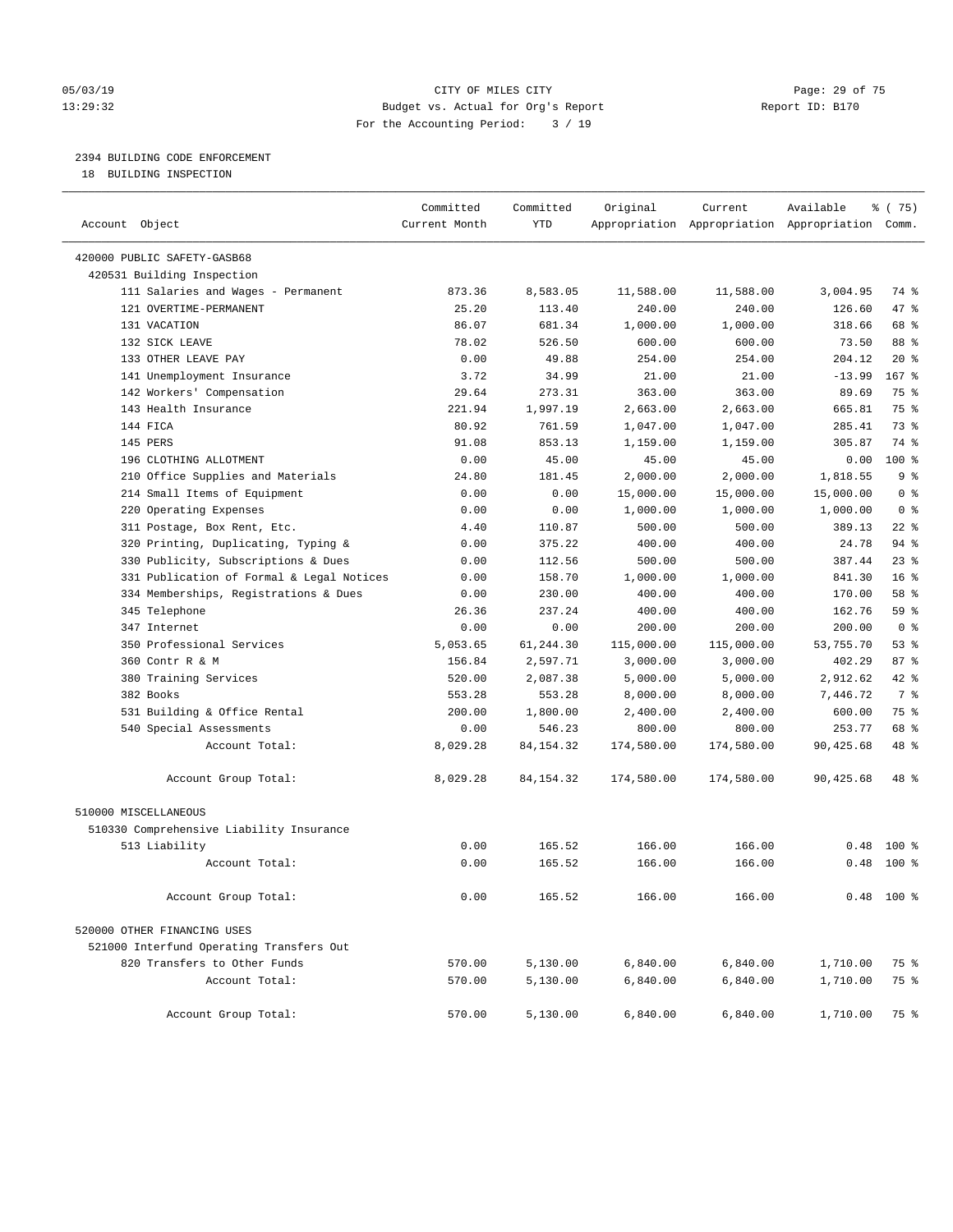#### 05/03/19 Page: 29 of 75 13:29:32 Budget vs. Actual for Org's Report Report ID: B170 For the Accounting Period: 3 / 19

————————————————————————————————————————————————————————————————————————————————————————————————————————————————————————————————————

### 2394 BUILDING CODE ENFORCEMENT

18 BUILDING INSPECTION

|                                           | Committed     | Committed   | Original   | Current    | Available                                       | ៖ (75)          |  |
|-------------------------------------------|---------------|-------------|------------|------------|-------------------------------------------------|-----------------|--|
| Account Object                            | Current Month | <b>YTD</b>  |            |            | Appropriation Appropriation Appropriation Comm. |                 |  |
| 420000 PUBLIC SAFETY-GASB68               |               |             |            |            |                                                 |                 |  |
| 420531 Building Inspection                |               |             |            |            |                                                 |                 |  |
| 111 Salaries and Wages - Permanent        | 873.36        | 8,583.05    | 11,588.00  | 11,588.00  | 3,004.95                                        | 74 %            |  |
| 121 OVERTIME-PERMANENT                    | 25.20         | 113.40      | 240.00     | 240.00     | 126.60                                          | 47 %            |  |
| 131 VACATION                              | 86.07         | 681.34      | 1,000.00   | 1,000.00   | 318.66                                          | 68 %            |  |
| 132 SICK LEAVE                            | 78.02         | 526.50      | 600.00     | 600.00     | 73.50                                           | 88 %            |  |
| 133 OTHER LEAVE PAY                       | 0.00          | 49.88       | 254.00     | 254.00     | 204.12                                          | $20*$           |  |
| 141 Unemployment Insurance                | 3.72          | 34.99       | 21.00      | 21.00      | $-13.99$                                        | 167 %           |  |
| 142 Workers' Compensation                 | 29.64         | 273.31      | 363.00     | 363.00     | 89.69                                           | 75 %            |  |
| 143 Health Insurance                      | 221.94        | 1,997.19    | 2,663.00   | 2,663.00   | 665.81                                          | 75 %            |  |
| 144 FICA                                  | 80.92         | 761.59      | 1,047.00   | 1,047.00   | 285.41                                          | 73 %            |  |
| 145 PERS                                  | 91.08         | 853.13      | 1,159.00   | 1,159.00   | 305.87                                          | 74 %            |  |
| 196 CLOTHING ALLOTMENT                    | 0.00          | 45.00       | 45.00      | 45.00      | 0.00                                            | 100 %           |  |
| 210 Office Supplies and Materials         | 24.80         | 181.45      | 2,000.00   | 2,000.00   | 1,818.55                                        | 9 <sup>°</sup>  |  |
| 214 Small Items of Equipment              | 0.00          | 0.00        | 15,000.00  | 15,000.00  | 15,000.00                                       | 0 <sup>8</sup>  |  |
| 220 Operating Expenses                    | 0.00          | 0.00        | 1,000.00   | 1,000.00   | 1,000.00                                        | 0 <sup>8</sup>  |  |
| 311 Postage, Box Rent, Etc.               | 4.40          | 110.87      | 500.00     | 500.00     | 389.13                                          | $22$ %          |  |
| 320 Printing, Duplicating, Typing &       | 0.00          | 375.22      | 400.00     | 400.00     | 24.78                                           | 94 %            |  |
| 330 Publicity, Subscriptions & Dues       | 0.00          | 112.56      | 500.00     | 500.00     | 387.44                                          | $23$ %          |  |
| 331 Publication of Formal & Legal Notices | 0.00          | 158.70      | 1,000.00   | 1,000.00   | 841.30                                          | 16 <sup>°</sup> |  |
| 334 Memberships, Registrations & Dues     | 0.00          | 230.00      | 400.00     | 400.00     | 170.00                                          | 58 %            |  |
| 345 Telephone                             | 26.36         | 237.24      | 400.00     | 400.00     | 162.76                                          | 59 %            |  |
| 347 Internet                              | 0.00          | 0.00        | 200.00     | 200.00     | 200.00                                          | 0 <sup>8</sup>  |  |
| 350 Professional Services                 | 5,053.65      | 61,244.30   | 115,000.00 | 115,000.00 | 53,755.70                                       | 53%             |  |
| 360 Contr R & M                           | 156.84        | 2,597.71    | 3,000.00   | 3,000.00   | 402.29                                          | 87%             |  |
| 380 Training Services                     | 520.00        | 2,087.38    | 5,000.00   | 5,000.00   | 2,912.62                                        | $42$ %          |  |
| 382 Books                                 | 553.28        | 553.28      | 8,000.00   | 8,000.00   | 7,446.72                                        | 7 %             |  |
| 531 Building & Office Rental              | 200.00        | 1,800.00    | 2,400.00   | 2,400.00   | 600.00                                          | 75 %            |  |
| 540 Special Assessments                   | 0.00          | 546.23      | 800.00     | 800.00     | 253.77                                          | 68 %            |  |
| Account Total:                            | 8,029.28      | 84, 154. 32 | 174,580.00 | 174,580.00 | 90,425.68                                       | 48 %            |  |
| Account Group Total:                      | 8,029.28      | 84, 154. 32 | 174,580.00 | 174,580.00 | 90,425.68                                       | 48 %            |  |
| 510000 MISCELLANEOUS                      |               |             |            |            |                                                 |                 |  |
| 510330 Comprehensive Liability Insurance  |               |             |            |            |                                                 |                 |  |
| 513 Liability                             | 0.00          | 165.52      | 166.00     | 166.00     |                                                 | $0.48$ 100 %    |  |
| Account Total:                            | 0.00          | 165.52      | 166.00     | 166.00     |                                                 | $0.48$ 100 %    |  |
| Account Group Total:                      | 0.00          | 165.52      | 166.00     | 166.00     |                                                 | $0.48$ 100 %    |  |
| 520000 OTHER FINANCING USES               |               |             |            |            |                                                 |                 |  |
| 521000 Interfund Operating Transfers Out  |               |             |            |            |                                                 |                 |  |
| 820 Transfers to Other Funds              | 570.00        | 5,130.00    | 6,840.00   | 6,840.00   | 1,710.00                                        | 75 %            |  |
| Account Total:                            | 570.00        | 5,130.00    | 6,840.00   | 6,840.00   | 1,710.00                                        | 75 %            |  |
| Account Group Total:                      | 570.00        | 5,130.00    | 6,840.00   | 6,840.00   | 1,710.00                                        | 75 %            |  |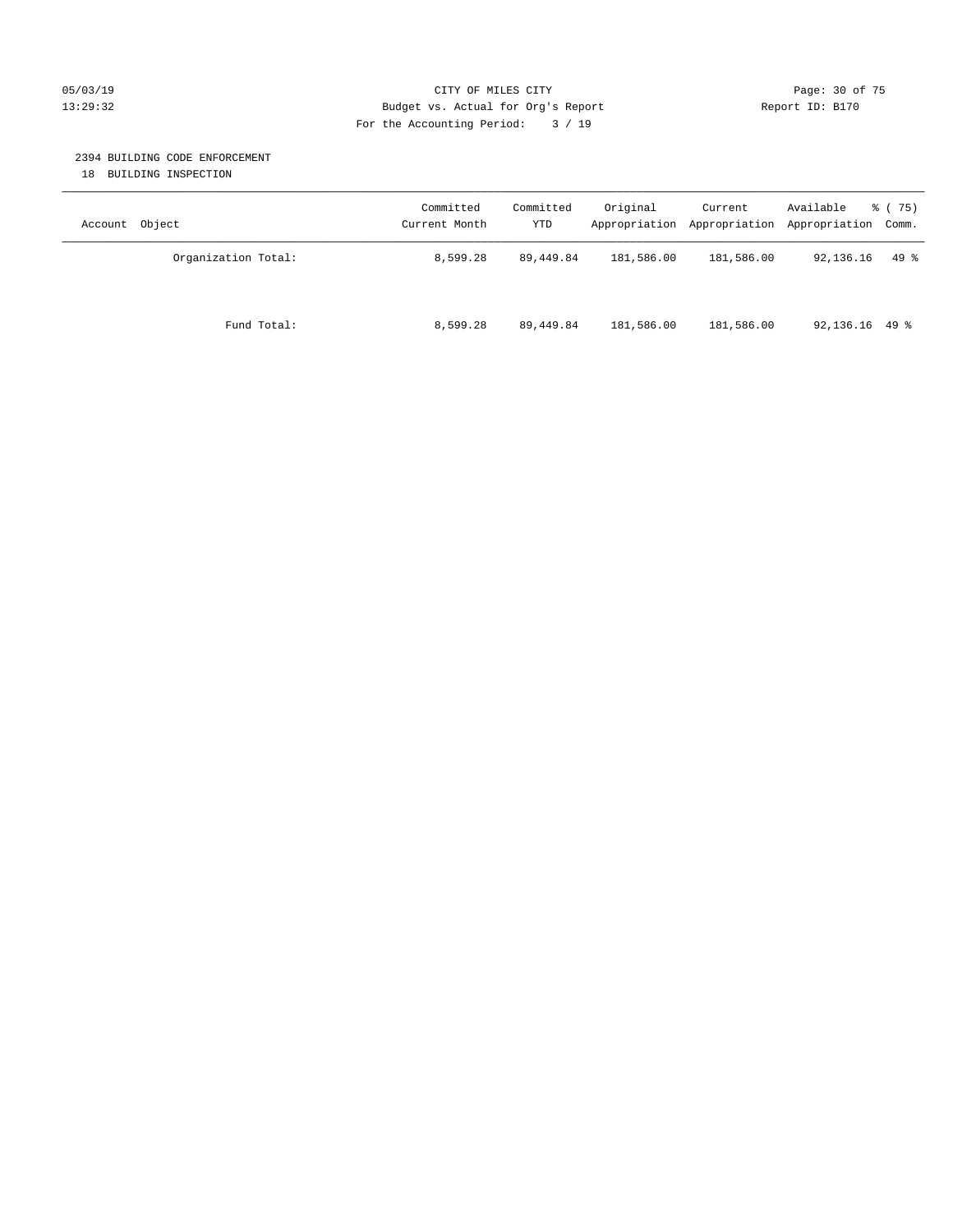#### 05/03/19 Page: 30 of 75 13:29:32 Budget vs. Actual for Org's Report Report ID: B170 For the Accounting Period: 3 / 19

#### 2394 BUILDING CODE ENFORCEMENT

18 BUILDING INSPECTION

| Account Object      | Committed<br>Current Month | Committed<br>YTD | Original   | Current<br>Appropriation Appropriation Appropriation Comm. | Available        | 8 (75) |
|---------------------|----------------------------|------------------|------------|------------------------------------------------------------|------------------|--------|
| Organization Total: | 8,599.28                   | 89,449.84        | 181,586.00 | 181,586.00                                                 | 92,136.16        | $49*$  |
| Fund Total:         | 8,599.28                   | 89,449.84        | 181,586.00 | 181,586.00                                                 | $92,136.16$ 49 % |        |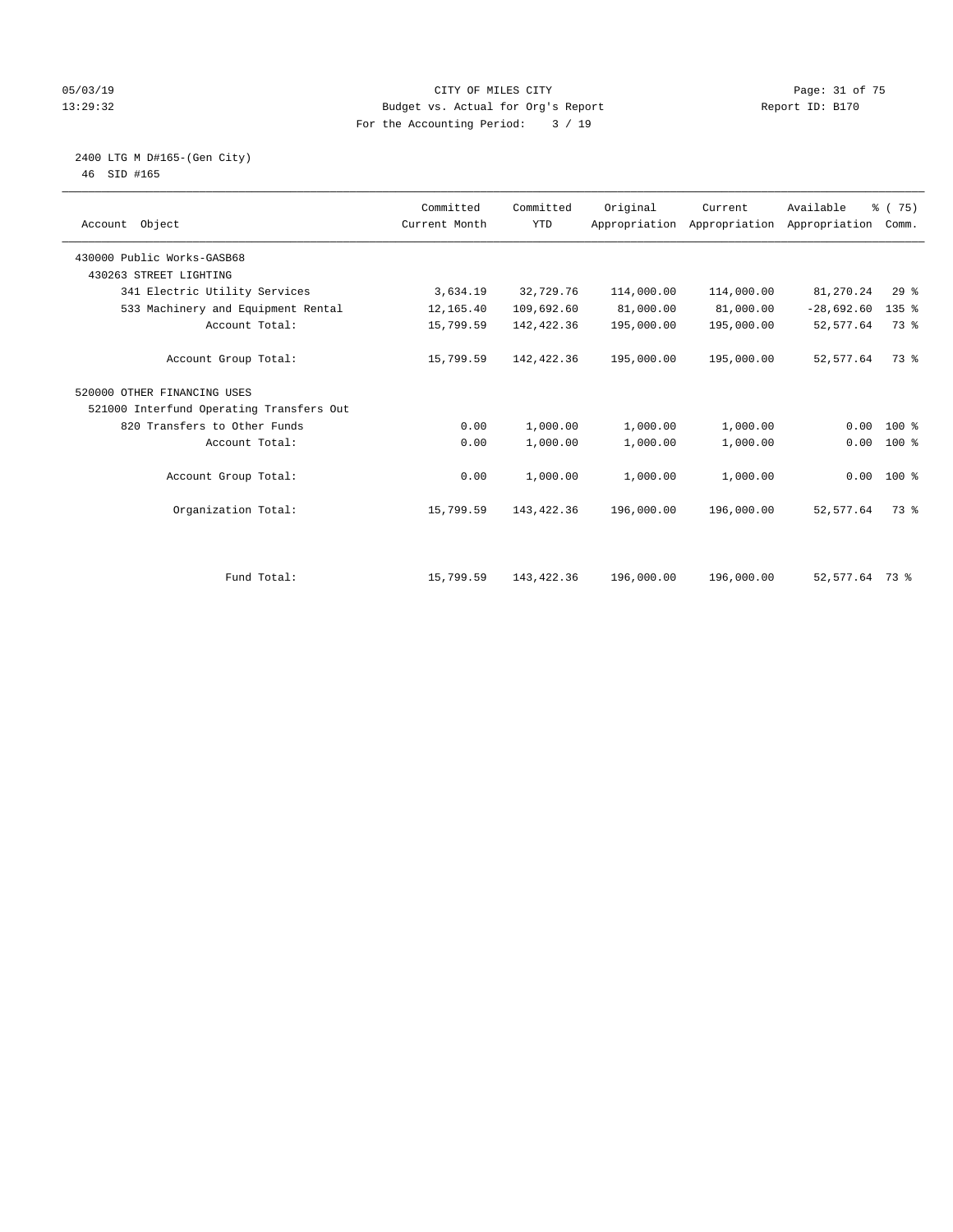#### 05/03/19 Page: 31 of 75 13:29:32 Budget vs. Actual for Org's Report Report ID: B170 For the Accounting Period: 3 / 19

#### 2400 LTG M D#165-(Gen City) 46 SID #165

| Account Object                           | Committed<br>Current Month | Committed<br><b>YTD</b> | Original   | Current<br>Appropriation Appropriation | Available<br>Appropriation | 8 (75)<br>Comm. |  |
|------------------------------------------|----------------------------|-------------------------|------------|----------------------------------------|----------------------------|-----------------|--|
| 430000 Public Works-GASB68               |                            |                         |            |                                        |                            |                 |  |
| 430263 STREET LIGHTING                   |                            |                         |            |                                        |                            |                 |  |
| 341 Electric Utility Services            | 3,634.19                   | 32,729.76               | 114,000.00 | 114,000.00                             | 81,270.24                  | 29%             |  |
| 533 Machinery and Equipment Rental       | 12,165.40                  | 109,692.60              | 81,000.00  | 81,000.00                              | $-28,692.60$               | $135$ %         |  |
| Account Total:                           | 15,799.59                  | 142,422.36              | 195,000.00 | 195,000.00                             | 52,577.64                  | 73 %            |  |
| Account Group Total:                     | 15,799.59                  | 142,422.36              | 195,000.00 | 195,000.00                             | 52, 577.64                 | 73 %            |  |
| 520000 OTHER FINANCING USES              |                            |                         |            |                                        |                            |                 |  |
| 521000 Interfund Operating Transfers Out |                            |                         |            |                                        |                            |                 |  |
| 820 Transfers to Other Funds             | 0.00                       | 1,000.00                | 1,000.00   | 1,000.00                               | 0.00                       | $100*$          |  |
| Account Total:                           | 0.00                       | 1,000.00                | 1,000.00   | 1,000.00                               | 0.00                       | 100 %           |  |
| Account Group Total:                     | 0.00                       | 1,000.00                | 1,000.00   | 1,000.00                               |                            | $0.00$ 100 %    |  |
| Organization Total:                      | 15,799.59                  | 143,422.36              | 196,000.00 | 196,000.00                             | 52,577.64                  | 73 %            |  |
|                                          |                            |                         |            |                                        |                            |                 |  |
| Fund Total:                              | 15,799.59                  | 143,422.36              | 196,000.00 | 196,000.00                             | 52,577.64 73 %             |                 |  |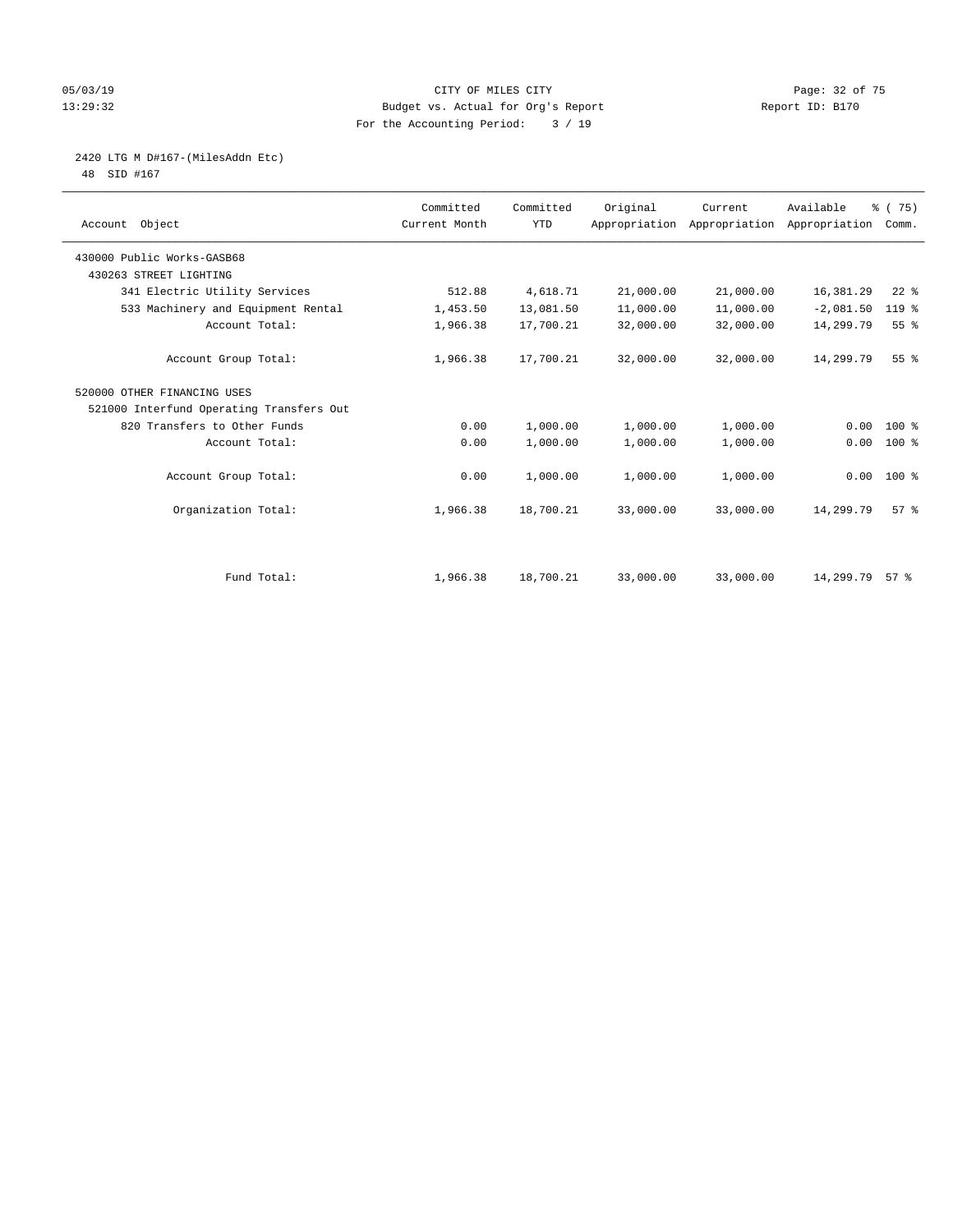#### 05/03/19 Page: 32 of 75 13:29:32 Budget vs. Actual for Org's Report Report ID: B170 For the Accounting Period: 3 / 19

# 2420 LTG M D#167-(MilesAddn Etc)

48 SID #167

| Account Object                           | Committed<br>Current Month | Committed<br><b>YTD</b> | Original  | Current<br>Appropriation Appropriation | Available<br>Appropriation | % (75)<br>Comm. |  |
|------------------------------------------|----------------------------|-------------------------|-----------|----------------------------------------|----------------------------|-----------------|--|
| 430000 Public Works-GASB68               |                            |                         |           |                                        |                            |                 |  |
| 430263 STREET LIGHTING                   |                            |                         |           |                                        |                            |                 |  |
| 341 Electric Utility Services            | 512.88                     | 4,618.71                | 21,000.00 | 21,000.00                              | 16,381.29                  | $22$ %          |  |
| 533 Machinery and Equipment Rental       | 1,453.50                   | 13,081.50               | 11,000.00 | 11,000.00                              | $-2,081.50$                | 119 %           |  |
| Account Total:                           | 1,966.38                   | 17,700.21               | 32,000.00 | 32,000.00                              | 14,299.79                  | 55%             |  |
| Account Group Total:                     | 1,966.38                   | 17,700.21               | 32,000.00 | 32,000.00                              | 14,299.79                  | 55 <sup>8</sup> |  |
| 520000 OTHER FINANCING USES              |                            |                         |           |                                        |                            |                 |  |
| 521000 Interfund Operating Transfers Out |                            |                         |           |                                        |                            |                 |  |
| 820 Transfers to Other Funds             | 0.00                       | 1,000.00                | 1,000.00  | 1,000.00                               | 0.00                       | $100*$          |  |
| Account Total:                           | 0.00                       | 1,000.00                | 1,000.00  | 1,000.00                               | 0.00                       | 100 %           |  |
| Account Group Total:                     | 0.00                       | 1,000.00                | 1,000.00  | 1,000.00                               |                            | $0.00 100$ %    |  |
| Organization Total:                      | 1,966.38                   | 18,700.21               | 33,000.00 | 33,000.00                              | 14,299.79                  | 57 <sup>8</sup> |  |
|                                          |                            |                         |           |                                        |                            |                 |  |
| Fund Total:                              | 1,966.38                   | 18,700.21               | 33,000.00 | 33,000.00                              | 14,299.79                  | $57*$           |  |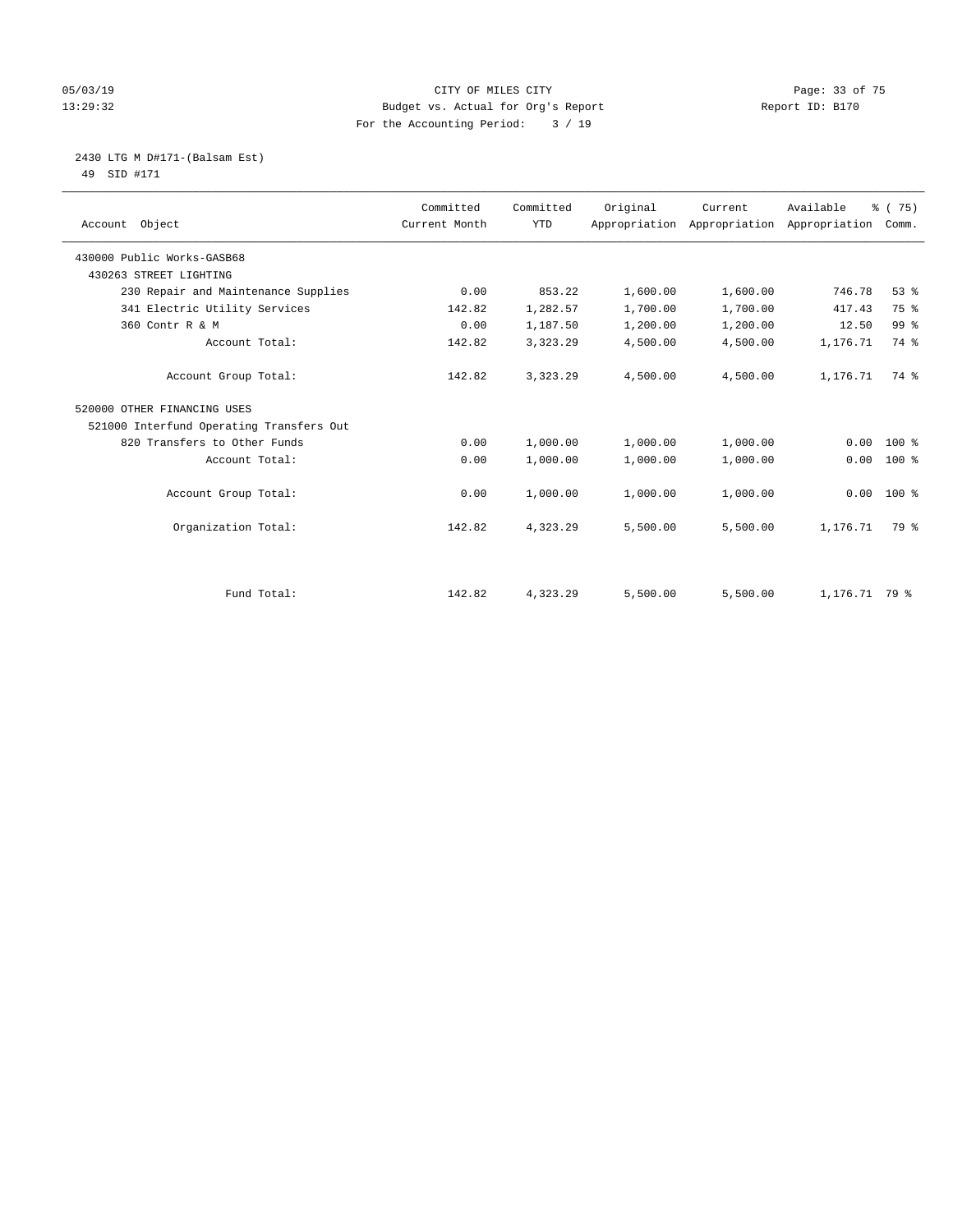#### 05/03/19 Page: 33 of 75 13:29:32 Budget vs. Actual for Org's Report Report ID: B170 For the Accounting Period: 3 / 19

 2430 LTG M D#171-(Balsam Est) 49 SID #171

| Account Object                           | Committed<br>Current Month | Committed<br><b>YTD</b> | Original | Current<br>Appropriation Appropriation Appropriation Comm. | Available     | % (75)          |
|------------------------------------------|----------------------------|-------------------------|----------|------------------------------------------------------------|---------------|-----------------|
| 430000 Public Works-GASB68               |                            |                         |          |                                                            |               |                 |
| 430263 STREET LIGHTING                   |                            |                         |          |                                                            |               |                 |
| 230 Repair and Maintenance Supplies      | 0.00                       | 853.22                  | 1,600.00 | 1,600.00                                                   | 746.78        | 53%             |
| 341 Electric Utility Services            | 142.82                     | 1,282.57                | 1,700.00 | 1,700.00                                                   | 417.43        | 75 %            |
| 360 Contr R & M                          | 0.00                       | 1,187.50                | 1,200.00 | 1,200.00                                                   | 12.50         | 99 <sup>°</sup> |
| Account Total:                           | 142.82                     | 3,323.29                | 4,500.00 | 4,500.00                                                   | 1,176.71      | 74 %            |
| Account Group Total:                     | 142.82                     | 3,323.29                | 4,500.00 | 4,500.00                                                   | 1,176.71      | 74 %            |
| 520000 OTHER FINANCING USES              |                            |                         |          |                                                            |               |                 |
| 521000 Interfund Operating Transfers Out |                            |                         |          |                                                            |               |                 |
| 820 Transfers to Other Funds             | 0.00                       | 1,000.00                | 1,000.00 | 1,000.00                                                   | 0.00          | $100*$          |
| Account Total:                           | 0.00                       | 1,000.00                | 1,000.00 | 1,000.00                                                   | 0.00          | $100*$          |
| Account Group Total:                     | 0.00                       | 1,000.00                | 1,000.00 | 1,000.00                                                   | 0.00          | $100*$          |
| Organization Total:                      | 142.82                     | 4,323.29                | 5,500.00 | 5,500.00                                                   | 1,176.71      | 79 %            |
|                                          |                            |                         |          |                                                            |               |                 |
| Fund Total:                              | 142.82                     | 4,323.29                | 5,500.00 | 5,500.00                                                   | 1,176.71 79 % |                 |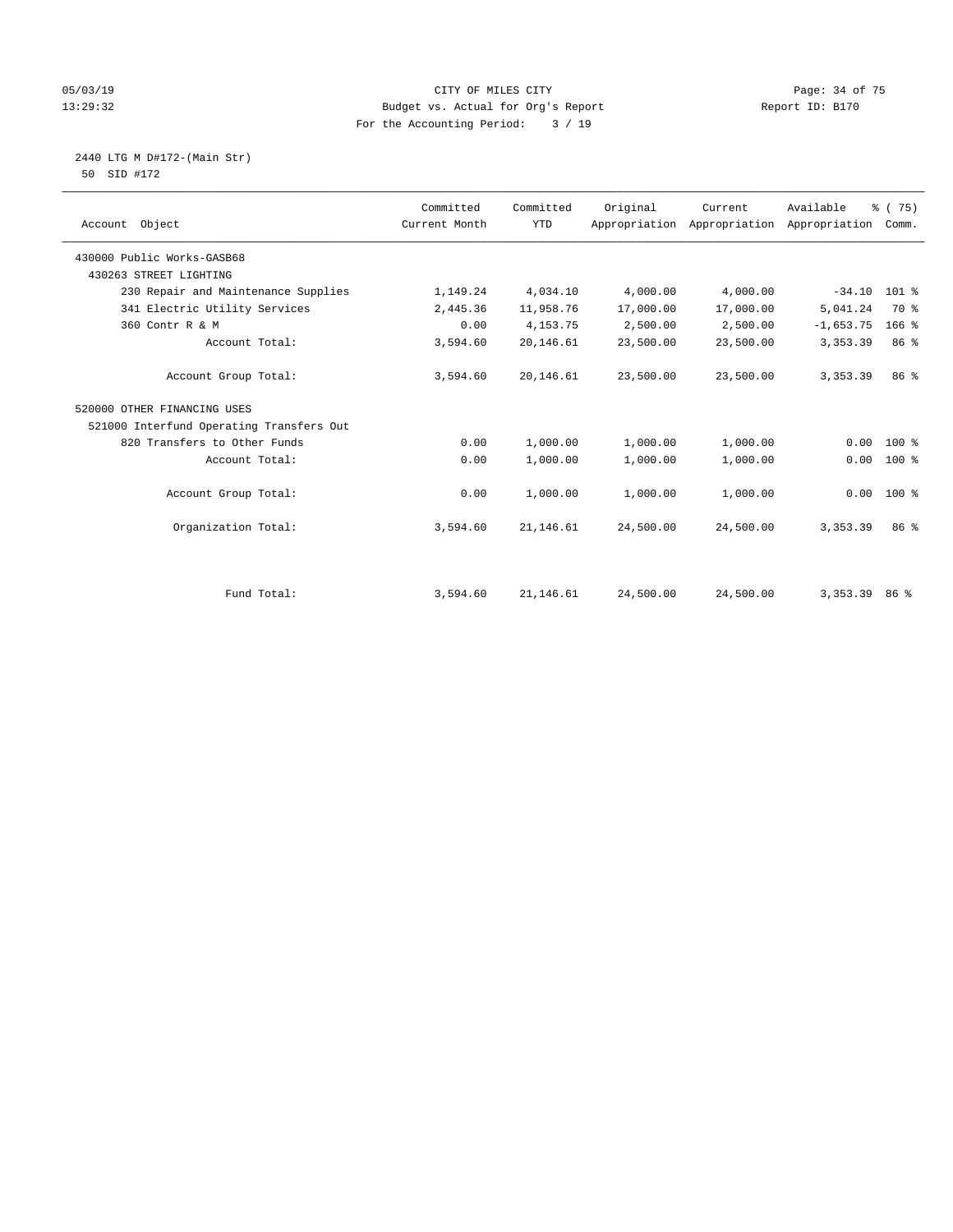#### 05/03/19 Page: 34 of 75 13:29:32 Budget vs. Actual for Org's Report Report ID: B170 For the Accounting Period: 3 / 19

 2440 LTG M D#172-(Main Str) 50 SID #172

| Account Object                           | Committed<br>Current Month | Committed<br><b>YTD</b> | Original  | Current<br>Appropriation Appropriation | Available<br>Appropriation | 8 (75)<br>Comm. |  |
|------------------------------------------|----------------------------|-------------------------|-----------|----------------------------------------|----------------------------|-----------------|--|
| 430000 Public Works-GASB68               |                            |                         |           |                                        |                            |                 |  |
| 430263 STREET LIGHTING                   |                            |                         |           |                                        |                            |                 |  |
| 230 Repair and Maintenance Supplies      | 1,149.24                   | 4,034.10                | 4,000.00  | 4,000.00                               | $-34.10$                   | $101$ %         |  |
| 341 Electric Utility Services            | 2,445.36                   | 11,958.76               | 17,000.00 | 17,000.00                              | 5,041.24                   | 70 %            |  |
| 360 Contr R & M                          | 0.00                       | 4, 153. 75              | 2,500.00  | 2,500.00                               | $-1,653.75$                | $166$ %         |  |
| Account Total:                           | 3,594.60                   | 20,146.61               | 23,500.00 | 23,500.00                              | 3, 353.39                  | 86 %            |  |
| Account Group Total:                     | 3,594.60                   | 20,146.61               | 23,500.00 | 23,500.00                              | 3, 353.39                  | 86 %            |  |
| 520000 OTHER FINANCING USES              |                            |                         |           |                                        |                            |                 |  |
| 521000 Interfund Operating Transfers Out |                            |                         |           |                                        |                            |                 |  |
| 820 Transfers to Other Funds             | 0.00                       | 1,000.00                | 1,000.00  | 1,000.00                               | 0.00                       | 100 %           |  |
| Account Total:                           | 0.00                       | 1,000.00                | 1,000.00  | 1,000.00                               | 0.00                       | 100 %           |  |
| Account Group Total:                     | 0.00                       | 1,000.00                | 1,000.00  | 1,000.00                               | 0.00                       | 100 %           |  |
| Organization Total:                      | 3,594.60                   | 21,146.61               | 24,500.00 | 24,500.00                              | 3, 353, 39                 | 86 <sup>8</sup> |  |
|                                          |                            |                         |           |                                        |                            |                 |  |
| Fund Total:                              | 3,594.60                   | 21, 146.61              | 24,500.00 | 24,500.00                              | 3,353.39 86 %              |                 |  |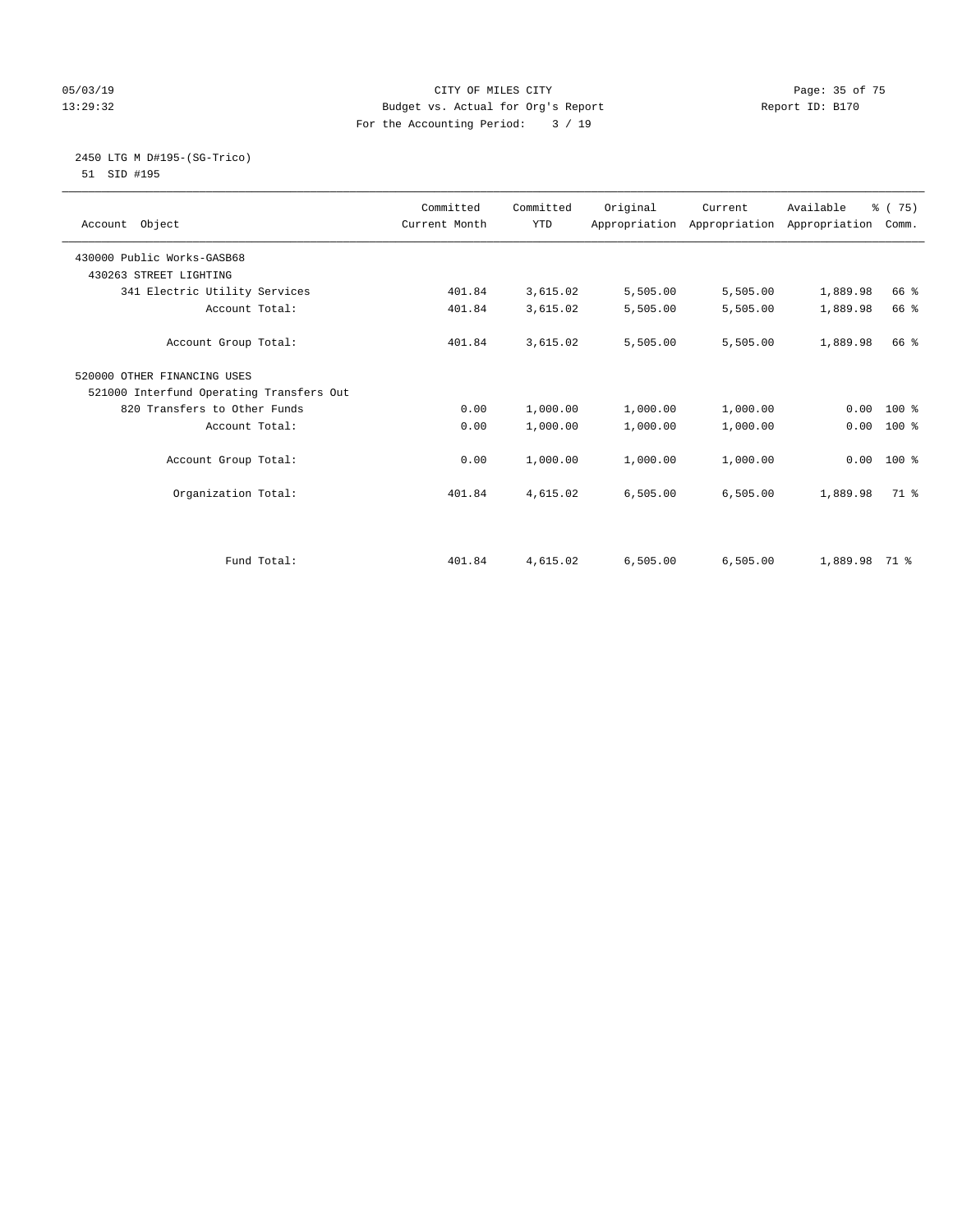#### 05/03/19 Page: 35 of 75 13:29:32 Budget vs. Actual for Org's Report Report ID: B170 For the Accounting Period: 3 / 19

#### 2450 LTG M D#195-(SG-Trico) 51 SID #195

| Account Object                           | Committed<br>Current Month | Committed<br><b>YTD</b> | Original | Current<br>Appropriation Appropriation Appropriation | Available | % (75)<br>Comm. |
|------------------------------------------|----------------------------|-------------------------|----------|------------------------------------------------------|-----------|-----------------|
| 430000 Public Works-GASB68               |                            |                         |          |                                                      |           |                 |
| 430263 STREET LIGHTING                   |                            |                         |          |                                                      |           |                 |
| 341 Electric Utility Services            | 401.84                     | 3,615.02                | 5,505.00 | 5,505.00                                             | 1,889.98  | 66 %            |
| Account Total:                           | 401.84                     | 3,615.02                | 5,505.00 | 5,505.00                                             | 1,889.98  | 66 %            |
| Account Group Total:                     | 401.84                     | 3,615.02                | 5,505.00 | 5,505.00                                             | 1,889.98  | 66 %            |
| 520000 OTHER FINANCING USES              |                            |                         |          |                                                      |           |                 |
| 521000 Interfund Operating Transfers Out |                            |                         |          |                                                      |           |                 |
| 820 Transfers to Other Funds             | 0.00                       | 1,000.00                | 1,000.00 | 1,000.00                                             | 0.00      | $100*$          |
| Account Total:                           | 0.00                       | 1,000.00                | 1,000.00 | 1,000.00                                             | 0.00      | $100*$          |
| Account Group Total:                     | 0.00                       | 1,000.00                | 1,000.00 | 1,000.00                                             | 0.00      | 100 %           |
| Organization Total:                      | 401.84                     | 4,615.02                | 6,505.00 | 6,505.00                                             | 1,889.98  | 71 %            |
|                                          |                            |                         |          |                                                      |           |                 |
| Fund Total:                              | 401.84                     | 4,615.02                | 6.505.00 | 6.505.00                                             | 1,889.98  | 71 %            |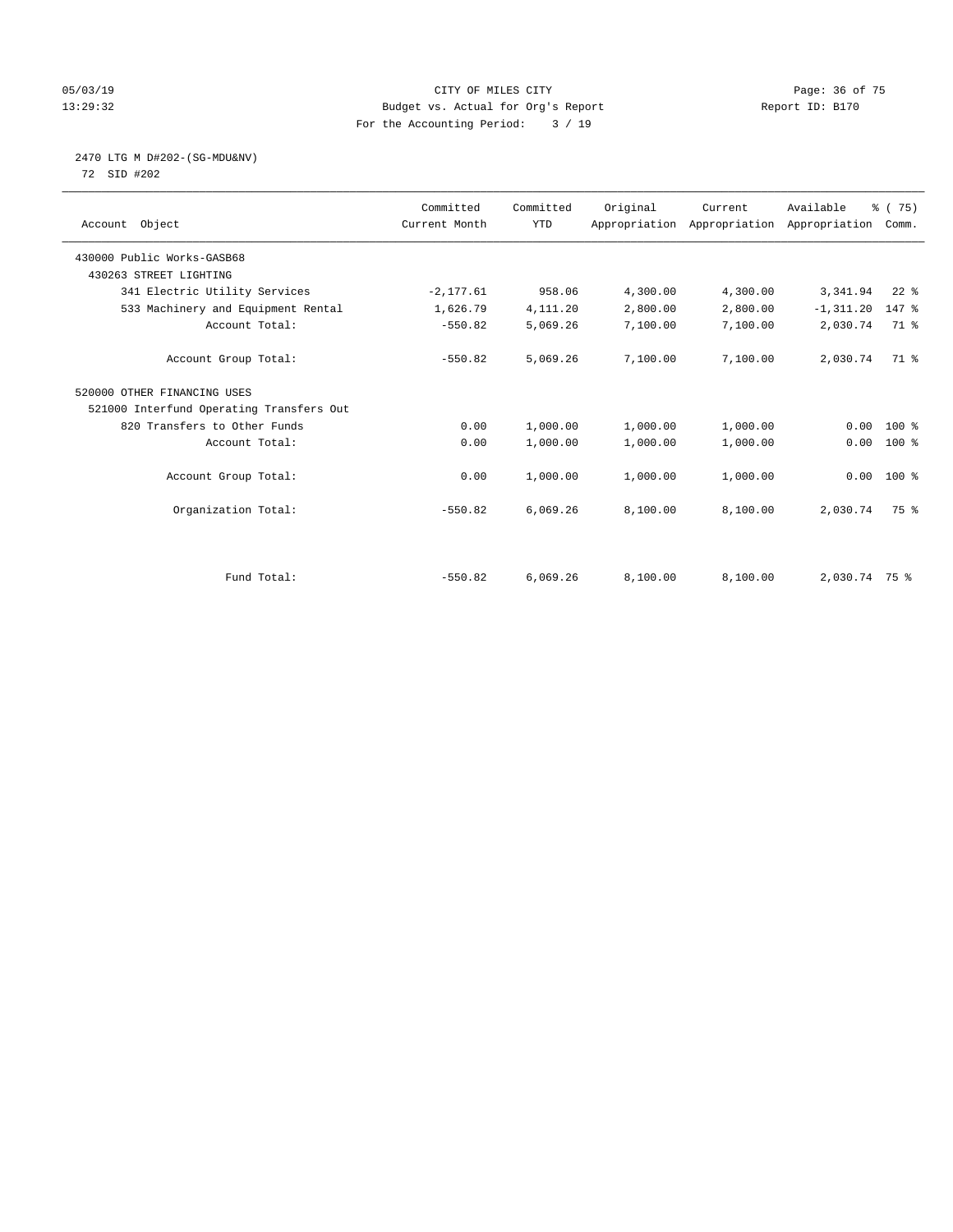#### 05/03/19 Page: 36 of 75 13:29:32 Budget vs. Actual for Org's Report Report ID: B170 For the Accounting Period: 3 / 19

# 2470 LTG M D#202-(SG-MDU&NV)

72 SID #202

| Account Object                           | Committed<br>Current Month | Committed<br><b>YTD</b> | Original | Current  | Available<br>Appropriation Appropriation Appropriation | % (75)<br>Comm. |  |
|------------------------------------------|----------------------------|-------------------------|----------|----------|--------------------------------------------------------|-----------------|--|
| 430000 Public Works-GASB68               |                            |                         |          |          |                                                        |                 |  |
| 430263 STREET LIGHTING                   |                            |                         |          |          |                                                        |                 |  |
| 341 Electric Utility Services            | $-2, 177.61$               | 958.06                  | 4,300.00 | 4,300.00 | 3,341.94                                               | $22$ %          |  |
| 533 Machinery and Equipment Rental       | 1,626.79                   | 4,111.20                | 2,800.00 | 2,800.00 | $-1, 311.20$                                           | 147 %           |  |
| Account Total:                           | $-550.82$                  | 5,069.26                | 7,100.00 | 7,100.00 | 2,030.74                                               | 71.8            |  |
| Account Group Total:                     | $-550.82$                  | 5,069.26                | 7,100.00 | 7,100.00 | 2,030.74                                               | 71 %            |  |
| 520000 OTHER FINANCING USES              |                            |                         |          |          |                                                        |                 |  |
| 521000 Interfund Operating Transfers Out |                            |                         |          |          |                                                        |                 |  |
| 820 Transfers to Other Funds             | 0.00                       | 1,000.00                | 1,000.00 | 1,000.00 | 0.00                                                   | $100*$          |  |
| Account Total:                           | 0.00                       | 1,000.00                | 1,000.00 | 1,000.00 | 0.00                                                   | 100 %           |  |
| Account Group Total:                     | 0.00                       | 1,000.00                | 1,000.00 | 1,000.00 |                                                        | $0.00$ 100 %    |  |
| Organization Total:                      | $-550.82$                  | 6,069.26                | 8,100.00 | 8,100.00 | 2,030.74                                               | 75 %            |  |
|                                          |                            |                         |          |          |                                                        |                 |  |
| Fund Total:                              | $-550.82$                  | 6,069.26                | 8,100.00 | 8,100.00 | 2,030.74 75 %                                          |                 |  |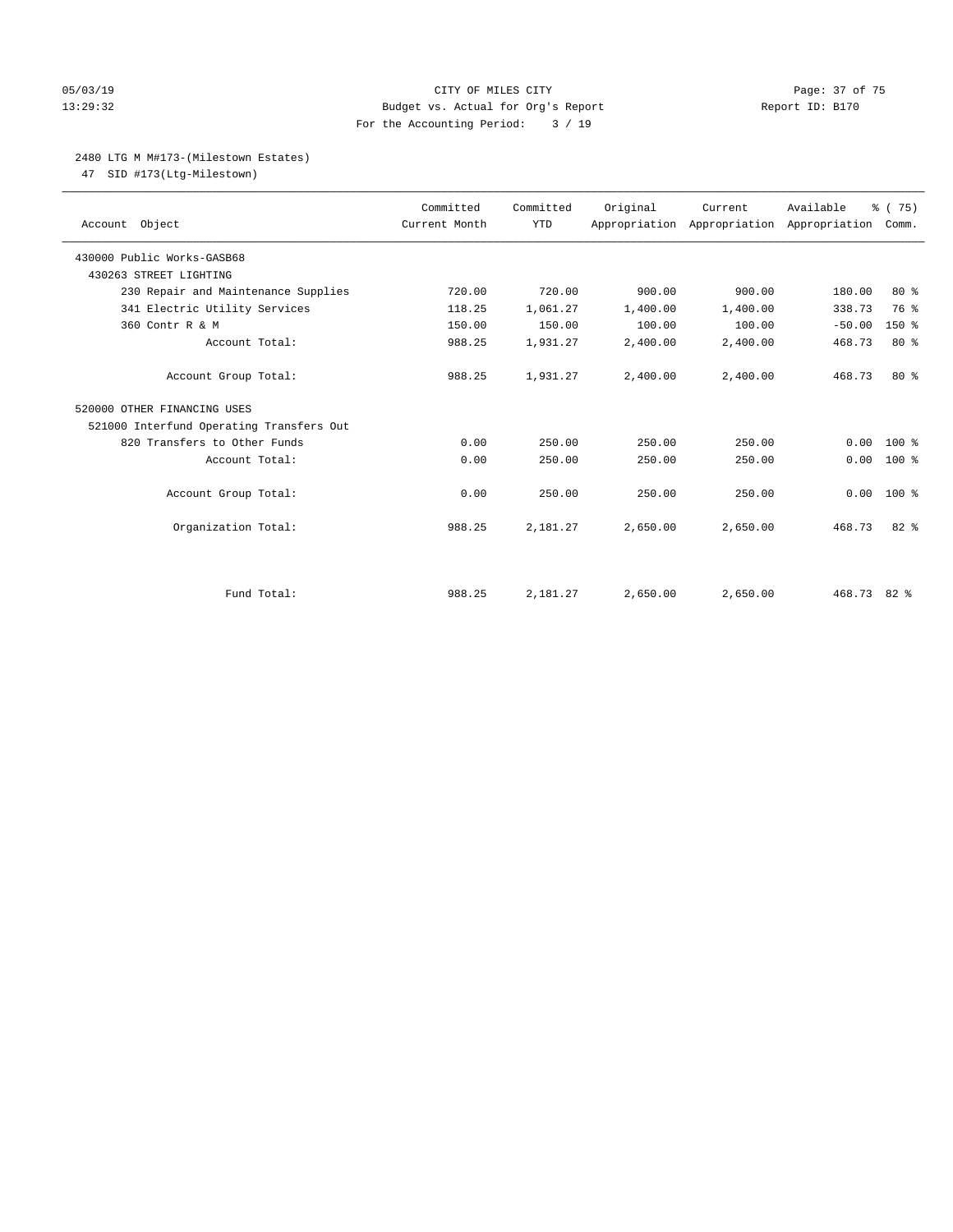#### 05/03/19 Page: 37 of 75 13:29:32 Budget vs. Actual for Org's Report Report ID: B170 For the Accounting Period: 3 / 19

#### 2480 LTG M M#173-(Milestown Estates)

47 SID #173(Ltg-Milestown)

| Account Object                           | Committed<br>Current Month | Committed<br><b>YTD</b> | Original | Current<br>Appropriation Appropriation Appropriation | Available   | % (75)<br>Comm. |
|------------------------------------------|----------------------------|-------------------------|----------|------------------------------------------------------|-------------|-----------------|
| 430000 Public Works-GASB68               |                            |                         |          |                                                      |             |                 |
| 430263 STREET LIGHTING                   |                            |                         |          |                                                      |             |                 |
| 230 Repair and Maintenance Supplies      | 720.00                     | 720.00                  | 900.00   | 900.00                                               | 180.00      | $80*$           |
| 341 Electric Utility Services            | 118.25                     | 1,061.27                | 1,400.00 | 1,400.00                                             | 338.73      | 76 %            |
| 360 Contr R & M                          | 150.00                     | 150.00                  | 100.00   | 100.00                                               | $-50.00$    | $150*$          |
| Account Total:                           | 988.25                     | 1,931.27                | 2,400.00 | 2,400.00                                             | 468.73      | 80%             |
| Account Group Total:                     | 988.25                     | 1,931.27                | 2,400.00 | 2,400.00                                             | 468.73      | $80*$           |
| 520000 OTHER FINANCING USES              |                            |                         |          |                                                      |             |                 |
| 521000 Interfund Operating Transfers Out |                            |                         |          |                                                      |             |                 |
| 820 Transfers to Other Funds             | 0.00                       | 250.00                  | 250.00   | 250.00                                               | 0.00        | $100*$          |
| Account Total:                           | 0.00                       | 250.00                  | 250.00   | 250.00                                               | 0.00        | $100*$          |
| Account Group Total:                     | 0.00                       | 250.00                  | 250.00   | 250.00                                               | 0.00        | $100*$          |
| Organization Total:                      | 988.25                     | 2,181.27                | 2,650.00 | 2.650.00                                             | 468.73      | $82*$           |
|                                          |                            |                         |          |                                                      |             |                 |
| Fund Total:                              | 988.25                     | 2,181.27                | 2,650.00 | 2,650.00                                             | 468.73 82 % |                 |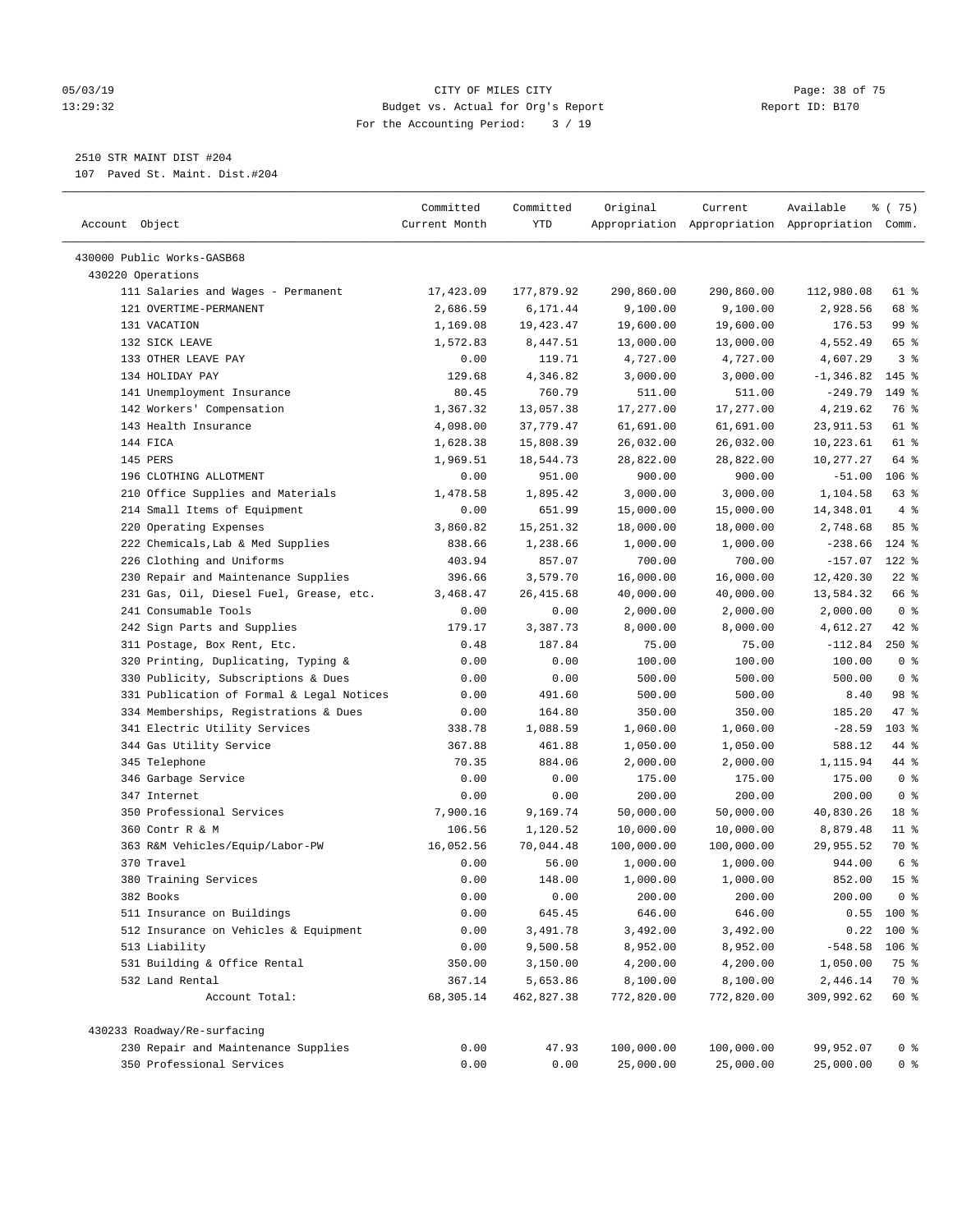#### 05/03/19 Page: 38 of 75 13:29:32 Budget vs. Actual for Org's Report Report ID: B170 For the Accounting Period: 3 / 19

————————————————————————————————————————————————————————————————————————————————————————————————————————————————————————————————————

# 2510 STR MAINT DIST #204

107 Paved St. Maint. Dist.#204

|                                                              | Committed     | Committed              | Original               | Current                | Available                                       | 8 (75)          |
|--------------------------------------------------------------|---------------|------------------------|------------------------|------------------------|-------------------------------------------------|-----------------|
| Account Object                                               | Current Month | YTD                    |                        |                        | Appropriation Appropriation Appropriation Comm. |                 |
| 430000 Public Works-GASB68                                   |               |                        |                        |                        |                                                 |                 |
| 430220 Operations                                            |               |                        |                        |                        |                                                 |                 |
|                                                              | 17,423.09     |                        |                        |                        |                                                 | 61 %            |
| 111 Salaries and Wages - Permanent<br>121 OVERTIME-PERMANENT | 2,686.59      | 177,879.92<br>6,171.44 | 290,860.00<br>9,100.00 | 290,860.00<br>9,100.00 | 112,980.08<br>2,928.56                          | 68 %            |
| 131 VACATION                                                 | 1,169.08      | 19,423.47              | 19,600.00              | 19,600.00              | 176.53                                          | 99 %            |
| 132 SICK LEAVE                                               | 1,572.83      | 8,447.51               | 13,000.00              | 13,000.00              | 4,552.49                                        | 65 %            |
| 133 OTHER LEAVE PAY                                          | 0.00          | 119.71                 | 4,727.00               | 4,727.00               | 4,607.29                                        | 3 <sup>8</sup>  |
| 134 HOLIDAY PAY                                              | 129.68        | 4,346.82               | 3,000.00               | 3,000.00               | $-1, 346.82$                                    | $145$ %         |
| 141 Unemployment Insurance                                   | 80.45         | 760.79                 | 511.00                 | 511.00                 | $-249.79$                                       | 149 %           |
| 142 Workers' Compensation                                    | 1,367.32      | 13,057.38              | 17,277.00              | 17,277.00              | 4,219.62                                        | 76 %            |
| 143 Health Insurance                                         | 4,098.00      | 37,779.47              | 61,691.00              | 61,691.00              | 23,911.53                                       | 61 %            |
| 144 FICA                                                     | 1,628.38      | 15,808.39              | 26,032.00              | 26,032.00              | 10,223.61                                       | 61 %            |
| 145 PERS                                                     | 1,969.51      | 18,544.73              | 28,822.00              | 28,822.00              | 10,277.27                                       | 64 %            |
| 196 CLOTHING ALLOTMENT                                       | 0.00          | 951.00                 | 900.00                 | 900.00                 | $-51.00$                                        | $106$ %         |
| 210 Office Supplies and Materials                            | 1,478.58      | 1,895.42               | 3,000.00               | 3,000.00               | 1,104.58                                        | 63%             |
| 214 Small Items of Equipment                                 | 0.00          | 651.99                 | 15,000.00              | 15,000.00              | 14,348.01                                       | 4%              |
| 220 Operating Expenses                                       | 3,860.82      | 15, 251.32             | 18,000.00              | 18,000.00              | 2,748.68                                        | 85%             |
| 222 Chemicals, Lab & Med Supplies                            | 838.66        | 1,238.66               | 1,000.00               | 1,000.00               | $-238.66$                                       | $124$ %         |
| 226 Clothing and Uniforms                                    | 403.94        | 857.07                 | 700.00                 | 700.00                 | $-157.07$                                       | $122$ %         |
| 230 Repair and Maintenance Supplies                          | 396.66        | 3,579.70               | 16,000.00              | 16,000.00              | 12,420.30                                       | $22$ %          |
| 231 Gas, Oil, Diesel Fuel, Grease, etc.                      | 3,468.47      | 26, 415.68             | 40,000.00              | 40,000.00              | 13,584.32                                       | 66 %            |
| 241 Consumable Tools                                         | 0.00          | 0.00                   | 2,000.00               | 2,000.00               | 2,000.00                                        | 0 <sup>8</sup>  |
| 242 Sign Parts and Supplies                                  | 179.17        | 3,387.73               | 8,000.00               | 8,000.00               | 4,612.27                                        | $42$ %          |
| 311 Postage, Box Rent, Etc.                                  | 0.48          | 187.84                 | 75.00                  | 75.00                  | $-112.84$                                       | $250*$          |
| 320 Printing, Duplicating, Typing &                          | 0.00          | 0.00                   | 100.00                 | 100.00                 | 100.00                                          | 0 <sup>8</sup>  |
| 330 Publicity, Subscriptions & Dues                          | 0.00          | 0.00                   | 500.00                 | 500.00                 | 500.00                                          | 0 <sup>8</sup>  |
| 331 Publication of Formal & Legal Notices                    | 0.00          | 491.60                 | 500.00                 | 500.00                 | 8.40                                            | 98 %            |
| 334 Memberships, Registrations & Dues                        | 0.00          | 164.80                 | 350.00                 | 350.00                 | 185.20                                          | 47 %            |
| 341 Electric Utility Services                                | 338.78        | 1,088.59               | 1,060.00               | 1,060.00               | $-28.59$                                        | 103 %           |
| 344 Gas Utility Service                                      | 367.88        | 461.88                 | 1,050.00               | 1,050.00               | 588.12                                          | 44 %            |
| 345 Telephone                                                | 70.35         | 884.06                 | 2,000.00               | 2,000.00               | 1,115.94                                        | 44 %            |
| 346 Garbage Service                                          | 0.00          | 0.00                   | 175.00                 | 175.00                 | 175.00                                          | 0 <sup>8</sup>  |
| 347 Internet                                                 | 0.00          | 0.00                   | 200.00                 | 200.00                 | 200.00                                          | 0 <sup>8</sup>  |
| 350 Professional Services                                    | 7,900.16      | 9,169.74               | 50,000.00              | 50,000.00              | 40,830.26                                       | 18 %            |
| 360 Contr R & M                                              | 106.56        | 1,120.52               | 10,000.00              | 10,000.00              | 8,879.48                                        | $11$ %          |
| 363 R&M Vehicles/Equip/Labor-PW                              | 16,052.56     | 70,044.48              | 100,000.00             | 100,000.00             | 29,955.52                                       | 70 %            |
| 370 Travel                                                   | 0.00          | 56.00                  | 1,000.00               | 1,000.00               | 944.00                                          | 6 %             |
| 380 Training Services                                        | 0.00          | 148.00                 | 1,000.00               | 1,000.00               | 852.00                                          | 15 <sup>8</sup> |
| 382 Books                                                    | 0.00          | 0.00                   | 200.00                 | 200.00                 | 200.00                                          | 0 ៖             |
| 511 Insurance on Buildings                                   | 0.00          | 645.45                 | 646.00                 | 646.00                 |                                                 | $0.55$ 100 %    |
| 512 Insurance on Vehicles & Equipment                        | 0.00          | 3,491.78               | 3,492.00               | 3,492.00               |                                                 | $0.22$ 100 %    |
| 513 Liability                                                | 0.00          | 9,500.58               | 8,952.00               | 8,952.00               | $-548.58$                                       | $106$ %         |
| 531 Building & Office Rental                                 | 350.00        | 3,150.00               | 4,200.00               | 4,200.00               | 1,050.00                                        | 75 %            |
| 532 Land Rental                                              | 367.14        | 5,653.86               | 8,100.00               | 8,100.00               | 2,446.14                                        | 70 %            |
| Account Total:                                               | 68,305.14     | 462,827.38             | 772,820.00             | 772,820.00             | 309,992.62                                      | 60 %            |
| 430233 Roadway/Re-surfacing                                  |               |                        |                        |                        |                                                 |                 |
| 230 Repair and Maintenance Supplies                          | 0.00          | 47.93                  | 100,000.00             | 100,000.00             | 99,952.07                                       | 0 <sup>8</sup>  |
| 350 Professional Services                                    | 0.00          | 0.00                   | 25,000.00              | 25,000.00              | 25,000.00                                       | 0 <sup>8</sup>  |
|                                                              |               |                        |                        |                        |                                                 |                 |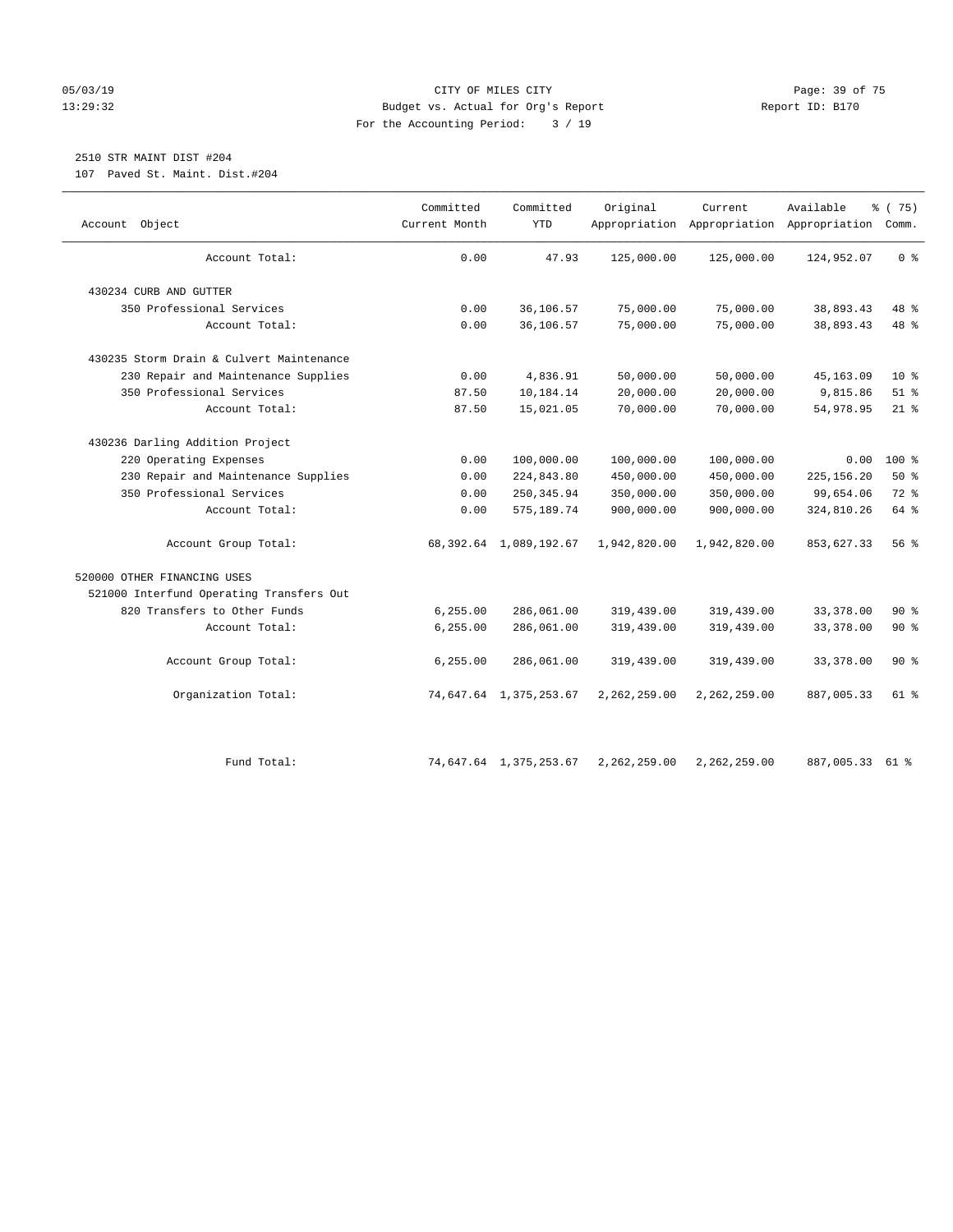#### 05/03/19 Page: 39 of 75 13:29:32 Budget vs. Actual for Org's Report Report ID: B170 For the Accounting Period: 3 / 19

# 2510 STR MAINT DIST #204

107 Paved St. Maint. Dist.#204

| Object<br>Account                        | Committed<br>Current Month | Committed<br>YTD          | Original     | Current      | Available<br>Appropriation Appropriation Appropriation Comm. | % (75)         |
|------------------------------------------|----------------------------|---------------------------|--------------|--------------|--------------------------------------------------------------|----------------|
| Account Total:                           | 0.00                       | 47.93                     | 125,000.00   | 125,000.00   | 124,952.07                                                   | 0 <sup>8</sup> |
| 430234 CURB AND GUTTER                   |                            |                           |              |              |                                                              |                |
| 350 Professional Services                | 0.00                       | 36,106.57                 | 75,000.00    | 75,000.00    | 38,893.43                                                    | 48 %           |
| Account Total:                           | 0.00                       | 36,106.57                 | 75,000.00    | 75,000.00    | 38,893.43                                                    | 48 %           |
| 430235 Storm Drain & Culvert Maintenance |                            |                           |              |              |                                                              |                |
| 230 Repair and Maintenance Supplies      | 0.00                       | 4,836.91                  | 50,000.00    | 50,000.00    | 45, 163.09                                                   | $10*$          |
| 350 Professional Services                | 87.50                      | 10,184.14                 | 20,000.00    | 20,000.00    | 9,815.86                                                     | $51$ %         |
| Account Total:                           | 87.50                      | 15,021.05                 | 70,000.00    | 70,000.00    | 54,978.95                                                    | $21$ %         |
| 430236 Darling Addition Project          |                            |                           |              |              |                                                              |                |
| 220 Operating Expenses                   | 0.00                       | 100,000.00                | 100,000.00   | 100,000.00   | 0.00                                                         | 100 %          |
| 230 Repair and Maintenance Supplies      | 0.00                       | 224,843.80                | 450,000.00   | 450,000.00   | 225, 156.20                                                  | 50%            |
| 350 Professional Services                | 0.00                       | 250, 345.94               | 350,000.00   | 350,000.00   | 99,654.06                                                    | 72 %           |
| Account Total:                           | 0.00                       | 575, 189.74               | 900,000.00   | 900,000.00   | 324,810.26                                                   | 64 %           |
| Account Group Total:                     |                            | 68, 392.64 1, 089, 192.67 | 1,942,820.00 | 1,942,820.00 | 853,627.33                                                   | 56%            |
| 520000 OTHER FINANCING USES              |                            |                           |              |              |                                                              |                |
| 521000 Interfund Operating Transfers Out |                            |                           |              |              |                                                              |                |
| 820 Transfers to Other Funds             | 6, 255.00                  | 286,061.00                | 319,439.00   | 319,439.00   | 33, 378.00                                                   | 90%            |
| Account Total:                           | 6, 255.00                  | 286,061.00                | 319,439.00   | 319,439.00   | 33, 378.00                                                   | 90%            |
| Account Group Total:                     | 6, 255.00                  | 286,061.00                | 319,439.00   | 319,439.00   | 33, 378.00                                                   | 90%            |
| Organization Total:                      |                            | 74,647.64 1,375,253.67    | 2,262,259.00 | 2,262,259.00 | 887,005.33                                                   | 61 %           |
| Fund Total:                              |                            | 74,647.64 1,375,253.67    | 2,262,259.00 | 2,262,259.00 | 887,005.33                                                   | 61 %           |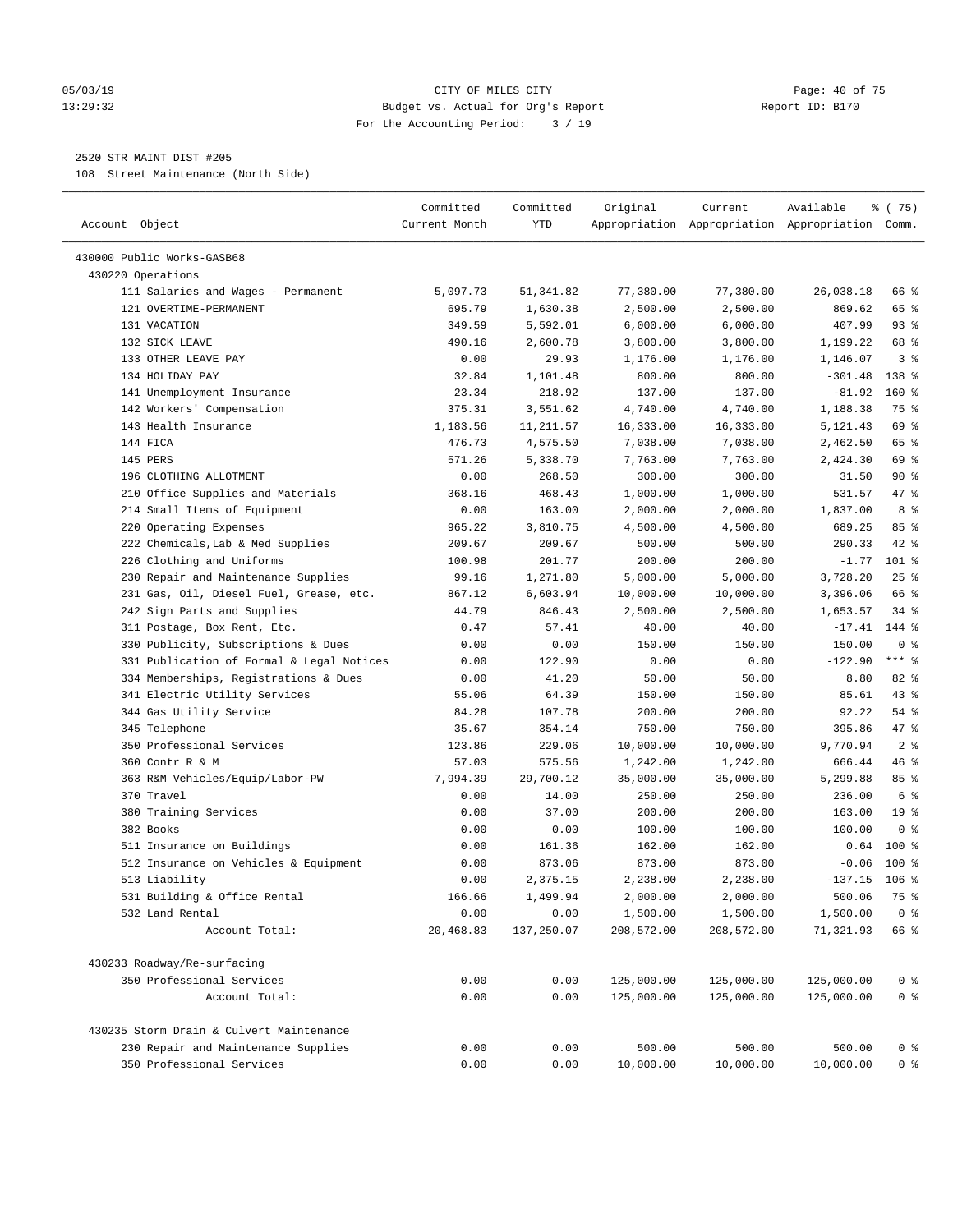#### 05/03/19 Page: 40 of 75 13:29:32 Budget vs. Actual for Org's Report Report ID: B170 For the Accounting Period: 3 / 19

————————————————————————————————————————————————————————————————————————————————————————————————————————————————————————————————————

#### 2520 STR MAINT DIST #205

108 Street Maintenance (North Side)

|                                                                  | Committed     | Committed    | Original            | Current             | Available                                       | % (75)                           |
|------------------------------------------------------------------|---------------|--------------|---------------------|---------------------|-------------------------------------------------|----------------------------------|
| Account Object                                                   | Current Month | YTD          |                     |                     | Appropriation Appropriation Appropriation Comm. |                                  |
| 430000 Public Works-GASB68                                       |               |              |                     |                     |                                                 |                                  |
| 430220 Operations                                                |               |              |                     |                     |                                                 |                                  |
| 111 Salaries and Wages - Permanent                               | 5,097.73      | 51,341.82    | 77,380.00           | 77,380.00           | 26,038.18                                       | 66 %                             |
| 121 OVERTIME-PERMANENT                                           | 695.79        | 1,630.38     | 2,500.00            | 2,500.00            | 869.62                                          | 65 %                             |
| 131 VACATION                                                     | 349.59        | 5,592.01     | 6,000.00            | 6,000.00            | 407.99                                          | $93$ $%$                         |
| 132 SICK LEAVE                                                   | 490.16        | 2,600.78     | 3,800.00            | 3,800.00            | 1,199.22                                        | 68 %                             |
| 133 OTHER LEAVE PAY                                              | 0.00          | 29.93        | 1,176.00            | 1,176.00            | 1,146.07                                        | 3 <sup>8</sup>                   |
| 134 HOLIDAY PAY                                                  | 32.84         | 1,101.48     | 800.00              | 800.00              | $-301.48$                                       | 138 %                            |
| 141 Unemployment Insurance                                       | 23.34         | 218.92       | 137.00              | 137.00              | $-81.92$                                        | $160*$                           |
| 142 Workers' Compensation                                        | 375.31        | 3,551.62     | 4,740.00            | 4,740.00            | 1,188.38                                        | 75 %                             |
| 143 Health Insurance                                             | 1,183.56      | 11,211.57    | 16,333.00           | 16,333.00           | 5,121.43                                        | 69 %                             |
| 144 FICA                                                         | 476.73        | 4,575.50     | 7,038.00            | 7,038.00            | 2,462.50                                        | 65 %                             |
| 145 PERS                                                         | 571.26        | 5,338.70     | 7,763.00            | 7,763.00            | 2,424.30                                        | 69 %                             |
| 196 CLOTHING ALLOTMENT                                           | 0.00          | 268.50       | 300.00              | 300.00              | 31.50                                           | 90%                              |
| 210 Office Supplies and Materials                                | 368.16        | 468.43       | 1,000.00            | 1,000.00            | 531.57                                          | 47 %                             |
| 214 Small Items of Equipment                                     | 0.00          | 163.00       | 2,000.00            | 2,000.00            | 1,837.00                                        | 8 %                              |
| 220 Operating Expenses                                           | 965.22        | 3,810.75     | 4,500.00            | 4,500.00            | 689.25                                          | 85%                              |
| 222 Chemicals, Lab & Med Supplies                                | 209.67        | 209.67       | 500.00              | 500.00              | 290.33                                          | $42$ %                           |
| 226 Clothing and Uniforms                                        | 100.98        | 201.77       | 200.00              | 200.00              | $-1.77$                                         | $101$ %                          |
| 230 Repair and Maintenance Supplies                              | 99.16         | 1,271.80     | 5,000.00            | 5,000.00            | 3,728.20                                        | $25$ %                           |
| 231 Gas, Oil, Diesel Fuel, Grease, etc.                          | 867.12        | 6,603.94     | 10,000.00           | 10,000.00           | 3,396.06                                        | 66 %                             |
| 242 Sign Parts and Supplies                                      | 44.79         | 846.43       | 2,500.00            | 2,500.00            | 1,653.57                                        | $34$ $%$                         |
| 311 Postage, Box Rent, Etc.                                      | 0.47          | 57.41        | 40.00               | 40.00               | $-17.41$                                        | 144 %                            |
| 330 Publicity, Subscriptions & Dues                              | 0.00          | 0.00         | 150.00              | 150.00              | 150.00                                          | 0 <sup>8</sup>                   |
| 331 Publication of Formal & Legal Notices                        | 0.00          | 122.90       | 0.00                | 0.00                | $-122.90$                                       | $***$ $-$                        |
| 334 Memberships, Registrations & Dues                            | 0.00          | 41.20        | 50.00               | 50.00               | 8.80                                            | 82 %                             |
| 341 Electric Utility Services                                    | 55.06         | 64.39        | 150.00              | 150.00              | 85.61                                           | 43 %                             |
| 344 Gas Utility Service                                          | 84.28         | 107.78       | 200.00              | 200.00              | 92.22                                           | $54$ %                           |
| 345 Telephone                                                    | 35.67         | 354.14       | 750.00              | 750.00              | 395.86                                          | 47 %                             |
| 350 Professional Services                                        | 123.86        | 229.06       | 10,000.00           | 10,000.00           | 9,770.94                                        | 2 <sup>8</sup>                   |
| 360 Contr R & M                                                  | 57.03         | 575.56       | 1,242.00            | 1,242.00            | 666.44                                          | 46 %                             |
| 363 R&M Vehicles/Equip/Labor-PW                                  | 7,994.39      | 29,700.12    | 35,000.00           | 35,000.00           | 5,299.88                                        | 85%                              |
| 370 Travel                                                       | 0.00          | 14.00        | 250.00              | 250.00              | 236.00                                          | 6 %                              |
| 380 Training Services                                            | 0.00          | 37.00        | 200.00              | 200.00              | 163.00                                          | 19 <sup>°</sup>                  |
| 382 Books                                                        | 0.00          | 0.00         | 100.00              | 100.00              | 100.00                                          | 0 <sup>8</sup>                   |
| 511 Insurance on Buildings                                       | 0.00          | 161.36       | 162.00              | 162.00              | 0.64                                            | 100 %                            |
| 512 Insurance on Vehicles & Equipment                            | 0.00          | 873.06       | 873.00              | 873.00              | $-0.06$                                         | $100*$                           |
| 513 Liability                                                    | 0.00          | 2,375.15     | 2,238.00            | 2,238.00            | $-137.15$ 106 %                                 |                                  |
| 531 Building & Office Rental                                     | 166.66        | 1,499.94     | 2,000.00            | 2,000.00            | 500.06                                          | 75 %                             |
| 532 Land Rental                                                  | 0.00          | 0.00         | 1,500.00            | 1,500.00            | 1,500.00                                        | 0 <sup>8</sup>                   |
| Account Total:                                                   | 20,468.83     | 137,250.07   | 208,572.00          | 208,572.00          | 71,321.93                                       | 66 %                             |
| 430233 Roadway/Re-surfacing                                      |               |              |                     |                     |                                                 |                                  |
| 350 Professional Services                                        | 0.00          | 0.00         | 125,000.00          | 125,000.00          | 125,000.00                                      | 0 <sup>8</sup>                   |
| Account Total:                                                   | 0.00          | 0.00         | 125,000.00          | 125,000.00          | 125,000.00                                      | 0 <sup>8</sup>                   |
| 430235 Storm Drain & Culvert Maintenance                         |               |              |                     |                     |                                                 |                                  |
|                                                                  |               |              |                     |                     |                                                 |                                  |
| 230 Repair and Maintenance Supplies<br>350 Professional Services | 0.00<br>0.00  | 0.00<br>0.00 | 500.00<br>10,000.00 | 500.00<br>10,000.00 | 500.00<br>10,000.00                             | 0 <sup>8</sup><br>0 <sup>8</sup> |
|                                                                  |               |              |                     |                     |                                                 |                                  |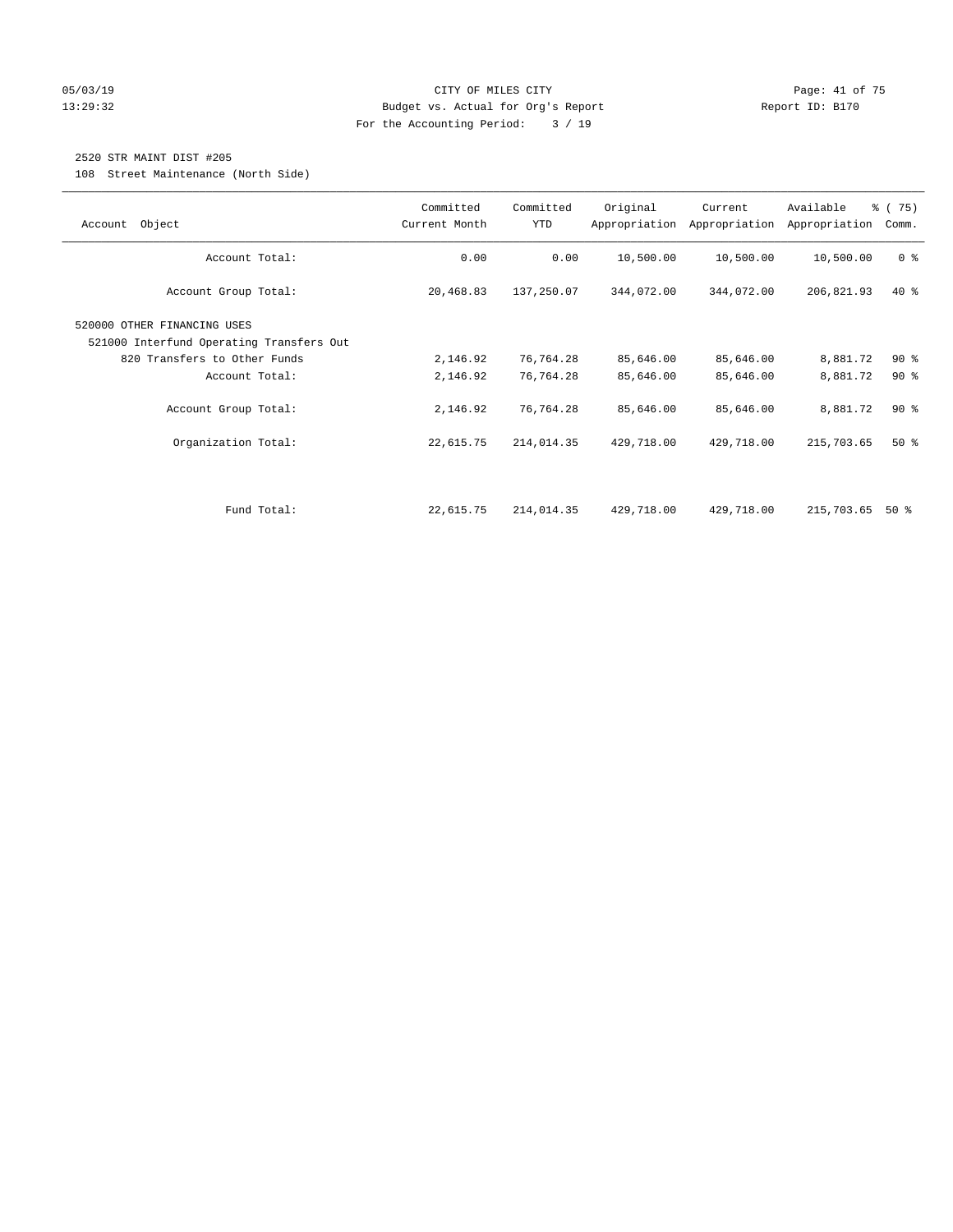#### 05/03/19 Page: 41 of 75 13:29:32 Budget vs. Actual for Org's Report Report ID: B170 For the Accounting Period: 3 / 19

## 2520 STR MAINT DIST #205

108 Street Maintenance (North Side)

| Object<br>Account                                                       | Committed<br>Current Month | Committed<br>YTD | Original   | Current<br>Appropriation Appropriation | Available<br>Appropriation | % (75)<br>Comm. |
|-------------------------------------------------------------------------|----------------------------|------------------|------------|----------------------------------------|----------------------------|-----------------|
| Account Total:                                                          | 0.00                       | 0.00             | 10,500.00  | 10,500.00                              | 10,500.00                  | 0 <sup>8</sup>  |
| Account Group Total:                                                    | 20,468.83                  | 137,250.07       | 344,072.00 | 344,072.00                             | 206,821.93                 | $40*$           |
| 520000 OTHER FINANCING USES<br>521000 Interfund Operating Transfers Out |                            |                  |            |                                        |                            |                 |
| 820 Transfers to Other Funds                                            | 2,146.92                   | 76,764.28        | 85,646.00  | 85,646.00                              | 8,881.72                   | 90%             |
| Account Total:                                                          | 2,146.92                   | 76,764.28        | 85,646.00  | 85,646.00                              | 8,881.72                   | 90%             |
| Account Group Total:                                                    | 2,146.92                   | 76,764.28        | 85,646.00  | 85,646.00                              | 8,881.72                   | 90 <sub>8</sub> |
| Organization Total:                                                     | 22,615.75                  | 214,014.35       | 429,718.00 | 429,718.00                             | 215,703.65                 | 50%             |
|                                                                         |                            |                  |            |                                        |                            |                 |
| Fund Total:                                                             | 22,615.75                  | 214,014.35       | 429,718.00 | 429,718.00                             | 215,703.65                 | 50 %            |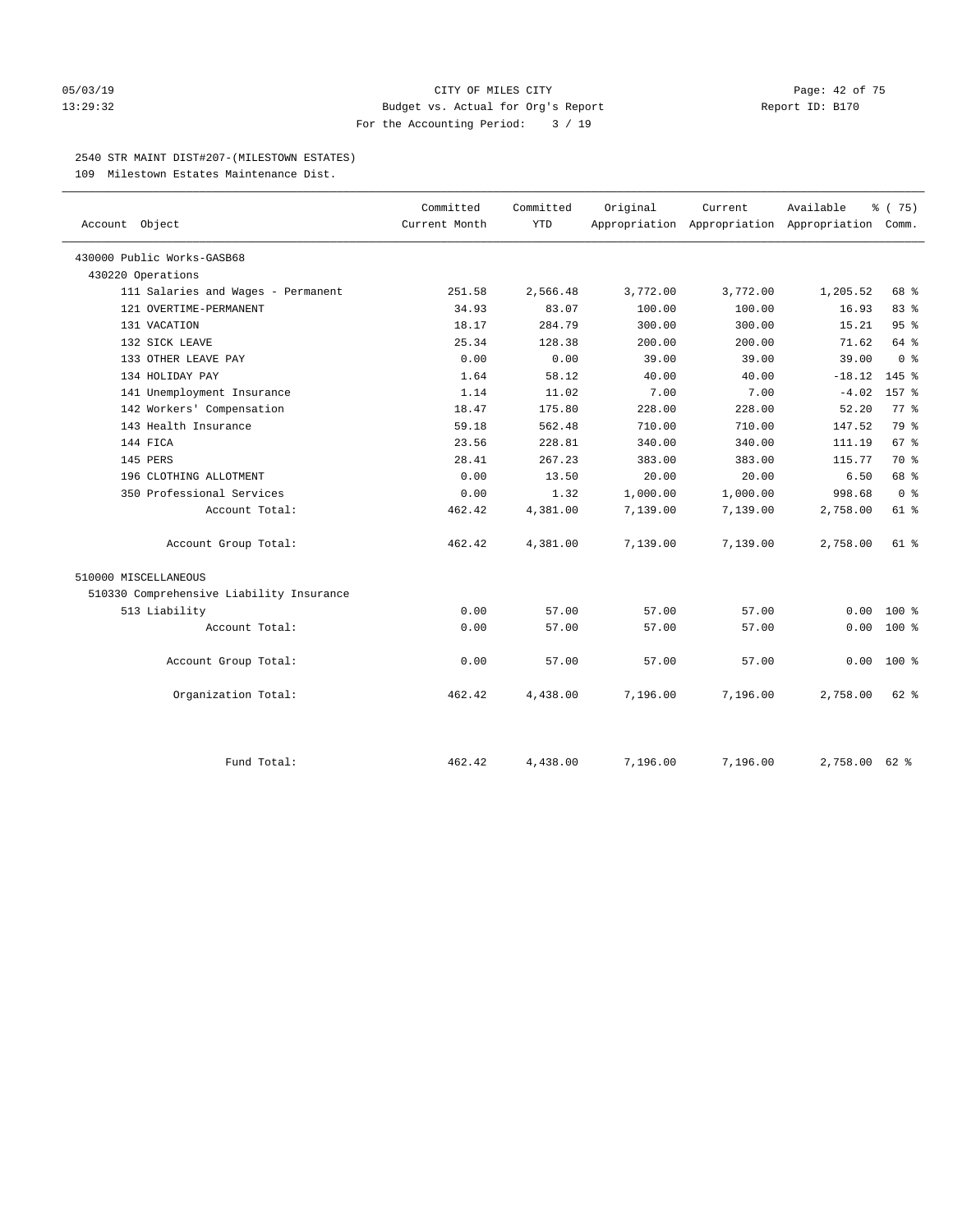#### 05/03/19 Page: 42 of 75 13:29:32 Budget vs. Actual for Org's Report Report ID: B170 For the Accounting Period: 3 / 19

#### 2540 STR MAINT DIST#207-(MILESTOWN ESTATES)

109 Milestown Estates Maintenance Dist.

| Account Object                           | Committed<br>Current Month | Committed<br><b>YTD</b> | Original | Current<br>Appropriation Appropriation Appropriation Comm. | Available | % (75)          |
|------------------------------------------|----------------------------|-------------------------|----------|------------------------------------------------------------|-----------|-----------------|
| 430000 Public Works-GASB68               |                            |                         |          |                                                            |           |                 |
| 430220 Operations                        |                            |                         |          |                                                            |           |                 |
| 111 Salaries and Wages - Permanent       | 251.58                     | 2,566.48                | 3,772.00 | 3,772.00                                                   | 1,205.52  | 68 %            |
| 121 OVERTIME-PERMANENT                   | 34.93                      | 83.07                   | 100.00   | 100.00                                                     | 16.93     | 83%             |
| 131 VACATION                             | 18.17                      | 284.79                  | 300.00   | 300.00                                                     | 15.21     | 95%             |
| 132 SICK LEAVE                           | 25.34                      | 128.38                  | 200.00   | 200.00                                                     | 71.62     | 64 %            |
| 133 OTHER LEAVE PAY                      | 0.00                       | 0.00                    | 39.00    | 39.00                                                      | 39.00     | 0 <sup>8</sup>  |
| 134 HOLIDAY PAY                          | 1.64                       | 58.12                   | 40.00    | 40.00                                                      | $-18.12$  | $145$ %         |
| 141 Unemployment Insurance               | 1.14                       | 11.02                   | 7.00     | 7.00                                                       | $-4.02$   | 157 %           |
| 142 Workers' Compensation                | 18.47                      | 175.80                  | 228.00   | 228.00                                                     | 52.20     | 77.8            |
| 143 Health Insurance                     | 59.18                      | 562.48                  | 710.00   | 710.00                                                     | 147.52    | 79 %            |
| 144 FICA                                 | 23.56                      | 228.81                  | 340.00   | 340.00                                                     | 111.19    | 67 <sup>8</sup> |
| 145 PERS                                 | 28.41                      | 267.23                  | 383.00   | 383.00                                                     | 115.77    | 70 %            |
| 196 CLOTHING ALLOTMENT                   | 0.00                       | 13.50                   | 20.00    | 20.00                                                      | 6.50      | 68 %            |
| 350 Professional Services                | 0.00                       | 1.32                    | 1,000.00 | 1,000.00                                                   | 998.68    | 0 <sup>8</sup>  |
| Account Total:                           | 462.42                     | 4,381.00                | 7,139.00 | 7,139.00                                                   | 2,758.00  | $61$ %          |
| Account Group Total:                     | 462.42                     | 4,381.00                | 7,139.00 | 7,139.00                                                   | 2,758.00  | 61 %            |
| 510000 MISCELLANEOUS                     |                            |                         |          |                                                            |           |                 |
| 510330 Comprehensive Liability Insurance |                            |                         |          |                                                            |           |                 |
| 513 Liability                            | 0.00                       | 57.00                   | 57.00    | 57.00                                                      | 0.00      | $100*$          |
| Account Total:                           | 0.00                       | 57.00                   | 57.00    | 57.00                                                      | 0.00      | 100 %           |
| Account Group Total:                     | 0.00                       | 57.00                   | 57.00    | 57.00                                                      | 0.00      | $100*$          |
| Organization Total:                      | 462.42                     | 4,438.00                | 7,196.00 | 7,196.00                                                   | 2,758.00  | $62$ $%$        |
| Fund Total:                              | 462.42                     | 4,438.00                | 7.196.00 | 7,196.00                                                   | 2,758.00  | $62$ $%$        |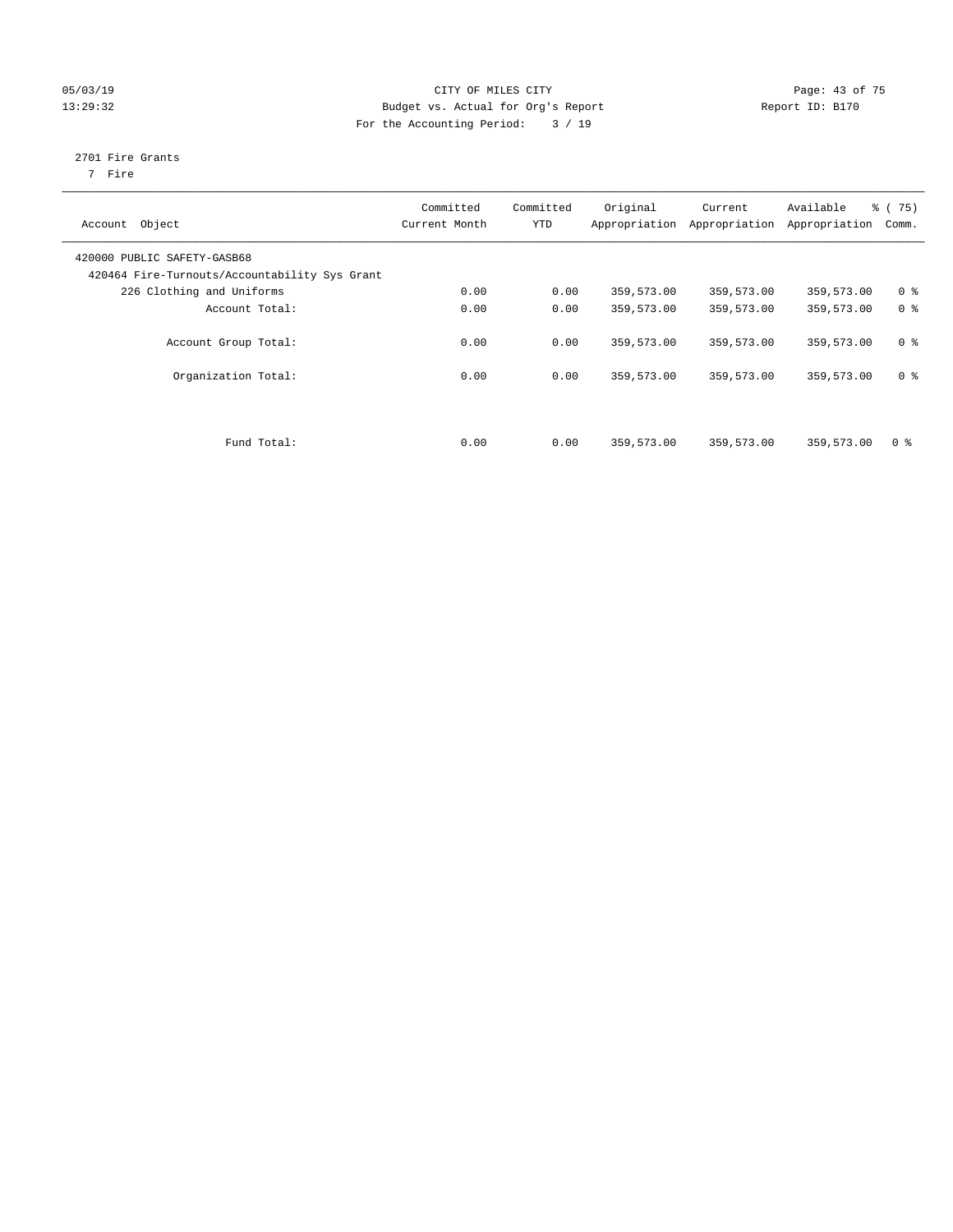#### 05/03/19 Page: 43 of 75 13:29:32 Budget vs. Actual for Org's Report Report ID: B170 For the Accounting Period: 3 / 19

# 2701 Fire Grants

7 Fire

| Object<br>Account                                                            | Committed<br>Current Month | Committed<br><b>YTD</b> | Original<br>Appropriation | Current<br>Appropriation | Available<br>Appropriation | 8 (75)<br>Comm. |
|------------------------------------------------------------------------------|----------------------------|-------------------------|---------------------------|--------------------------|----------------------------|-----------------|
| 420000 PUBLIC SAFETY-GASB68<br>420464 Fire-Turnouts/Accountability Sys Grant |                            |                         |                           |                          |                            |                 |
| 226 Clothing and Uniforms                                                    | 0.00                       | 0.00                    | 359,573.00                | 359,573.00               | 359,573.00                 | 0 <sup>8</sup>  |
| Account Total:                                                               | 0.00                       | 0.00                    | 359,573.00                | 359,573.00               | 359,573.00                 | 0 <sup>8</sup>  |
| Account Group Total:                                                         | 0.00                       | 0.00                    | 359,573.00                | 359,573.00               | 359,573.00                 | 0 <sup>8</sup>  |
| Organization Total:                                                          | 0.00                       | 0.00                    | 359,573.00                | 359,573.00               | 359,573.00                 | 0 <sup>8</sup>  |
| Fund Total:                                                                  | 0.00                       | 0.00                    | 359,573.00                | 359,573.00               | 359,573.00                 | 0 <sup>8</sup>  |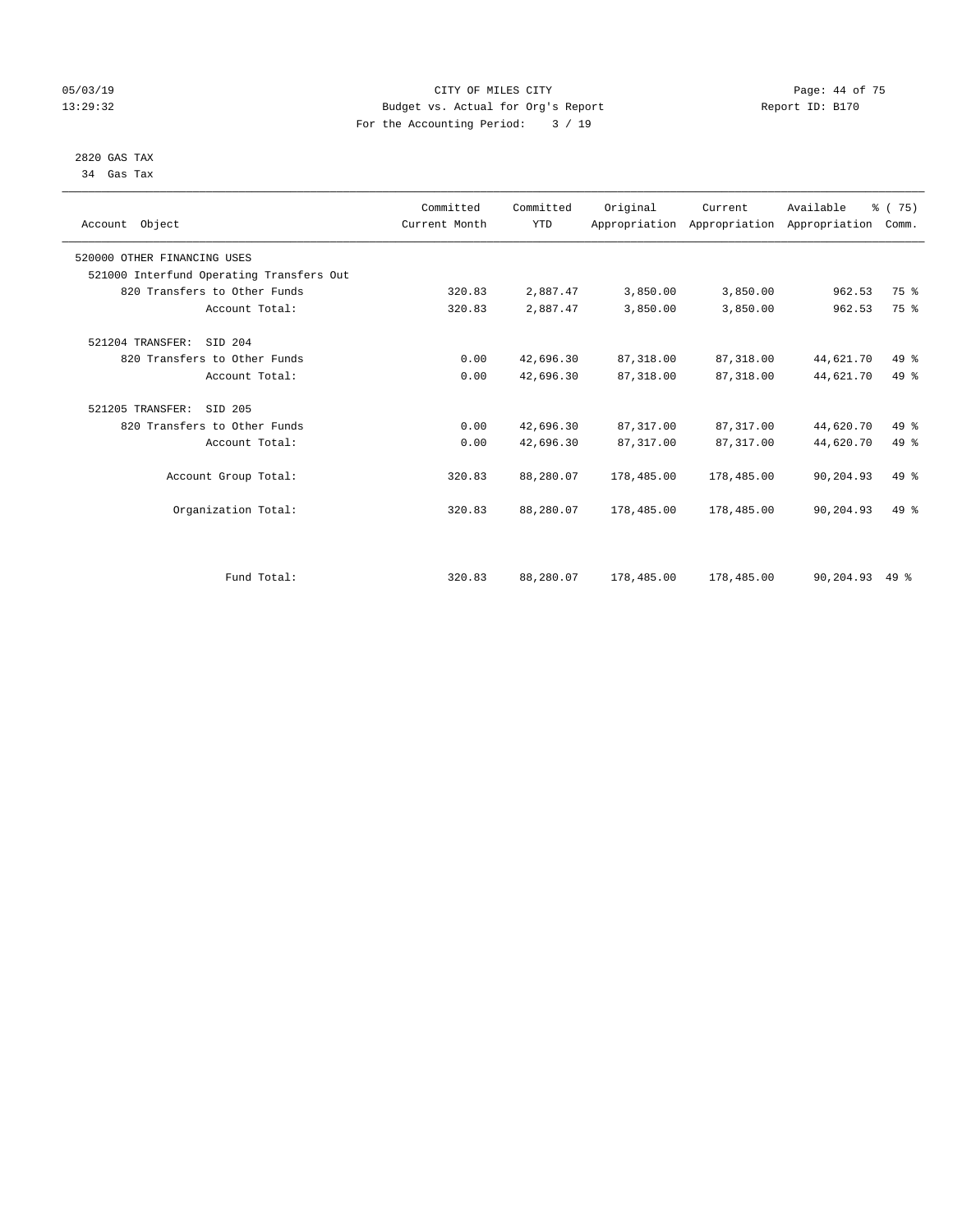#### 05/03/19 Page: 44 of 75 13:29:32 Budget vs. Actual for Org's Report Report ID: B170 For the Accounting Period: 3 / 19

#### 2820 GAS TAX 34 Gas Tax

| Account Object               |                                          | Committed<br>Current Month | Committed<br><b>YTD</b> | Original   | Current<br>Appropriation Appropriation Appropriation | Available | % (75)<br>Comm. |  |
|------------------------------|------------------------------------------|----------------------------|-------------------------|------------|------------------------------------------------------|-----------|-----------------|--|
| 520000 OTHER FINANCING USES  |                                          |                            |                         |            |                                                      |           |                 |  |
|                              | 521000 Interfund Operating Transfers Out |                            |                         |            |                                                      |           |                 |  |
| 820 Transfers to Other Funds |                                          | 320.83                     | 2,887.47                | 3,850.00   | 3,850.00                                             | 962.53    | 75 %            |  |
|                              | Account Total:                           | 320.83                     | 2,887.47                | 3,850.00   | 3,850.00                                             | 962.53    | 75 %            |  |
| 521204 TRANSFER:             | SID 204                                  |                            |                         |            |                                                      |           |                 |  |
| 820 Transfers to Other Funds |                                          | 0.00                       | 42,696.30               | 87, 318.00 | 87,318.00                                            | 44,621.70 | $49*$           |  |
|                              | Account Total:                           | 0.00                       | 42,696.30               | 87, 318.00 | 87,318.00                                            | 44,621.70 | 49 %            |  |
| 521205 TRANSFER:             | SID 205                                  |                            |                         |            |                                                      |           |                 |  |
| 820 Transfers to Other Funds |                                          | 0.00                       | 42,696.30               | 87, 317.00 | 87, 317.00                                           | 44,620.70 | 49 %            |  |
|                              | Account Total:                           | 0.00                       | 42,696.30               | 87, 317.00 | 87,317.00                                            | 44,620.70 | $49*$           |  |
|                              | Account Group Total:                     | 320.83                     | 88,280.07               | 178,485.00 | 178,485.00                                           | 90,204.93 | $49*$           |  |
|                              | Organization Total:                      | 320.83                     | 88,280.07               | 178,485.00 | 178,485.00                                           | 90,204.93 | $49*$           |  |
|                              |                                          |                            |                         |            |                                                      |           |                 |  |
|                              | Fund Total:                              | 320.83                     | 88,280.07               | 178,485.00 | 178,485.00                                           | 90,204.93 | $49*$           |  |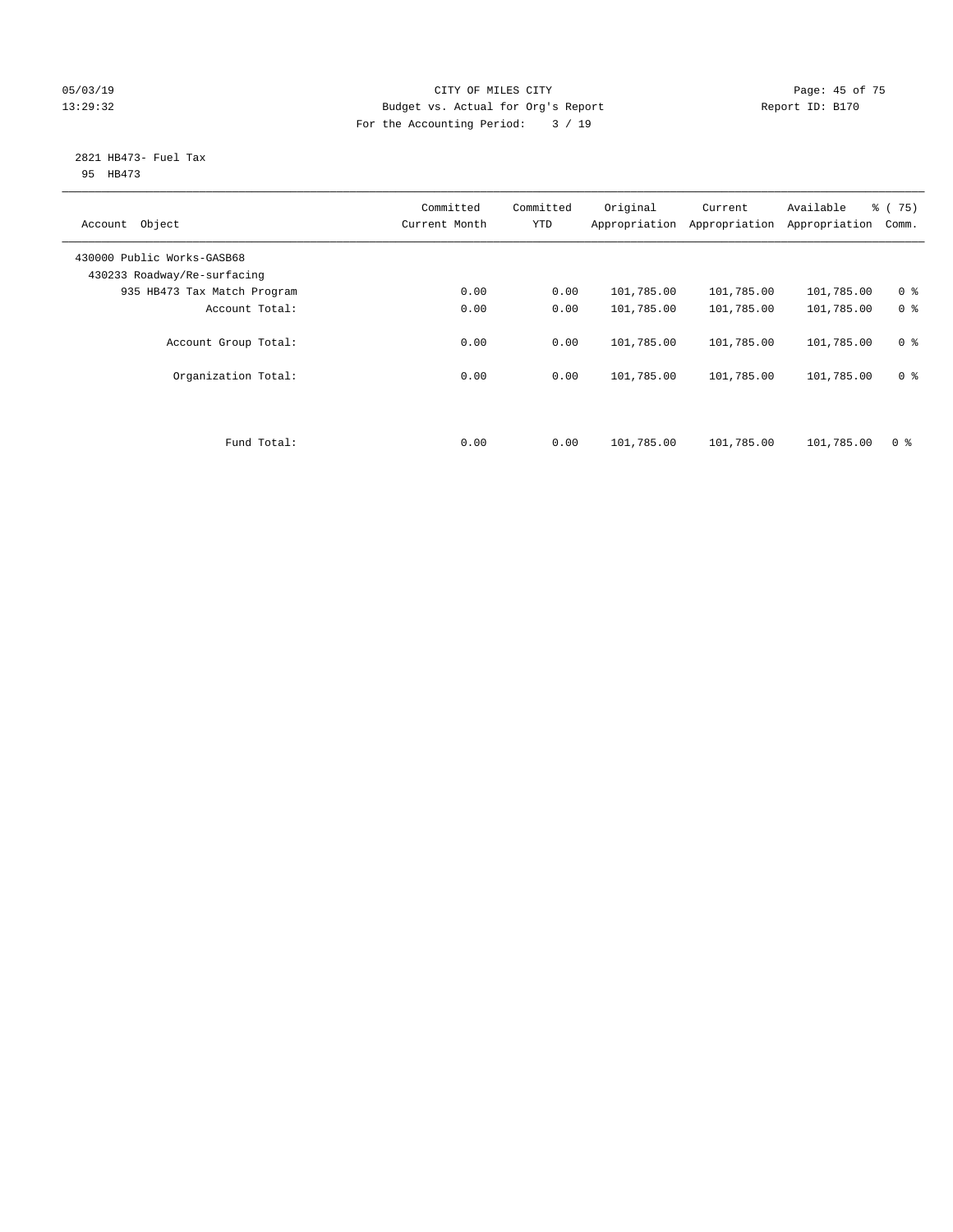#### 05/03/19 Page: 45 of 75 13:29:32 Budget vs. Actual for Org's Report Report ID: B170 For the Accounting Period: 3 / 19

#### 2821 HB473- Fuel Tax 95 HB473

| Object<br>Account                                         | Committed<br>Current Month | Committed<br><b>YTD</b> | Original<br>Appropriation | Current<br>Appropriation | Available<br>Appropriation | 8 (75)<br>Comm. |
|-----------------------------------------------------------|----------------------------|-------------------------|---------------------------|--------------------------|----------------------------|-----------------|
| 430000 Public Works-GASB68<br>430233 Roadway/Re-surfacing |                            |                         |                           |                          |                            |                 |
| 935 HB473 Tax Match Program                               | 0.00                       | 0.00                    | 101,785.00                | 101,785.00               | 101,785.00                 | 0 <sup>8</sup>  |
| Account Total:                                            | 0.00                       | 0.00                    | 101,785.00                | 101,785.00               | 101,785.00                 | 0 <sup>8</sup>  |
| Account Group Total:                                      | 0.00                       | 0.00                    | 101,785.00                | 101,785.00               | 101,785.00                 | 0 <sup>8</sup>  |
| Organization Total:                                       | 0.00                       | 0.00                    | 101,785.00                | 101,785.00               | 101,785.00                 | 0 <sup>8</sup>  |
|                                                           |                            |                         |                           |                          |                            |                 |
| Fund Total:                                               | 0.00                       | 0.00                    | 101,785.00                | 101,785.00               | 101,785.00                 | 0 %             |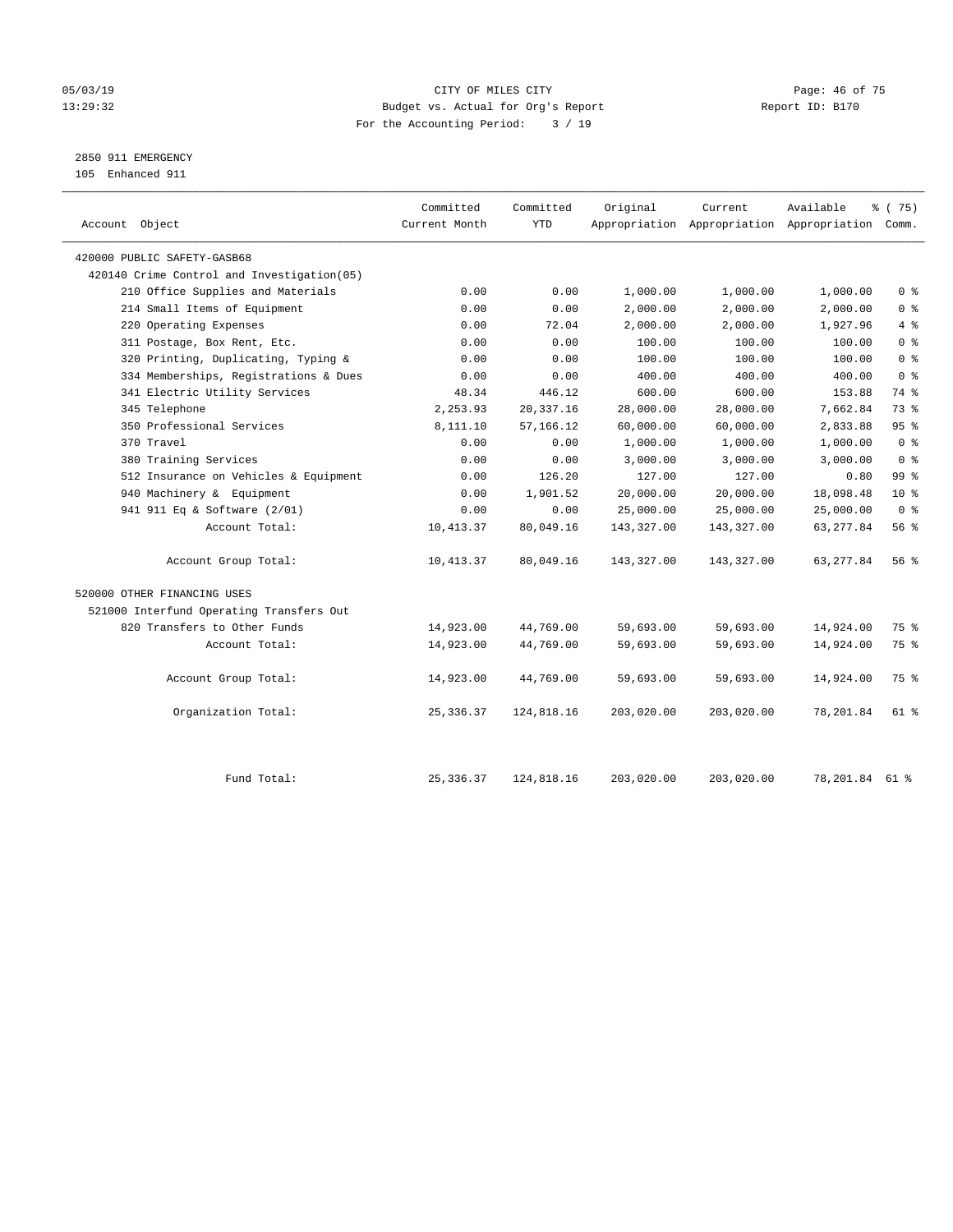#### 05/03/19 Page: 46 of 75 13:29:32 Budget vs. Actual for Org's Report Report ID: B170 For the Accounting Period: 3 / 19

2850 911 EMERGENCY

105 Enhanced 911

| Account Object                              | Committed<br>Current Month | Committed<br><b>YTD</b> | Original   | Current    | Available<br>Appropriation Appropriation Appropriation Comm. | ៖ (75)          |
|---------------------------------------------|----------------------------|-------------------------|------------|------------|--------------------------------------------------------------|-----------------|
| 420000 PUBLIC SAFETY-GASB68                 |                            |                         |            |            |                                                              |                 |
| 420140 Crime Control and Investigation (05) |                            |                         |            |            |                                                              |                 |
| 210 Office Supplies and Materials           | 0.00                       | 0.00                    | 1,000.00   | 1,000.00   | 1,000.00                                                     | 0 <sup>8</sup>  |
| 214 Small Items of Equipment                | 0.00                       | 0.00                    | 2,000.00   | 2,000.00   | 2,000.00                                                     | 0 <sup>8</sup>  |
| 220 Operating Expenses                      | 0.00                       | 72.04                   | 2,000.00   | 2,000.00   | 1,927.96                                                     | 4%              |
| 311 Postage, Box Rent, Etc.                 | 0.00                       | 0.00                    | 100.00     | 100.00     | 100.00                                                       | 0 <sup>°</sup>  |
| 320 Printing, Duplicating, Typing &         | 0.00                       | 0.00                    | 100.00     | 100.00     | 100.00                                                       | 0 <sup>8</sup>  |
| 334 Memberships, Registrations & Dues       | 0.00                       | 0.00                    | 400.00     | 400.00     | 400.00                                                       | 0 <sup>8</sup>  |
| 341 Electric Utility Services               | 48.34                      | 446.12                  | 600.00     | 600.00     | 153.88                                                       | 74 %            |
| 345 Telephone                               | 2,253.93                   | 20, 337.16              | 28,000.00  | 28,000.00  | 7,662.84                                                     | 73.8            |
| 350 Professional Services                   | 8,111.10                   | 57, 166. 12             | 60,000.00  | 60,000.00  | 2,833.88                                                     | 95%             |
| 370 Travel                                  | 0.00                       | 0.00                    | 1,000.00   | 1,000.00   | 1,000.00                                                     | 0 <sup>8</sup>  |
| 380 Training Services                       | 0.00                       | 0.00                    | 3,000.00   | 3,000.00   | 3,000.00                                                     | 0 <sup>8</sup>  |
| 512 Insurance on Vehicles & Equipment       | 0.00                       | 126.20                  | 127.00     | 127.00     | 0.80                                                         | 99 <sup>°</sup> |
| 940 Machinery & Equipment                   | 0.00                       | 1,901.52                | 20,000.00  | 20,000.00  | 18,098.48                                                    | $10*$           |
| 941 911 Eq & Software (2/01)                | 0.00                       | 0.00                    | 25,000.00  | 25,000.00  | 25,000.00                                                    | 0 <sup>8</sup>  |
| Account Total:                              | 10, 413.37                 | 80,049.16               | 143,327.00 | 143,327.00 | 63, 277.84                                                   | 56%             |
| Account Group Total:                        | 10,413.37                  | 80,049.16               | 143,327.00 | 143,327.00 | 63, 277.84                                                   | 56 <sup>8</sup> |
| 520000 OTHER FINANCING USES                 |                            |                         |            |            |                                                              |                 |
| 521000 Interfund Operating Transfers Out    |                            |                         |            |            |                                                              |                 |
| 820 Transfers to Other Funds                | 14,923.00                  | 44,769.00               | 59,693.00  | 59,693.00  | 14,924.00                                                    | 75 %            |
| Account Total:                              | 14,923.00                  | 44,769.00               | 59,693.00  | 59,693.00  | 14,924.00                                                    | 75 %            |
| Account Group Total:                        | 14,923.00                  | 44,769.00               | 59,693.00  | 59,693.00  | 14,924.00                                                    | 75 %            |
| Organization Total:                         | 25, 336.37                 | 124,818.16              | 203,020.00 | 203,020.00 | 78,201.84                                                    | 61 %            |
| Fund Total:                                 | 25, 336.37                 | 124,818.16              | 203,020.00 | 203,020.00 | 78,201.84 61 %                                               |                 |
|                                             |                            |                         |            |            |                                                              |                 |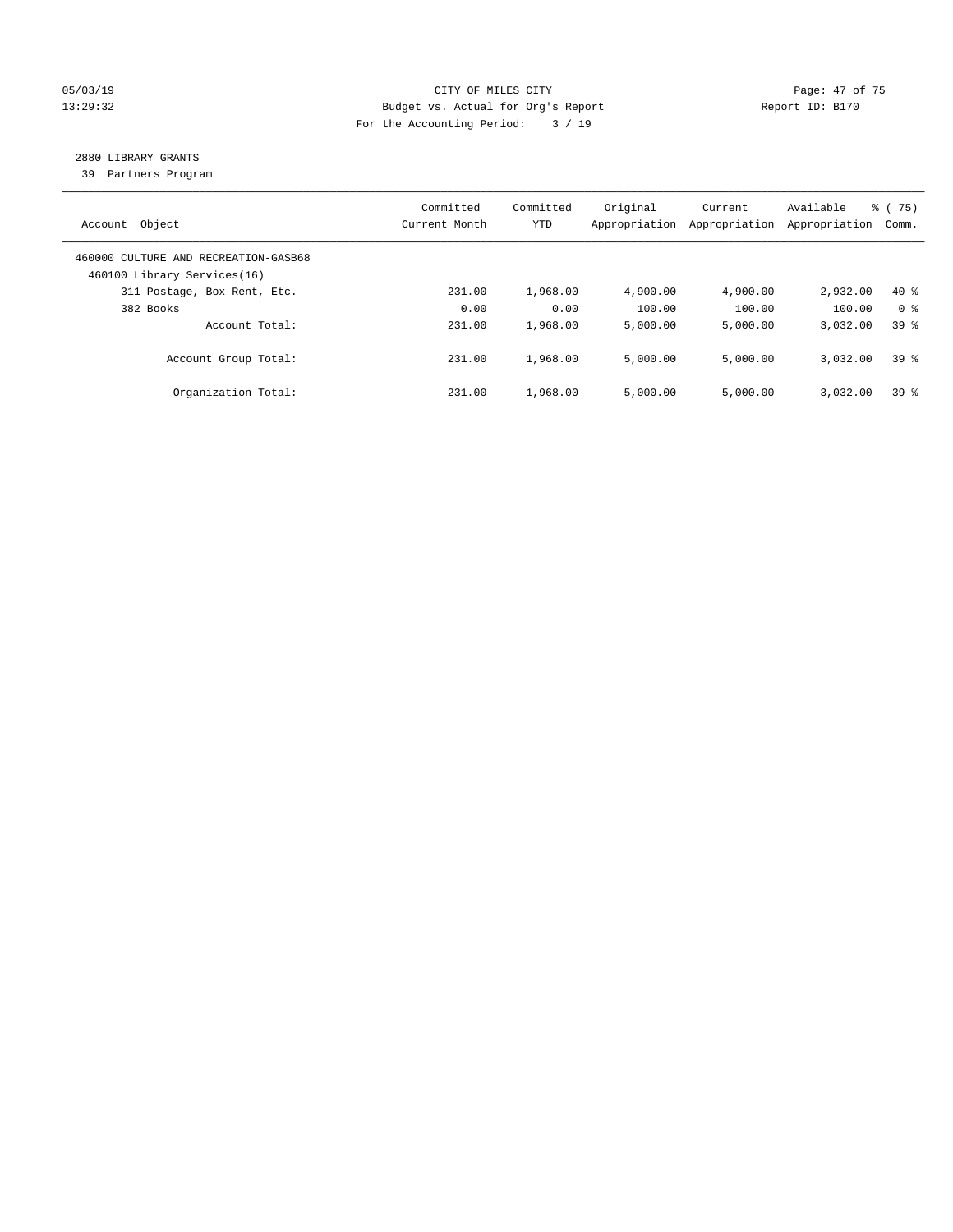#### 05/03/19 Page: 47 of 75 13:29:32 Budget vs. Actual for Org's Report Report ID: B170 For the Accounting Period: 3 / 19

# 2880 LIBRARY GRANTS

39 Partners Program

| Object<br>Account                                                   | Committed<br>Current Month | Committed<br><b>YTD</b> | Original<br>Appropriation | Current<br>Appropriation | Available<br>Appropriation | % (75)<br>Comm. |
|---------------------------------------------------------------------|----------------------------|-------------------------|---------------------------|--------------------------|----------------------------|-----------------|
| 460000 CULTURE AND RECREATION-GASB68<br>460100 Library Services(16) |                            |                         |                           |                          |                            |                 |
| 311 Postage, Box Rent, Etc.                                         | 231.00                     | 1,968.00                | 4,900.00                  | 4,900.00                 | 2,932.00                   | $40*$           |
| 382 Books                                                           | 0.00                       | 0.00                    | 100.00                    | 100.00                   | 100.00                     | 0 <sup>8</sup>  |
| Account Total:                                                      | 231.00                     | 1,968.00                | 5,000.00                  | 5,000.00                 | 3,032.00                   | 39 <sup>8</sup> |
| Account Group Total:                                                | 231.00                     | 1,968.00                | 5,000.00                  | 5,000.00                 | 3,032.00                   | 398             |
| Organization Total:                                                 | 231.00                     | 1,968.00                | 5,000.00                  | 5,000.00                 | 3,032.00                   | 39 <sup>8</sup> |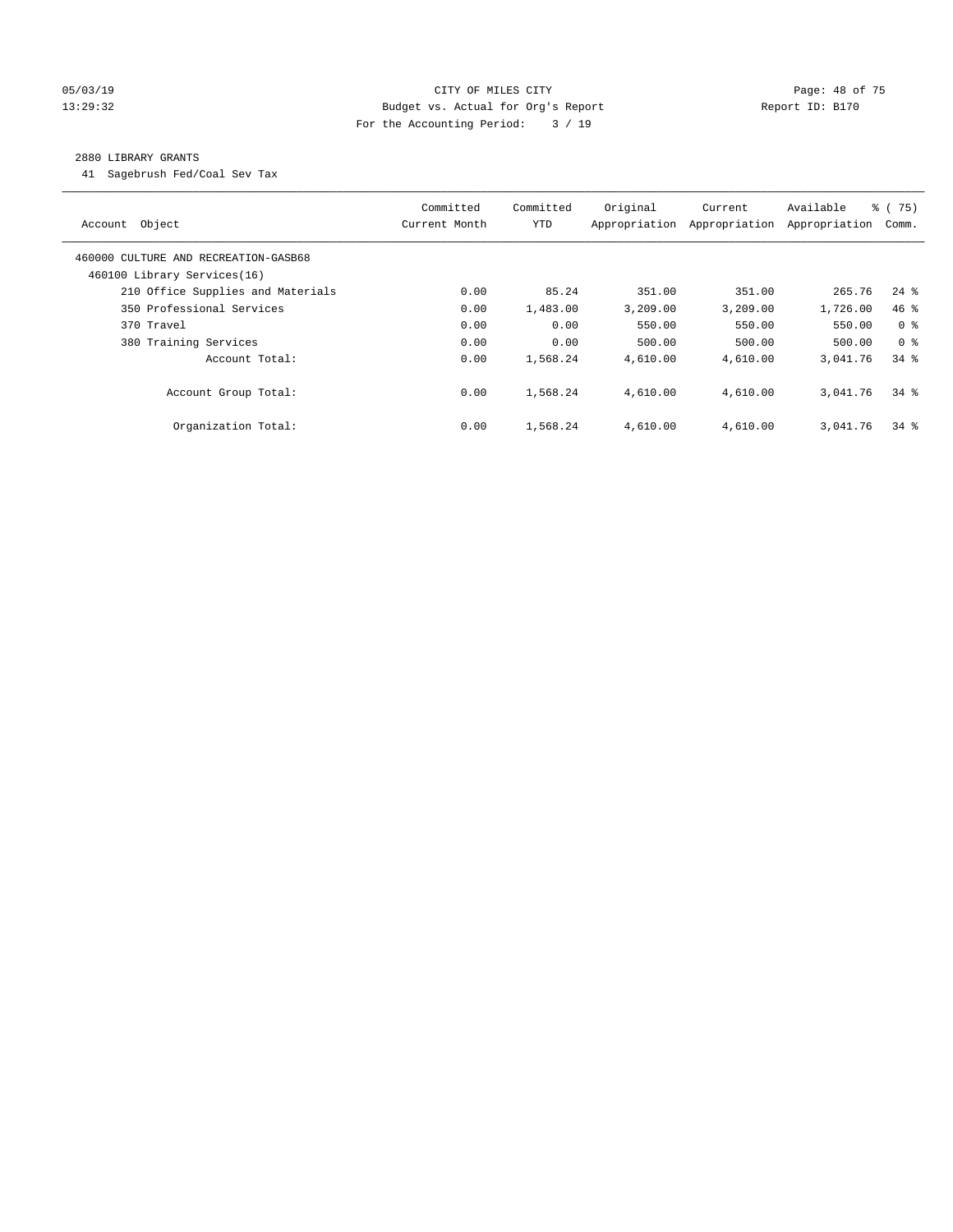#### 05/03/19 Page: 48 of 75 13:29:32 Budget vs. Actual for Org's Report Report ID: B170 For the Accounting Period: 3 / 19

#### 2880 LIBRARY GRANTS

41 Sagebrush Fed/Coal Sev Tax

| Account Object                                                      | Committed<br>Current Month | Committed<br><b>YTD</b> | Original | Current<br>Appropriation Appropriation | Available<br>Appropriation | 8 (75)<br>Comm.    |
|---------------------------------------------------------------------|----------------------------|-------------------------|----------|----------------------------------------|----------------------------|--------------------|
| 460000 CULTURE AND RECREATION-GASB68<br>460100 Library Services(16) |                            |                         |          |                                        |                            |                    |
| 210 Office Supplies and Materials                                   | 0.00                       | 85.24                   | 351.00   | 351.00                                 | 265.76                     | $24$ $\frac{6}{5}$ |
| 350 Professional Services                                           | 0.00                       | 1,483.00                | 3,209.00 | 3,209.00                               | 1,726.00                   | $46$ %             |
| 370 Travel                                                          | 0.00                       | 0.00                    | 550.00   | 550.00                                 | 550.00                     | 0 <sup>8</sup>     |
| 380 Training Services                                               | 0.00                       | 0.00                    | 500.00   | 500.00                                 | 500.00                     | 0 <sup>8</sup>     |
| Account Total:                                                      | 0.00                       | 1,568.24                | 4,610.00 | 4,610.00                               | 3,041.76                   | 34.8               |
| Account Group Total:                                                | 0.00                       | 1,568.24                | 4,610.00 | 4,610.00                               | 3,041.76                   | $34$ $%$           |
| Organization Total:                                                 | 0.00                       | 1,568.24                | 4,610.00 | 4,610.00                               | 3,041.76                   | $34$ $%$           |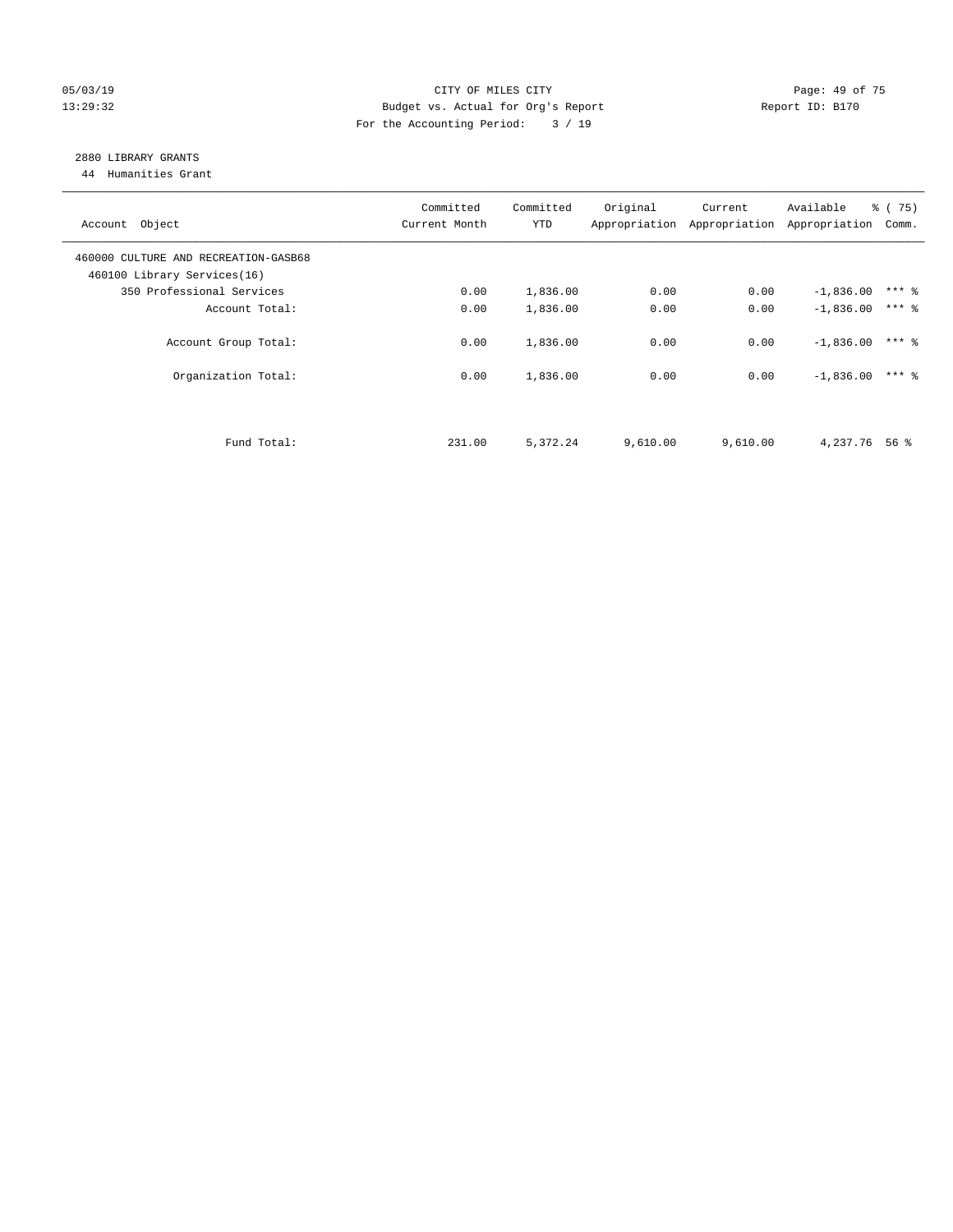#### 05/03/19 Page: 49 of 75 13:29:32 Budget vs. Actual for Org's Report Report ID: B170 For the Accounting Period: 3 / 19

# 2880 LIBRARY GRANTS

44 Humanities Grant

| Account Object                                                      | Committed<br>Current Month | Committed<br><b>YTD</b> | Original | Current<br>Appropriation Appropriation | Available<br>Appropriation | $\frac{1}{6}$ (75)<br>Comm. |
|---------------------------------------------------------------------|----------------------------|-------------------------|----------|----------------------------------------|----------------------------|-----------------------------|
| 460000 CULTURE AND RECREATION-GASB68<br>460100 Library Services(16) |                            |                         |          |                                        |                            |                             |
| 350 Professional Services                                           | 0.00                       | 1,836.00                | 0.00     | 0.00                                   | $-1,836.00$                | $***$ 2                     |
| Account Total:                                                      | 0.00                       | 1,836.00                | 0.00     | 0.00                                   | $-1,836.00$                | $***$ $\frac{6}{5}$         |
| Account Group Total:                                                | 0.00                       | 1,836.00                | 0.00     | 0.00                                   | $-1,836.00$                | $***$ 2                     |
| Organization Total:                                                 | 0.00                       | 1,836.00                | 0.00     | 0.00                                   | $-1,836.00$                | $***$ 2                     |
|                                                                     |                            |                         |          |                                        |                            |                             |
| Fund Total:                                                         | 231.00                     | 5,372.24                | 9,610.00 | 9,610.00                               | 4,237.76                   | 56 %                        |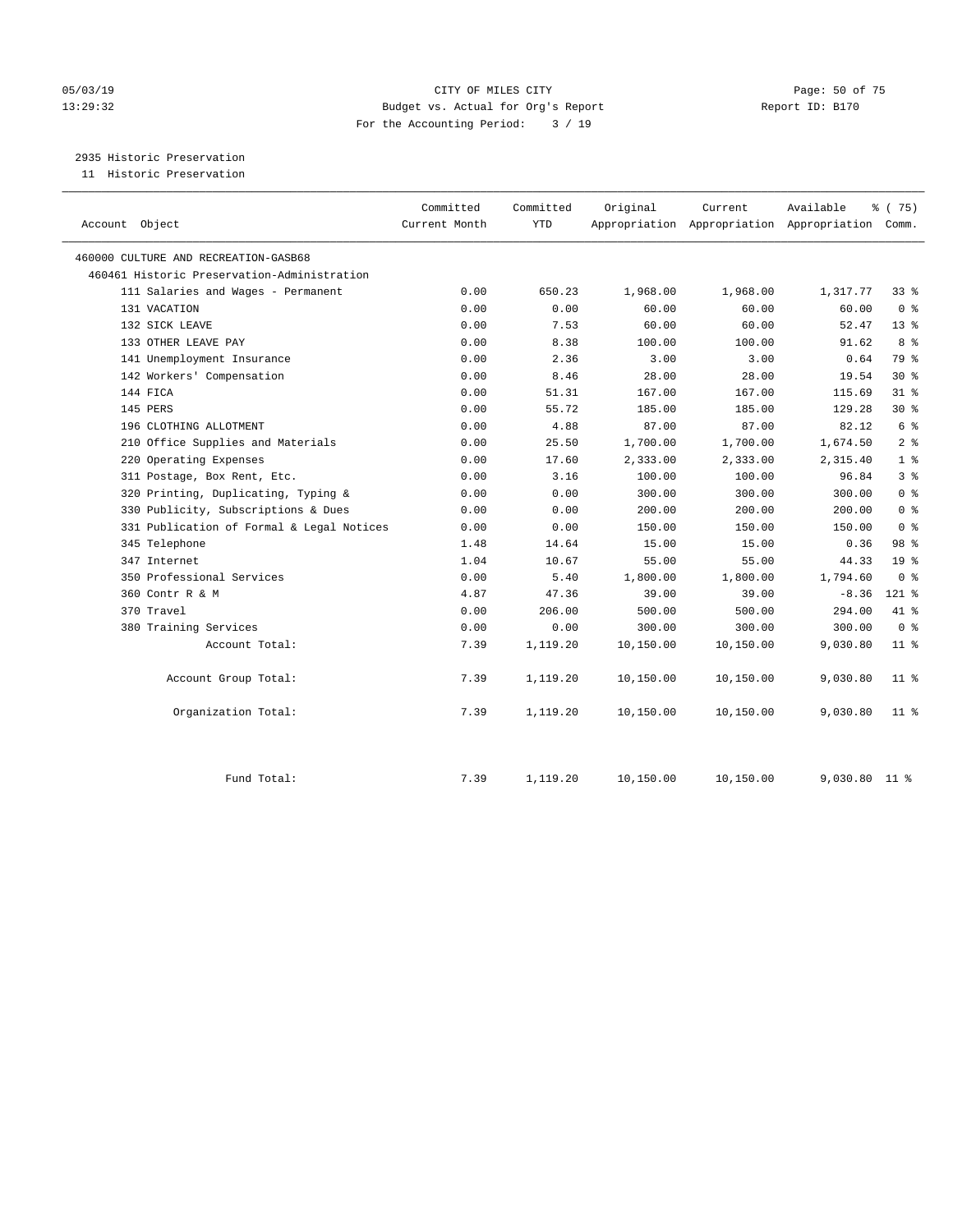#### 05/03/19 Page: 50 of 75 13:29:32 Budget vs. Actual for Org's Report Report ID: B170 For the Accounting Period: 3 / 19

2935 Historic Preservation

11 Historic Preservation

| Account Object                              | Committed<br>Current Month | Committed<br><b>YTD</b> | Original  | Current   | Available<br>Appropriation Appropriation Appropriation Comm. | % (75)          |
|---------------------------------------------|----------------------------|-------------------------|-----------|-----------|--------------------------------------------------------------|-----------------|
| 460000 CULTURE AND RECREATION-GASB68        |                            |                         |           |           |                                                              |                 |
| 460461 Historic Preservation-Administration |                            |                         |           |           |                                                              |                 |
| 111 Salaries and Wages - Permanent          | 0.00                       | 650.23                  | 1,968.00  | 1,968.00  | 1,317.77                                                     | 33 %            |
| 131 VACATION                                | 0.00                       | 0.00                    | 60.00     | 60.00     | 60.00                                                        | 0 <sup>8</sup>  |
| 132 SICK LEAVE                              | 0.00                       | 7.53                    | 60.00     | 60.00     | 52.47                                                        | 13 <sup>8</sup> |
| 133 OTHER LEAVE PAY                         | 0.00                       | 8.38                    | 100.00    | 100.00    | 91.62                                                        | 8 %             |
| 141 Unemployment Insurance                  | 0.00                       | 2.36                    | 3.00      | 3.00      | 0.64                                                         | 79 %            |
| 142 Workers' Compensation                   | 0.00                       | 8.46                    | 28.00     | 28.00     | 19.54                                                        | $30*$           |
| 144 FICA                                    | 0.00                       | 51.31                   | 167.00    | 167.00    | 115.69                                                       | $31$ %          |
| 145 PERS                                    | 0.00                       | 55.72                   | 185.00    | 185.00    | 129.28                                                       | $30*$           |
| 196 CLOTHING ALLOTMENT                      | 0.00                       | 4.88                    | 87.00     | 87.00     | 82.12                                                        | 6 <sup>°</sup>  |
| 210 Office Supplies and Materials           | 0.00                       | 25.50                   | 1,700.00  | 1,700.00  | 1,674.50                                                     | 2 <sup>°</sup>  |
| 220 Operating Expenses                      | 0.00                       | 17.60                   | 2,333.00  | 2,333.00  | 2,315.40                                                     | 1 <sup>8</sup>  |
| 311 Postage, Box Rent, Etc.                 | 0.00                       | 3.16                    | 100.00    | 100.00    | 96.84                                                        | 3 <sup>8</sup>  |
| 320 Printing, Duplicating, Typing &         | 0.00                       | 0.00                    | 300.00    | 300.00    | 300.00                                                       | 0 <sup>8</sup>  |
| 330 Publicity, Subscriptions & Dues         | 0.00                       | 0.00                    | 200.00    | 200.00    | 200.00                                                       | 0 <sup>8</sup>  |
| 331 Publication of Formal & Legal Notices   | 0.00                       | 0.00                    | 150.00    | 150.00    | 150.00                                                       | 0 <sup>8</sup>  |
| 345 Telephone                               | 1.48                       | 14.64                   | 15.00     | 15.00     | 0.36                                                         | 98 %            |
| 347 Internet                                | 1.04                       | 10.67                   | 55.00     | 55.00     | 44.33                                                        | 19 <sup>8</sup> |
| 350 Professional Services                   | 0.00                       | 5.40                    | 1,800.00  | 1,800.00  | 1,794.60                                                     | 0 <sup>8</sup>  |
| 360 Contr R & M                             | 4.87                       | 47.36                   | 39.00     | 39.00     | $-8.36$                                                      | $121$ %         |
| 370 Travel                                  | 0.00                       | 206.00                  | 500.00    | 500.00    | 294.00                                                       | 41 %            |
| 380 Training Services                       | 0.00                       | 0.00                    | 300.00    | 300.00    | 300.00                                                       | 0 <sup>8</sup>  |
| Account Total:                              | 7.39                       | 1,119.20                | 10,150.00 | 10,150.00 | 9,030.80                                                     | $11$ %          |
| Account Group Total:                        | 7.39                       | 1,119.20                | 10,150.00 | 10,150.00 | 9,030.80                                                     | $11$ %          |
| Organization Total:                         | 7.39                       | 1,119.20                | 10,150.00 | 10,150.00 | 9,030.80                                                     | $11$ %          |
| Fund Total:                                 | 7.39                       | 1,119.20                | 10,150.00 | 10,150.00 | 9,030.80                                                     | $11$ %          |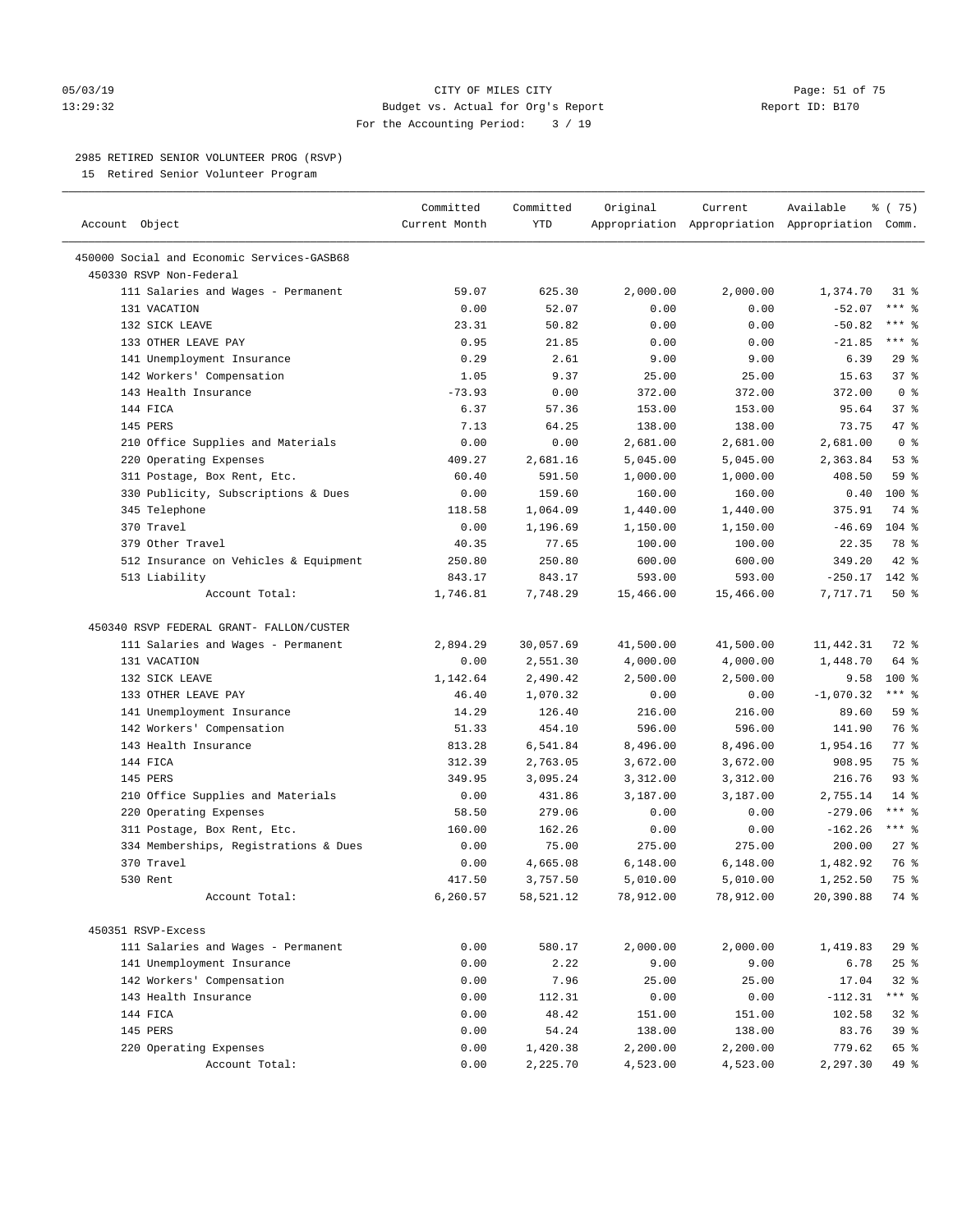#### 05/03/19 Page: 51 of 75 13:29:32 Budget vs. Actual for Org's Report Report ID: B170 For the Accounting Period: 3 / 19

————————————————————————————————————————————————————————————————————————————————————————————————————————————————————————————————————

#### 2985 RETIRED SENIOR VOLUNTEER PROG (RSVP)

15 Retired Senior Volunteer Program

|                                                         | Committed     | Committed    | Original         | Current       | Available                                       | ៖ (75)             |
|---------------------------------------------------------|---------------|--------------|------------------|---------------|-------------------------------------------------|--------------------|
| Account Object                                          | Current Month | YTD          |                  |               | Appropriation Appropriation Appropriation Comm. |                    |
| 450000 Social and Economic Services-GASB68              |               |              |                  |               |                                                 |                    |
| 450330 RSVP Non-Federal                                 |               |              |                  |               |                                                 |                    |
| 111 Salaries and Wages - Permanent                      | 59.07         | 625.30       | 2,000.00         | 2,000.00      | 1,374.70                                        | $31*$              |
| 131 VACATION                                            | 0.00          | 52.07        | 0.00             | 0.00          | $-52.07$                                        | $***$ $_{8}$       |
| 132 SICK LEAVE                                          | 23.31         | 50.82        | 0.00             | 0.00          | $-50.82$                                        | *** 응              |
| 133 OTHER LEAVE PAY                                     | 0.95          | 21.85        | 0.00             | 0.00          | $-21.85$                                        | *** 응              |
| 141 Unemployment Insurance                              | 0.29          | 2.61         | 9.00             | 9.00          | 6.39                                            | 29%                |
| 142 Workers' Compensation                               | 1.05          | 9.37         | 25.00            | 25.00         | 15.63                                           | 37%                |
| 143 Health Insurance                                    | $-73.93$      | 0.00         | 372.00           | 372.00        | 372.00                                          | 0 <sup>8</sup>     |
| 144 FICA                                                | 6.37          | 57.36        | 153.00           | 153.00        | 95.64                                           | 37%                |
| 145 PERS                                                | 7.13          | 64.25        | 138.00           | 138.00        | 73.75                                           | 47 %               |
| 210 Office Supplies and Materials                       | 0.00          | 0.00         | 2,681.00         | 2,681.00      | 2,681.00                                        | 0 <sup>8</sup>     |
| 220 Operating Expenses                                  | 409.27        | 2,681.16     | 5,045.00         | 5,045.00      | 2,363.84                                        | 53%                |
| 311 Postage, Box Rent, Etc.                             | 60.40         | 591.50       | 1,000.00         | 1,000.00      | 408.50                                          | 59 %               |
| 330 Publicity, Subscriptions & Dues                     | 0.00          | 159.60       | 160.00           | 160.00        | 0.40                                            | $100*$             |
| 345 Telephone                                           | 118.58        | 1,064.09     | 1,440.00         | 1,440.00      | 375.91                                          | 74 %               |
| 370 Travel                                              | 0.00          | 1,196.69     | 1,150.00         | 1,150.00      | $-46.69$                                        | $104$ %            |
| 379 Other Travel                                        | 40.35         | 77.65        | 100.00           | 100.00        | 22.35                                           | 78 %               |
| 512 Insurance on Vehicles & Equipment                   | 250.80        | 250.80       | 600.00           | 600.00        | 349.20                                          | $42$ %             |
| 513 Liability                                           | 843.17        | 843.17       | 593.00           | 593.00        | $-250.17$                                       | 142 %              |
| Account Total:                                          | 1,746.81      | 7,748.29     | 15,466.00        | 15,466.00     | 7,717.71                                        | 50%                |
|                                                         |               |              |                  |               |                                                 |                    |
| 450340 RSVP FEDERAL GRANT- FALLON/CUSTER                |               |              |                  |               |                                                 |                    |
| 111 Salaries and Wages - Permanent                      | 2,894.29      | 30,057.69    | 41,500.00        | 41,500.00     | 11,442.31                                       | 72 %               |
| 131 VACATION                                            | 0.00          | 2,551.30     | 4,000.00         | 4,000.00      | 1,448.70                                        | 64 %               |
| 132 SICK LEAVE                                          | 1,142.64      | 2,490.42     | 2,500.00         | 2,500.00      | 9.58                                            | 100 %              |
| 133 OTHER LEAVE PAY                                     | 46.40         | 1,070.32     | 0.00             | 0.00          | $-1,070.32$                                     | $***$ $-$          |
| 141 Unemployment Insurance                              | 14.29         | 126.40       | 216.00           | 216.00        | 89.60                                           | 59%                |
| 142 Workers' Compensation                               | 51.33         | 454.10       | 596.00           | 596.00        | 141.90                                          | 76 %               |
| 143 Health Insurance                                    | 813.28        | 6,541.84     | 8,496.00         | 8,496.00      | 1,954.16                                        | $77$ $\frac{6}{9}$ |
| 144 FICA                                                | 312.39        | 2,763.05     | 3,672.00         | 3,672.00      | 908.95                                          | 75 %               |
| 145 PERS                                                | 349.95        | 3,095.24     | 3,312.00         | 3,312.00      | 216.76                                          | 93%                |
| 210 Office Supplies and Materials                       | 0.00          | 431.86       | 3,187.00         | 3,187.00      | 2,755.14                                        | $14*$              |
| 220 Operating Expenses                                  | 58.50         | 279.06       | 0.00             | 0.00          | $-279.06$                                       | $***$ $-$          |
| 311 Postage, Box Rent, Etc.                             | 160.00        | 162.26       | 0.00             | 0.00          | $-162.26$                                       | $***$ $_{8}$       |
| 334 Memberships, Registrations & Dues                   | 0.00          | 75.00        | 275.00           | 275.00        | 200.00                                          | $27$ %             |
| 370 Travel                                              | 0.00          | 4,665.08     | 6,148.00         | 6,148.00      | 1,482.92                                        | 76 %               |
| 530 Rent                                                | 417.50        | 3,757.50     | 5,010.00         | 5,010.00      | 1,252.50                                        | 75 %               |
| Account Total:                                          | 6,260.57      | 58,521.12    | 78,912.00        | 78,912.00     | 20,390.88                                       | 74 %               |
|                                                         |               |              |                  |               |                                                 |                    |
| 450351 RSVP-Excess                                      |               |              |                  | 2,000.00      |                                                 |                    |
| 111 Salaries and Wages - Permanent                      | 0.00          | 580.17       | 2,000.00<br>9.00 |               | 1,419.83                                        | 29%                |
| 141 Unemployment Insurance<br>142 Workers' Compensation | 0.00<br>0.00  | 2.22<br>7.96 | 25.00            | 9.00<br>25.00 | 6.78<br>17.04                                   | 25%<br>$32$ $%$    |
| 143 Health Insurance                                    | 0.00          | 112.31       | 0.00             | 0.00          | $-112.31$                                       | *** %              |
| 144 FICA                                                | 0.00          | 48.42        | 151.00           | 151.00        | 102.58                                          | $32$ $%$           |
| 145 PERS                                                | 0.00          | 54.24        | 138.00           | 138.00        | 83.76                                           | 39 %               |
| 220 Operating Expenses                                  | 0.00          | 1,420.38     | 2,200.00         | 2,200.00      | 779.62                                          | 65 %               |
| Account Total:                                          | 0.00          | 2,225.70     | 4,523.00         | 4,523.00      | 2,297.30                                        | 49 %               |
|                                                         |               |              |                  |               |                                                 |                    |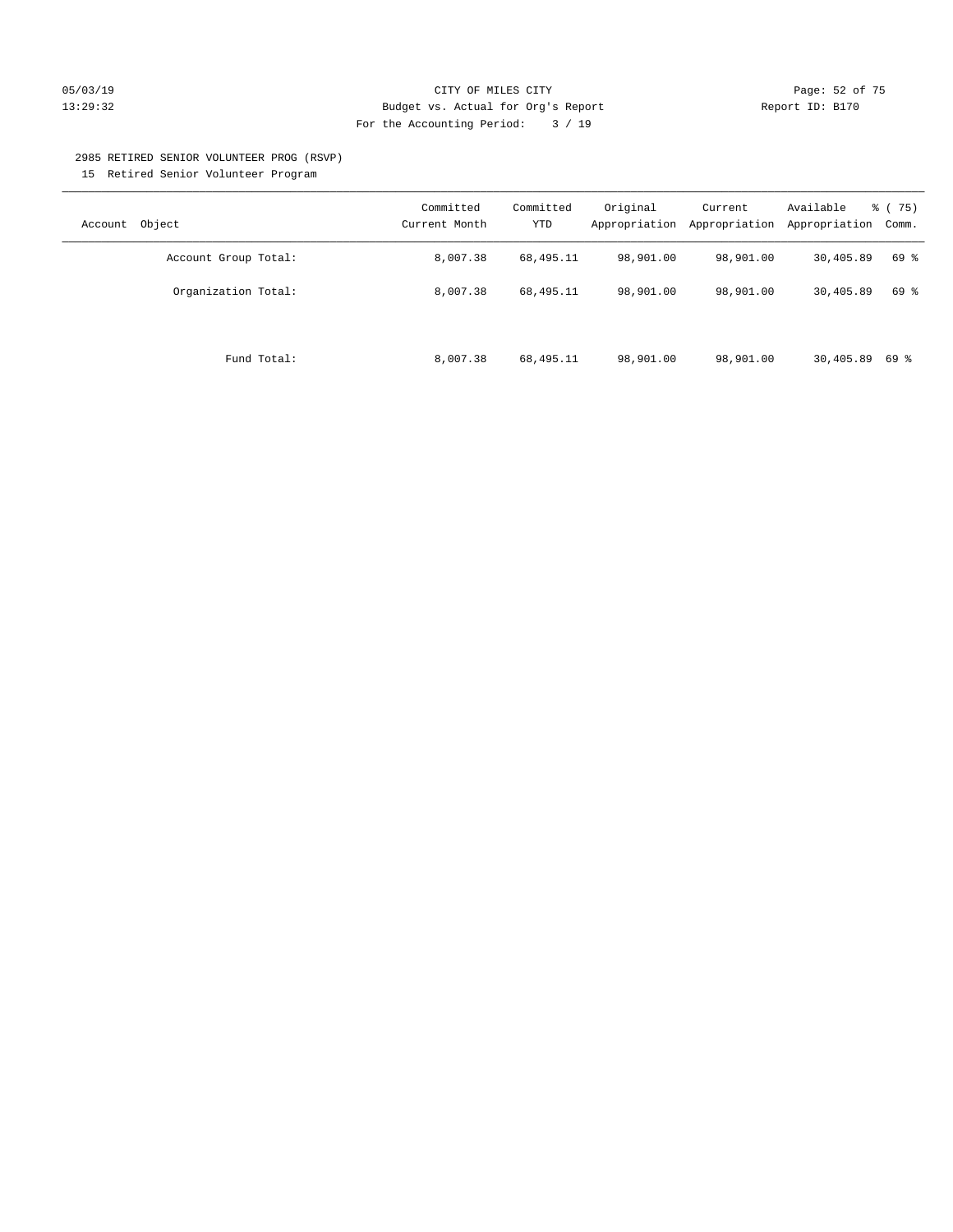#### 05/03/19 Page: 52 of 75 13:29:32 Budget vs. Actual for Org's Report Report ID: B170 For the Accounting Period: 3 / 19

#### 2985 RETIRED SENIOR VOLUNTEER PROG (RSVP)

15 Retired Senior Volunteer Program

| Object<br>Account    | Committed<br>Current Month | Committed<br>YTD | Original<br>Appropriation | Current<br>Appropriation | Available<br>Appropriation | % (75)<br>Comm. |
|----------------------|----------------------------|------------------|---------------------------|--------------------------|----------------------------|-----------------|
| Account Group Total: | 8,007.38                   | 68,495.11        | 98,901.00                 | 98,901.00                | 30,405.89                  | 69 %            |
| Organization Total:  | 8,007.38                   | 68,495.11        | 98,901.00                 | 98,901.00                | 30,405.89                  | 69 %            |
| Fund Total:          | 8,007.38                   | 68,495.11        | 98,901.00                 | 98,901.00                | 30,405.89                  | 69 %            |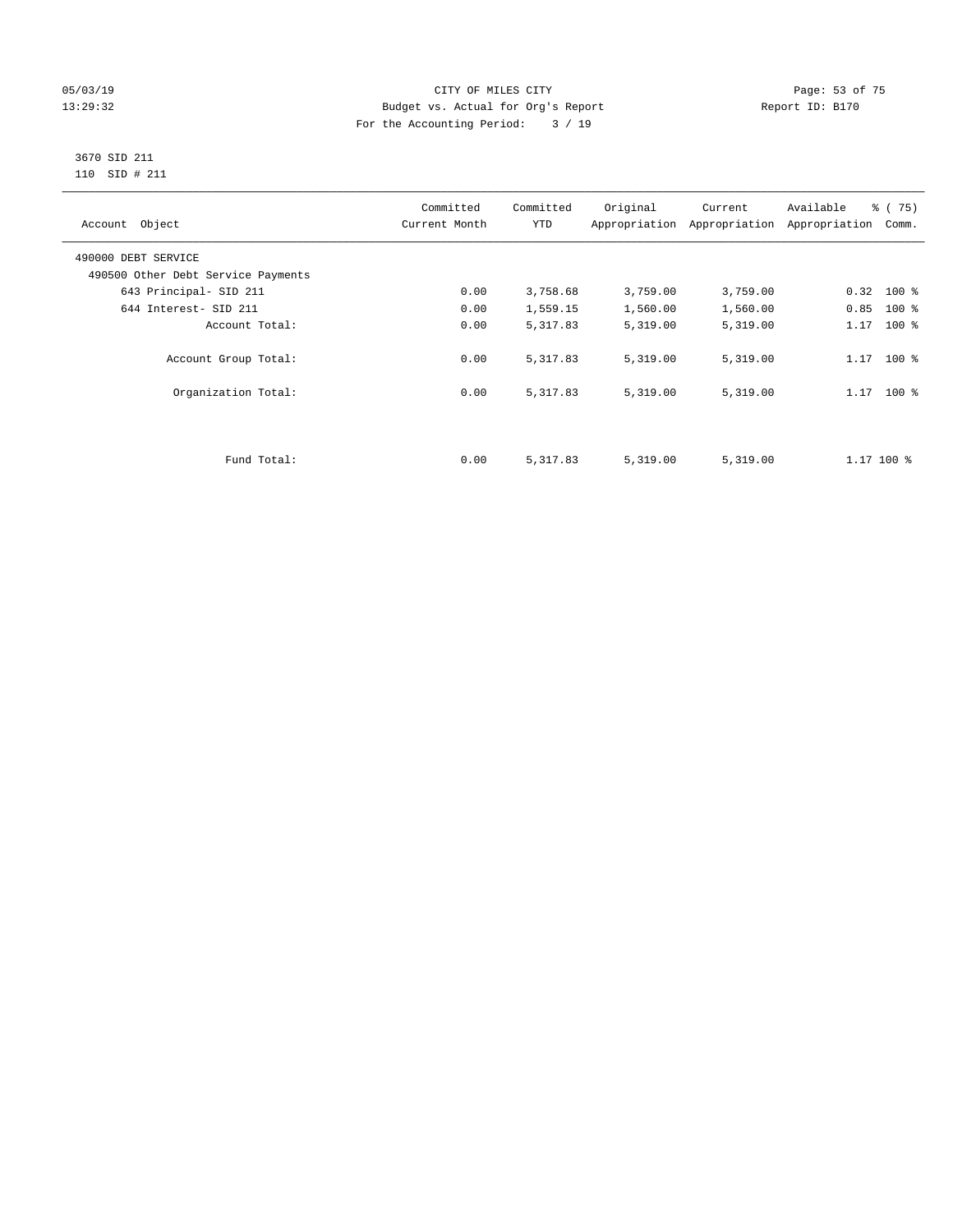#### 05/03/19 Page: 53 of 75 13:29:32 Budget vs. Actual for Org's Report Report ID: B170 For the Accounting Period: 3 / 19

#### 3670 SID 211 110 SID # 211

| Account Object                     | Committed<br>Current Month | Committed<br><b>YTD</b> | Original | Current<br>Appropriation Appropriation | Available<br>Appropriation | % (75)<br>Comm. |
|------------------------------------|----------------------------|-------------------------|----------|----------------------------------------|----------------------------|-----------------|
| 490000 DEBT SERVICE                |                            |                         |          |                                        |                            |                 |
| 490500 Other Debt Service Payments |                            |                         |          |                                        |                            |                 |
| 643 Principal- SID 211             | 0.00                       | 3,758.68                | 3,759.00 | 3,759.00                               | $0.32$ 100 %               |                 |
| 644 Interest- SID 211              | 0.00                       | 1,559.15                | 1,560.00 | 1,560.00                               | 0.85                       | $100*$          |
| Account Total:                     | 0.00                       | 5,317.83                | 5,319.00 | 5,319.00                               | 1.17                       | $100*$          |
| Account Group Total:               | 0.00                       | 5,317.83                | 5,319.00 | 5,319.00                               | $1.17$ 100 %               |                 |
| Organization Total:                | 0.00                       | 5,317.83                | 5,319.00 | 5,319.00                               | $1.17$ 100 %               |                 |
|                                    |                            |                         |          |                                        |                            |                 |
| Fund Total:                        | 0.00                       | 5,317.83                | 5,319.00 | 5,319.00                               | $1.17$ 100 %               |                 |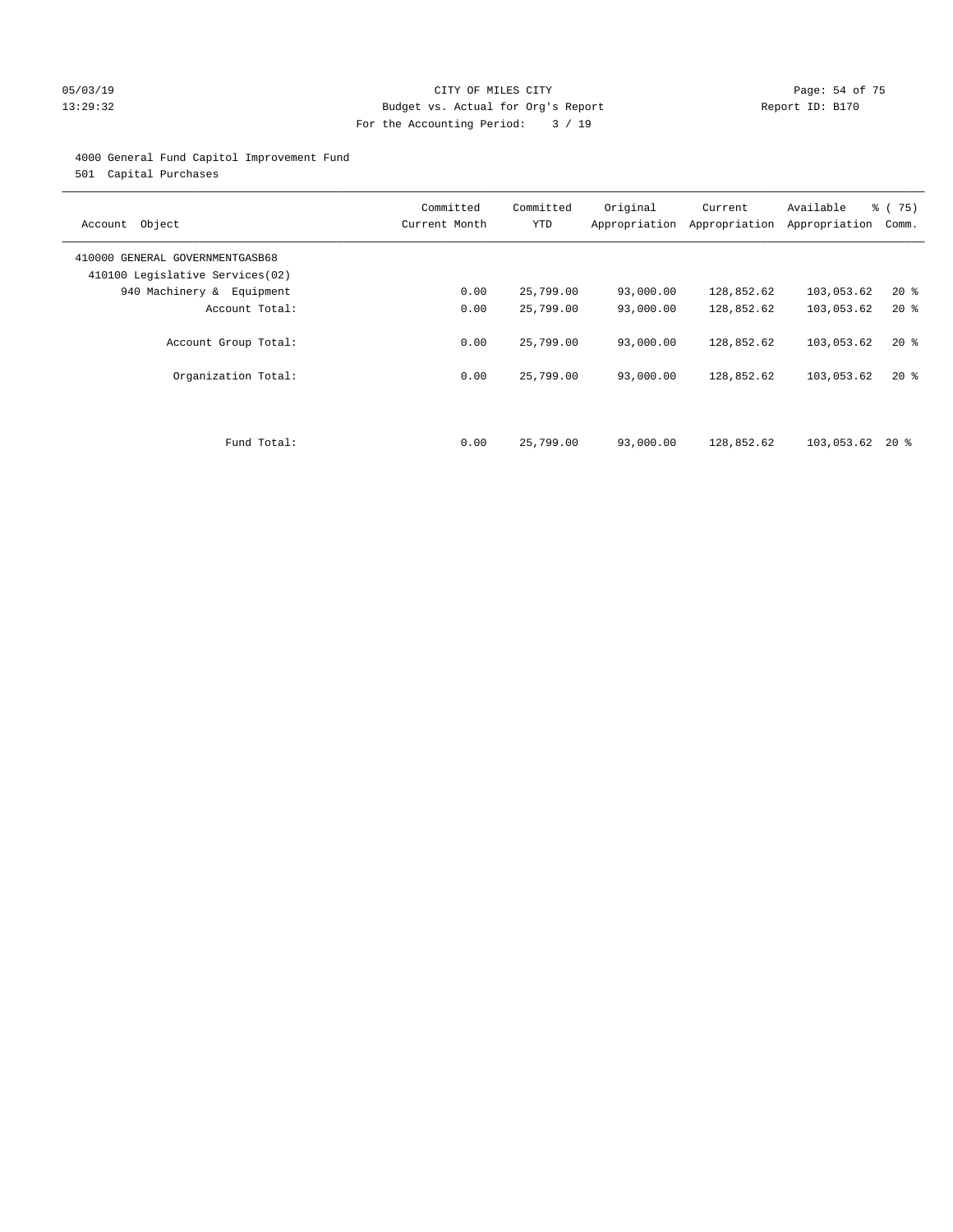#### 05/03/19 Page: 54 of 75 13:29:32 Budget vs. Actual for Org's Report Report ID: B170 For the Accounting Period: 3 / 19

#### 4000 General Fund Capitol Improvement Fund

501 Capital Purchases

| Account Object                                                     | Committed<br>Current Month | Committed<br><b>YTD</b> | Original<br>Appropriation | Current<br>Appropriation | Available<br>Appropriation | % (75)<br>Comm. |
|--------------------------------------------------------------------|----------------------------|-------------------------|---------------------------|--------------------------|----------------------------|-----------------|
| 410000 GENERAL GOVERNMENTGASB68<br>410100 Legislative Services(02) |                            |                         |                           |                          |                            |                 |
| 940 Machinery & Equipment                                          | 0.00                       | 25,799.00               | 93,000.00                 | 128,852.62               | 103,053.62                 | $20*$           |
| Account Total:                                                     | 0.00                       | 25,799.00               | 93,000.00                 | 128,852.62               | 103,053.62                 | $20*$           |
| Account Group Total:<br>Organization Total:                        | 0.00<br>0.00               | 25,799.00<br>25,799.00  | 93,000.00<br>93,000.00    | 128,852.62<br>128,852.62 | 103,053.62<br>103,053.62   | $20*$<br>$20*$  |
| Fund Total:                                                        | 0.00                       | 25,799.00               | 93,000.00                 | 128,852.62               | 103,053.62                 | 20 %            |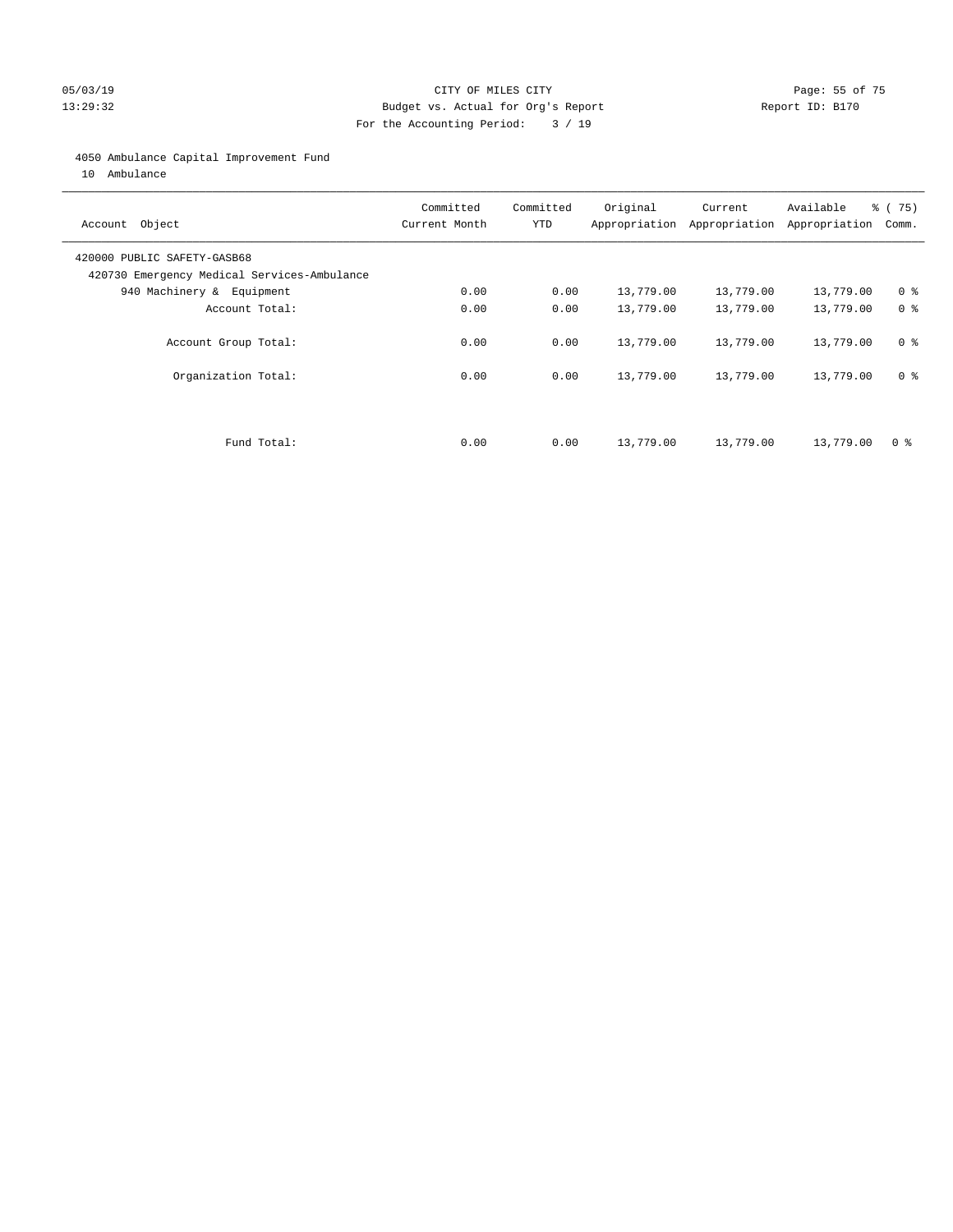#### 05/03/19 Page: 55 of 75 13:29:32 Budget vs. Actual for Org's Report Report ID: B170 For the Accounting Period: 3 / 19

#### 4050 Ambulance Capital Improvement Fund

10 Ambulance

| Account Object                                                             | Committed<br>Current Month | Committed<br><b>YTD</b> | Original  | Current<br>Appropriation Appropriation | Available<br>Appropriation | 8 (75)<br>Comm. |
|----------------------------------------------------------------------------|----------------------------|-------------------------|-----------|----------------------------------------|----------------------------|-----------------|
| 420000 PUBLIC SAFETY-GASB68<br>420730 Emergency Medical Services-Ambulance |                            |                         |           |                                        |                            |                 |
| 940 Machinery & Equipment                                                  | 0.00                       | 0.00                    | 13,779.00 | 13,779.00                              | 13,779.00                  | 0 <sup>8</sup>  |
| Account Total:                                                             | 0.00                       | 0.00                    | 13,779.00 | 13,779.00                              | 13,779.00                  | 0 <sup>8</sup>  |
| Account Group Total:                                                       | 0.00                       | 0.00                    | 13,779.00 | 13,779.00                              | 13,779.00                  | 0 <sup>8</sup>  |
| Organization Total:                                                        | 0.00                       | 0.00                    | 13,779.00 | 13,779.00                              | 13,779.00                  | 0 <sup>8</sup>  |
|                                                                            |                            |                         |           |                                        |                            |                 |
| Fund Total:                                                                | 0.00                       | 0.00                    | 13,779.00 | 13,779.00                              | 13,779.00                  | 0 %             |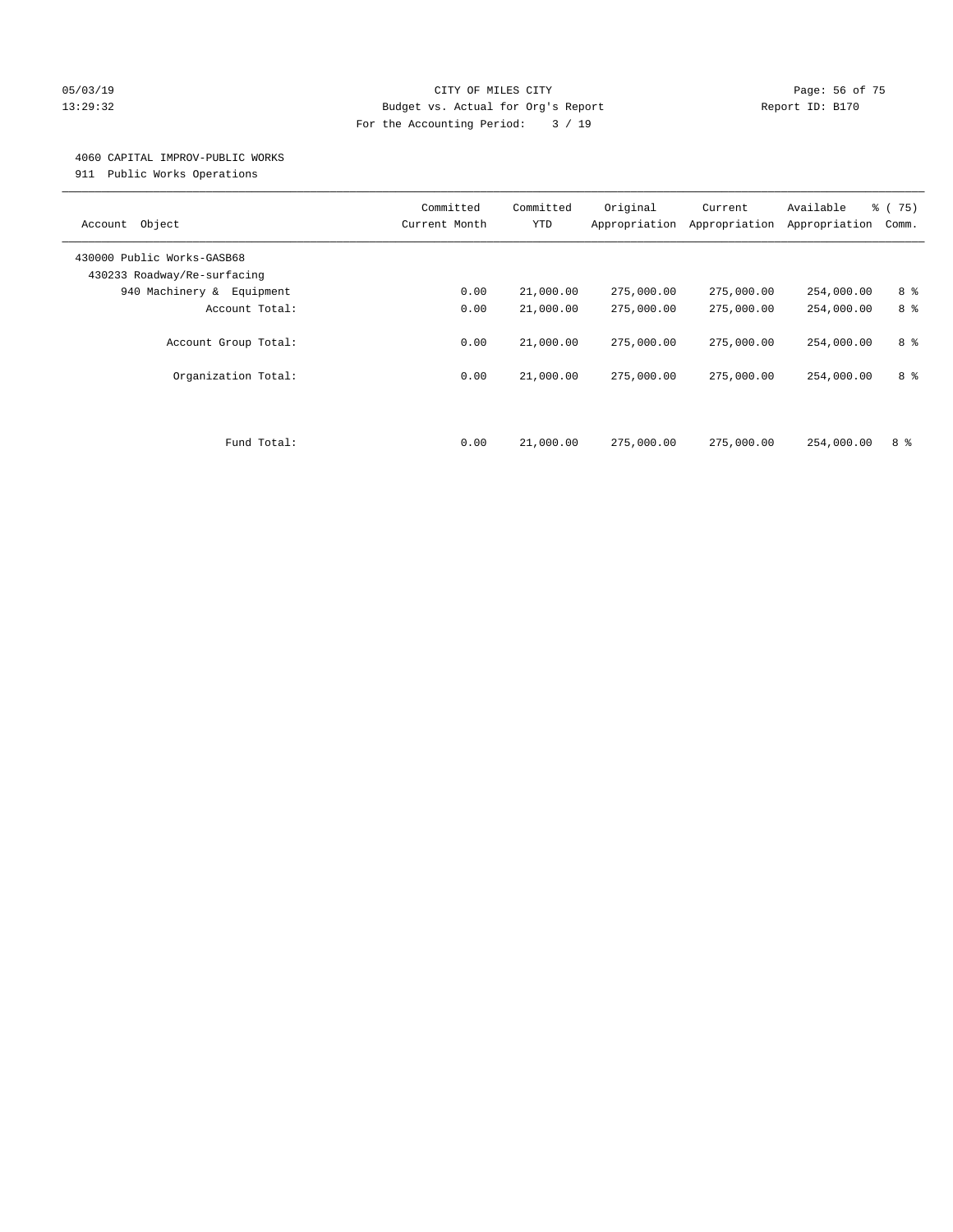#### 05/03/19 Page: 56 of 75 13:29:32 Budget vs. Actual for Org's Report Report ID: B170 For the Accounting Period: 3 / 19

#### 4060 CAPITAL IMPROV-PUBLIC WORKS

911 Public Works Operations

| Object<br>Account                                         | Committed<br>Current Month | Committed<br><b>YTD</b> | Original<br>Appropriation | Current<br>Appropriation | Available<br>Appropriation | 8 (75)<br>Comm. |
|-----------------------------------------------------------|----------------------------|-------------------------|---------------------------|--------------------------|----------------------------|-----------------|
| 430000 Public Works-GASB68<br>430233 Roadway/Re-surfacing |                            |                         |                           |                          |                            |                 |
| 940 Machinery &<br>Equipment                              | 0.00                       | 21,000.00               | 275,000.00                | 275,000.00               | 254,000.00                 | 8 %             |
| Account Total:                                            | 0.00                       | 21,000.00               | 275,000.00                | 275,000.00               | 254,000.00                 | 8 %             |
| Account Group Total:<br>Organization Total:               | 0.00<br>0.00               | 21,000.00<br>21,000.00  | 275,000.00<br>275,000.00  | 275,000.00<br>275,000.00 | 254,000.00<br>254,000.00   | 8 %<br>8 %      |
|                                                           |                            |                         |                           |                          |                            |                 |
| Fund Total:                                               | 0.00                       | 21,000.00               | 275,000.00                | 275,000.00               | 254,000.00                 | 8 %             |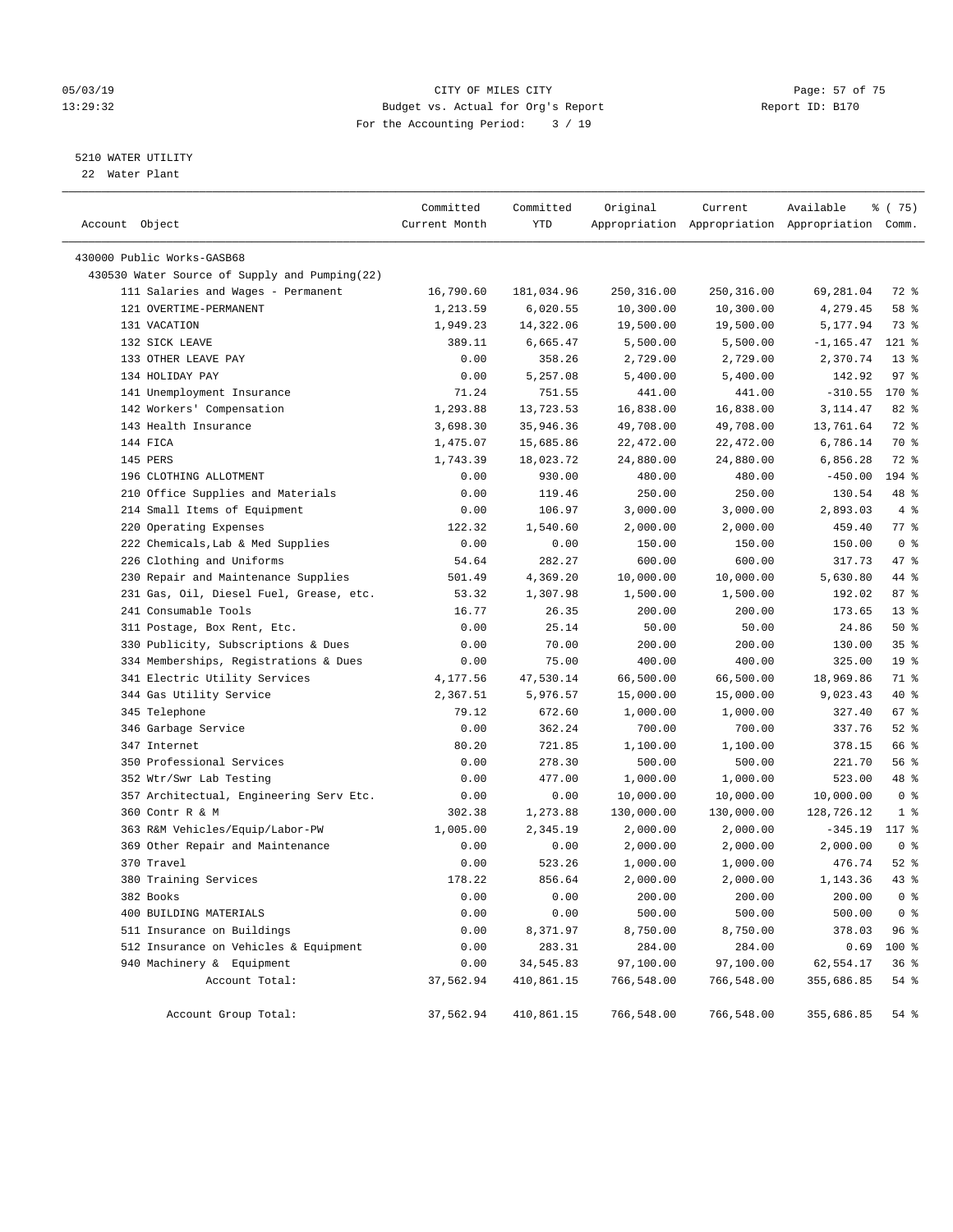#### 05/03/19 Page: 57 of 75 13:29:32 Budget vs. Actual for Org's Report Report ID: B170 For the Accounting Period: 3 / 19

————————————————————————————————————————————————————————————————————————————————————————————————————————————————————————————————————

#### 5210 WATER UTILITY

22 Water Plant

| Account Object                                | Committed<br>Current Month | Committed<br>YTD | Original   | Current     | Available<br>Appropriation Appropriation Appropriation Comm. | % (75)          |
|-----------------------------------------------|----------------------------|------------------|------------|-------------|--------------------------------------------------------------|-----------------|
| 430000 Public Works-GASB68                    |                            |                  |            |             |                                                              |                 |
| 430530 Water Source of Supply and Pumping(22) |                            |                  |            |             |                                                              |                 |
| 111 Salaries and Wages - Permanent            | 16,790.60                  | 181,034.96       | 250,316.00 | 250, 316.00 | 69,281.04                                                    | 72 %            |
| 121 OVERTIME-PERMANENT                        | 1,213.59                   | 6,020.55         | 10,300.00  | 10,300.00   | 4,279.45                                                     | 58 %            |
| 131 VACATION                                  | 1,949.23                   | 14,322.06        | 19,500.00  | 19,500.00   | 5,177.94                                                     | 73 %            |
| 132 SICK LEAVE                                | 389.11                     | 6,665.47         | 5,500.00   | 5,500.00    | $-1, 165.47$                                                 | $121$ %         |
| 133 OTHER LEAVE PAY                           | 0.00                       | 358.26           | 2,729.00   | 2,729.00    | 2,370.74                                                     | $13*$           |
| 134 HOLIDAY PAY                               | 0.00                       | 5,257.08         | 5,400.00   | 5,400.00    | 142.92                                                       | 97%             |
| 141 Unemployment Insurance                    | 71.24                      | 751.55           | 441.00     | 441.00      | $-310.55$                                                    | 170 %           |
| 142 Workers' Compensation                     | 1,293.88                   | 13,723.53        | 16,838.00  | 16,838.00   | 3, 114.47                                                    | $82$ $%$        |
| 143 Health Insurance                          | 3,698.30                   | 35,946.36        | 49,708.00  | 49,708.00   | 13,761.64                                                    | 72 %            |
| 144 FICA                                      | 1,475.07                   | 15,685.86        | 22,472.00  | 22,472.00   | 6,786.14                                                     | 70 %            |
| 145 PERS                                      | 1,743.39                   | 18,023.72        | 24,880.00  | 24,880.00   | 6,856.28                                                     | 72 %            |
| 196 CLOTHING ALLOTMENT                        | 0.00                       | 930.00           | 480.00     | 480.00      | $-450.00$                                                    | 194 %           |
| 210 Office Supplies and Materials             | 0.00                       | 119.46           | 250.00     | 250.00      | 130.54                                                       | 48 %            |
| 214 Small Items of Equipment                  | 0.00                       | 106.97           | 3,000.00   | 3,000.00    | 2,893.03                                                     | 4%              |
| 220 Operating Expenses                        | 122.32                     | 1,540.60         | 2,000.00   | 2,000.00    | 459.40                                                       | $77$ $%$        |
| 222 Chemicals, Lab & Med Supplies             | 0.00                       | 0.00             | 150.00     | 150.00      | 150.00                                                       | 0 <sup>8</sup>  |
| 226 Clothing and Uniforms                     | 54.64                      | 282.27           | 600.00     | 600.00      | 317.73                                                       | 47 %            |
| 230 Repair and Maintenance Supplies           | 501.49                     | 4,369.20         | 10,000.00  | 10,000.00   | 5,630.80                                                     | 44 %            |
| 231 Gas, Oil, Diesel Fuel, Grease, etc.       | 53.32                      | 1,307.98         | 1,500.00   | 1,500.00    | 192.02                                                       | 87%             |
| 241 Consumable Tools                          | 16.77                      | 26.35            | 200.00     | 200.00      | 173.65                                                       | $13*$           |
| 311 Postage, Box Rent, Etc.                   | 0.00                       | 25.14            | 50.00      | 50.00       | 24.86                                                        | $50*$           |
| 330 Publicity, Subscriptions & Dues           | 0.00                       | 70.00            | 200.00     | 200.00      | 130.00                                                       | 35%             |
| 334 Memberships, Registrations & Dues         | 0.00                       | 75.00            | 400.00     | 400.00      | 325.00                                                       | 19 <sup>°</sup> |
| 341 Electric Utility Services                 | 4,177.56                   | 47,530.14        | 66,500.00  | 66,500.00   | 18,969.86                                                    | 71 %            |
| 344 Gas Utility Service                       | 2,367.51                   | 5,976.57         | 15,000.00  | 15,000.00   | 9,023.43                                                     | 40 %            |
| 345 Telephone                                 | 79.12                      | 672.60           | 1,000.00   | 1,000.00    | 327.40                                                       | 67%             |
| 346 Garbage Service                           | 0.00                       | 362.24           | 700.00     | 700.00      | 337.76                                                       | $52$ $%$        |
| 347 Internet                                  | 80.20                      | 721.85           | 1,100.00   | 1,100.00    | 378.15                                                       | 66 %            |
| 350 Professional Services                     | 0.00                       | 278.30           | 500.00     | 500.00      | 221.70                                                       | 56%             |
| 352 Wtr/Swr Lab Testing                       | 0.00                       | 477.00           | 1,000.00   | 1,000.00    | 523.00                                                       | 48 %            |
| 357 Architectual, Engineering Serv Etc.       | 0.00                       | 0.00             | 10,000.00  | 10,000.00   | 10,000.00                                                    | 0 <sup>8</sup>  |
| 360 Contr R & M                               | 302.38                     | 1,273.88         | 130,000.00 | 130,000.00  | 128,726.12                                                   | 1 <sup>8</sup>  |
| 363 R&M Vehicles/Equip/Labor-PW               | 1,005.00                   | 2,345.19         | 2,000.00   | 2,000.00    | $-345.19$                                                    | 117 %           |
| 369 Other Repair and Maintenance              | 0.00                       | 0.00             | 2,000.00   | 2,000.00    | 2,000.00                                                     | 0 <sup>8</sup>  |
| 370 Travel                                    | 0.00                       | 523.26           | 1,000.00   | 1,000.00    | 476.74                                                       | $52$ $%$        |
| 380 Training Services                         | 178.22                     | 856.64           | 2,000.00   | 2,000.00    | 1,143.36                                                     | $43$ %          |
| 382 Books                                     | 0.00                       | 0.00             | 200.00     | 200.00      | 200.00                                                       | 0 <sup>8</sup>  |
| 400 BUILDING MATERIALS                        | 0.00                       | 0.00             | 500.00     | 500.00      | 500.00                                                       | 0 <sup>8</sup>  |
| 511 Insurance on Buildings                    | 0.00                       | 8,371.97         | 8,750.00   | 8,750.00    | 378.03                                                       | 96 %            |
| 512 Insurance on Vehicles & Equipment         | 0.00                       | 283.31           | 284.00     | 284.00      | 0.69                                                         | 100 %           |
| 940 Machinery & Equipment                     | 0.00                       | 34,545.83        | 97,100.00  | 97,100.00   | 62,554.17                                                    | 36%             |
| Account Total:                                | 37,562.94                  | 410,861.15       | 766,548.00 | 766,548.00  | 355,686.85                                                   | $54$ %          |
| Account Group Total:                          | 37,562.94                  | 410,861.15       | 766,548.00 | 766,548.00  | 355,686.85                                                   | $54$ %          |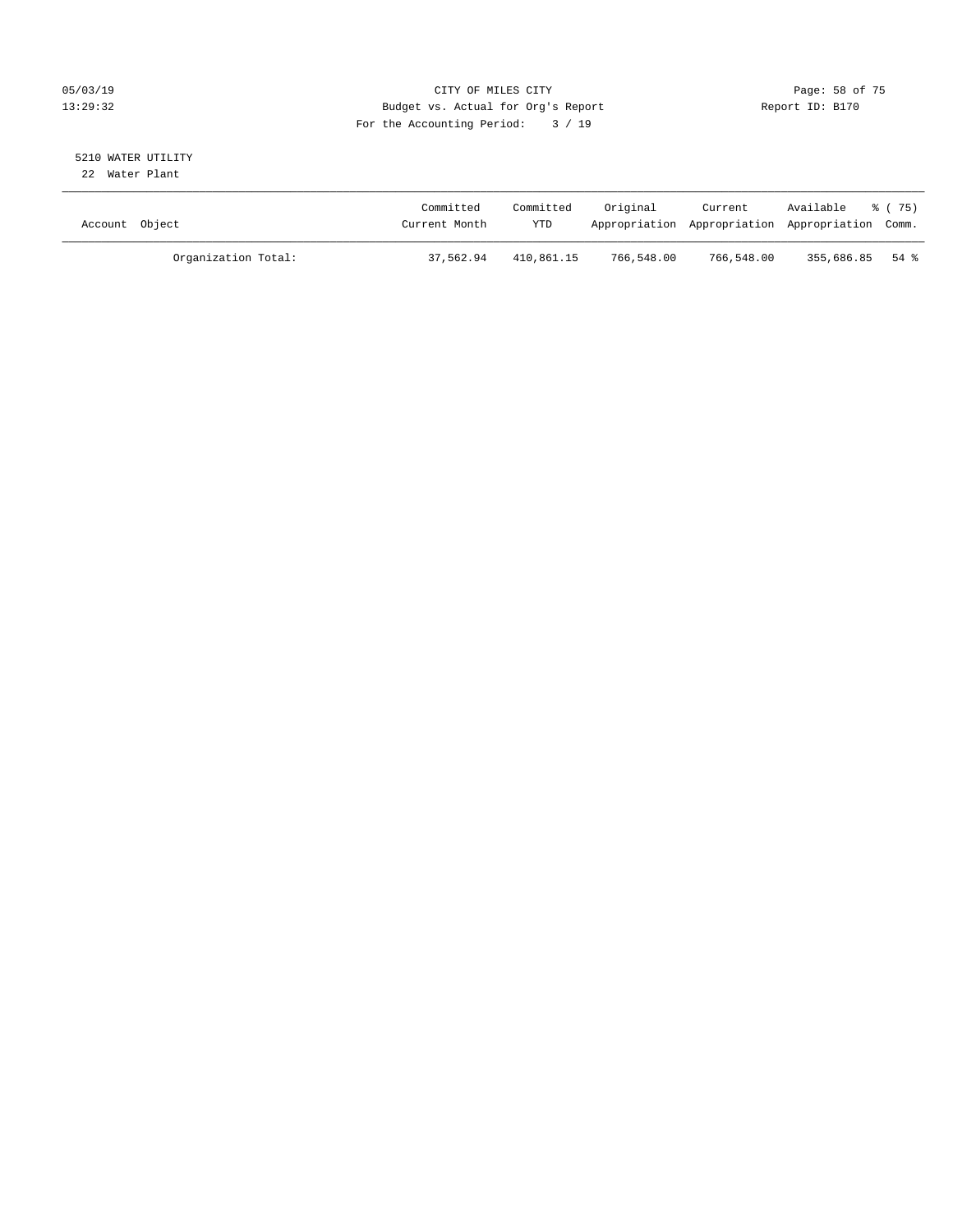#### 05/03/19 Page: 58 of 75 13:29:32 Budget vs. Actual for Org's Report Report ID: B170 For the Accounting Period: 3 / 19

#### 5210 WATER UTILITY 22 Water Plant

| Account Object |                     | Committed<br>Current Month | Committed<br><b>YTD</b> | Original   | Current    | Available % (75)<br>Appropriation Appropriation Appropriation Comm. |  |
|----------------|---------------------|----------------------------|-------------------------|------------|------------|---------------------------------------------------------------------|--|
|                | Organization Total: | 37,562.94                  | 410,861.15              | 766,548.00 | 766,548.00 | 355,686.85 54 %                                                     |  |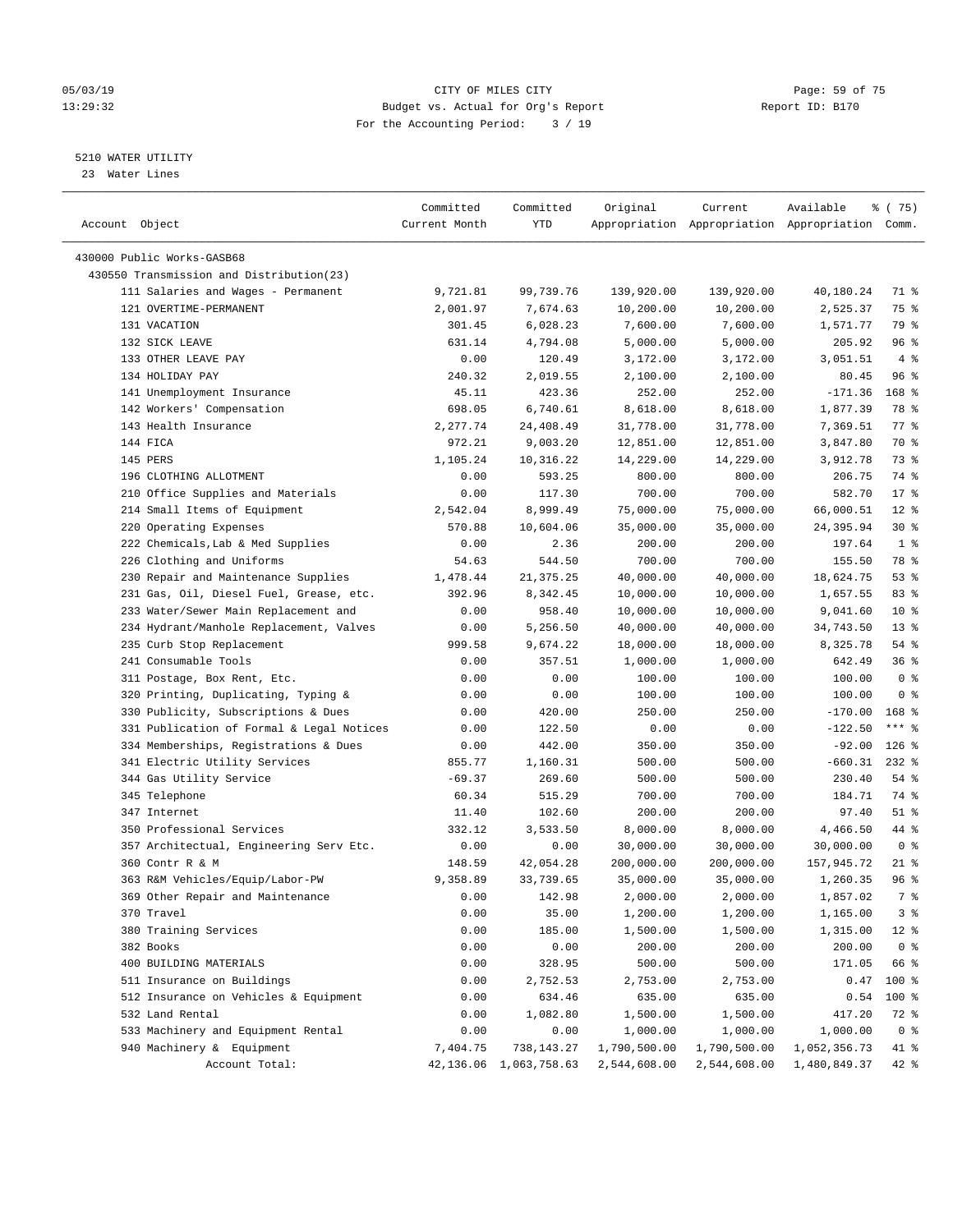#### 05/03/19 Page: 59 of 75 13:29:32 Budget vs. Actual for Org's Report Report ID: B170 For the Accounting Period: 3 / 19

————————————————————————————————————————————————————————————————————————————————————————————————————————————————————————————————————

#### 5210 WATER UTILITY

23 Water Lines

|                                           | Committed     | Committed                 | Original     | Current      | Available                                       | ៖ (75)          |
|-------------------------------------------|---------------|---------------------------|--------------|--------------|-------------------------------------------------|-----------------|
| Account Object                            | Current Month | YTD                       |              |              | Appropriation Appropriation Appropriation Comm. |                 |
|                                           |               |                           |              |              |                                                 |                 |
| 430000 Public Works-GASB68                |               |                           |              |              |                                                 |                 |
| 430550 Transmission and Distribution(23)  |               |                           |              |              |                                                 |                 |
| 111 Salaries and Wages - Permanent        | 9,721.81      | 99,739.76                 | 139,920.00   | 139,920.00   | 40,180.24                                       | 71 %            |
| 121 OVERTIME-PERMANENT                    | 2,001.97      | 7,674.63                  | 10,200.00    | 10,200.00    | 2,525.37                                        | 75 %            |
| 131 VACATION                              | 301.45        | 6,028.23                  | 7,600.00     | 7,600.00     | 1,571.77                                        | 79 %            |
| 132 SICK LEAVE                            | 631.14        | 4,794.08                  | 5,000.00     | 5,000.00     | 205.92                                          | 96 <sup>°</sup> |
| 133 OTHER LEAVE PAY                       | 0.00          | 120.49                    | 3,172.00     | 3,172.00     | 3,051.51                                        | $4\degree$      |
| 134 HOLIDAY PAY                           | 240.32        | 2,019.55                  | 2,100.00     | 2,100.00     | 80.45                                           | 96 %            |
| 141 Unemployment Insurance                | 45.11         | 423.36                    | 252.00       | 252.00       | $-171.36$                                       | 168 %           |
| 142 Workers' Compensation                 | 698.05        | 6,740.61                  | 8,618.00     | 8,618.00     | 1,877.39                                        | 78 %            |
| 143 Health Insurance                      | 2,277.74      | 24,408.49                 | 31,778.00    | 31,778.00    | 7,369.51                                        | 77.8            |
| 144 FICA                                  | 972.21        | 9,003.20                  | 12,851.00    | 12,851.00    | 3,847.80                                        | 70 %            |
| 145 PERS                                  | 1,105.24      | 10,316.22                 | 14,229.00    | 14,229.00    | 3,912.78                                        | 73 %            |
| 196 CLOTHING ALLOTMENT                    | 0.00          | 593.25                    | 800.00       | 800.00       | 206.75                                          | 74 %            |
| 210 Office Supplies and Materials         | 0.00          | 117.30                    | 700.00       | 700.00       | 582.70                                          | $17*$           |
| 214 Small Items of Equipment              | 2,542.04      | 8,999.49                  | 75,000.00    | 75,000.00    | 66,000.51                                       | $12*$           |
| 220 Operating Expenses                    | 570.88        | 10,604.06                 | 35,000.00    | 35,000.00    | 24,395.94                                       | $30*$           |
| 222 Chemicals, Lab & Med Supplies         | 0.00          | 2.36                      | 200.00       | 200.00       | 197.64                                          | 1 <sup>8</sup>  |
| 226 Clothing and Uniforms                 | 54.63         | 544.50                    | 700.00       | 700.00       | 155.50                                          | 78 %            |
| 230 Repair and Maintenance Supplies       | 1,478.44      | 21, 375. 25               | 40,000.00    | 40,000.00    | 18,624.75                                       | 53%             |
| 231 Gas, Oil, Diesel Fuel, Grease, etc.   | 392.96        | 8,342.45                  | 10,000.00    | 10,000.00    | 1,657.55                                        | 83%             |
| 233 Water/Sewer Main Replacement and      | 0.00          | 958.40                    | 10,000.00    | 10,000.00    | 9,041.60                                        | $10*$           |
| 234 Hydrant/Manhole Replacement, Valves   | 0.00          | 5,256.50                  | 40,000.00    | 40,000.00    | 34,743.50                                       | $13*$           |
| 235 Curb Stop Replacement                 | 999.58        | 9,674.22                  | 18,000.00    | 18,000.00    | 8,325.78                                        | $54$ %          |
| 241 Consumable Tools                      | 0.00          | 357.51                    | 1,000.00     | 1,000.00     | 642.49                                          | 36%             |
| 311 Postage, Box Rent, Etc.               | 0.00          | 0.00                      | 100.00       | 100.00       | 100.00                                          | 0 <sup>8</sup>  |
| 320 Printing, Duplicating, Typing &       | 0.00          | 0.00                      | 100.00       | 100.00       | 100.00                                          | 0 <sup>8</sup>  |
| 330 Publicity, Subscriptions & Dues       | 0.00          | 420.00                    | 250.00       | 250.00       | $-170.00$                                       | $168$ %         |
| 331 Publication of Formal & Legal Notices | 0.00          | 122.50                    | 0.00         | 0.00         | $-122.50$                                       | *** 응           |
| 334 Memberships, Registrations & Dues     | 0.00          | 442.00                    | 350.00       | 350.00       | $-92.00$                                        | $126$ %         |
| 341 Electric Utility Services             | 855.77        | 1,160.31                  | 500.00       | 500.00       | $-660.31$                                       | $232$ %         |
| 344 Gas Utility Service                   | $-69.37$      | 269.60                    | 500.00       | 500.00       | 230.40                                          | $54$ %          |
| 345 Telephone                             | 60.34         | 515.29                    | 700.00       | 700.00       | 184.71                                          | 74 %            |
| 347 Internet                              | 11.40         | 102.60                    | 200.00       | 200.00       | 97.40                                           | $51$ %          |
| 350 Professional Services                 | 332.12        | 3,533.50                  | 8,000.00     | 8,000.00     | 4,466.50                                        | 44 %            |
| 357 Architectual, Engineering Serv Etc.   | 0.00          | 0.00                      | 30,000.00    | 30,000.00    | 30,000.00                                       | 0 <sup>8</sup>  |
| 360 Contr R & M                           | 148.59        | 42,054.28                 | 200,000.00   | 200,000.00   | 157,945.72                                      | $21$ %          |
| 363 R&M Vehicles/Equip/Labor-PW           | 9,358.89      | 33,739.65                 | 35,000.00    | 35,000.00    | 1,260.35                                        | 96 %            |
| 369 Other Repair and Maintenance          | 0.00          | 142.98                    | 2,000.00     | 2,000.00     | 1,857.02                                        | 7%              |
| 370 Travel                                | 0.00          | 35.00                     | 1,200.00     | 1,200.00     | 1,165.00                                        | 3%              |
| 380 Training Services                     | 0.00          | 185.00                    | 1,500.00     | 1,500.00     | 1,315.00                                        | $12*$           |
| 382 Books                                 | 0.00          | 0.00                      | 200.00       | 200.00       | 200.00                                          | 0 <sup>8</sup>  |
| 400 BUILDING MATERIALS                    | 0.00          | 328.95                    | 500.00       | 500.00       | 171.05                                          | 66 %            |
| 511 Insurance on Buildings                | 0.00          | 2,752.53                  | 2,753.00     | 2,753.00     | 0.47                                            | 100 %           |
| 512 Insurance on Vehicles & Equipment     | 0.00          | 634.46                    | 635.00       | 635.00       | 0.54                                            | 100 %           |
| 532 Land Rental                           | 0.00          | 1,082.80                  | 1,500.00     | 1,500.00     | 417.20                                          | 72 %            |
| 533 Machinery and Equipment Rental        | 0.00          | 0.00                      | 1,000.00     | 1,000.00     | 1,000.00                                        | 0 <sup>8</sup>  |
| 940 Machinery & Equipment                 | 7,404.75      | 738,143.27                | 1,790,500.00 | 1,790,500.00 | 1,052,356.73                                    | 41 %            |
| Account Total:                            |               | 42, 136.06 1, 063, 758.63 | 2,544,608.00 | 2,544,608.00 | 1,480,849.37                                    | 42 %            |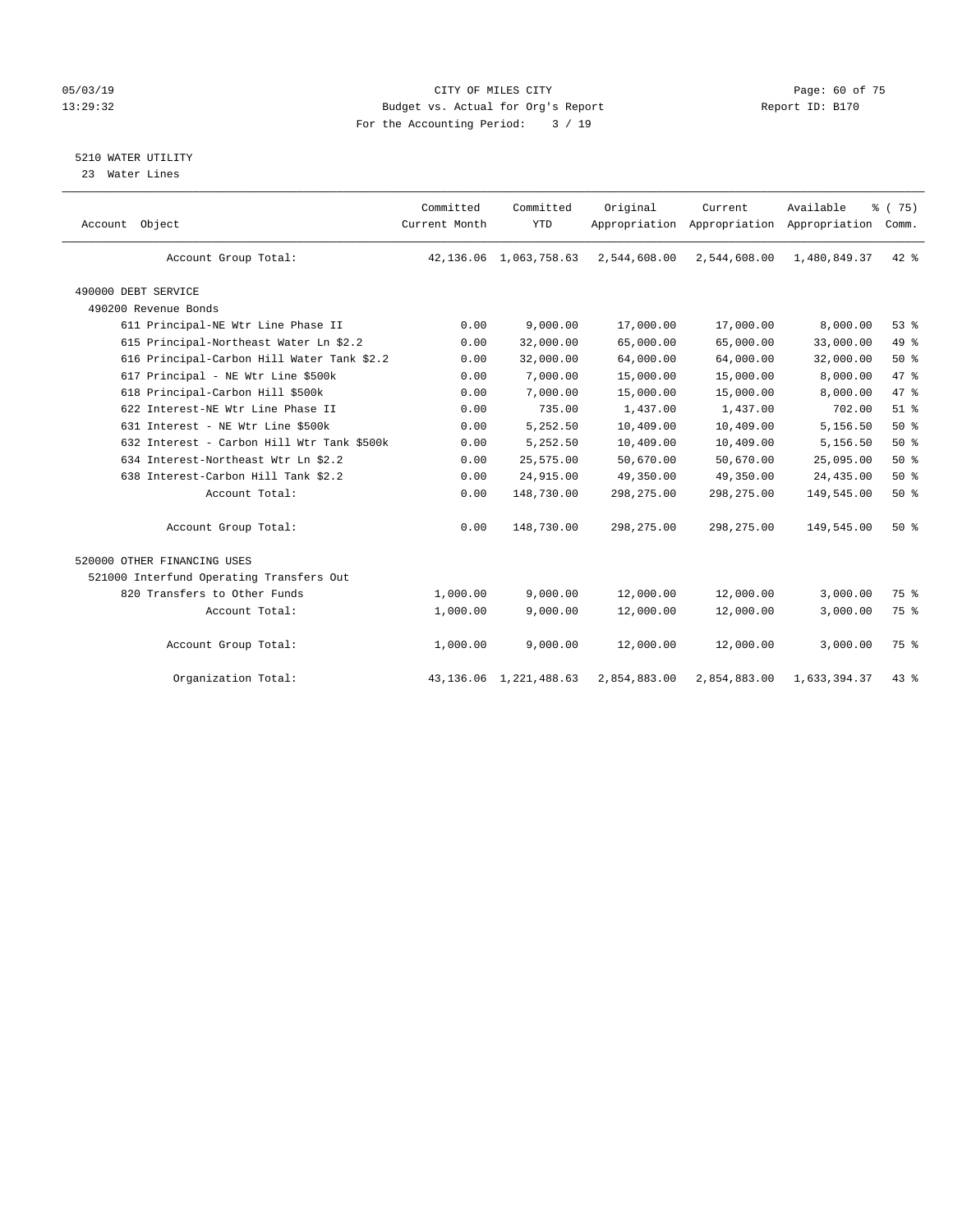#### 05/03/19 Page: 60 of 75 13:29:32 Budget vs. Actual for Org's Report Report ID: B170 For the Accounting Period: 3 / 19

### 5210 WATER UTILITY

23 Water Lines

| Account Object                             | Committed<br>Current Month | Committed<br><b>YTD</b>   | Original     | Current      | Available<br>Appropriation Appropriation Appropriation | % (75)<br>Comm. |  |
|--------------------------------------------|----------------------------|---------------------------|--------------|--------------|--------------------------------------------------------|-----------------|--|
| Account Group Total:                       | 42,136.06                  | 1,063,758.63              | 2,544,608.00 | 2,544,608.00 | 1,480,849.37                                           | $42*$           |  |
| 490000 DEBT SERVICE                        |                            |                           |              |              |                                                        |                 |  |
| 490200 Revenue Bonds                       |                            |                           |              |              |                                                        |                 |  |
| 611 Principal-NE Wtr Line Phase II         | 0.00                       | 9,000.00                  | 17,000.00    | 17,000.00    | 8,000.00                                               | 53%             |  |
| 615 Principal-Northeast Water Ln \$2.2     | 0.00                       | 32,000.00                 | 65,000.00    | 65,000.00    | 33,000.00                                              | 49 %            |  |
| 616 Principal-Carbon Hill Water Tank \$2.2 | 0.00                       | 32,000.00                 | 64,000.00    | 64,000.00    | 32,000.00                                              | $50*$           |  |
| 617 Principal - NE Wtr Line \$500k         | 0.00                       | 7,000.00                  | 15,000.00    | 15,000.00    | 8,000.00                                               | 47 %            |  |
| 618 Principal-Carbon Hill \$500k           | 0.00                       | 7,000.00                  | 15,000.00    | 15,000.00    | 8,000.00                                               | 47 %            |  |
| 622 Interest-NE Wtr Line Phase II          | 0.00                       | 735.00                    | 1,437.00     | 1,437.00     | 702.00                                                 | $51$ $%$        |  |
| 631 Interest - NE Wtr Line \$500k          | 0.00                       | 5,252.50                  | 10,409.00    | 10,409.00    | 5,156.50                                               | 50%             |  |
| 632 Interest - Carbon Hill Wtr Tank \$500k | 0.00                       | 5,252.50                  | 10,409.00    | 10,409.00    | 5,156.50                                               | 50%             |  |
| 634 Interest-Northeast Wtr Ln \$2.2        | 0.00                       | 25,575.00                 | 50,670.00    | 50,670.00    | 25,095.00                                              | 50%             |  |
| 638 Interest-Carbon Hill Tank \$2.2        | 0.00                       | 24,915.00                 | 49,350.00    | 49,350.00    | 24,435.00                                              | 50%             |  |
| Account Total:                             | 0.00                       | 148,730.00                | 298, 275.00  | 298,275.00   | 149,545.00                                             | 50%             |  |
| Account Group Total:                       | 0.00                       | 148,730.00                | 298, 275.00  | 298, 275.00  | 149,545.00                                             | 50%             |  |
| 520000 OTHER FINANCING USES                |                            |                           |              |              |                                                        |                 |  |
| 521000 Interfund Operating Transfers Out   |                            |                           |              |              |                                                        |                 |  |
| 820 Transfers to Other Funds               | 1,000.00                   | 9,000.00                  | 12,000.00    | 12,000.00    | 3,000.00                                               | 75 %            |  |
| Account Total:                             | 1,000.00                   | 9,000.00                  | 12,000.00    | 12,000.00    | 3,000.00                                               | 75 %            |  |
| Account Group Total:                       | 1,000.00                   | 9,000.00                  | 12,000.00    | 12,000.00    | 3,000.00                                               | 75 %            |  |
| Organization Total:                        |                            | 43, 136.06 1, 221, 488.63 | 2,854,883.00 | 2,854,883.00 | 1,633,394.37                                           | $43$ $%$        |  |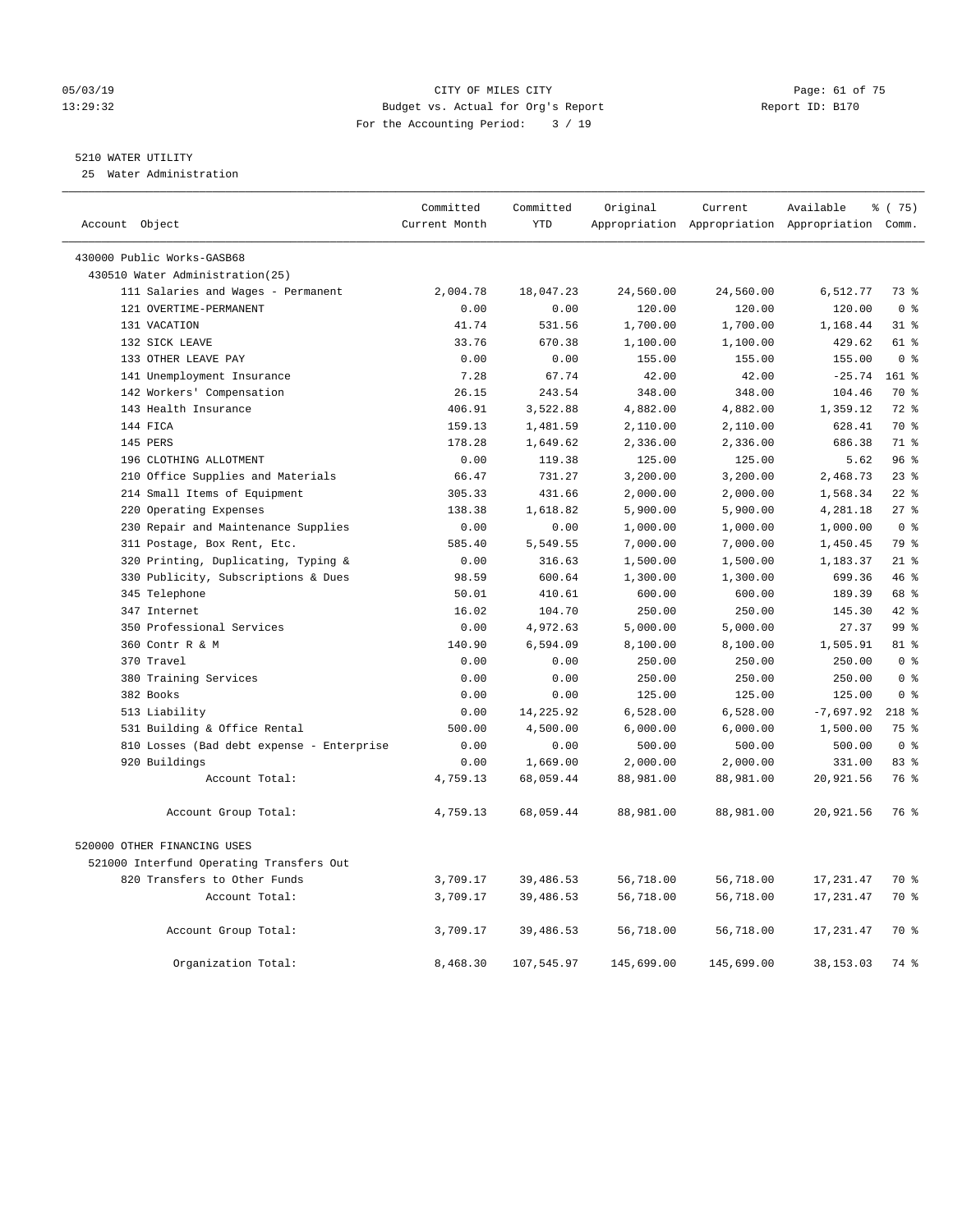#### 05/03/19 Page: 61 of 75 13:29:32 Budget vs. Actual for Org's Report Report ID: B170 For the Accounting Period: 3 / 19

#### 5210 WATER UTILITY

25 Water Administration

| Account Object                            | Committed<br>Current Month | Committed<br><b>YTD</b> | Original   | Current    | Available<br>Appropriation Appropriation Appropriation Comm. | % (75)          |
|-------------------------------------------|----------------------------|-------------------------|------------|------------|--------------------------------------------------------------|-----------------|
| 430000 Public Works-GASB68                |                            |                         |            |            |                                                              |                 |
| 430510 Water Administration(25)           |                            |                         |            |            |                                                              |                 |
| 111 Salaries and Wages - Permanent        | 2,004.78                   | 18,047.23               | 24,560.00  | 24,560.00  | 6,512.77                                                     | 73 %            |
| 121 OVERTIME-PERMANENT                    | 0.00                       | 0.00                    | 120.00     | 120.00     | 120.00                                                       | 0 <sup>8</sup>  |
| 131 VACATION                              | 41.74                      | 531.56                  | 1,700.00   | 1,700.00   | 1,168.44                                                     | 318             |
| 132 SICK LEAVE                            | 33.76                      | 670.38                  | 1,100.00   | 1,100.00   | 429.62                                                       | 61 %            |
| 133 OTHER LEAVE PAY                       | 0.00                       | 0.00                    | 155.00     | 155.00     | 155.00                                                       | 0 <sup>8</sup>  |
| 141 Unemployment Insurance                | 7.28                       | 67.74                   | 42.00      | 42.00      | $-25.74$                                                     | $161$ %         |
| 142 Workers' Compensation                 | 26.15                      | 243.54                  | 348.00     | 348.00     | 104.46                                                       | 70 %            |
| 143 Health Insurance                      | 406.91                     | 3,522.88                | 4,882.00   | 4,882.00   | 1,359.12                                                     | 72 %            |
| 144 FICA                                  | 159.13                     | 1,481.59                | 2,110.00   | 2,110.00   | 628.41                                                       | 70 %            |
| 145 PERS                                  | 178.28                     | 1,649.62                | 2,336.00   | 2,336.00   | 686.38                                                       | 71 %            |
| 196 CLOTHING ALLOTMENT                    | 0.00                       | 119.38                  | 125.00     | 125.00     | 5.62                                                         | 96%             |
| 210 Office Supplies and Materials         | 66.47                      | 731.27                  | 3,200.00   | 3,200.00   | 2,468.73                                                     | $23$ $%$        |
| 214 Small Items of Equipment              | 305.33                     | 431.66                  | 2,000.00   | 2,000.00   | 1,568.34                                                     | $22$ $%$        |
| 220 Operating Expenses                    | 138.38                     | 1,618.82                | 5,900.00   | 5,900.00   | 4,281.18                                                     | 27%             |
| 230 Repair and Maintenance Supplies       | 0.00                       | 0.00                    | 1,000.00   | 1,000.00   | 1,000.00                                                     | 0 <sup>8</sup>  |
| 311 Postage, Box Rent, Etc.               | 585.40                     | 5,549.55                | 7,000.00   | 7,000.00   | 1,450.45                                                     | 79 %            |
| 320 Printing, Duplicating, Typing &       | 0.00                       | 316.63                  | 1,500.00   | 1,500.00   | 1,183.37                                                     | $21$ %          |
| 330 Publicity, Subscriptions & Dues       | 98.59                      | 600.64                  | 1,300.00   | 1,300.00   | 699.36                                                       | 46 %            |
| 345 Telephone                             | 50.01                      | 410.61                  | 600.00     | 600.00     | 189.39                                                       | 68 %            |
| 347 Internet                              | 16.02                      | 104.70                  | 250.00     | 250.00     | 145.30                                                       | 42 %            |
| 350 Professional Services                 | 0.00                       | 4,972.63                | 5,000.00   | 5,000.00   | 27.37                                                        | 99 <sup>8</sup> |
| 360 Contr R & M                           | 140.90                     | 6,594.09                | 8,100.00   | 8,100.00   | 1,505.91                                                     | 81 %            |
| 370 Travel                                | 0.00                       | 0.00                    | 250.00     | 250.00     | 250.00                                                       | 0 <sup>8</sup>  |
| 380 Training Services                     | 0.00                       | 0.00                    | 250.00     | 250.00     | 250.00                                                       | 0 <sup>8</sup>  |
| 382 Books                                 | 0.00                       | 0.00                    | 125.00     | 125.00     | 125.00                                                       | 0 <sup>8</sup>  |
| 513 Liability                             | 0.00                       | 14,225.92               | 6,528.00   | 6,528.00   | $-7,697.92$                                                  | $218$ %         |
| 531 Building & Office Rental              | 500.00                     | 4,500.00                | 6,000.00   | 6,000.00   | 1,500.00                                                     | 75 %            |
| 810 Losses (Bad debt expense - Enterprise | 0.00                       | 0.00                    | 500.00     | 500.00     | 500.00                                                       | 0 <sup>8</sup>  |
| 920 Buildings                             | 0.00                       | 1,669.00                | 2,000.00   | 2,000.00   | 331.00                                                       | 83 %            |
| Account Total:                            | 4,759.13                   | 68,059.44               | 88,981.00  | 88,981.00  | 20,921.56                                                    | 76 %            |
| Account Group Total:                      | 4,759.13                   | 68,059.44               | 88,981.00  | 88,981.00  | 20,921.56                                                    | 76 %            |
| 520000 OTHER FINANCING USES               |                            |                         |            |            |                                                              |                 |
| 521000 Interfund Operating Transfers Out  |                            |                         |            |            |                                                              |                 |
| 820 Transfers to Other Funds              | 3,709.17                   | 39,486.53               | 56,718.00  | 56,718.00  | 17,231.47                                                    | 70 %            |
| Account Total:                            | 3,709.17                   | 39,486.53               | 56,718.00  | 56,718.00  | 17,231.47                                                    | 70 %            |
| Account Group Total:                      | 3,709.17                   | 39,486.53               | 56,718.00  | 56,718.00  | 17,231.47                                                    | 70 %            |
| Organization Total:                       | 8,468.30                   | 107,545.97              | 145,699.00 | 145,699.00 | 38, 153.03                                                   | 74 %            |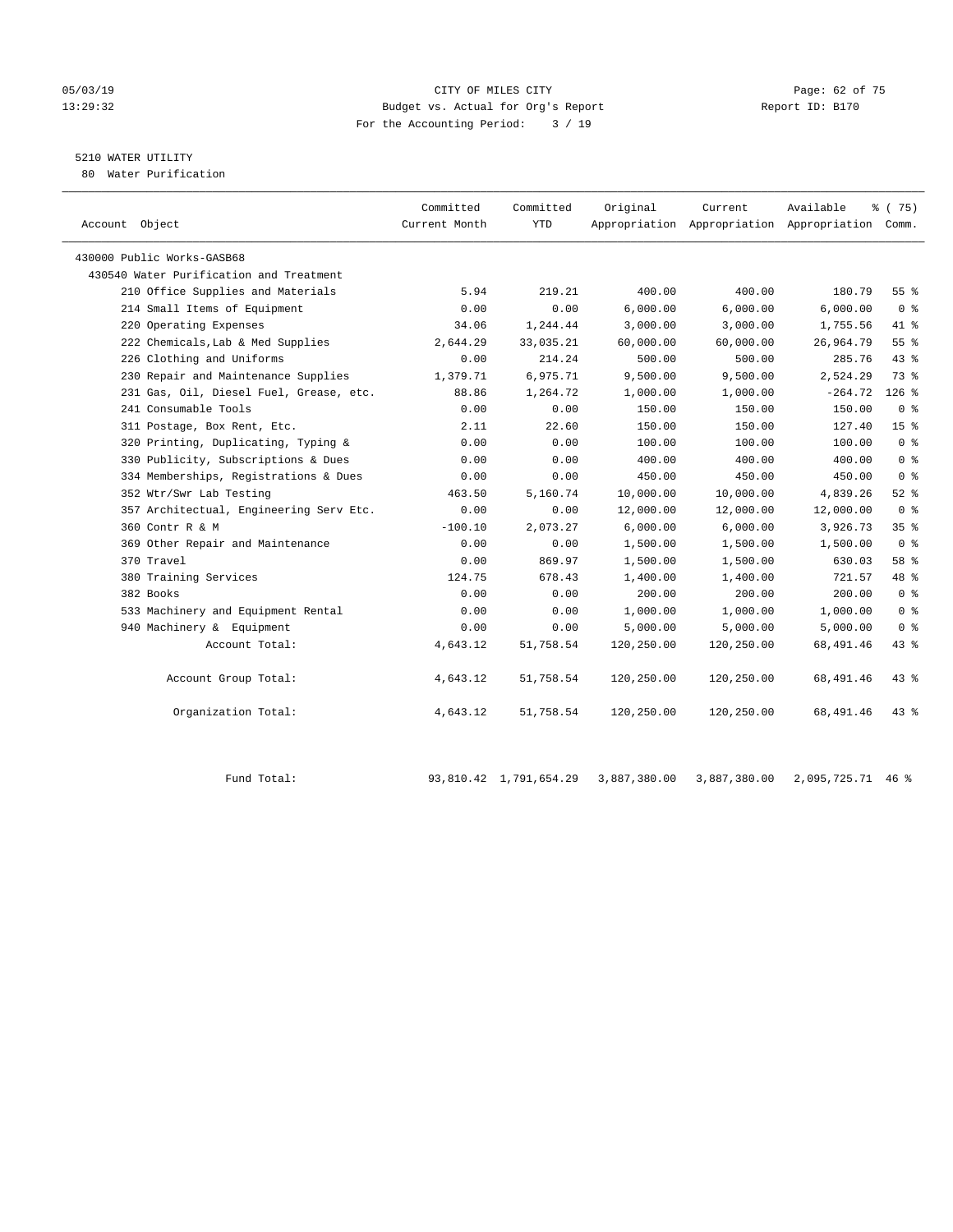#### 05/03/19 Page: 62 of 75 13:29:32 Budget vs. Actual for Org's Report Report ID: B170 For the Accounting Period: 3 / 19

# 5210 WATER UTILITY

80 Water Purification

| Account Object                          | Committed<br>Current Month | Committed<br><b>YTD</b> | Original   | Current<br>Appropriation Appropriation Appropriation Comm. | Available | 8 (75)          |
|-----------------------------------------|----------------------------|-------------------------|------------|------------------------------------------------------------|-----------|-----------------|
|                                         |                            |                         |            |                                                            |           |                 |
| 430000 Public Works-GASB68              |                            |                         |            |                                                            |           |                 |
| 430540 Water Purification and Treatment |                            |                         |            |                                                            |           |                 |
| 210 Office Supplies and Materials       | 5.94                       | 219.21                  | 400.00     | 400.00                                                     | 180.79    | 55%             |
| 214 Small Items of Equipment            | 0.00                       | 0.00                    | 6,000.00   | 6,000.00                                                   | 6,000.00  | 0 <sup>8</sup>  |
| 220 Operating Expenses                  | 34.06                      | 1,244.44                | 3,000.00   | 3,000.00                                                   | 1,755.56  | 41 %            |
| 222 Chemicals, Lab & Med Supplies       | 2,644.29                   | 33,035.21               | 60,000.00  | 60,000.00                                                  | 26,964.79 | 55%             |
| 226 Clothing and Uniforms               | 0.00                       | 214.24                  | 500.00     | 500.00                                                     | 285.76    | 43 %            |
| 230 Repair and Maintenance Supplies     | 1,379.71                   | 6,975.71                | 9,500.00   | 9,500.00                                                   | 2,524.29  | 73 %            |
| 231 Gas, Oil, Diesel Fuel, Grease, etc. | 88.86                      | 1,264.72                | 1,000.00   | 1,000.00                                                   | $-264.72$ | $126$ %         |
| 241 Consumable Tools                    | 0.00                       | 0.00                    | 150.00     | 150.00                                                     | 150.00    | 0 <sup>8</sup>  |
| 311 Postage, Box Rent, Etc.             | 2.11                       | 22.60                   | 150.00     | 150.00                                                     | 127.40    | 15 <sup>8</sup> |
| 320 Printing, Duplicating, Typing &     | 0.00                       | 0.00                    | 100.00     | 100.00                                                     | 100.00    | 0 <sup>8</sup>  |
| 330 Publicity, Subscriptions & Dues     | 0.00                       | 0.00                    | 400.00     | 400.00                                                     | 400.00    | 0 <sup>8</sup>  |
| 334 Memberships, Registrations & Dues   | 0.00                       | 0.00                    | 450.00     | 450.00                                                     | 450.00    | 0 <sup>8</sup>  |
| 352 Wtr/Swr Lab Testing                 | 463.50                     | 5,160.74                | 10,000.00  | 10,000.00                                                  | 4,839.26  | $52$ $%$        |
| 357 Architectual, Engineering Serv Etc. | 0.00                       | 0.00                    | 12,000.00  | 12,000.00                                                  | 12,000.00 | 0 <sup>8</sup>  |
| 360 Contr R & M                         | $-100.10$                  | 2,073.27                | 6,000.00   | 6,000.00                                                   | 3,926.73  | 35%             |
| 369 Other Repair and Maintenance        | 0.00                       | 0.00                    | 1,500.00   | 1,500.00                                                   | 1,500.00  | 0 <sup>8</sup>  |
| 370 Travel                              | 0.00                       | 869.97                  | 1,500.00   | 1,500.00                                                   | 630.03    | 58 %            |
| 380 Training Services                   | 124.75                     | 678.43                  | 1,400.00   | 1,400.00                                                   | 721.57    | 48 %            |
| 382 Books                               | 0.00                       | 0.00                    | 200.00     | 200.00                                                     | 200.00    | 0 <sup>8</sup>  |
| 533 Machinery and Equipment Rental      | 0.00                       | 0.00                    | 1,000.00   | 1,000.00                                                   | 1,000.00  | 0 <sup>8</sup>  |
| 940 Machinery & Equipment               | 0.00                       | 0.00                    | 5,000.00   | 5,000.00                                                   | 5,000.00  | 0 <sup>8</sup>  |
| Account Total:                          | 4,643.12                   | 51,758.54               | 120,250.00 | 120,250.00                                                 | 68,491.46 | 43.8            |
| Account Group Total:                    | 4,643.12                   | 51,758.54               | 120,250.00 | 120,250.00                                                 | 68,491.46 | 438             |
| Organization Total:                     | 4,643.12                   | 51,758.54               | 120,250.00 | 120,250.00                                                 | 68,491.46 | $43$ $%$        |

Fund Total: 93,810.42 1,791,654.29 3,887,380.00 3,887,380.00 2,095,725.71 46 %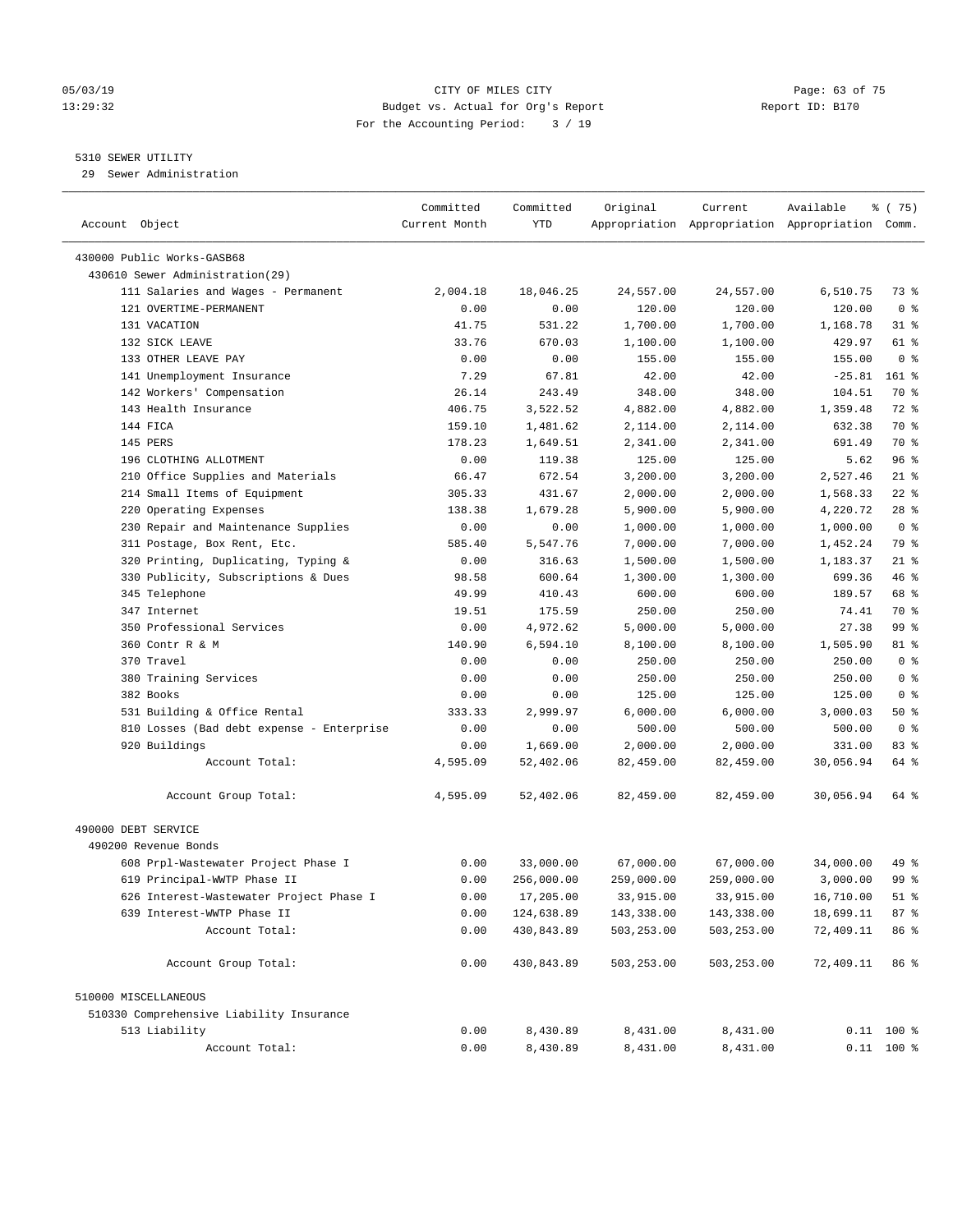#### 05/03/19 Page: 63 of 75 13:29:32 Budget vs. Actual for Org's Report Report ID: B170 For the Accounting Period: 3 / 19

————————————————————————————————————————————————————————————————————————————————————————————————————————————————————————————————————

#### 5310 SEWER UTILITY

29 Sewer Administration

|                                           | Committed     | Committed  | Original   | Current                                         | Available | 8 (75)         |
|-------------------------------------------|---------------|------------|------------|-------------------------------------------------|-----------|----------------|
| Account Object                            | Current Month | YTD        |            | Appropriation Appropriation Appropriation Comm. |           |                |
|                                           |               |            |            |                                                 |           |                |
| 430000 Public Works-GASB68                |               |            |            |                                                 |           |                |
| 430610 Sewer Administration(29)           |               |            |            |                                                 |           |                |
| 111 Salaries and Wages - Permanent        | 2,004.18      | 18,046.25  | 24,557.00  | 24,557.00                                       | 6,510.75  | 73 %           |
| 121 OVERTIME-PERMANENT                    | 0.00          | 0.00       | 120.00     | 120.00                                          | 120.00    | 0 <sup>8</sup> |
| 131 VACATION                              | 41.75         | 531.22     | 1,700.00   | 1,700.00                                        | 1,168.78  | 31 %           |
| 132 SICK LEAVE                            | 33.76         | 670.03     | 1,100.00   | 1,100.00                                        | 429.97    | 61 %           |
| 133 OTHER LEAVE PAY                       | 0.00          | 0.00       | 155.00     | 155.00                                          | 155.00    | 0 <sup>8</sup> |
| 141 Unemployment Insurance                | 7.29          | 67.81      | 42.00      | 42.00                                           | $-25.81$  | $161$ %        |
| 142 Workers' Compensation                 | 26.14         | 243.49     | 348.00     | 348.00                                          | 104.51    | 70 %           |
| 143 Health Insurance                      | 406.75        | 3,522.52   | 4,882.00   | 4,882.00                                        | 1,359.48  | 72 %           |
| 144 FICA                                  | 159.10        | 1,481.62   | 2,114.00   | 2,114.00                                        | 632.38    | 70 %           |
| 145 PERS                                  | 178.23        | 1,649.51   | 2,341.00   | 2,341.00                                        | 691.49    | 70 %           |
| 196 CLOTHING ALLOTMENT                    | 0.00          | 119.38     | 125.00     | 125.00                                          | 5.62      | 96%            |
| 210 Office Supplies and Materials         | 66.47         | 672.54     | 3,200.00   | 3,200.00                                        | 2,527.46  | $21$ %         |
| 214 Small Items of Equipment              | 305.33        | 431.67     | 2,000.00   | 2,000.00                                        | 1,568.33  | $22$ %         |
| 220 Operating Expenses                    | 138.38        | 1,679.28   | 5,900.00   | 5,900.00                                        | 4,220.72  | $28$ %         |
| 230 Repair and Maintenance Supplies       | 0.00          | 0.00       | 1,000.00   | 1,000.00                                        | 1,000.00  | 0 <sup>8</sup> |
| 311 Postage, Box Rent, Etc.               | 585.40        | 5,547.76   | 7,000.00   | 7,000.00                                        | 1,452.24  | 79 %           |
| 320 Printing, Duplicating, Typing &       | 0.00          | 316.63     | 1,500.00   | 1,500.00                                        | 1,183.37  | $21$ %         |
| 330 Publicity, Subscriptions & Dues       | 98.58         | 600.64     | 1,300.00   | 1,300.00                                        | 699.36    | 46 %           |
| 345 Telephone                             | 49.99         | 410.43     | 600.00     | 600.00                                          | 189.57    | 68 %           |
| 347 Internet                              | 19.51         | 175.59     | 250.00     | 250.00                                          | 74.41     | 70 %           |
| 350 Professional Services                 | 0.00          | 4,972.62   | 5,000.00   | 5,000.00                                        | 27.38     | 99 %           |
| 360 Contr R & M                           | 140.90        | 6,594.10   | 8,100.00   | 8,100.00                                        | 1,505.90  | 81 %           |
| 370 Travel                                | 0.00          | 0.00       | 250.00     | 250.00                                          | 250.00    | 0 <sup>8</sup> |
| 380 Training Services                     | 0.00          | 0.00       | 250.00     | 250.00                                          | 250.00    | 0 <sup>8</sup> |
| 382 Books                                 | 0.00          | 0.00       | 125.00     | 125.00                                          | 125.00    | 0 <sup>8</sup> |
| 531 Building & Office Rental              | 333.33        | 2,999.97   | 6,000.00   | 6,000.00                                        | 3,000.03  | 50%            |
| 810 Losses (Bad debt expense - Enterprise | 0.00          | 0.00       | 500.00     | 500.00                                          | 500.00    | 0 <sup>8</sup> |
| 920 Buildings                             | 0.00          | 1,669.00   | 2,000.00   | 2,000.00                                        | 331.00    | 83 %           |
| Account Total:                            | 4,595.09      | 52,402.06  | 82,459.00  | 82,459.00                                       | 30,056.94 | 64 %           |
| Account Group Total:                      | 4,595.09      | 52,402.06  | 82,459.00  | 82,459.00                                       | 30,056.94 | 64 %           |
|                                           |               |            |            |                                                 |           |                |
| 490000 DEBT SERVICE                       |               |            |            |                                                 |           |                |
| 490200 Revenue Bonds                      |               |            |            |                                                 |           |                |
| 608 Prpl-Wastewater Project Phase I       | 0.00          | 33,000.00  | 67,000.00  | 67,000.00                                       | 34,000.00 | 49 %           |
| 619 Principal-WWTP Phase II               | 0.00          | 256,000.00 | 259,000.00 | 259,000.00                                      | 3,000.00  | 99 %           |
| 626 Interest-Wastewater Project Phase I   | 0.00          | 17,205.00  | 33,915.00  | 33,915.00                                       | 16,710.00 | $51$ %         |
| 639 Interest-WWTP Phase II                | 0.00          | 124,638.89 | 143,338.00 | 143,338.00                                      | 18,699.11 | 87%            |
| Account Total:                            | 0.00          | 430,843.89 | 503,253.00 | 503,253.00                                      | 72,409.11 | 86 %           |
| Account Group Total:                      | 0.00          | 430,843.89 | 503,253.00 | 503,253.00                                      | 72,409.11 | 86 %           |
| 510000 MISCELLANEOUS                      |               |            |            |                                                 |           |                |
| 510330 Comprehensive Liability Insurance  |               |            |            |                                                 |           |                |
| 513 Liability                             | 0.00          | 8,430.89   | 8,431.00   | 8,431.00                                        |           | $0.11$ 100 %   |
| Account Total:                            | 0.00          | 8,430.89   | 8,431.00   | 8,431.00                                        |           | $0.11$ 100 %   |
|                                           |               |            |            |                                                 |           |                |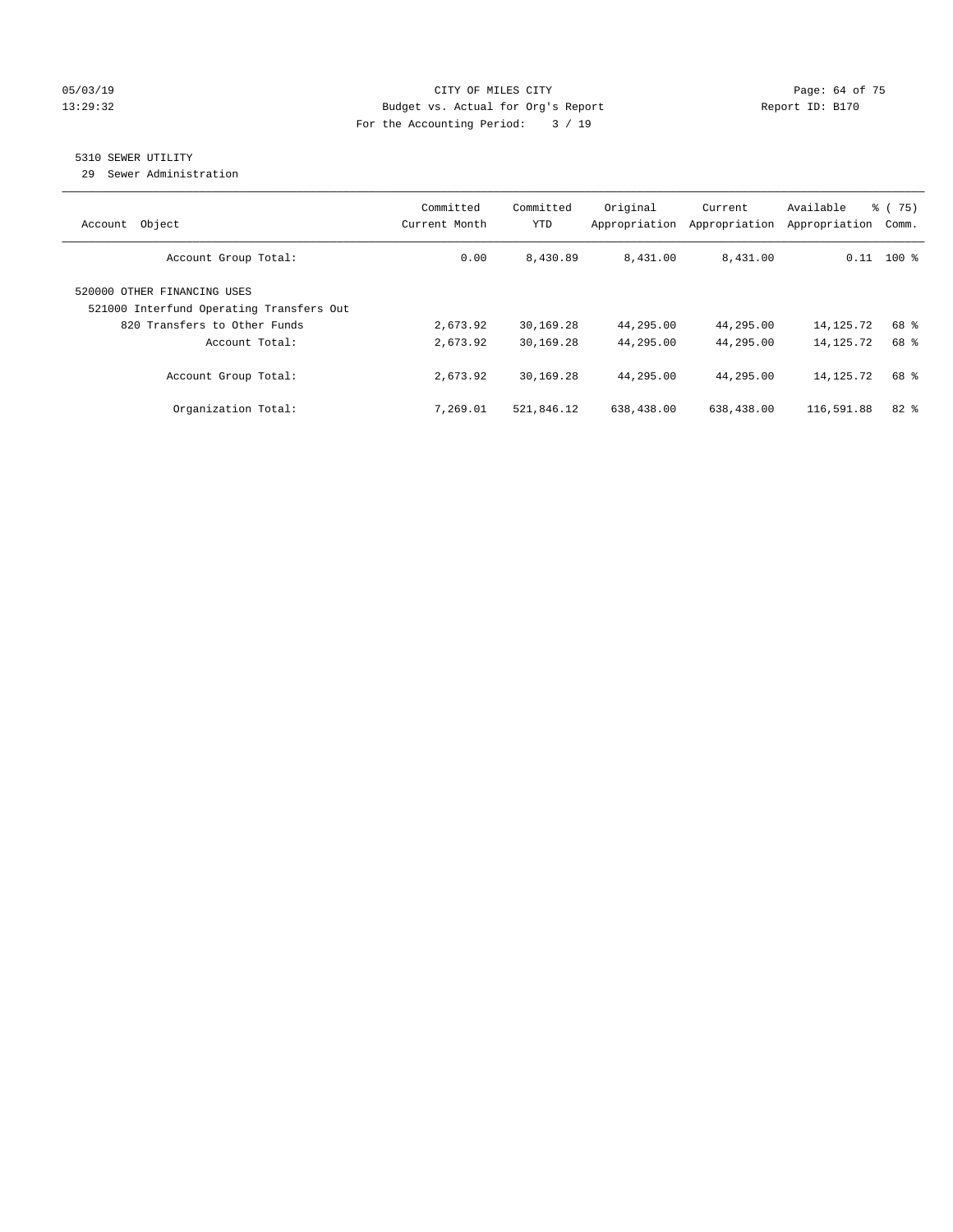#### 05/03/19 Page: 64 of 75 13:29:32 Budget vs. Actual for Org's Report Report ID: B170 For the Accounting Period: 3 / 19

# 5310 SEWER UTILITY

29 Sewer Administration

| Object<br>Account                                                       | Committed<br>Current Month | Committed<br><b>YTD</b> | Original<br>Appropriation | Current<br>Appropriation | Available<br>Appropriation | 8 (75)<br>Comm. |
|-------------------------------------------------------------------------|----------------------------|-------------------------|---------------------------|--------------------------|----------------------------|-----------------|
| Account Group Total:                                                    | 0.00                       | 8,430.89                | 8,431.00                  | 8,431.00                 |                            | $0.11$ 100 %    |
| 520000 OTHER FINANCING USES<br>521000 Interfund Operating Transfers Out |                            |                         |                           |                          |                            |                 |
| 820 Transfers to Other Funds<br>Account Total:                          | 2,673.92<br>2,673.92       | 30,169.28<br>30,169.28  | 44,295.00<br>44,295.00    | 44,295.00<br>44,295.00   | 14,125.72<br>14, 125. 72   | 68 %<br>68 %    |
| Account Group Total:                                                    | 2,673.92                   | 30,169.28               | 44,295.00                 | 44,295.00                | 14,125.72                  | 68 %            |
| Organization Total:                                                     | 7,269.01                   | 521,846.12              | 638,438.00                | 638,438.00               | 116,591.88                 | $82$ $%$        |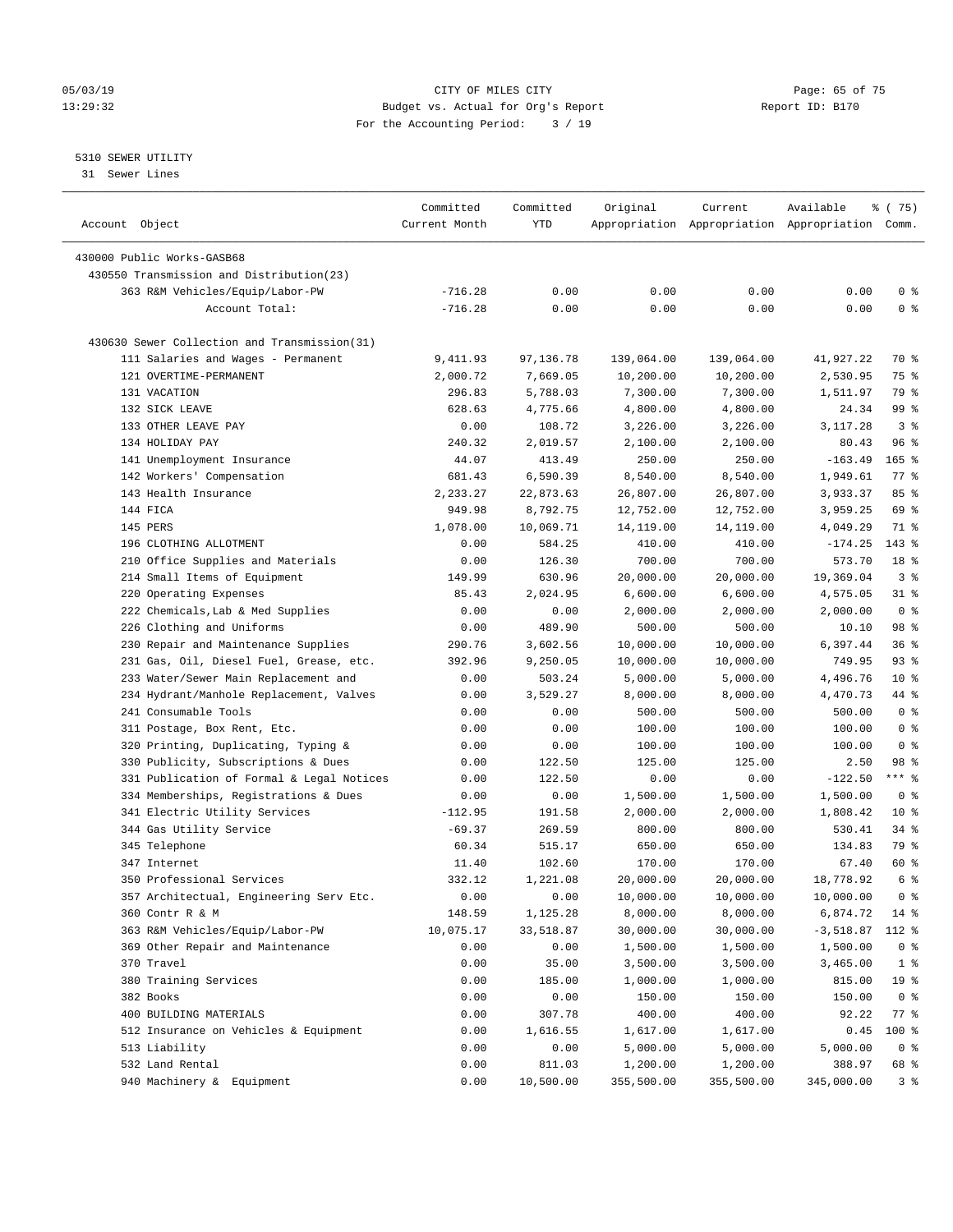#### 05/03/19 Page: 65 of 75 13:29:32 Budget vs. Actual for Org's Report Report ID: B170 For the Accounting Period: 3 / 19

————————————————————————————————————————————————————————————————————————————————————————————————————————————————————————————————————

#### 5310 SEWER UTILITY

31 Sewer Lines

|                                              | Committed     | Committed | Original   | Current    | Available                                       | 8 (75)             |
|----------------------------------------------|---------------|-----------|------------|------------|-------------------------------------------------|--------------------|
| Account Object                               | Current Month | YTD       |            |            | Appropriation Appropriation Appropriation Comm. |                    |
|                                              |               |           |            |            |                                                 |                    |
| 430000 Public Works-GASB68                   |               |           |            |            |                                                 |                    |
| 430550 Transmission and Distribution(23)     |               |           |            |            |                                                 |                    |
| 363 R&M Vehicles/Equip/Labor-PW              | $-716.28$     | 0.00      | 0.00       | 0.00       | 0.00                                            | 0 <sup>8</sup>     |
| Account Total:                               | $-716.28$     | 0.00      | 0.00       | 0.00       | 0.00                                            | 0 <sup>°</sup>     |
| 430630 Sewer Collection and Transmission(31) |               |           |            |            |                                                 |                    |
| 111 Salaries and Wages - Permanent           | 9,411.93      | 97,136.78 | 139,064.00 | 139,064.00 | 41,927.22                                       | 70 %               |
| 121 OVERTIME-PERMANENT                       | 2,000.72      | 7,669.05  | 10,200.00  | 10,200.00  | 2,530.95                                        | 75 %               |
| 131 VACATION                                 | 296.83        | 5,788.03  | 7,300.00   | 7,300.00   | 1,511.97                                        | 79 %               |
| 132 SICK LEAVE                               | 628.63        | 4,775.66  | 4,800.00   | 4,800.00   | 24.34                                           | 99 <sub>8</sub>    |
| 133 OTHER LEAVE PAY                          | 0.00          | 108.72    | 3,226.00   | 3,226.00   | 3,117.28                                        | 3 <sup>8</sup>     |
| 134 HOLIDAY PAY                              | 240.32        | 2,019.57  | 2,100.00   | 2,100.00   | 80.43                                           | 96%                |
| 141 Unemployment Insurance                   | 44.07         | 413.49    | 250.00     | 250.00     | $-163.49$                                       | $165$ %            |
| 142 Workers' Compensation                    | 681.43        | 6,590.39  | 8,540.00   | 8,540.00   | 1,949.61                                        | $77$ $\frac{6}{9}$ |
| 143 Health Insurance                         | 2,233.27      | 22,873.63 | 26,807.00  | 26,807.00  | 3,933.37                                        | 85%                |
| 144 FICA                                     | 949.98        | 8,792.75  | 12,752.00  | 12,752.00  | 3,959.25                                        | 69 %               |
| 145 PERS                                     | 1,078.00      | 10,069.71 | 14,119.00  | 14,119.00  | 4,049.29                                        | 71 %               |
| 196 CLOTHING ALLOTMENT                       | 0.00          | 584.25    | 410.00     | 410.00     | $-174.25$                                       | $143*$             |
| 210 Office Supplies and Materials            | 0.00          | 126.30    | 700.00     | 700.00     | 573.70                                          | 18 <sup>8</sup>    |
| 214 Small Items of Equipment                 | 149.99        | 630.96    | 20,000.00  | 20,000.00  | 19,369.04                                       | 3%                 |
| 220 Operating Expenses                       | 85.43         | 2,024.95  | 6,600.00   | 6,600.00   | 4,575.05                                        | $31$ %             |
| 222 Chemicals, Lab & Med Supplies            | 0.00          | 0.00      | 2,000.00   | 2,000.00   | 2,000.00                                        | 0 <sup>8</sup>     |
| 226 Clothing and Uniforms                    | 0.00          | 489.90    | 500.00     | 500.00     | 10.10                                           | 98 %               |
| 230 Repair and Maintenance Supplies          | 290.76        | 3,602.56  | 10,000.00  | 10,000.00  | 6,397.44                                        | 36%                |
| 231 Gas, Oil, Diesel Fuel, Grease, etc.      | 392.96        | 9,250.05  | 10,000.00  | 10,000.00  | 749.95                                          | $93$ $%$           |
| 233 Water/Sewer Main Replacement and         | 0.00          | 503.24    | 5,000.00   | 5,000.00   | 4,496.76                                        | $10*$              |
| 234 Hydrant/Manhole Replacement, Valves      | 0.00          | 3,529.27  | 8,000.00   | 8,000.00   | 4,470.73                                        | 44 %               |
| 241 Consumable Tools                         | 0.00          | 0.00      | 500.00     | 500.00     | 500.00                                          | 0 <sup>8</sup>     |
| 311 Postage, Box Rent, Etc.                  | 0.00          | 0.00      | 100.00     | 100.00     | 100.00                                          | 0 <sup>8</sup>     |
|                                              |               |           |            | 100.00     |                                                 | 0 <sup>8</sup>     |
| 320 Printing, Duplicating, Typing &          | 0.00          | 0.00      | 100.00     |            | 100.00                                          | 98 %               |
| 330 Publicity, Subscriptions & Dues          | 0.00          | 122.50    | 125.00     | 125.00     | 2.50                                            | *** %              |
| 331 Publication of Formal & Legal Notices    | 0.00          | 122.50    | 0.00       | 0.00       | $-122.50$                                       |                    |
| 334 Memberships, Registrations & Dues        | 0.00          | 0.00      | 1,500.00   | 1,500.00   | 1,500.00                                        | 0 <sup>8</sup>     |
| 341 Electric Utility Services                | $-112.95$     | 191.58    | 2,000.00   | 2,000.00   | 1,808.42                                        | $10*$              |
| 344 Gas Utility Service                      | $-69.37$      | 269.59    | 800.00     | 800.00     | 530.41                                          | $34$ $%$           |
| 345 Telephone                                | 60.34         | 515.17    | 650.00     | 650.00     | 134.83                                          | 79 %               |
| 347 Internet                                 | 11.40         | 102.60    | 170.00     | 170.00     | 67.40                                           | 60 %               |
| 350 Professional Services                    | 332.12        | 1,221.08  | 20,000.00  | 20,000.00  | 18,778.92                                       | 6 %                |
| 357 Architectual, Engineering Serv Etc.      | 0.00          | 0.00      | 10,000.00  | 10,000.00  | 10,000.00                                       | 0 <sup>8</sup>     |
| 360 Contr R & M                              | 148.59        | 1,125.28  | 8,000.00   | 8,000.00   | 6,874.72                                        | 14 %               |
| 363 R&M Vehicles/Equip/Labor-PW              | 10,075.17     | 33,518.87 | 30,000.00  | 30,000.00  | $-3,518.87$ 112 %                               |                    |
| 369 Other Repair and Maintenance             | 0.00          | 0.00      | 1,500.00   | 1,500.00   | 1,500.00                                        | 0 <sup>8</sup>     |
| 370 Travel                                   | 0.00          | 35.00     | 3,500.00   | 3,500.00   | 3,465.00                                        | 1 <sup>8</sup>     |
| 380 Training Services                        | 0.00          | 185.00    | 1,000.00   | 1,000.00   | 815.00                                          | 19 %               |
| 382 Books                                    | 0.00          | 0.00      | 150.00     | 150.00     | 150.00                                          | 0 <sup>8</sup>     |
| 400 BUILDING MATERIALS                       | 0.00          | 307.78    | 400.00     | 400.00     | 92.22                                           | $77$ $%$           |
| 512 Insurance on Vehicles & Equipment        | 0.00          | 1,616.55  | 1,617.00   | 1,617.00   | 0.45                                            | 100 %              |
| 513 Liability                                | 0.00          | 0.00      | 5,000.00   | 5,000.00   | 5,000.00                                        | 0 <sup>8</sup>     |
| 532 Land Rental                              | 0.00          | 811.03    | 1,200.00   | 1,200.00   | 388.97                                          | 68 %               |
| 940 Machinery & Equipment                    | 0.00          | 10,500.00 | 355,500.00 | 355,500.00 | 345,000.00                                      | 3%                 |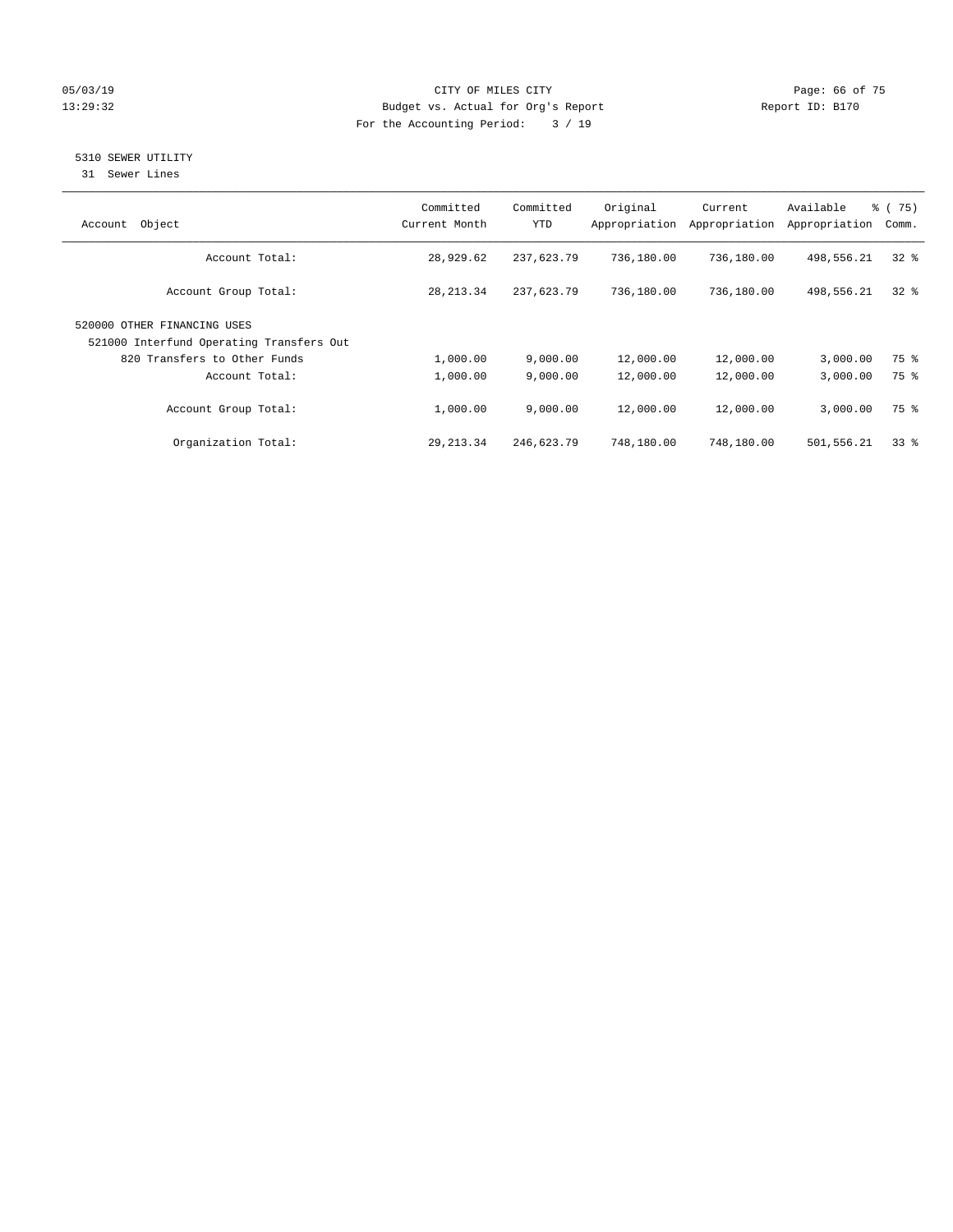#### 05/03/19 Page: 66 of 75 13:29:32 Budget vs. Actual for Org's Report Report ID: B170 For the Accounting Period: 3 / 19

# 5310 SEWER UTILITY

31 Sewer Lines

| Object<br>Account                                                       | Committed<br>Current Month | Committed<br><b>YTD</b> | Original<br>Appropriation | Current<br>Appropriation | Available<br>Appropriation | % (75)<br>Comm. |
|-------------------------------------------------------------------------|----------------------------|-------------------------|---------------------------|--------------------------|----------------------------|-----------------|
| Account Total:                                                          | 28,929.62                  | 237,623.79              | 736,180.00                | 736,180.00               | 498,556.21                 | $32*$           |
| Account Group Total:                                                    | 28, 213.34                 | 237,623.79              | 736,180.00                | 736,180.00               | 498,556.21                 | $32*$           |
| 520000 OTHER FINANCING USES<br>521000 Interfund Operating Transfers Out |                            |                         |                           |                          |                            |                 |
| 820 Transfers to Other Funds                                            | 1,000.00                   | 9,000.00                | 12,000.00                 | 12,000.00                | 3,000.00                   | 75 %            |
| Account Total:                                                          | 1,000.00                   | 9,000.00                | 12,000.00                 | 12,000.00                | 3,000.00                   | 75 %            |
| Account Group Total:                                                    | 1,000.00                   | 9.000.00                | 12,000.00                 | 12,000.00                | 3,000.00                   | 75 %            |
| Organization Total:                                                     | 29, 213.34                 | 246,623.79              | 748,180.00                | 748,180.00               | 501,556.21                 | 338             |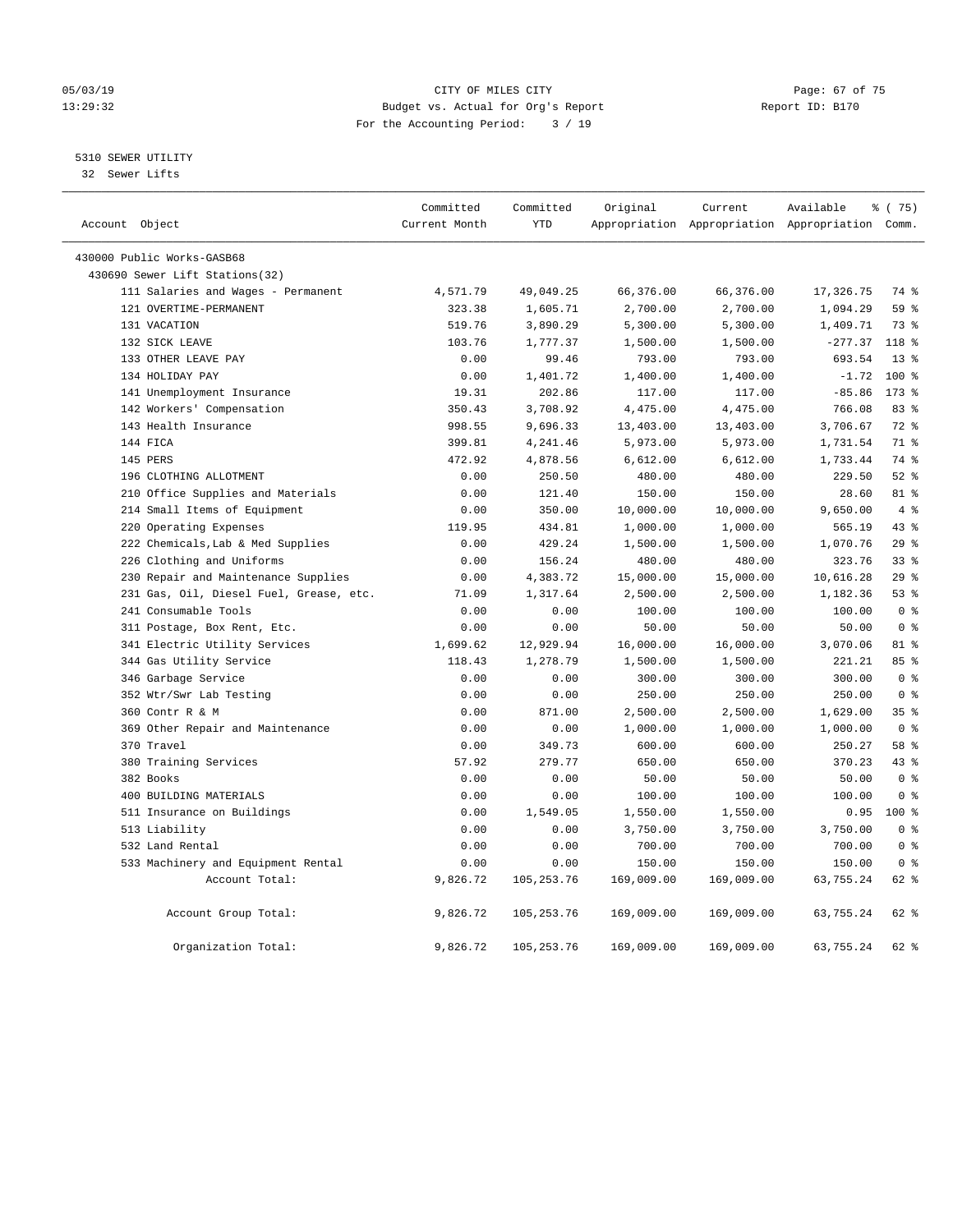#### 05/03/19 Page: 67 of 75 13:29:32 Budget vs. Actual for Org's Report Report ID: B170 For the Accounting Period: 3 / 19

#### 5310 SEWER UTILITY

32 Sewer Lifts

| Account Object |                                         | Committed<br>Current Month | Committed<br><b>YTD</b> | Original   | Current    | Available<br>Appropriation Appropriation Appropriation Comm. | 8 (75)          |                |
|----------------|-----------------------------------------|----------------------------|-------------------------|------------|------------|--------------------------------------------------------------|-----------------|----------------|
|                | 430000 Public Works-GASB68              |                            |                         |            |            |                                                              |                 |                |
|                | 430690 Sewer Lift Stations(32)          |                            |                         |            |            |                                                              |                 |                |
|                | 111 Salaries and Wages - Permanent      | 4,571.79                   | 49,049.25               | 66,376.00  | 66,376.00  | 17,326.75                                                    | 74 %            |                |
|                | 121 OVERTIME-PERMANENT                  | 323.38                     | 1,605.71                | 2,700.00   | 2,700.00   | 1,094.29                                                     | 59 %            |                |
|                | 131 VACATION                            | 519.76                     | 3,890.29                | 5,300.00   | 5,300.00   | 1,409.71                                                     | 73 %            |                |
|                | 132 SICK LEAVE                          | 103.76                     | 1,777.37                | 1,500.00   | 1,500.00   | $-277.37$                                                    | $118*$          |                |
|                | 133 OTHER LEAVE PAY                     | 0.00                       | 99.46                   | 793.00     | 793.00     | 693.54                                                       | $13*$           |                |
|                | 134 HOLIDAY PAY                         | 0.00                       | 1,401.72                | 1,400.00   | 1,400.00   | $-1.72$                                                      | $100*$          |                |
|                | 141 Unemployment Insurance              | 19.31                      | 202.86                  | 117.00     | 117.00     | $-85.86$                                                     | $173$ $%$       |                |
|                | 142 Workers' Compensation               | 350.43                     | 3,708.92                | 4,475.00   | 4,475.00   | 766.08                                                       | 83 %            |                |
|                | 143 Health Insurance                    | 998.55                     | 9,696.33                | 13,403.00  | 13,403.00  | 3,706.67                                                     | $72$ $%$        |                |
|                | 144 FICA                                | 399.81                     | 4,241.46                | 5,973.00   | 5,973.00   | 1,731.54                                                     | 71 %            |                |
|                | 145 PERS                                | 472.92                     | 4,878.56                | 6,612.00   | 6,612.00   | 1,733.44                                                     | 74 %            |                |
|                | 196 CLOTHING ALLOTMENT                  | 0.00                       | 250.50                  | 480.00     | 480.00     | 229.50                                                       | $52$ $%$        |                |
|                | 210 Office Supplies and Materials       | 0.00                       | 121.40                  | 150.00     | 150.00     | 28.60                                                        | 81 %            |                |
|                | 214 Small Items of Equipment            | 0.00                       | 350.00                  | 10,000.00  | 10,000.00  | 9,650.00                                                     |                 | $4\degree$     |
|                | 220 Operating Expenses                  | 119.95                     | 434.81                  | 1,000.00   | 1,000.00   | 565.19                                                       | 438             |                |
|                | 222 Chemicals, Lab & Med Supplies       | 0.00                       | 429.24                  | 1,500.00   | 1,500.00   | 1,070.76                                                     | 29%             |                |
|                | 226 Clothing and Uniforms               | 0.00                       | 156.24                  | 480.00     | 480.00     | 323.76                                                       | 33 <sup>8</sup> |                |
|                | 230 Repair and Maintenance Supplies     | 0.00                       | 4,383.72                | 15,000.00  | 15,000.00  | 10,616.28                                                    | 29%             |                |
|                | 231 Gas, Oil, Diesel Fuel, Grease, etc. | 71.09                      | 1,317.64                | 2,500.00   | 2,500.00   | 1,182.36                                                     | 53%             |                |
|                | 241 Consumable Tools                    | 0.00                       | 0.00                    | 100.00     | 100.00     | 100.00                                                       |                 | 0 <sup>8</sup> |
|                | 311 Postage, Box Rent, Etc.             | 0.00                       | 0.00                    | 50.00      | 50.00      | 50.00                                                        |                 | 0 <sup>8</sup> |
|                | 341 Electric Utility Services           | 1,699.62                   | 12,929.94               | 16,000.00  | 16,000.00  | 3,070.06                                                     | 81 %            |                |
|                | 344 Gas Utility Service                 | 118.43                     | 1,278.79                | 1,500.00   | 1,500.00   | 221.21                                                       | 85 %            |                |
|                | 346 Garbage Service                     | 0.00                       | 0.00                    | 300.00     | 300.00     | 300.00                                                       |                 | 0 <sup>8</sup> |
|                | 352 Wtr/Swr Lab Testing                 | 0.00                       | 0.00                    | 250.00     | 250.00     | 250.00                                                       | 0 <sup>8</sup>  |                |
|                | 360 Contr R & M                         | 0.00                       | 871.00                  | 2,500.00   | 2,500.00   | 1,629.00                                                     | 35%             |                |
|                | 369 Other Repair and Maintenance        | 0.00                       | 0.00                    | 1,000.00   | 1,000.00   | 1,000.00                                                     |                 | 0 <sup>8</sup> |
|                | 370 Travel                              | 0.00                       | 349.73                  | 600.00     | 600.00     | 250.27                                                       | 58 %            |                |
|                | 380 Training Services                   | 57.92                      | 279.77                  | 650.00     | 650.00     | 370.23                                                       | 43.8            |                |
|                | 382 Books                               | 0.00                       | 0.00                    | 50.00      | 50.00      | 50.00                                                        |                 | 0 <sup>8</sup> |
|                | 400 BUILDING MATERIALS                  | 0.00                       | 0.00                    | 100.00     | 100.00     | 100.00                                                       |                 | 0 <sup>8</sup> |
|                | 511 Insurance on Buildings              | 0.00                       | 1,549.05                | 1,550.00   | 1,550.00   | 0.95                                                         | $100*$          |                |
|                | 513 Liability                           | 0.00                       | 0.00                    | 3,750.00   | 3,750.00   | 3,750.00                                                     |                 | 0 <sup>8</sup> |
|                | 532 Land Rental                         | 0.00                       | 0.00                    | 700.00     | 700.00     | 700.00                                                       |                 | 0 <sup>8</sup> |
|                | 533 Machinery and Equipment Rental      | 0.00                       | 0.00                    | 150.00     | 150.00     | 150.00                                                       |                 | 0 <sup>8</sup> |
|                | Account Total:                          | 9,826.72                   | 105, 253.76             | 169,009.00 | 169,009.00 | 63,755.24                                                    | $62$ $%$        |                |
|                | Account Group Total:                    | 9,826.72                   | 105,253.76              | 169,009.00 | 169,009.00 | 63,755.24                                                    | 62 %            |                |
|                | Organization Total:                     | 9,826.72                   | 105, 253. 76            | 169,009.00 | 169,009.00 | 63,755.24                                                    | 62 %            |                |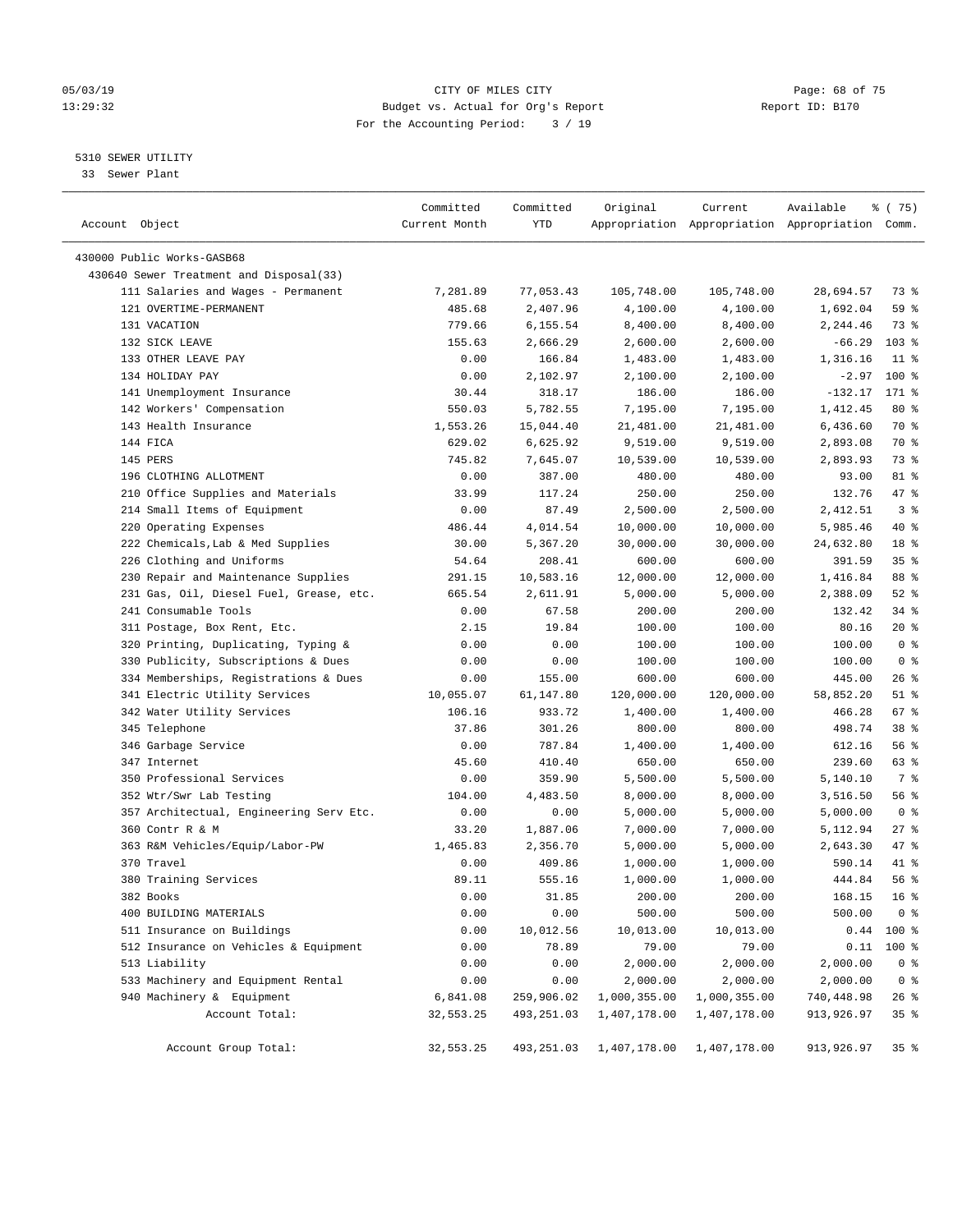#### 05/03/19 Page: 68 of 75 13:29:32 Budget vs. Actual for Org's Report Report ID: B170 For the Accounting Period: 3 / 19

————————————————————————————————————————————————————————————————————————————————————————————————————————————————————————————————————

#### 5310 SEWER UTILITY

33 Sewer Plant

|                                         | Committed     | Committed             | Original     | Current      | Available                                       | ៖ (75)          |
|-----------------------------------------|---------------|-----------------------|--------------|--------------|-------------------------------------------------|-----------------|
| Account Object                          | Current Month | YTD                   |              |              | Appropriation Appropriation Appropriation Comm. |                 |
|                                         |               |                       |              |              |                                                 |                 |
| 430000 Public Works-GASB68              |               |                       |              |              |                                                 |                 |
| 430640 Sewer Treatment and Disposal(33) |               |                       |              |              |                                                 |                 |
| 111 Salaries and Wages - Permanent      | 7,281.89      | 77,053.43<br>2,407.96 | 105,748.00   | 105,748.00   | 28,694.57                                       | 73 %            |
| 121 OVERTIME-PERMANENT                  | 485.68        |                       | 4,100.00     | 4,100.00     | 1,692.04                                        | 59 %            |
| 131 VACATION                            | 779.66        | 6,155.54              | 8,400.00     | 8,400.00     | 2,244.46                                        | 73 %            |
| 132 SICK LEAVE                          | 155.63        | 2,666.29              | 2,600.00     | 2,600.00     | $-66.29$                                        | $103$ %         |
| 133 OTHER LEAVE PAY                     | 0.00          | 166.84                | 1,483.00     | 1,483.00     | 1,316.16                                        | $11$ %          |
| 134 HOLIDAY PAY                         | 0.00          | 2,102.97              | 2,100.00     | 2,100.00     | $-2.97$                                         | $100*$          |
| 141 Unemployment Insurance              | 30.44         | 318.17                | 186.00       | 186.00       | $-132.17$                                       | 171 %           |
| 142 Workers' Compensation               | 550.03        | 5,782.55              | 7,195.00     | 7,195.00     | 1,412.45                                        | 80 %            |
| 143 Health Insurance                    | 1,553.26      | 15,044.40             | 21,481.00    | 21,481.00    | 6,436.60                                        | 70 %            |
| 144 FICA                                | 629.02        | 6,625.92              | 9,519.00     | 9,519.00     | 2,893.08                                        | 70 %            |
| 145 PERS                                | 745.82        | 7,645.07              | 10,539.00    | 10,539.00    | 2,893.93                                        | 73 %            |
| 196 CLOTHING ALLOTMENT                  | 0.00          | 387.00                | 480.00       | 480.00       | 93.00                                           | 81 %            |
| 210 Office Supplies and Materials       | 33.99         | 117.24                | 250.00       | 250.00       | 132.76                                          | 47 %            |
| 214 Small Items of Equipment            | 0.00          | 87.49                 | 2,500.00     | 2,500.00     | 2,412.51                                        | 3 <sup>8</sup>  |
| 220 Operating Expenses                  | 486.44        | 4,014.54              | 10,000.00    | 10,000.00    | 5,985.46                                        | 40 %            |
| 222 Chemicals, Lab & Med Supplies       | 30.00         | 5,367.20              | 30,000.00    | 30,000.00    | 24,632.80                                       | 18 <sup>°</sup> |
| 226 Clothing and Uniforms               | 54.64         | 208.41                | 600.00       | 600.00       | 391.59                                          | 35%             |
| 230 Repair and Maintenance Supplies     | 291.15        | 10,583.16             | 12,000.00    | 12,000.00    | 1,416.84                                        | 88 %            |
| 231 Gas, Oil, Diesel Fuel, Grease, etc. | 665.54        | 2,611.91              | 5,000.00     | 5,000.00     | 2,388.09                                        | $52$ $%$        |
| 241 Consumable Tools                    | 0.00          | 67.58                 | 200.00       | 200.00       | 132.42                                          | 34%             |
| 311 Postage, Box Rent, Etc.             | 2.15          | 19.84                 | 100.00       | 100.00       | 80.16                                           | $20*$           |
| 320 Printing, Duplicating, Typing &     | 0.00          | 0.00                  | 100.00       | 100.00       | 100.00                                          | 0 <sup>8</sup>  |
| 330 Publicity, Subscriptions & Dues     | 0.00          | 0.00                  | 100.00       | 100.00       | 100.00                                          | 0 <sup>8</sup>  |
| 334 Memberships, Registrations & Dues   | 0.00          | 155.00                | 600.00       | 600.00       | 445.00                                          | $26$ %          |
| 341 Electric Utility Services           | 10,055.07     | 61,147.80             | 120,000.00   | 120,000.00   | 58,852.20                                       | $51$ %          |
| 342 Water Utility Services              | 106.16        | 933.72                | 1,400.00     | 1,400.00     | 466.28                                          | 67%             |
| 345 Telephone                           | 37.86         | 301.26                | 800.00       | 800.00       | 498.74                                          | 38 <sup>8</sup> |
| 346 Garbage Service                     | 0.00          | 787.84                | 1,400.00     | 1,400.00     | 612.16                                          | 56%             |
| 347 Internet                            | 45.60         | 410.40                | 650.00       | 650.00       | 239.60                                          | 63 %            |
| 350 Professional Services               | 0.00          | 359.90                | 5,500.00     | 5,500.00     | 5,140.10                                        | 7 %             |
| 352 Wtr/Swr Lab Testing                 | 104.00        | 4,483.50              | 8,000.00     | 8,000.00     | 3,516.50                                        | 56 %            |
| 357 Architectual, Engineering Serv Etc. | 0.00          | 0.00                  | 5,000.00     | 5,000.00     | 5,000.00                                        | 0 <sup>8</sup>  |
| 360 Contr R & M                         | 33.20         | 1,887.06              | 7,000.00     | 7,000.00     | 5,112.94                                        | $27$ %          |
| 363 R&M Vehicles/Equip/Labor-PW         | 1,465.83      | 2,356.70              | 5,000.00     | 5,000.00     | 2,643.30                                        | 47 %            |
| 370 Travel                              | 0.00          | 409.86                | 1,000.00     | 1,000.00     | 590.14                                          | 41 %            |
| 380 Training Services                   | 89.11         | 555.16                | 1,000.00     | 1,000.00     | 444.84                                          | 56 %            |
| 382 Books                               | 0.00          | 31.85                 | 200.00       | 200.00       | 168.15                                          | 16 <sup>8</sup> |
| 400 BUILDING MATERIALS                  | 0.00          | 0.00                  | 500.00       | 500.00       | 500.00                                          | 0 <sup>8</sup>  |
| 511 Insurance on Buildings              | 0.00          | 10,012.56             | 10,013.00    | 10,013.00    | 0.44                                            | $100$ %         |
| 512 Insurance on Vehicles & Equipment   | 0.00          | 78.89                 | 79.00        | 79.00        | 0.11                                            | 100 %           |
| 513 Liability                           | 0.00          | 0.00                  | 2,000.00     | 2,000.00     | 2,000.00                                        | 0 <sup>8</sup>  |
| 533 Machinery and Equipment Rental      | 0.00          | 0.00                  | 2,000.00     | 2,000.00     | 2,000.00                                        | 0 <sup>8</sup>  |
| 940 Machinery & Equipment               | 6,841.08      | 259,906.02            | 1,000,355.00 | 1,000,355.00 | 740,448.98                                      | $26$ %          |
| Account Total:                          | 32,553.25     | 493, 251.03           | 1,407,178.00 | 1,407,178.00 | 913,926.97                                      | 35%             |
|                                         |               |                       |              |              |                                                 |                 |
| Account Group Total:                    | 32,553.25     | 493,251.03            | 1,407,178.00 | 1,407,178.00 | 913, 926.97                                     | 35 <sup>8</sup> |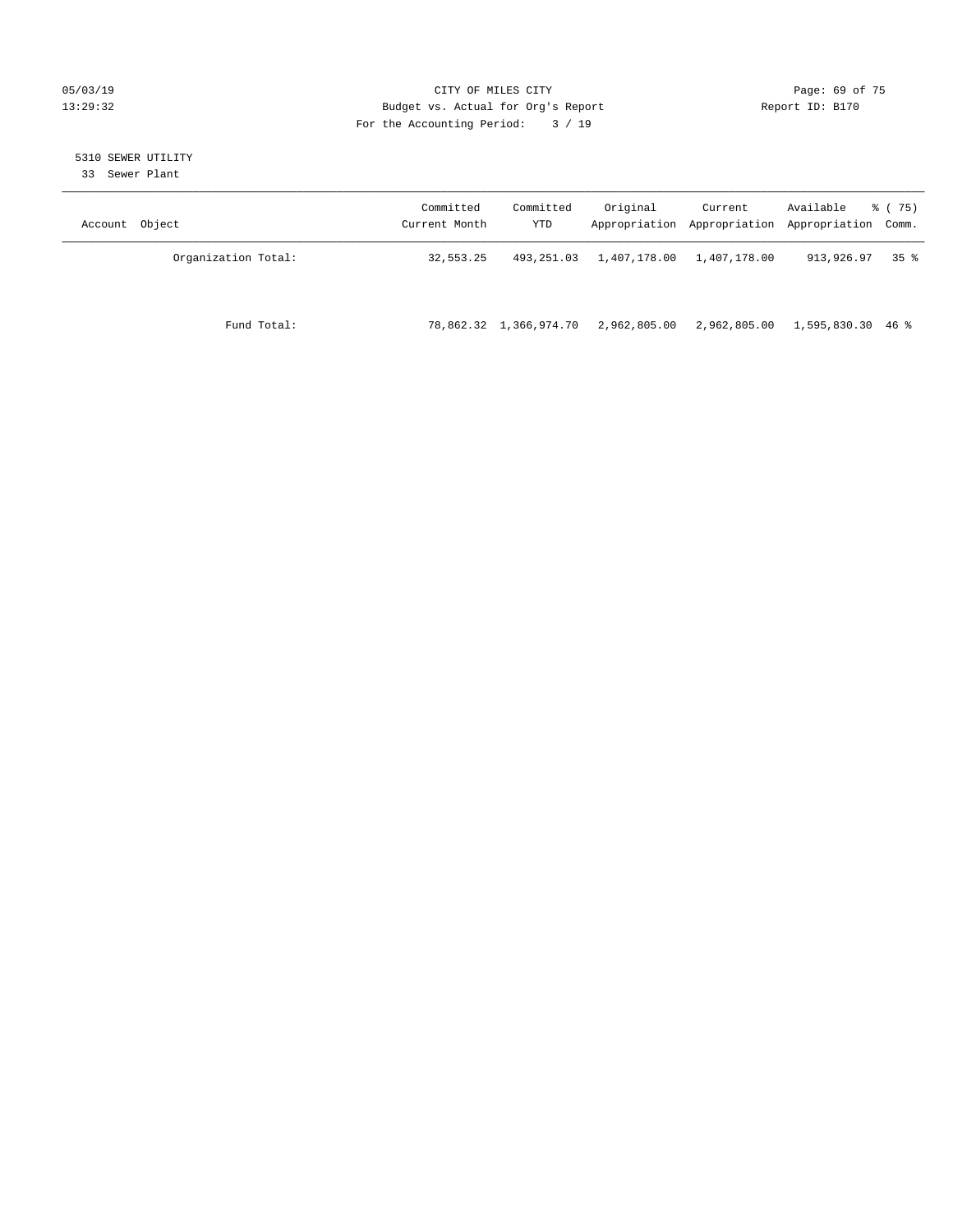#### 05/03/19 Page: 69 of 75 13:29:32 Budget vs. Actual for Org's Report Report ID: B170 For the Accounting Period: 3 / 19

# 5310 SEWER UTILITY

33 Sewer Plant

| Object<br>Account   | Committed<br>Current Month | Committed<br>YTD       | Original     | Current<br>Appropriation Appropriation | Available<br>Appropriation Comm. | 8 (75)          |
|---------------------|----------------------------|------------------------|--------------|----------------------------------------|----------------------------------|-----------------|
| Organization Total: | 32,553.25                  | 493,251.03             | 1,407,178.00 | 1,407,178.00                           | 913,926.97                       | 35 <sup>8</sup> |
| Fund Total:         |                            | 78,862.32 1,366,974.70 | 2,962,805.00 | 2,962,805.00                           | 1,595,830.30 46 %                |                 |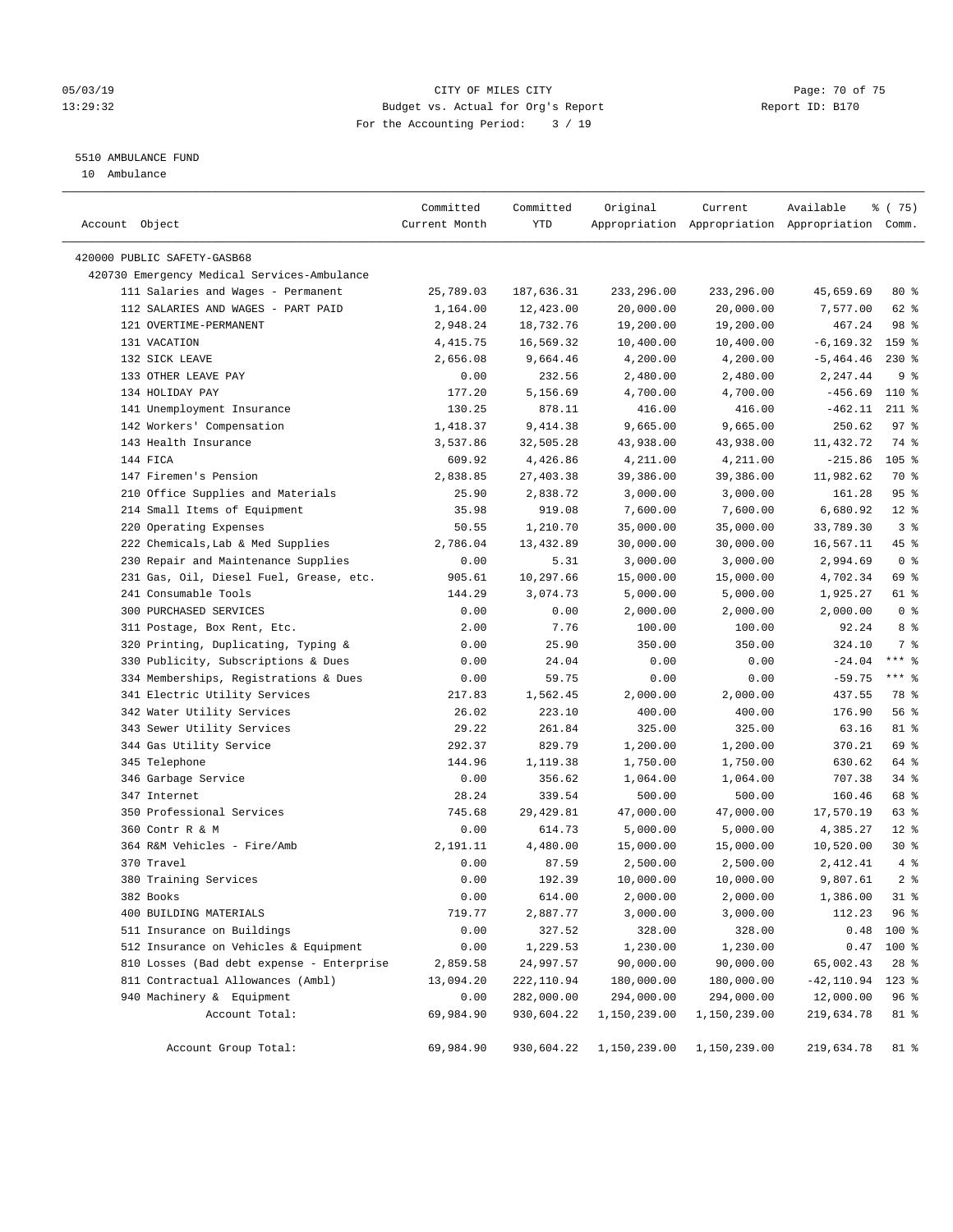#### 05/03/19 Page: 70 of 75 13:29:32 Budget vs. Actual for Org's Report Report ID: B170 For the Accounting Period: 3 / 19

————————————————————————————————————————————————————————————————————————————————————————————————————————————————————————————————————

### 5510 AMBULANCE FUND

10 Ambulance

|                                             | Committed     | Committed  | Original     | Current      | Available                                       | 8 (75)         |  |
|---------------------------------------------|---------------|------------|--------------|--------------|-------------------------------------------------|----------------|--|
| Account Object                              | Current Month | YTD        |              |              | Appropriation Appropriation Appropriation Comm. |                |  |
| 420000 PUBLIC SAFETY-GASB68                 |               |            |              |              |                                                 |                |  |
| 420730 Emergency Medical Services-Ambulance |               |            |              |              |                                                 |                |  |
| 111 Salaries and Wages - Permanent          | 25,789.03     | 187,636.31 | 233,296.00   | 233,296.00   | 45,659.69                                       | $80*$          |  |
| 112 SALARIES AND WAGES - PART PAID          | 1,164.00      | 12,423.00  | 20,000.00    | 20,000.00    | 7,577.00                                        | $62$ $%$       |  |
| 121 OVERTIME-PERMANENT                      | 2,948.24      | 18,732.76  | 19,200.00    | 19,200.00    | 467.24                                          | 98 %           |  |
| 131 VACATION                                | 4, 415.75     | 16,569.32  | 10,400.00    | 10,400.00    | $-6, 169.32$                                    | 159 %          |  |
| 132 SICK LEAVE                              | 2,656.08      | 9,664.46   | 4,200.00     | 4,200.00     | $-5, 464.46$                                    | $230*$         |  |
| 133 OTHER LEAVE PAY                         | 0.00          | 232.56     | 2,480.00     | 2,480.00     | 2,247.44                                        | 9 <sup>°</sup> |  |
| 134 HOLIDAY PAY                             | 177.20        | 5,156.69   | 4,700.00     | 4,700.00     | $-456.69$                                       | 110 %          |  |
| 141 Unemployment Insurance                  | 130.25        | 878.11     | 416.00       | 416.00       | $-462.11$                                       | $211$ %        |  |
| 142 Workers' Compensation                   | 1,418.37      | 9,414.38   | 9,665.00     | 9,665.00     | 250.62                                          | 97%            |  |
| 143 Health Insurance                        | 3,537.86      | 32,505.28  | 43,938.00    | 43,938.00    | 11,432.72                                       | 74 %           |  |
| 144 FICA                                    | 609.92        | 4,426.86   | 4,211.00     | 4,211.00     | $-215.86$                                       | $105$ %        |  |
| 147 Firemen's Pension                       | 2,838.85      | 27,403.38  | 39,386.00    | 39,386.00    | 11,982.62                                       | 70 %           |  |
| 210 Office Supplies and Materials           | 25.90         | 2,838.72   | 3,000.00     | 3,000.00     | 161.28                                          | 95%            |  |
| 214 Small Items of Equipment                | 35.98         | 919.08     | 7,600.00     | 7,600.00     | 6,680.92                                        | $12*$          |  |
| 220 Operating Expenses                      | 50.55         | 1,210.70   | 35,000.00    | 35,000.00    | 33,789.30                                       | 3 <sup>8</sup> |  |
| 222 Chemicals, Lab & Med Supplies           | 2,786.04      | 13,432.89  | 30,000.00    | 30,000.00    | 16,567.11                                       | 45 %           |  |
| 230 Repair and Maintenance Supplies         | 0.00          | 5.31       | 3,000.00     | 3,000.00     | 2,994.69                                        | 0 <sup>8</sup> |  |
| 231 Gas, Oil, Diesel Fuel, Grease, etc.     | 905.61        | 10,297.66  | 15,000.00    | 15,000.00    | 4,702.34                                        | 69 %           |  |
| 241 Consumable Tools                        | 144.29        | 3,074.73   | 5,000.00     | 5,000.00     | 1,925.27                                        | 61 %           |  |
| 300 PURCHASED SERVICES                      | 0.00          | 0.00       | 2,000.00     | 2,000.00     | 2,000.00                                        | 0 <sup>8</sup> |  |
| 311 Postage, Box Rent, Etc.                 | 2.00          | 7.76       | 100.00       | 100.00       | 92.24                                           | 8 %            |  |
| 320 Printing, Duplicating, Typing &         | 0.00          | 25.90      | 350.00       | 350.00       | 324.10                                          | 7 %            |  |
| 330 Publicity, Subscriptions & Dues         | 0.00          | 24.04      | 0.00         | 0.00         | $-24.04$                                        | $***$ $-$      |  |
| 334 Memberships, Registrations & Dues       | 0.00          | 59.75      | 0.00         | 0.00         | $-59.75$                                        | $***$ $-$      |  |
| 341 Electric Utility Services               | 217.83        | 1,562.45   | 2,000.00     | 2,000.00     | 437.55                                          | 78 %           |  |
| 342 Water Utility Services                  | 26.02         | 223.10     | 400.00       | 400.00       | 176.90                                          | 56 %           |  |
| 343 Sewer Utility Services                  | 29.22         | 261.84     | 325.00       | 325.00       | 63.16                                           | 81 %           |  |
| 344 Gas Utility Service                     | 292.37        | 829.79     | 1,200.00     | 1,200.00     | 370.21                                          | 69 %           |  |
| 345 Telephone                               | 144.96        | 1,119.38   | 1,750.00     | 1,750.00     | 630.62                                          | 64 %           |  |
| 346 Garbage Service                         | 0.00          | 356.62     | 1,064.00     | 1,064.00     | 707.38                                          | 34%            |  |
| 347 Internet                                | 28.24         | 339.54     | 500.00       | 500.00       | 160.46                                          | 68 %           |  |
| 350 Professional Services                   | 745.68        | 29, 429.81 | 47,000.00    | 47,000.00    | 17,570.19                                       | 63 %           |  |
| 360 Contr R & M                             | 0.00          | 614.73     | 5,000.00     | 5,000.00     | 4,385.27                                        | $12*$          |  |
| 364 R&M Vehicles - Fire/Amb                 | 2,191.11      | 4,480.00   | 15,000.00    | 15,000.00    | 10,520.00                                       | $30*$          |  |
| 370 Travel                                  | 0.00          | 87.59      | 2,500.00     | 2,500.00     | 2,412.41                                        | 4%             |  |
| 380 Training Services                       | 0.00          | 192.39     | 10,000.00    | 10,000.00    | 9,807.61                                        | 2 <sup>°</sup> |  |
| 382 Books                                   | 0.00          | 614.00     | 2,000.00     | 2,000.00     | 1,386.00                                        | $31$ %         |  |
| 400 BUILDING MATERIALS                      | 719.77        | 2,887.77   | 3,000.00     | 3,000.00     | 112.23                                          | 96 %           |  |
| 511 Insurance on Buildings                  | 0.00          | 327.52     | 328.00       | 328.00       | 0.48                                            | 100 %          |  |
| 512 Insurance on Vehicles & Equipment       | 0.00          | 1,229.53   | 1,230.00     | 1,230.00     | 0.47                                            | $100$ %        |  |
| 810 Losses (Bad debt expense - Enterprise   | 2,859.58      | 24,997.57  | 90,000.00    | 90,000.00    | 65,002.43                                       | $28$ %         |  |
| 811 Contractual Allowances (Ambl)           | 13,094.20     | 222,110.94 | 180,000.00   | 180,000.00   | $-42,110.94$                                    | $123$ %        |  |
| 940 Machinery & Equipment                   | 0.00          | 282,000.00 | 294,000.00   | 294,000.00   | 12,000.00                                       | 96%            |  |
| Account Total:                              | 69,984.90     | 930,604.22 | 1,150,239.00 | 1,150,239.00 | 219,634.78                                      | 81 %           |  |
|                                             |               |            |              |              |                                                 |                |  |
| Account Group Total:                        | 69,984.90     | 930,604.22 | 1,150,239.00 | 1,150,239.00 | 219,634.78                                      | 81 %           |  |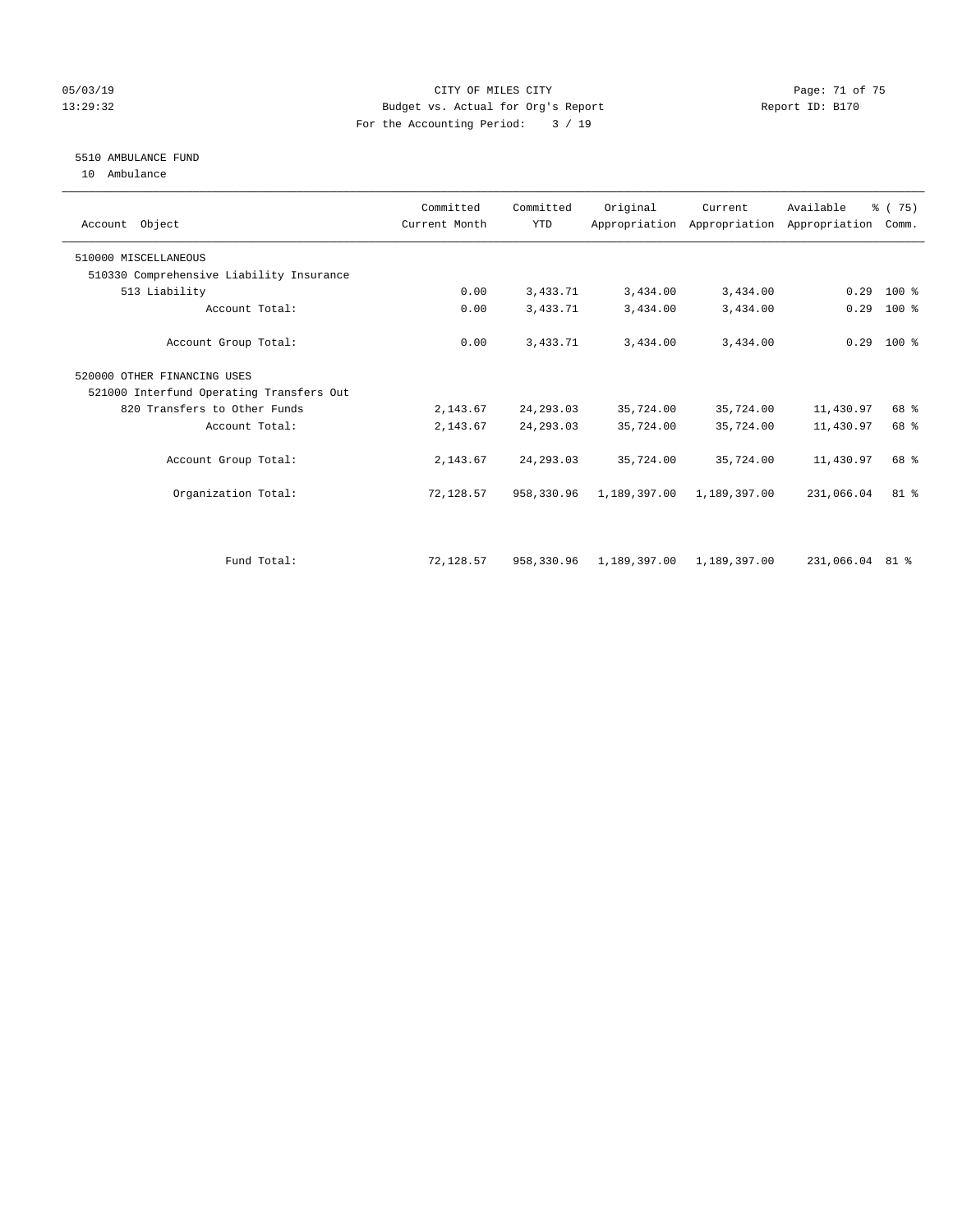#### 05/03/19 Page: 71 of 75 13:29:32 Budget vs. Actual for Org's Report Report ID: B170 For the Accounting Period: 3 / 19

### 5510 AMBULANCE FUND

10 Ambulance

|                                          | Committed     | Committed  | Original     |              |                                                        |                 |  |
|------------------------------------------|---------------|------------|--------------|--------------|--------------------------------------------------------|-----------------|--|
| Account Object                           | Current Month | <b>YTD</b> |              | Current      | Available<br>Appropriation Appropriation Appropriation | 8 (75)<br>Comm. |  |
| 510000 MISCELLANEOUS                     |               |            |              |              |                                                        |                 |  |
| 510330 Comprehensive Liability Insurance |               |            |              |              |                                                        |                 |  |
| 513 Liability                            | 0.00          | 3,433.71   | 3,434.00     | 3,434.00     | 0.29                                                   | 100 %           |  |
| Account Total:                           | 0.00          | 3,433.71   | 3,434.00     | 3,434.00     | 0.29                                                   | $100$ %         |  |
| Account Group Total:                     | 0.00          | 3,433.71   | 3,434.00     | 3,434.00     | 0.29                                                   | $100*$          |  |
| 520000 OTHER FINANCING USES              |               |            |              |              |                                                        |                 |  |
| 521000 Interfund Operating Transfers Out |               |            |              |              |                                                        |                 |  |
| 820 Transfers to Other Funds             | 2,143.67      | 24, 293.03 | 35,724.00    | 35,724.00    | 11,430.97                                              | 68 %            |  |
| Account Total:                           | 2,143.67      | 24, 293.03 | 35,724.00    | 35,724.00    | 11,430.97                                              | 68 %            |  |
| Account Group Total:                     | 2,143.67      | 24, 293.03 | 35,724.00    | 35,724.00    | 11,430.97                                              | 68 %            |  |
| Organization Total:                      | 72,128.57     | 958,330.96 | 1,189,397.00 | 1,189,397.00 | 231,066.04                                             | 81 %            |  |
| Fund Total:                              | 72,128.57     | 958,330.96 | 1,189,397.00 | 1,189,397.00 | 231,066.04 81 %                                        |                 |  |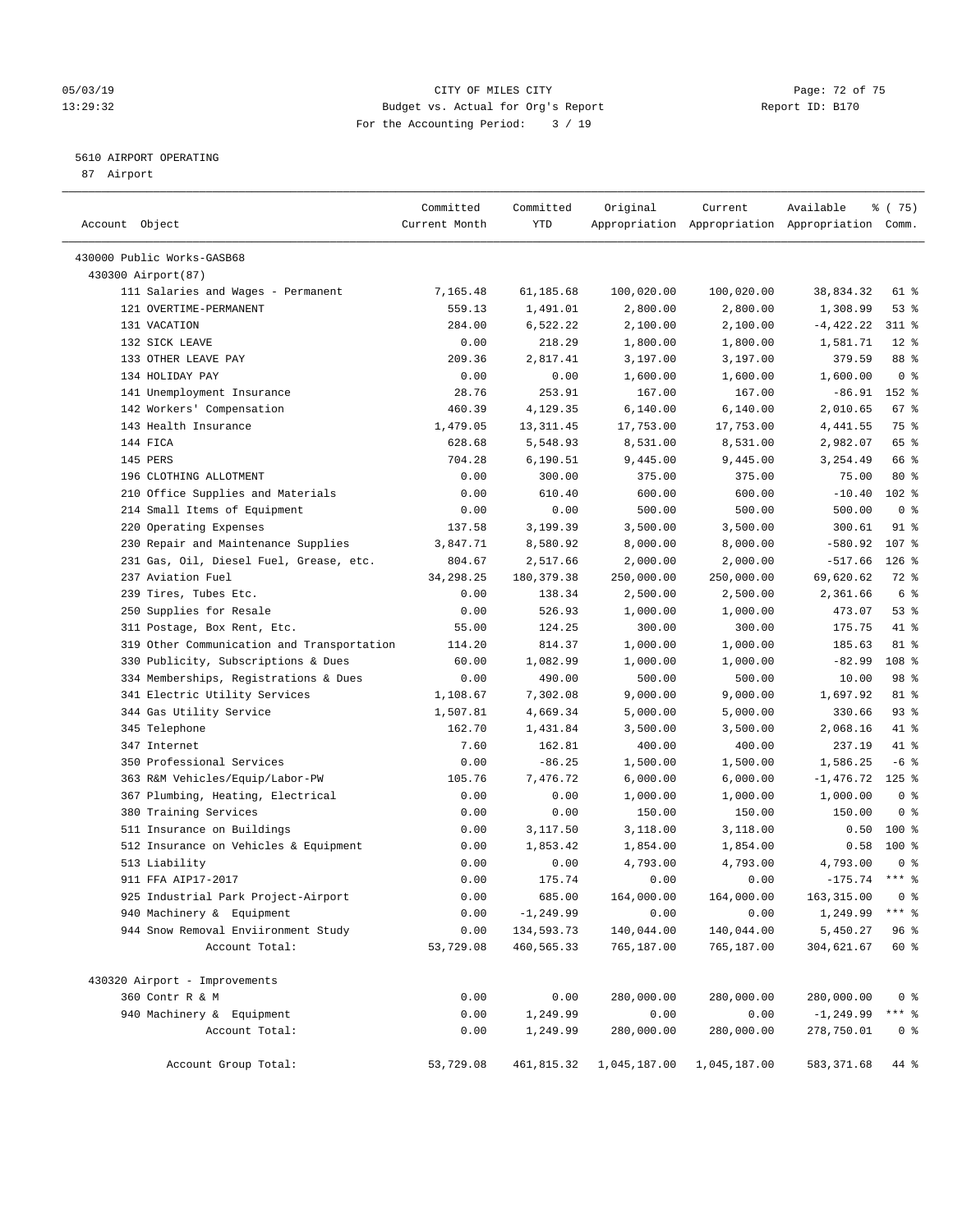#### 05/03/19 Page: 72 of 75 13:29:32 Budget vs. Actual for Org's Report Report ID: B170 For the Accounting Period: 3 / 19

————————————————————————————————————————————————————————————————————————————————————————————————————————————————————————————————————

#### 5610 AIRPORT OPERATING

87 Airport

|                                            | Committed     | Committed    | Original     | Current      | Available                                       | % (75)         |
|--------------------------------------------|---------------|--------------|--------------|--------------|-------------------------------------------------|----------------|
| Account Object                             | Current Month | YTD          |              |              | Appropriation Appropriation Appropriation Comm. |                |
| 430000 Public Works-GASB68                 |               |              |              |              |                                                 |                |
| 430300 Airport (87)                        |               |              |              |              |                                                 |                |
| 111 Salaries and Wages - Permanent         | 7,165.48      | 61,185.68    | 100,020.00   | 100,020.00   | 38,834.32                                       | 61 %           |
| 121 OVERTIME-PERMANENT                     | 559.13        | 1,491.01     | 2,800.00     | 2,800.00     | 1,308.99                                        | 53%            |
| 131 VACATION                               | 284.00        | 6,522.22     | 2,100.00     | 2,100.00     | $-4,422.22$                                     | 311 %          |
| 132 SICK LEAVE                             | 0.00          | 218.29       | 1,800.00     | 1,800.00     | 1,581.71                                        | $12*$          |
| 133 OTHER LEAVE PAY                        | 209.36        | 2,817.41     | 3,197.00     | 3,197.00     | 379.59                                          | 88 %           |
| 134 HOLIDAY PAY                            | 0.00          | 0.00         | 1,600.00     | 1,600.00     | 1,600.00                                        | 0 <sup>8</sup> |
| 141 Unemployment Insurance                 | 28.76         | 253.91       | 167.00       | 167.00       | $-86.91$                                        | 152 %          |
| 142 Workers' Compensation                  | 460.39        | 4,129.35     | 6,140.00     | 6,140.00     | 2,010.65                                        | 67%            |
| 143 Health Insurance                       | 1,479.05      | 13, 311.45   | 17,753.00    | 17,753.00    | 4,441.55                                        | 75 %           |
| 144 FICA                                   | 628.68        | 5,548.93     | 8,531.00     | 8,531.00     | 2,982.07                                        | 65 %           |
| 145 PERS                                   | 704.28        | 6,190.51     | 9,445.00     | 9,445.00     | 3,254.49                                        | 66 %           |
| 196 CLOTHING ALLOTMENT                     | 0.00          | 300.00       | 375.00       | 375.00       | 75.00                                           | $80*$          |
| 210 Office Supplies and Materials          | 0.00          | 610.40       | 600.00       | 600.00       | $-10.40$                                        | $102$ %        |
| 214 Small Items of Equipment               | 0.00          | 0.00         | 500.00       | 500.00       | 500.00                                          | 0 <sup>8</sup> |
| 220 Operating Expenses                     | 137.58        | 3,199.39     | 3,500.00     | 3,500.00     | 300.61                                          | 91 %           |
| 230 Repair and Maintenance Supplies        | 3,847.71      | 8,580.92     | 8,000.00     | 8,000.00     | $-580.92$                                       | 107 %          |
| 231 Gas, Oil, Diesel Fuel, Grease, etc.    | 804.67        | 2,517.66     | 2,000.00     | 2,000.00     | $-517.66$                                       | $126$ %        |
| 237 Aviation Fuel                          | 34, 298. 25   | 180,379.38   | 250,000.00   | 250,000.00   | 69,620.62                                       | $72$ $%$       |
| 239 Tires, Tubes Etc.                      | 0.00          | 138.34       | 2,500.00     | 2,500.00     | 2,361.66                                        | 6 %            |
| 250 Supplies for Resale                    | 0.00          | 526.93       | 1,000.00     | 1,000.00     | 473.07                                          | 53%            |
| 311 Postage, Box Rent, Etc.                | 55.00         | 124.25       | 300.00       | 300.00       | 175.75                                          | 41 %           |
| 319 Other Communication and Transportation | 114.20        | 814.37       | 1,000.00     | 1,000.00     | 185.63                                          | 81 %           |
| 330 Publicity, Subscriptions & Dues        | 60.00         | 1,082.99     | 1,000.00     | 1,000.00     | $-82.99$                                        | 108 %          |
| 334 Memberships, Registrations & Dues      | 0.00          | 490.00       | 500.00       | 500.00       | 10.00                                           | 98 %           |
| 341 Electric Utility Services              | 1,108.67      | 7,302.08     | 9,000.00     | 9,000.00     | 1,697.92                                        | 81 %           |
| 344 Gas Utility Service                    | 1,507.81      | 4,669.34     | 5,000.00     | 5,000.00     | 330.66                                          | 93%            |
| 345 Telephone                              | 162.70        | 1,431.84     | 3,500.00     | 3,500.00     | 2,068.16                                        | 41 %           |
| 347 Internet                               | 7.60          | 162.81       | 400.00       | 400.00       | 237.19                                          | 41 %           |
| 350 Professional Services                  | 0.00          | $-86.25$     | 1,500.00     | 1,500.00     | 1,586.25                                        | $-6$ %         |
| 363 R&M Vehicles/Equip/Labor-PW            | 105.76        | 7,476.72     | 6,000.00     | 6,000.00     | $-1,476.72$                                     | $125$ %        |
| 367 Plumbing, Heating, Electrical          | 0.00          | 0.00         | 1,000.00     | 1,000.00     | 1,000.00                                        | 0 <sup>8</sup> |
| 380 Training Services                      | 0.00          | 0.00         | 150.00       | 150.00       | 150.00                                          | 0 <sup>8</sup> |
| 511 Insurance on Buildings                 | 0.00          | 3,117.50     | 3,118.00     | 3,118.00     | 0.50                                            | $100$ %        |
| 512 Insurance on Vehicles & Equipment      | 0.00          | 1,853.42     | 1,854.00     | 1,854.00     | 0.58                                            | 100 %          |
| 513 Liability                              | 0.00          | 0.00         | 4,793.00     | 4,793.00     | 4,793.00                                        | 0 <sup>8</sup> |
| 911 FFA AIP17-2017                         | 0.00          | 175.74       | 0.00         | 0.00         | $-175.74$ *** %                                 |                |
| 925 Industrial Park Project-Airport        | 0.00          | 685.00       | 164,000.00   | 164,000.00   | 163,315.00                                      | 0 ‱            |
| 940 Machinery & Equipment                  | 0.00          | $-1, 249.99$ | 0.00         | 0.00         | 1,249.99                                        | *** 응          |
| 944 Snow Removal Enviironment Study        | 0.00          | 134,593.73   | 140,044.00   | 140,044.00   | 5,450.27                                        | 96 %           |
| Account Total:                             | 53,729.08     | 460,565.33   | 765,187.00   | 765,187.00   | 304,621.67                                      | 60 %           |
| 430320 Airport - Improvements              |               |              |              |              |                                                 |                |
| 360 Contr R & M                            | 0.00          | 0.00         | 280,000.00   | 280,000.00   | 280,000.00                                      | 0 <sup>8</sup> |
| 940 Machinery & Equipment                  | 0.00          | 1,249.99     | 0.00         | 0.00         | $-1, 249.99$                                    | $***$ $8$      |
| Account Total:                             | 0.00          | 1,249.99     | 280,000.00   | 280,000.00   | 278,750.01                                      | 0 <sup>8</sup> |
| Account Group Total:                       | 53,729.08     | 461,815.32   | 1,045,187.00 | 1,045,187.00 | 583, 371.68                                     | 44 %           |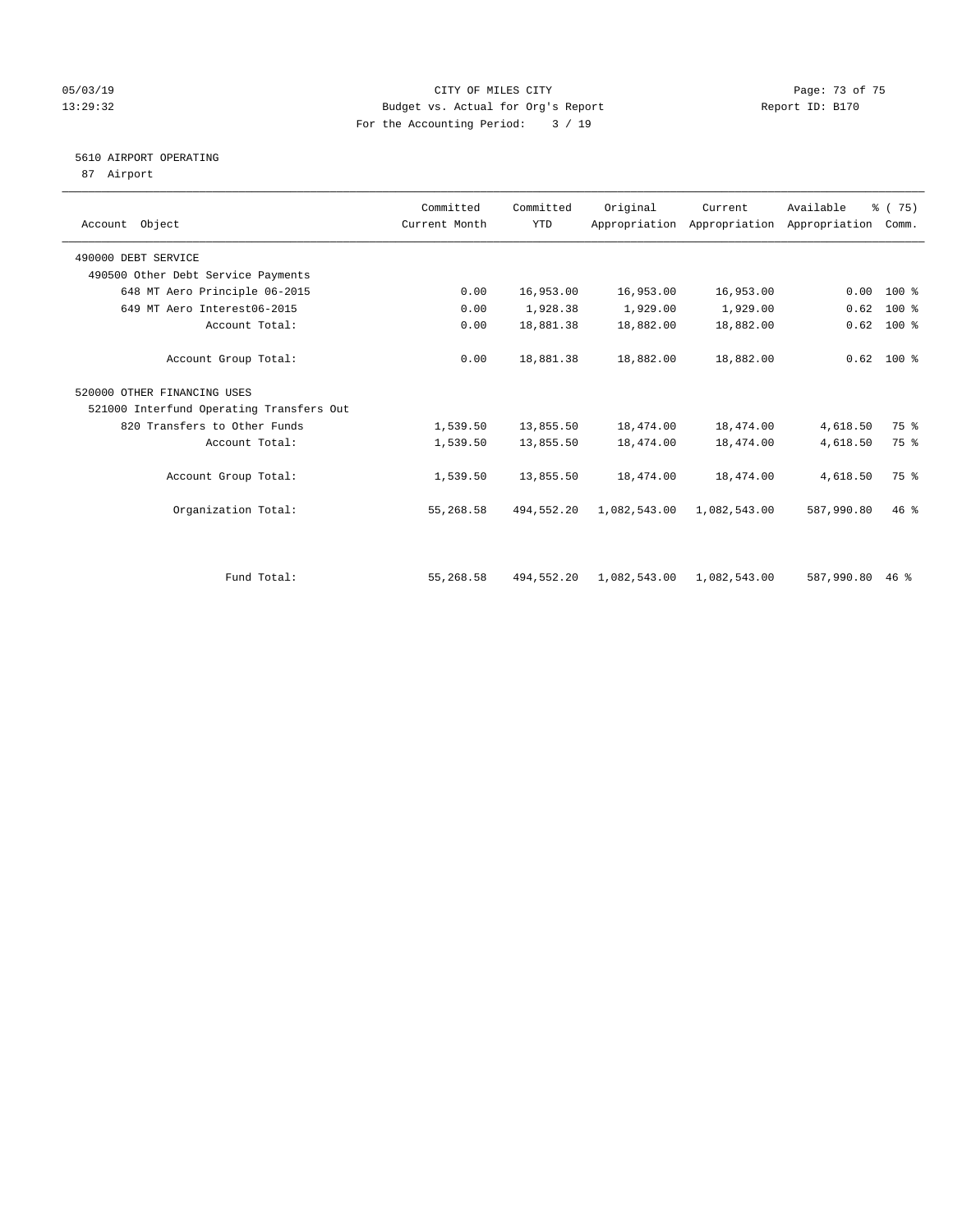## 05/03/19 Page: 73 of 75 13:29:32 Budget vs. Actual for Org's Report Report ID: B170 For the Accounting Period: 3 / 19

## 5610 AIRPORT OPERATING

87 Airport

| Account Object                           | Committed<br>Current Month | Committed<br>YTD | Original     | Current      | Available<br>Appropriation Appropriation Appropriation | % (75)<br>Comm. |  |
|------------------------------------------|----------------------------|------------------|--------------|--------------|--------------------------------------------------------|-----------------|--|
| 490000 DEBT SERVICE                      |                            |                  |              |              |                                                        |                 |  |
| 490500 Other Debt Service Payments       |                            |                  |              |              |                                                        |                 |  |
| 648 MT Aero Principle 06-2015            | 0.00                       | 16,953.00        | 16,953.00    | 16,953.00    | 0.00                                                   | $100*$          |  |
| 649 MT Aero Interest06-2015              | 0.00                       | 1,928.38         | 1,929.00     | 1,929.00     | 0.62                                                   | $100$ %         |  |
| Account Total:                           | 0.00                       | 18,881.38        | 18,882.00    | 18,882.00    | 0.62                                                   | 100 %           |  |
| Account Group Total:                     | 0.00                       | 18,881.38        | 18,882.00    | 18,882.00    |                                                        | $0.62$ 100 %    |  |
| 520000 OTHER FINANCING USES              |                            |                  |              |              |                                                        |                 |  |
| 521000 Interfund Operating Transfers Out |                            |                  |              |              |                                                        |                 |  |
| 820 Transfers to Other Funds             | 1,539.50                   | 13,855.50        | 18,474.00    | 18,474.00    | 4,618.50                                               | 75 %            |  |
| Account Total:                           | 1,539.50                   | 13,855.50        | 18,474.00    | 18,474.00    | 4,618.50                                               | 75 %            |  |
| Account Group Total:                     | 1,539.50                   | 13,855.50        | 18,474.00    | 18,474.00    | 4,618.50                                               | 75 %            |  |
| Organization Total:                      | 55,268.58                  | 494,552.20       | 1,082,543.00 | 1,082,543.00 | 587,990.80                                             | 46%             |  |
|                                          |                            |                  |              |              |                                                        |                 |  |
| Fund Total:                              | 55,268.58                  | 494,552.20       | 1,082,543.00 | 1,082,543.00 | 587,990.80                                             | $46*$           |  |